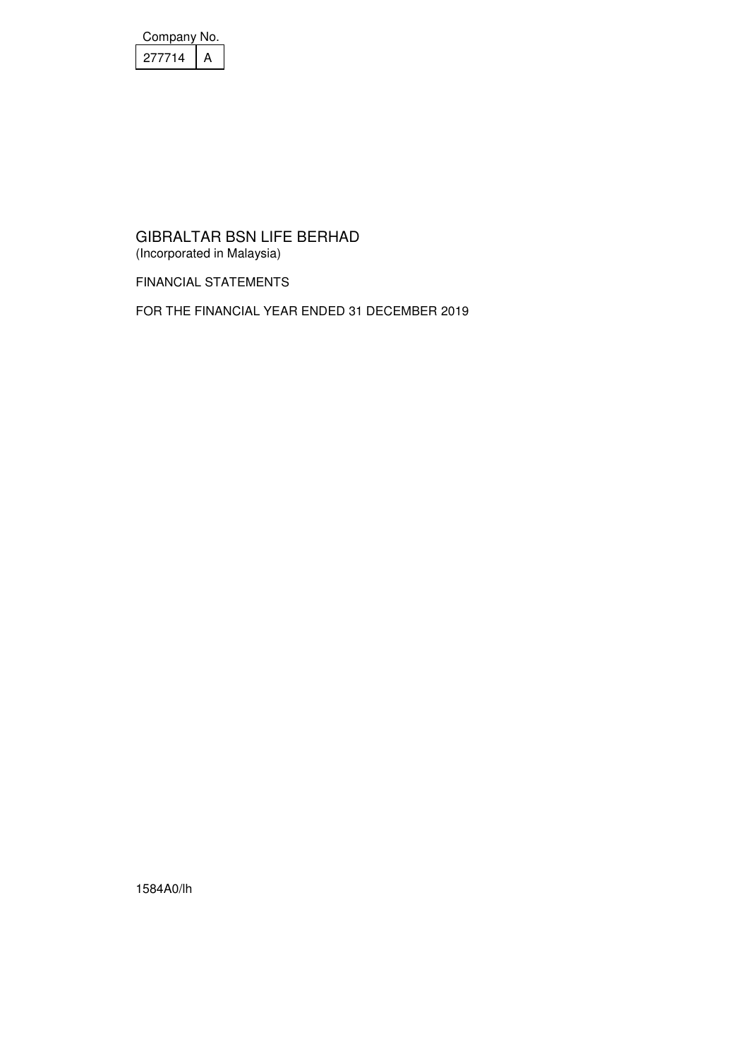| Company No. |  |
|-------------|--|
| 277714      |  |

FINANCIAL STATEMENTS

FOR THE FINANCIAL YEAR ENDED 31 DECEMBER 2019

1584A0/lh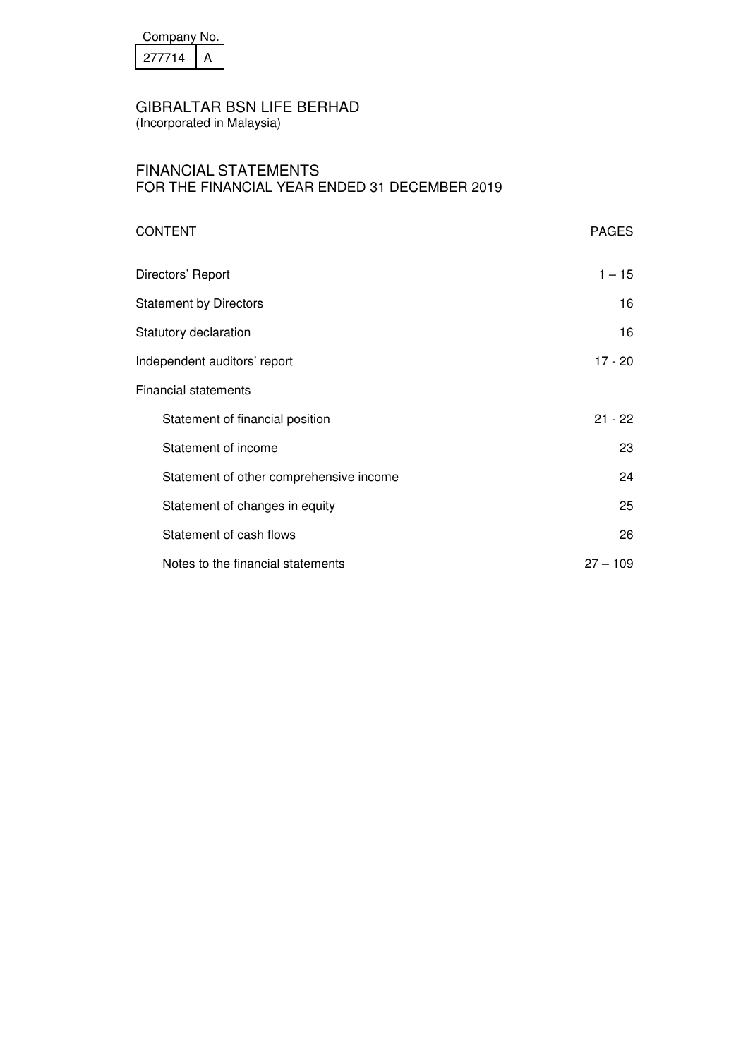| Company No. |  |
|-------------|--|
| 277714      |  |

(Incorporated in Malaysia)

## FINANCIAL STATEMENTS FOR THE FINANCIAL YEAR ENDED 31 DECEMBER 2019

| <b>CONTENT</b>                          | <b>PAGES</b> |
|-----------------------------------------|--------------|
| Directors' Report                       | $1 - 15$     |
| <b>Statement by Directors</b>           | 16           |
| Statutory declaration                   | 16           |
| Independent auditors' report            | 17 - 20      |
| <b>Financial statements</b>             |              |
| Statement of financial position         | $21 - 22$    |
| Statement of income                     | 23           |
| Statement of other comprehensive income | 24           |
| Statement of changes in equity          | 25           |
| Statement of cash flows                 | 26           |
| Notes to the financial statements       | $27 - 109$   |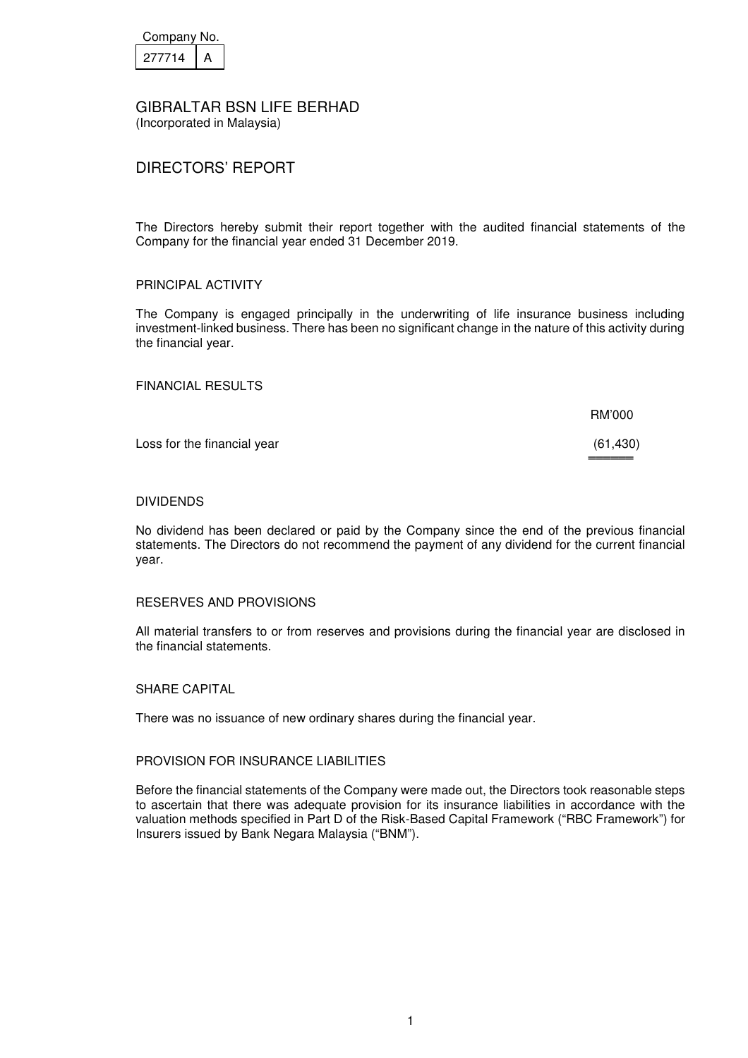| Company No. |  |
|-------------|--|
| 27714       |  |

## DIRECTORS' REPORT

The Directors hereby submit their report together with the audited financial statements of the Company for the financial year ended 31 December 2019.

### PRINCIPAL ACTIVITY

The Company is engaged principally in the underwriting of life insurance business including investment-linked business. There has been no significant change in the nature of this activity during the financial year.

 $BMOOO$ 

FINANCIAL RESULTS

|                             | <b>RIVI UUU</b>     |
|-----------------------------|---------------------|
| Loss for the financial year | (61, 430)<br>====== |

#### DIVIDENDS

No dividend has been declared or paid by the Company since the end of the previous financial statements. The Directors do not recommend the payment of any dividend for the current financial year.

#### RESERVES AND PROVISIONS

All material transfers to or from reserves and provisions during the financial year are disclosed in the financial statements.

#### SHARE CAPITAL

There was no issuance of new ordinary shares during the financial year.

#### PROVISION FOR INSURANCE LIABILITIES

Before the financial statements of the Company were made out, the Directors took reasonable steps to ascertain that there was adequate provision for its insurance liabilities in accordance with the valuation methods specified in Part D of the Risk-Based Capital Framework ("RBC Framework") for Insurers issued by Bank Negara Malaysia ("BNM").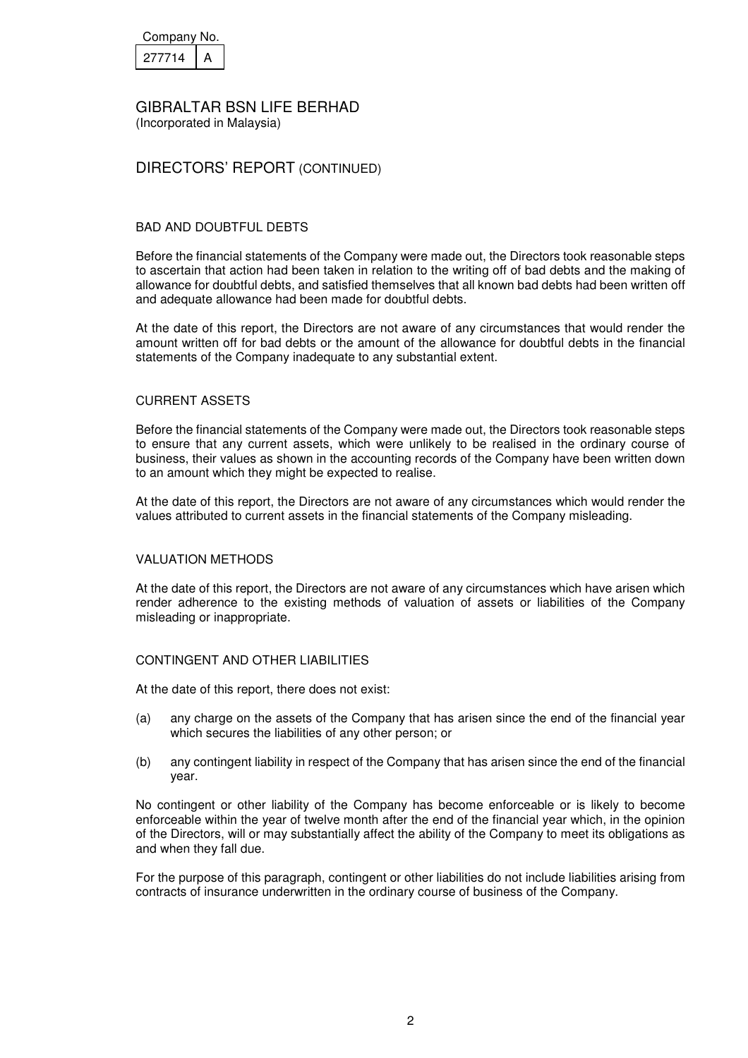| Company No. |  |
|-------------|--|
| 277714      |  |

(Incorporated in Malaysia)

## DIRECTORS' REPORT (CONTINUED)

#### BAD AND DOUBTFUL DEBTS

Before the financial statements of the Company were made out, the Directors took reasonable steps to ascertain that action had been taken in relation to the writing off of bad debts and the making of allowance for doubtful debts, and satisfied themselves that all known bad debts had been written off and adequate allowance had been made for doubtful debts.

At the date of this report, the Directors are not aware of any circumstances that would render the amount written off for bad debts or the amount of the allowance for doubtful debts in the financial statements of the Company inadequate to any substantial extent.

#### CURRENT ASSETS

Before the financial statements of the Company were made out, the Directors took reasonable steps to ensure that any current assets, which were unlikely to be realised in the ordinary course of business, their values as shown in the accounting records of the Company have been written down to an amount which they might be expected to realise.

At the date of this report, the Directors are not aware of any circumstances which would render the values attributed to current assets in the financial statements of the Company misleading.

#### VALUATION METHODS

At the date of this report, the Directors are not aware of any circumstances which have arisen which render adherence to the existing methods of valuation of assets or liabilities of the Company misleading or inappropriate.

### CONTINGENT AND OTHER LIABILITIES

At the date of this report, there does not exist:

- (a) any charge on the assets of the Company that has arisen since the end of the financial year which secures the liabilities of any other person; or
- (b) any contingent liability in respect of the Company that has arisen since the end of the financial year.

No contingent or other liability of the Company has become enforceable or is likely to become enforceable within the year of twelve month after the end of the financial year which, in the opinion of the Directors, will or may substantially affect the ability of the Company to meet its obligations as and when they fall due.

For the purpose of this paragraph, contingent or other liabilities do not include liabilities arising from contracts of insurance underwritten in the ordinary course of business of the Company.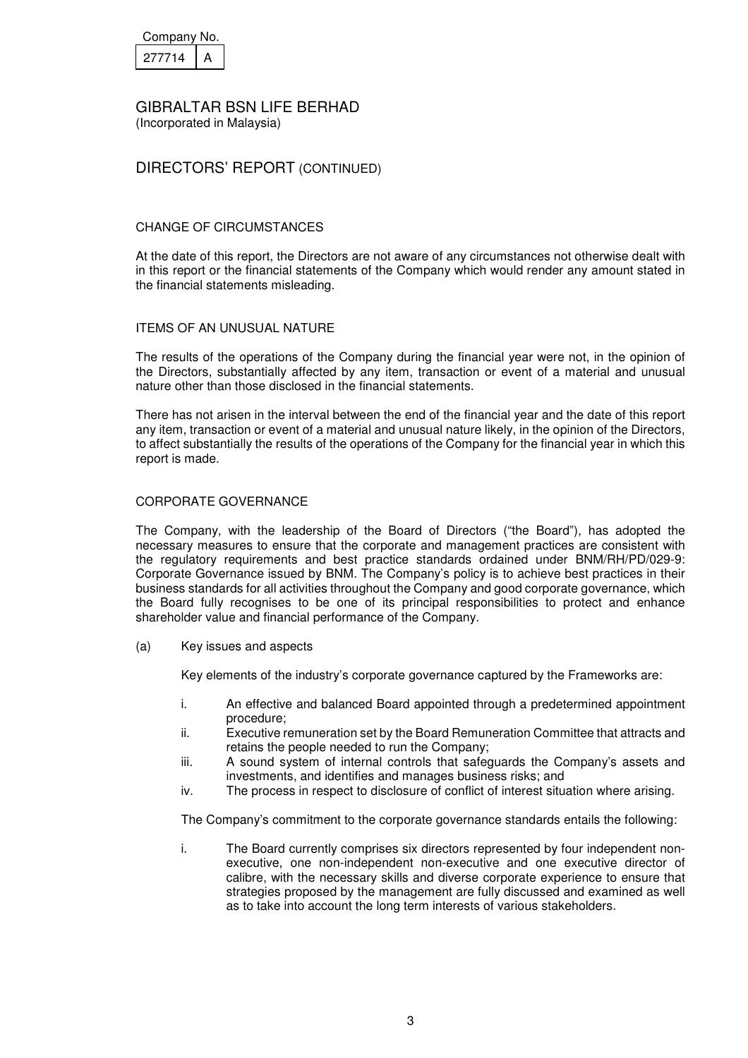| Company No. |  |
|-------------|--|
| 277714      |  |

## DIRECTORS' REPORT (CONTINUED)

### CHANGE OF CIRCUMSTANCES

At the date of this report, the Directors are not aware of any circumstances not otherwise dealt with in this report or the financial statements of the Company which would render any amount stated in the financial statements misleading.

#### ITEMS OF AN UNUSUAL NATURE

The results of the operations of the Company during the financial year were not, in the opinion of the Directors, substantially affected by any item, transaction or event of a material and unusual nature other than those disclosed in the financial statements.

There has not arisen in the interval between the end of the financial year and the date of this report any item, transaction or event of a material and unusual nature likely, in the opinion of the Directors, to affect substantially the results of the operations of the Company for the financial year in which this report is made.

#### CORPORATE GOVERNANCE

The Company, with the leadership of the Board of Directors ("the Board"), has adopted the necessary measures to ensure that the corporate and management practices are consistent with the regulatory requirements and best practice standards ordained under BNM/RH/PD/029-9: Corporate Governance issued by BNM. The Company's policy is to achieve best practices in their business standards for all activities throughout the Company and good corporate governance, which the Board fully recognises to be one of its principal responsibilities to protect and enhance shareholder value and financial performance of the Company.

(a) Key issues and aspects

Key elements of the industry's corporate governance captured by the Frameworks are:

- i. An effective and balanced Board appointed through a predetermined appointment procedure;
- ii. Executive remuneration set by the Board Remuneration Committee that attracts and retains the people needed to run the Company;
- iii. A sound system of internal controls that safeguards the Company's assets and investments, and identifies and manages business risks; and
- iv. The process in respect to disclosure of conflict of interest situation where arising.

The Company's commitment to the corporate governance standards entails the following:

i. The Board currently comprises six directors represented by four independent nonexecutive, one non-independent non-executive and one executive director of calibre, with the necessary skills and diverse corporate experience to ensure that strategies proposed by the management are fully discussed and examined as well as to take into account the long term interests of various stakeholders.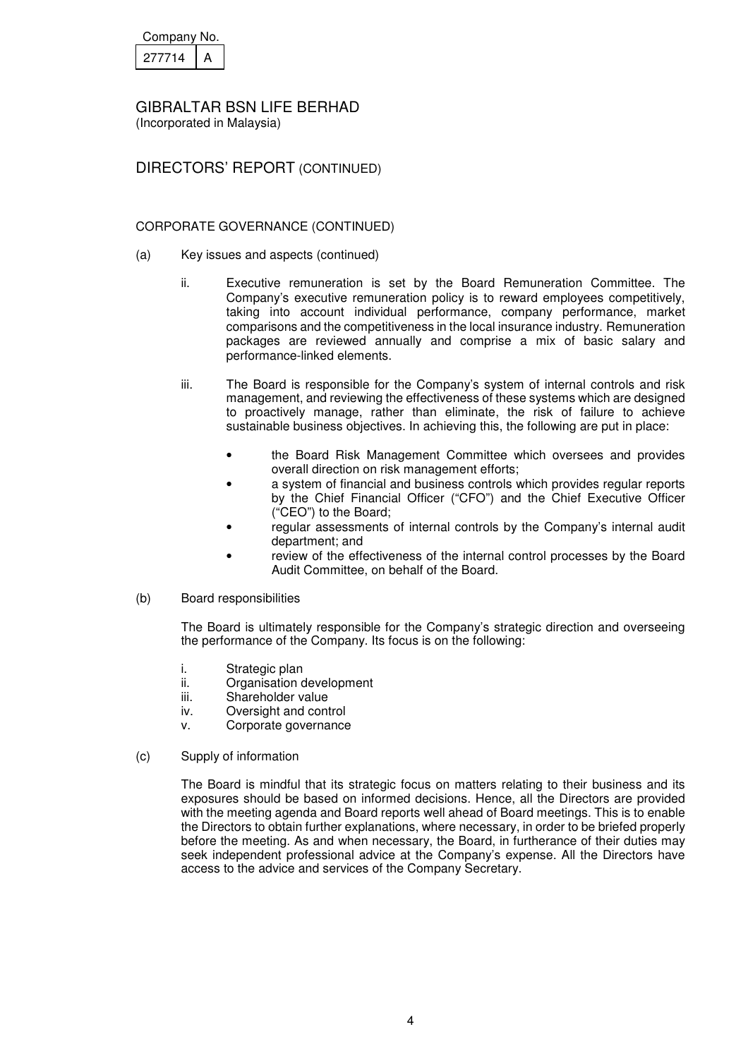| Company No. |  |
|-------------|--|
| 277714      |  |

(Incorporated in Malaysia)

DIRECTORS' REPORT (CONTINUED)

## CORPORATE GOVERNANCE (CONTINUED)

- (a) Key issues and aspects (continued)
	- ii. Executive remuneration is set by the Board Remuneration Committee. The Company's executive remuneration policy is to reward employees competitively, taking into account individual performance, company performance, market comparisons and the competitiveness in the local insurance industry. Remuneration packages are reviewed annually and comprise a mix of basic salary and performance-linked elements.
	- iii. The Board is responsible for the Company's system of internal controls and risk management, and reviewing the effectiveness of these systems which are designed to proactively manage, rather than eliminate, the risk of failure to achieve sustainable business objectives. In achieving this, the following are put in place:
		- the Board Risk Management Committee which oversees and provides overall direction on risk management efforts;
		- a system of financial and business controls which provides regular reports by the Chief Financial Officer ("CFO") and the Chief Executive Officer ("CEO") to the Board;
		- regular assessments of internal controls by the Company's internal audit department; and
		- review of the effectiveness of the internal control processes by the Board Audit Committee, on behalf of the Board.
- (b) Board responsibilities

 The Board is ultimately responsible for the Company's strategic direction and overseeing the performance of the Company. Its focus is on the following:

- i. Strategic plan
- ii. Organisation development
- iii. Shareholder value
- iv. Oversight and control
- v. Corporate governance
- (c) Supply of information

 The Board is mindful that its strategic focus on matters relating to their business and its exposures should be based on informed decisions. Hence, all the Directors are provided with the meeting agenda and Board reports well ahead of Board meetings. This is to enable the Directors to obtain further explanations, where necessary, in order to be briefed properly before the meeting. As and when necessary, the Board, in furtherance of their duties may seek independent professional advice at the Company's expense. All the Directors have access to the advice and services of the Company Secretary.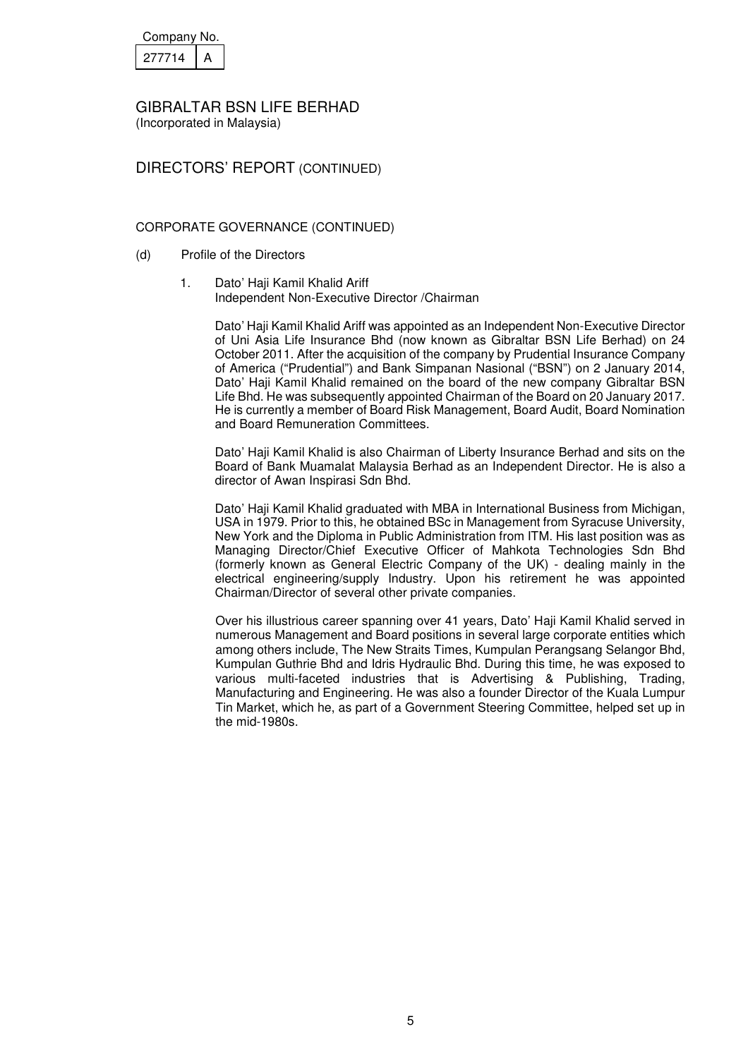| Company No. |  |
|-------------|--|
| 277714      |  |

(Incorporated in Malaysia)

# DIRECTORS' REPORT (CONTINUED)

## CORPORATE GOVERNANCE (CONTINUED)

- (d) Profile of the Directors
	- 1. Dato' Haii Kamil Khalid Ariff Independent Non-Executive Director /Chairman

 Dato' Haji Kamil Khalid Ariff was appointed as an Independent Non-Executive Director of Uni Asia Life Insurance Bhd (now known as Gibraltar BSN Life Berhad) on 24 October 2011. After the acquisition of the company by Prudential Insurance Company of America ("Prudential") and Bank Simpanan Nasional ("BSN") on 2 January 2014, Dato' Haji Kamil Khalid remained on the board of the new company Gibraltar BSN Life Bhd. He was subsequently appointed Chairman of the Board on 20 January 2017. He is currently a member of Board Risk Management, Board Audit, Board Nomination and Board Remuneration Committees.

 Dato' Haji Kamil Khalid is also Chairman of Liberty Insurance Berhad and sits on the Board of Bank Muamalat Malaysia Berhad as an Independent Director. He is also a director of Awan Inspirasi Sdn Bhd.

 Dato' Haji Kamil Khalid graduated with MBA in International Business from Michigan, USA in 1979. Prior to this, he obtained BSc in Management from Syracuse University, New York and the Diploma in Public Administration from ITM. His last position was as Managing Director/Chief Executive Officer of Mahkota Technologies Sdn Bhd (formerly known as General Electric Company of the UK) - dealing mainly in the electrical engineering/supply Industry. Upon his retirement he was appointed Chairman/Director of several other private companies.

Over his illustrious career spanning over 41 years, Dato' Haji Kamil Khalid served in numerous Management and Board positions in several large corporate entities which among others include, The New Straits Times, Kumpulan Perangsang Selangor Bhd, Kumpulan Guthrie Bhd and Idris Hydraulic Bhd. During this time, he was exposed to various multi-faceted industries that is Advertising & Publishing, Trading, Manufacturing and Engineering. He was also a founder Director of the Kuala Lumpur Tin Market, which he, as part of a Government Steering Committee, helped set up in the mid-1980s.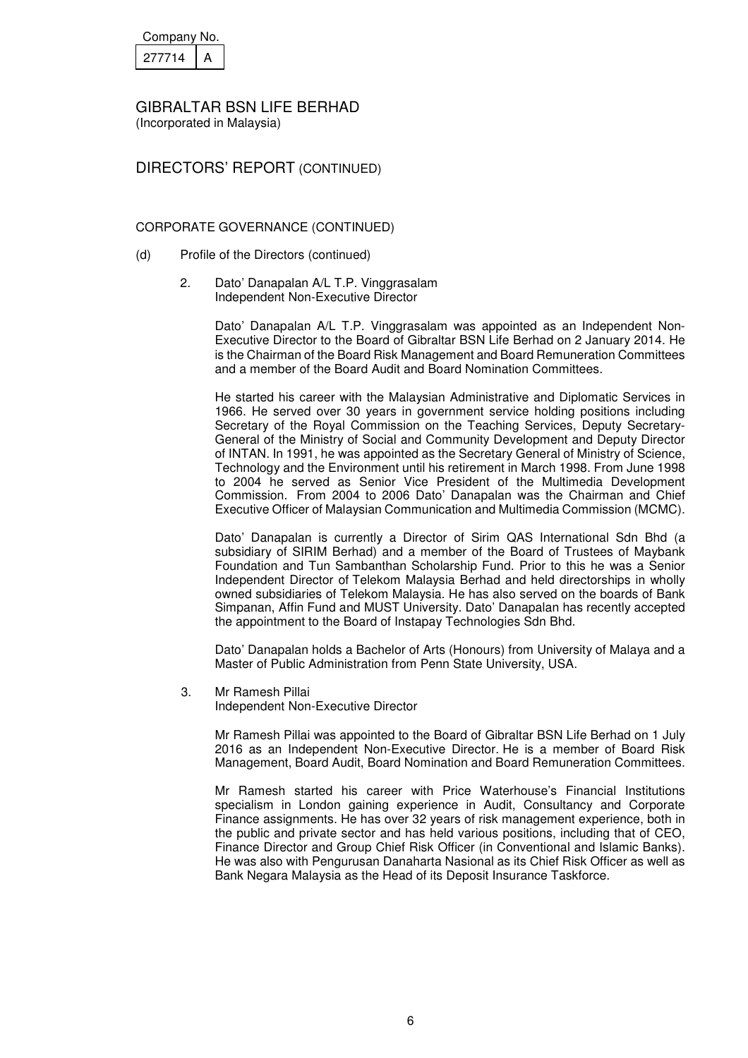| Company No. |  |
|-------------|--|
| 277714      |  |

DIRECTORS' REPORT (CONTINUED)

CORPORATE GOVERNANCE (CONTINUED)

- (d) Profile of the Directors (continued)
	- 2. Dato' Danapalan A/L T.P. Vinggrasalam Independent Non-Executive Director

Dato' Danapalan A/L T.P. Vinggrasalam was appointed as an Independent Non-Executive Director to the Board of Gibraltar BSN Life Berhad on 2 January 2014. He is the Chairman of the Board Risk Management and Board Remuneration Committees and a member of the Board Audit and Board Nomination Committees.

 He started his career with the Malaysian Administrative and Diplomatic Services in 1966. He served over 30 years in government service holding positions including Secretary of the Royal Commission on the Teaching Services, Deputy Secretary-General of the Ministry of Social and Community Development and Deputy Director of INTAN. In 1991, he was appointed as the Secretary General of Ministry of Science, Technology and the Environment until his retirement in March 1998. From June 1998 to 2004 he served as Senior Vice President of the Multimedia Development Commission. From 2004 to 2006 Dato' Danapalan was the Chairman and Chief Executive Officer of Malaysian Communication and Multimedia Commission (MCMC).

 Dato' Danapalan is currently a Director of Sirim QAS International Sdn Bhd (a subsidiary of SIRIM Berhad) and a member of the Board of Trustees of Maybank Foundation and Tun Sambanthan Scholarship Fund. Prior to this he was a Senior Independent Director of Telekom Malaysia Berhad and held directorships in wholly owned subsidiaries of Telekom Malaysia. He has also served on the boards of Bank Simpanan, Affin Fund and MUST University. Dato' Danapalan has recently accepted the appointment to the Board of Instapay Technologies Sdn Bhd.

 Dato' Danapalan holds a Bachelor of Arts (Honours) from University of Malaya and a Master of Public Administration from Penn State University, USA.

3. Mr Ramesh Pillai

Independent Non-Executive Director

 Mr Ramesh Pillai was appointed to the Board of Gibraltar BSN Life Berhad on 1 July 2016 as an Independent Non-Executive Director. He is a member of Board Risk Management, Board Audit, Board Nomination and Board Remuneration Committees.

 Mr Ramesh started his career with Price Waterhouse's Financial Institutions specialism in London gaining experience in Audit, Consultancy and Corporate Finance assignments. He has over 32 years of risk management experience, both in the public and private sector and has held various positions, including that of CEO, Finance Director and Group Chief Risk Officer (in Conventional and Islamic Banks). He was also with Pengurusan Danaharta Nasional as its Chief Risk Officer as well as Bank Negara Malaysia as the Head of its Deposit Insurance Taskforce.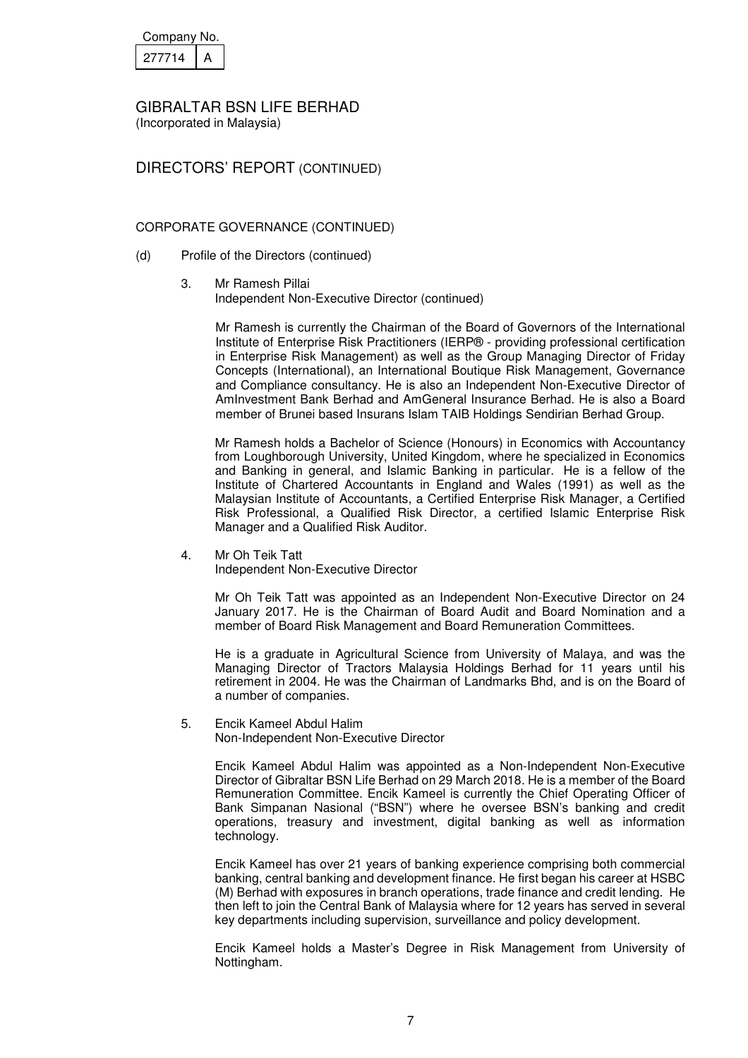| Company No. |  |
|-------------|--|
| 277714      |  |

(Incorporated in Malaysia)

## DIRECTORS' REPORT (CONTINUED)

### CORPORATE GOVERNANCE (CONTINUED)

- (d) Profile of the Directors (continued)
	- 3. Mr Ramesh Pillai Independent Non-Executive Director (continued)

Mr Ramesh is currently the Chairman of the Board of Governors of the International Institute of Enterprise Risk Practitioners (IERP® - providing professional certification in Enterprise Risk Management) as well as the Group Managing Director of Friday Concepts (International), an International Boutique Risk Management, Governance and Compliance consultancy. He is also an Independent Non-Executive Director of AmInvestment Bank Berhad and AmGeneral Insurance Berhad. He is also a Board member of Brunei based Insurans Islam TAIB Holdings Sendirian Berhad Group.

Mr Ramesh holds a Bachelor of Science (Honours) in Economics with Accountancy from Loughborough University, United Kingdom, where he specialized in Economics and Banking in general, and Islamic Banking in particular. He is a fellow of the Institute of Chartered Accountants in England and Wales (1991) as well as the Malaysian Institute of Accountants, a Certified Enterprise Risk Manager, a Certified Risk Professional, a Qualified Risk Director, a certified Islamic Enterprise Risk Manager and a Qualified Risk Auditor.

### 4. Mr Oh Teik Tatt

Independent Non-Executive Director

Mr Oh Teik Tatt was appointed as an Independent Non-Executive Director on 24 January 2017. He is the Chairman of Board Audit and Board Nomination and a member of Board Risk Management and Board Remuneration Committees.

He is a graduate in Agricultural Science from University of Malaya, and was the Managing Director of Tractors Malaysia Holdings Berhad for 11 years until his retirement in 2004. He was the Chairman of Landmarks Bhd, and is on the Board of a number of companies.

5. Encik Kameel Abdul Halim Non-Independent Non-Executive Director

> Encik Kameel Abdul Halim was appointed as a Non-Independent Non-Executive Director of Gibraltar BSN Life Berhad on 29 March 2018. He is a member of the Board Remuneration Committee. Encik Kameel is currently the Chief Operating Officer of Bank Simpanan Nasional ("BSN") where he oversee BSN's banking and credit operations, treasury and investment, digital banking as well as information technology.

> Encik Kameel has over 21 years of banking experience comprising both commercial banking, central banking and development finance. He first began his career at HSBC (M) Berhad with exposures in branch operations, trade finance and credit lending. He then left to join the Central Bank of Malaysia where for 12 years has served in several key departments including supervision, surveillance and policy development.

> Encik Kameel holds a Master's Degree in Risk Management from University of Nottingham.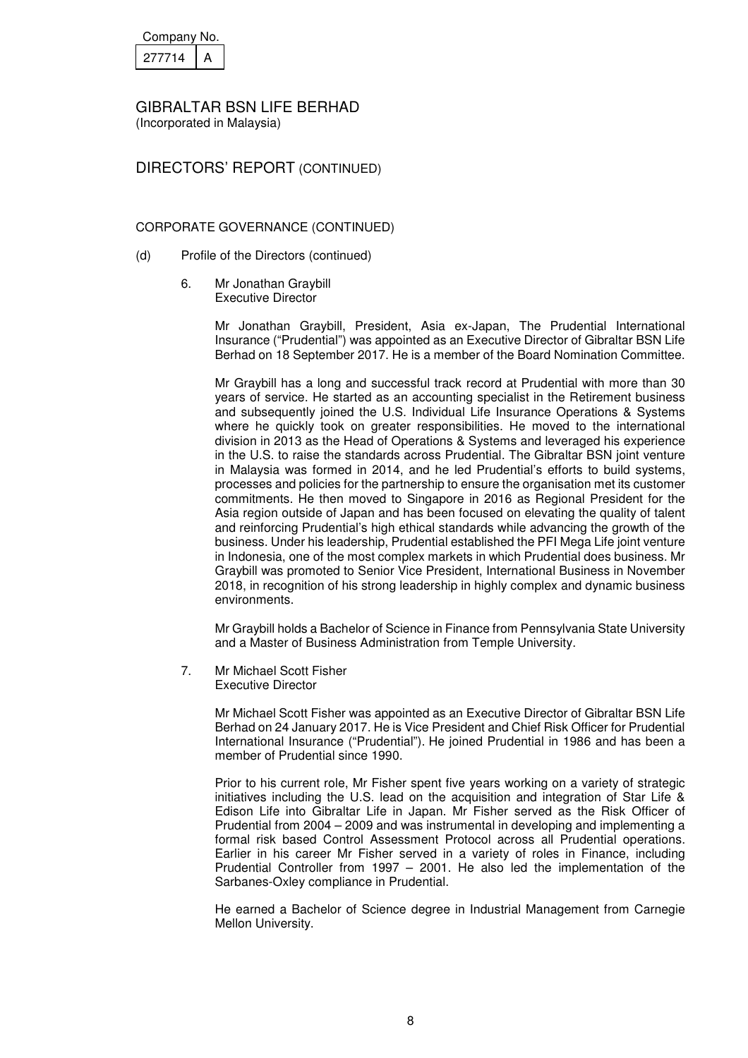| Company No. |  |
|-------------|--|
| 277714      |  |

DIRECTORS' REPORT (CONTINUED)

### CORPORATE GOVERNANCE (CONTINUED)

- (d) Profile of the Directors (continued)
	- 6. Mr Jonathan Graybill Executive Director

Mr Jonathan Graybill, President, Asia ex-Japan, The Prudential International Insurance ("Prudential") was appointed as an Executive Director of Gibraltar BSN Life Berhad on 18 September 2017. He is a member of the Board Nomination Committee.

Mr Graybill has a long and successful track record at Prudential with more than 30 years of service. He started as an accounting specialist in the Retirement business and subsequently joined the U.S. Individual Life Insurance Operations & Systems where he quickly took on greater responsibilities. He moved to the international division in 2013 as the Head of Operations & Systems and leveraged his experience in the U.S. to raise the standards across Prudential. The Gibraltar BSN joint venture in Malaysia was formed in 2014, and he led Prudential's efforts to build systems, processes and policies for the partnership to ensure the organisation met its customer commitments. He then moved to Singapore in 2016 as Regional President for the Asia region outside of Japan and has been focused on elevating the quality of talent and reinforcing Prudential's high ethical standards while advancing the growth of the business. Under his leadership, Prudential established the PFI Mega Life joint venture in Indonesia, one of the most complex markets in which Prudential does business. Mr Graybill was promoted to Senior Vice President, International Business in November 2018, in recognition of his strong leadership in highly complex and dynamic business environments.

Mr Graybill holds a Bachelor of Science in Finance from Pennsylvania State University and a Master of Business Administration from Temple University.

7. Mr Michael Scott Fisher Executive Director

> Mr Michael Scott Fisher was appointed as an Executive Director of Gibraltar BSN Life Berhad on 24 January 2017. He is Vice President and Chief Risk Officer for Prudential International Insurance ("Prudential"). He joined Prudential in 1986 and has been a member of Prudential since 1990.

> Prior to his current role, Mr Fisher spent five years working on a variety of strategic initiatives including the U.S. lead on the acquisition and integration of Star Life & Edison Life into Gibraltar Life in Japan. Mr Fisher served as the Risk Officer of Prudential from 2004 – 2009 and was instrumental in developing and implementing a formal risk based Control Assessment Protocol across all Prudential operations. Earlier in his career Mr Fisher served in a variety of roles in Finance, including Prudential Controller from 1997 – 2001. He also led the implementation of the Sarbanes-Oxley compliance in Prudential.

> He earned a Bachelor of Science degree in Industrial Management from Carnegie Mellon University.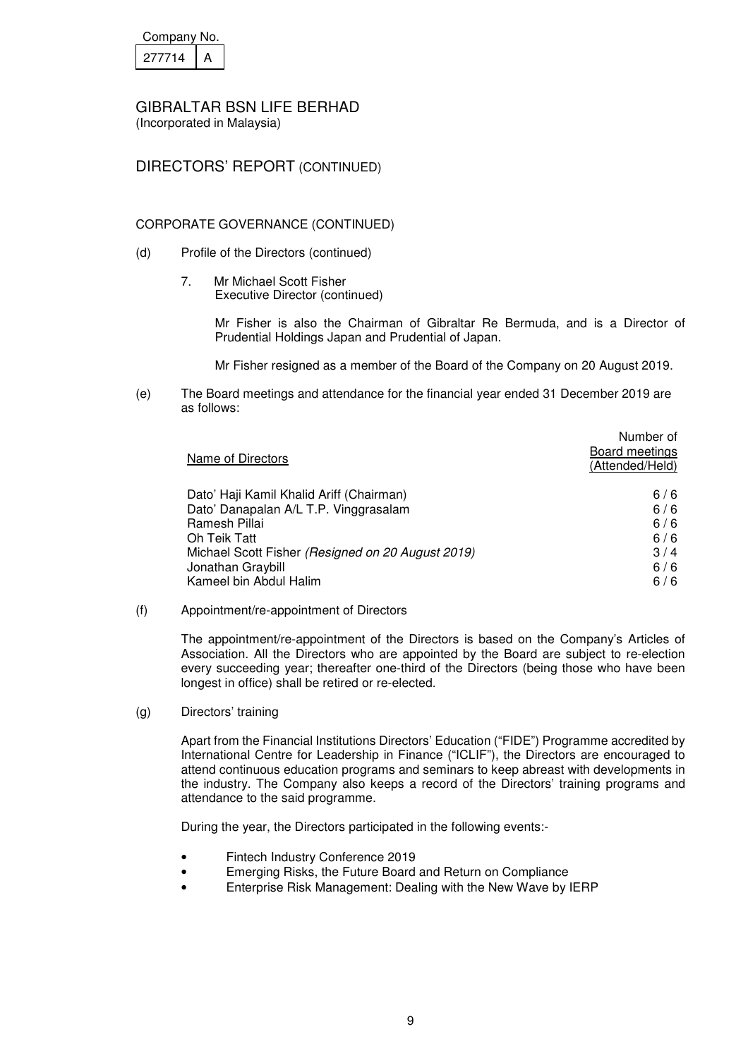| Company No. |  |
|-------------|--|
| 277714      |  |

(Incorporated in Malaysia)

## DIRECTORS' REPORT (CONTINUED)

### CORPORATE GOVERNANCE (CONTINUED)

- (d) Profile of the Directors (continued)
	- 7. Mr Michael Scott Fisher Executive Director (continued)

 Mr Fisher is also the Chairman of Gibraltar Re Bermuda, and is a Director of Prudential Holdings Japan and Prudential of Japan.

Mr Fisher resigned as a member of the Board of the Company on 20 August 2019.

(e) The Board meetings and attendance for the financial year ended 31 December 2019 are as follows:

| Name of Directors                                 | Number of<br>Board meetings<br>(Attended/Held) |
|---------------------------------------------------|------------------------------------------------|
| Dato' Haji Kamil Khalid Ariff (Chairman)          | 6/6                                            |
| Dato' Danapalan A/L T.P. Vinggrasalam             | 6/6                                            |
| Ramesh Pillai                                     | 6/6                                            |
| Oh Teik Tatt                                      | 6/6                                            |
| Michael Scott Fisher (Resigned on 20 August 2019) | 3/4                                            |
| Jonathan Graybill                                 | 6/6                                            |
| Kameel bin Abdul Halim                            | 6/6                                            |

(f) Appointment/re-appointment of Directors

 The appointment/re-appointment of the Directors is based on the Company's Articles of Association. All the Directors who are appointed by the Board are subject to re-election every succeeding year; thereafter one-third of the Directors (being those who have been longest in office) shall be retired or re-elected.

(g) Directors' training

 Apart from the Financial Institutions Directors' Education ("FIDE") Programme accredited by International Centre for Leadership in Finance ("ICLIF"), the Directors are encouraged to attend continuous education programs and seminars to keep abreast with developments in the industry. The Company also keeps a record of the Directors' training programs and attendance to the said programme.

During the year, the Directors participated in the following events:-

- Fintech Industry Conference 2019
- Emerging Risks, the Future Board and Return on Compliance
- Enterprise Risk Management: Dealing with the New Wave by IERP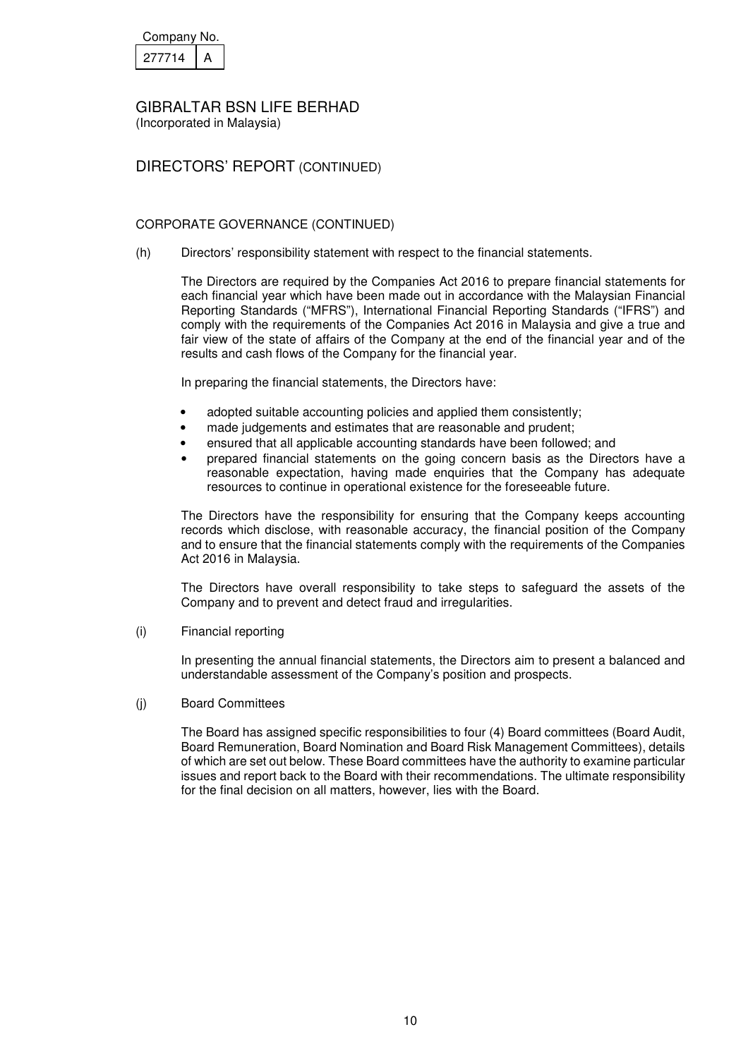| Company No. |  |
|-------------|--|
| 277714      |  |

(Incorporated in Malaysia)

## DIRECTORS' REPORT (CONTINUED)

### CORPORATE GOVERNANCE (CONTINUED)

(h) Directors' responsibility statement with respect to the financial statements.

 The Directors are required by the Companies Act 2016 to prepare financial statements for each financial year which have been made out in accordance with the Malaysian Financial Reporting Standards ("MFRS"), International Financial Reporting Standards ("IFRS") and comply with the requirements of the Companies Act 2016 in Malaysia and give a true and fair view of the state of affairs of the Company at the end of the financial year and of the results and cash flows of the Company for the financial year.

In preparing the financial statements, the Directors have:

- adopted suitable accounting policies and applied them consistently;
- made judgements and estimates that are reasonable and prudent;
- ensured that all applicable accounting standards have been followed; and
- prepared financial statements on the going concern basis as the Directors have a reasonable expectation, having made enquiries that the Company has adequate resources to continue in operational existence for the foreseeable future.

The Directors have the responsibility for ensuring that the Company keeps accounting records which disclose, with reasonable accuracy, the financial position of the Company and to ensure that the financial statements comply with the requirements of the Companies Act 2016 in Malaysia.

The Directors have overall responsibility to take steps to safeguard the assets of the Company and to prevent and detect fraud and irregularities.

(i) Financial reporting

 In presenting the annual financial statements, the Directors aim to present a balanced and understandable assessment of the Company's position and prospects.

(j) Board Committees

 The Board has assigned specific responsibilities to four (4) Board committees (Board Audit, Board Remuneration, Board Nomination and Board Risk Management Committees), details of which are set out below. These Board committees have the authority to examine particular issues and report back to the Board with their recommendations. The ultimate responsibility for the final decision on all matters, however, lies with the Board.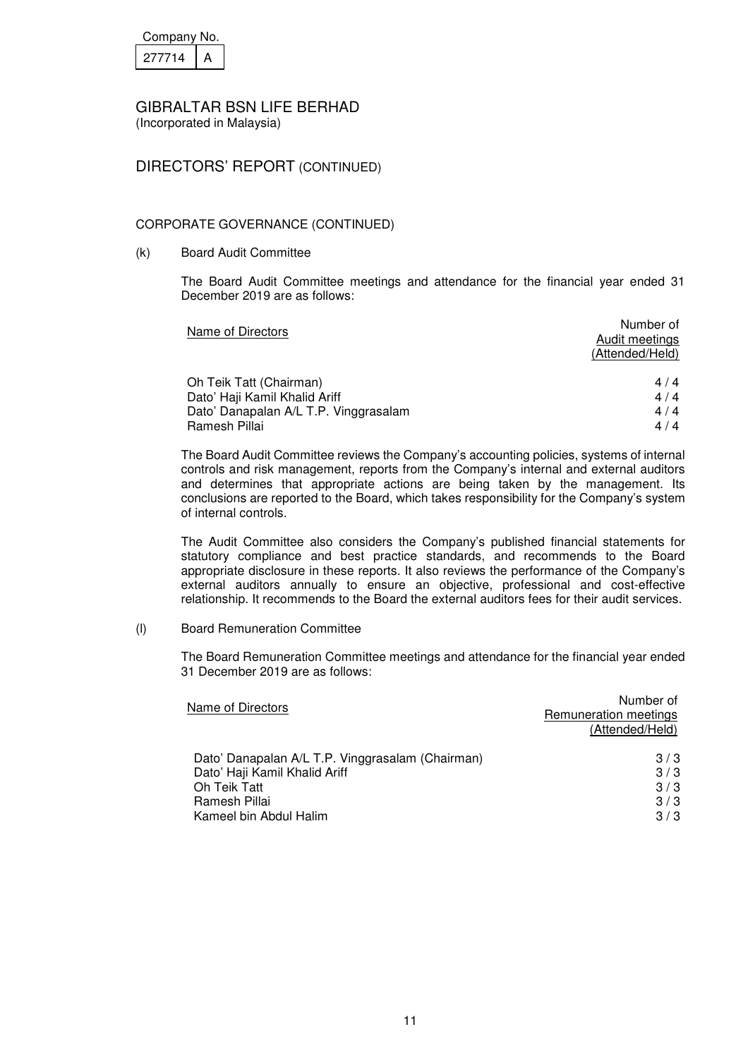| Company No. |  |
|-------------|--|
| 27714       |  |

(Incorporated in Malaysia)

## DIRECTORS' REPORT (CONTINUED)

## CORPORATE GOVERNANCE (CONTINUED)

(k) Board Audit Committee

 The Board Audit Committee meetings and attendance for the financial year ended 31 December 2019 are as follows:

| Name of Directors                     | Number of<br>Audit meetings |
|---------------------------------------|-----------------------------|
|                                       | (Attended/Held)             |
| Oh Teik Tatt (Chairman)               | 4/4                         |
| Dato' Haji Kamil Khalid Ariff         | 4/4                         |
| Dato' Danapalan A/L T.P. Vinggrasalam | 4/4                         |
| Ramesh Pillai                         | 4/4                         |

 The Board Audit Committee reviews the Company's accounting policies, systems of internal controls and risk management, reports from the Company's internal and external auditors and determines that appropriate actions are being taken by the management. Its conclusions are reported to the Board, which takes responsibility for the Company's system of internal controls.

 The Audit Committee also considers the Company's published financial statements for statutory compliance and best practice standards, and recommends to the Board appropriate disclosure in these reports. It also reviews the performance of the Company's external auditors annually to ensure an objective, professional and cost-effective relationship. It recommends to the Board the external auditors fees for their audit services.

(l) Board Remuneration Committee

 The Board Remuneration Committee meetings and attendance for the financial year ended 31 December 2019 are as follows:

| Number of<br>Remuneration meetings<br>(Attended/Held) |
|-------------------------------------------------------|
| 3/3                                                   |
| 3/3                                                   |
| 3/3                                                   |
| 3/3                                                   |
| 3/3                                                   |
|                                                       |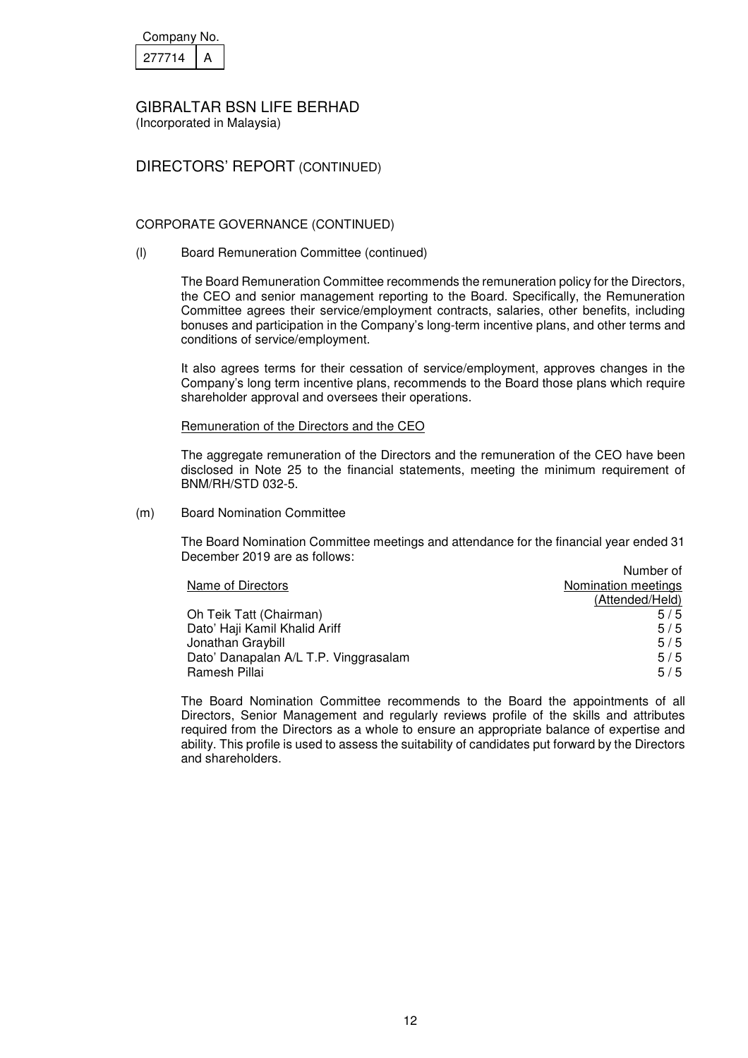| Company No. |  |
|-------------|--|
| 277714      |  |

(Incorporated in Malaysia)

## DIRECTORS' REPORT (CONTINUED)

### CORPORATE GOVERNANCE (CONTINUED)

(l) Board Remuneration Committee (continued)

The Board Remuneration Committee recommends the remuneration policy for the Directors, the CEO and senior management reporting to the Board. Specifically, the Remuneration Committee agrees their service/employment contracts, salaries, other benefits, including bonuses and participation in the Company's long-term incentive plans, and other terms and conditions of service/employment.

It also agrees terms for their cessation of service/employment, approves changes in the Company's long term incentive plans, recommends to the Board those plans which require shareholder approval and oversees their operations.

#### Remuneration of the Directors and the CEO

The aggregate remuneration of the Directors and the remuneration of the CEO have been disclosed in Note 25 to the financial statements, meeting the minimum requirement of BNM/RH/STD 032-5.

(m) Board Nomination Committee

 The Board Nomination Committee meetings and attendance for the financial year ended 31 December 2019 are as follows:

|                                       | Number of           |
|---------------------------------------|---------------------|
| Name of Directors                     | Nomination meetings |
|                                       | (Attended/Held)     |
| Oh Teik Tatt (Chairman)               | 5/5                 |
| Dato' Haji Kamil Khalid Ariff         | 5/5                 |
| Jonathan Graybill                     | 5/5                 |
| Dato' Danapalan A/L T.P. Vinggrasalam | 5/5                 |
| Ramesh Pillai                         | 5/5                 |

 The Board Nomination Committee recommends to the Board the appointments of all Directors, Senior Management and regularly reviews profile of the skills and attributes required from the Directors as a whole to ensure an appropriate balance of expertise and ability. This profile is used to assess the suitability of candidates put forward by the Directors and shareholders.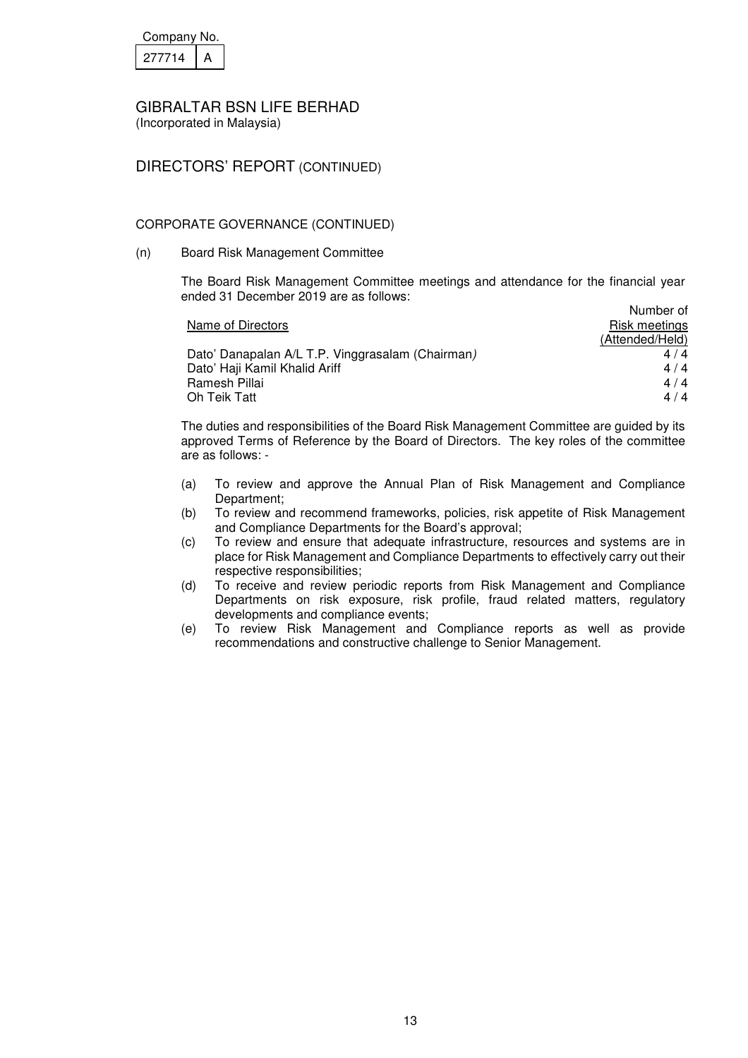| Company No. |  |
|-------------|--|
| 27714       |  |

(Incorporated in Malaysia)

## DIRECTORS' REPORT (CONTINUED)

### CORPORATE GOVERNANCE (CONTINUED)

(n) Board Risk Management Committee

 The Board Risk Management Committee meetings and attendance for the financial year ended 31 December 2019 are as follows: Number of

|                                                  | <b>NUTTIVEL OF</b> |
|--------------------------------------------------|--------------------|
| Name of Directors                                | Risk meetings      |
|                                                  | (Attended/Held)    |
| Dato' Danapalan A/L T.P. Vinggrasalam (Chairman) | 4/4                |
| Dato' Haji Kamil Khalid Ariff                    | 4/4                |
| Ramesh Pillai                                    | 4/4                |
| Oh Teik Tatt                                     | 4/4                |

 The duties and responsibilities of the Board Risk Management Committee are guided by its approved Terms of Reference by the Board of Directors. The key roles of the committee are as follows: -

- (a) To review and approve the Annual Plan of Risk Management and Compliance Department;
- (b) To review and recommend frameworks, policies, risk appetite of Risk Management and Compliance Departments for the Board's approval;
- (c) To review and ensure that adequate infrastructure, resources and systems are in place for Risk Management and Compliance Departments to effectively carry out their respective responsibilities;
- (d) To receive and review periodic reports from Risk Management and Compliance Departments on risk exposure, risk profile, fraud related matters, regulatory developments and compliance events;
- (e) To review Risk Management and Compliance reports as well as provide recommendations and constructive challenge to Senior Management.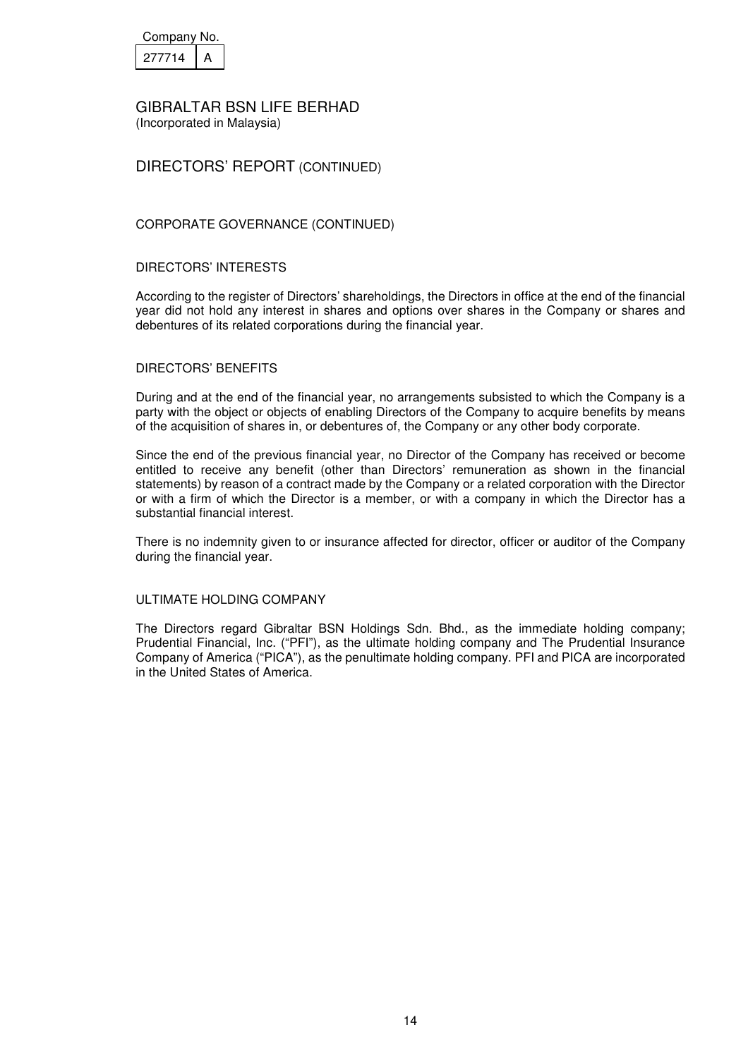| Company No. |  |
|-------------|--|
| 27714       |  |

(Incorporated in Malaysia)

## DIRECTORS' REPORT (CONTINUED)

### CORPORATE GOVERNANCE (CONTINUED)

#### DIRECTORS' INTERESTS

According to the register of Directors' shareholdings, the Directors in office at the end of the financial year did not hold any interest in shares and options over shares in the Company or shares and debentures of its related corporations during the financial year.

#### DIRECTORS' BENEFITS

During and at the end of the financial year, no arrangements subsisted to which the Company is a party with the object or objects of enabling Directors of the Company to acquire benefits by means of the acquisition of shares in, or debentures of, the Company or any other body corporate.

Since the end of the previous financial year, no Director of the Company has received or become entitled to receive any benefit (other than Directors' remuneration as shown in the financial statements) by reason of a contract made by the Company or a related corporation with the Director or with a firm of which the Director is a member, or with a company in which the Director has a substantial financial interest.

There is no indemnity given to or insurance affected for director, officer or auditor of the Company during the financial year.

#### ULTIMATE HOLDING COMPANY

The Directors regard Gibraltar BSN Holdings Sdn. Bhd., as the immediate holding company; Prudential Financial, Inc. ("PFI"), as the ultimate holding company and The Prudential Insurance Company of America ("PICA"), as the penultimate holding company. PFI and PICA are incorporated in the United States of America.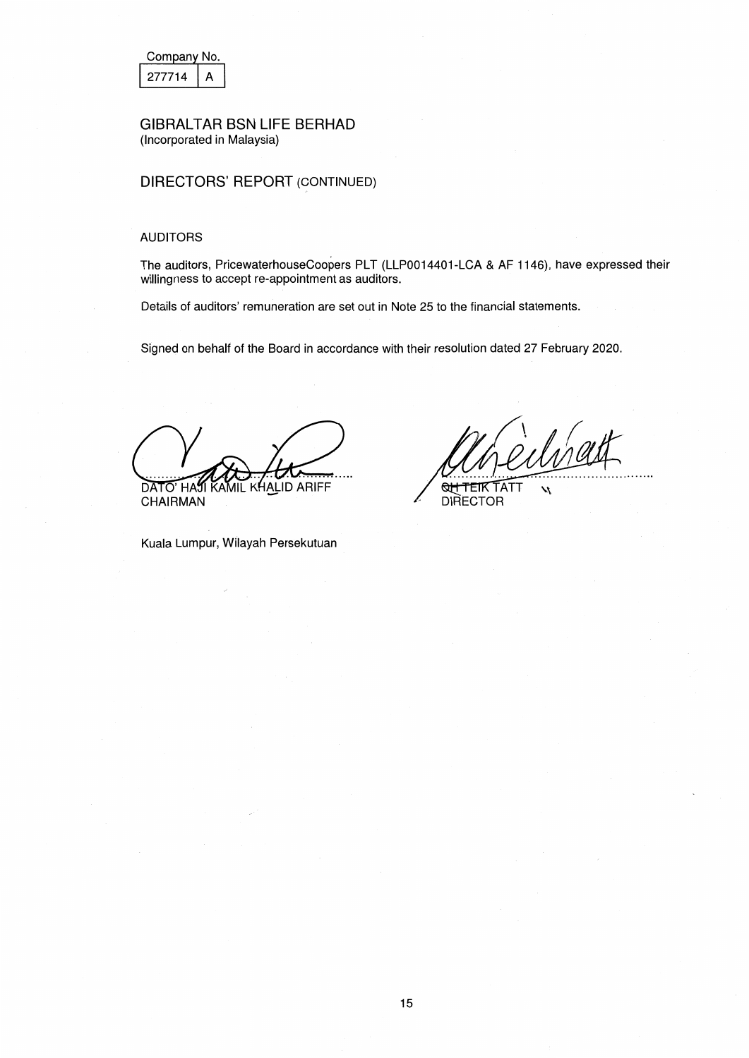| Company No. |  |  |
|-------------|--|--|
| 277714      |  |  |

## DIRECTORS' REPORT (CONTINUED)

#### AUDITORS

The auditors, PricewaterhouseCoopers PLT (LLP0014401-LCA & AF 1146), have expressed their willingness to accept re-appointment as auditors.

Details of auditors' remuneration are set out in Note 25 to the financial statements.

Signed on behalf of the Board in accordance with their resolution dated 27 February 2020.

**AALID ARIFF** DATO HAS **CHAIRMAN** 

 $\lambda$ 

**QH TEIK TATT DIRECTOR** 

Kuala Lumpur, Wilayah Persekutuan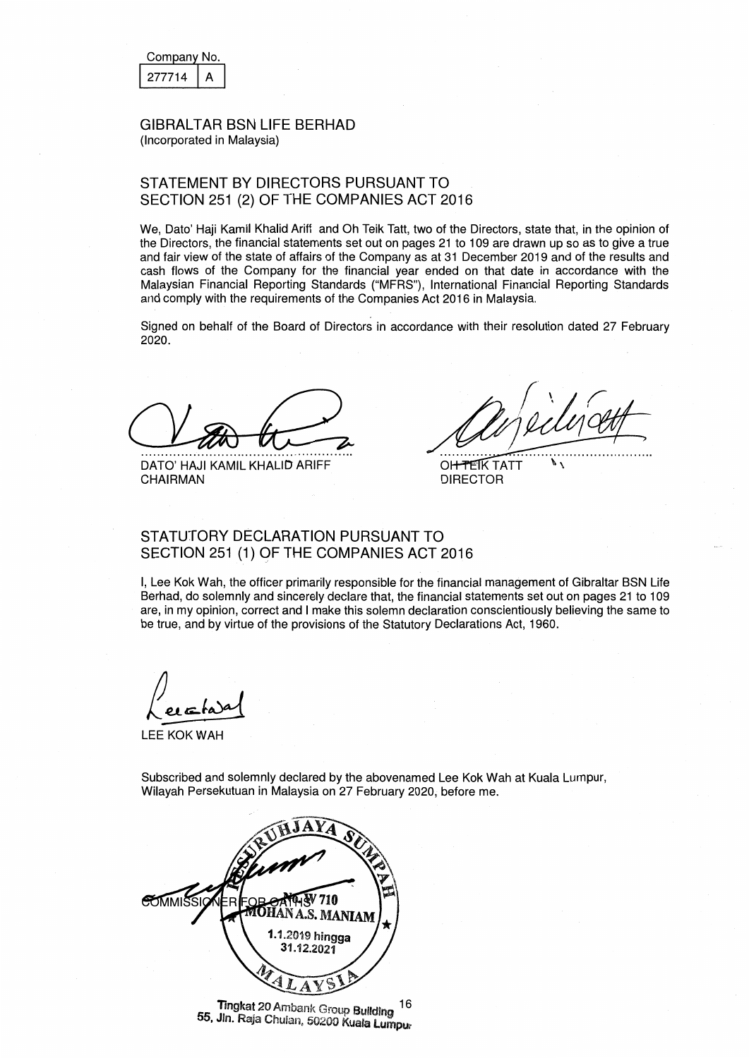| Company No. |  |  |  |
|-------------|--|--|--|
| 27714       |  |  |  |

## STATEMENT BY DIRECTORS PURSUANT TO SECTION 251 (2) OF THE COMPANIES ACT 2016

We, Dato' Haji Kamil Khalid Ariff and Oh Teik Tatt, two of the Directors, state that, in the opinion of the Directors, the financial statements set out on pages 21 to 109 are drawn up so as to give a true and fair view of the state of affairs of the Company as at 31 December 2019 and of the results and cash flows of the Company tor the financial year ended on that date in accordance with the Malaysian Financial Reporting Standards ("MFRS"), International Financial Reporting Standards and comply with the requirements of the Companies Act 2016 in Malaysia.

Signed on behalf of the Board of Directors in accordance with their resolution dated 27 February 2020.

DATO' HAJI KAMIL KHALID ARIFF CHAIRMAN

 $\mathscr{M}$ 

OH TEIK TATT **DIRECTOR** 

## STATUTORY DECLARATION PURSUANT TO SECTION 251 (1) OF THE COMPANIES ACT 2016

I, Lee Kok Wah, the officer primarily responsible for the financial management of Gibraltar BSN Life Berhad, do solemnly and sincerely declare that, the financial statements set out on pages 21 to 109 are, in my opinion, correct and I make this solemn declaration conscientiously believing the same to be true, and by virtue of the provisions of the Statutory Declarations Act, 1960.

LEE KOK WAH

Subscribed and solemnly declared by the abovenamed Lee Kok Wah at Kuala Lumpur, Wilayah Persekutuan in Malaysia on 27 February 2020, before me.



Tingkat 20 Ambank Group Building 55, Jin. Ra;a Chulan, 50200 Kuala Lumpur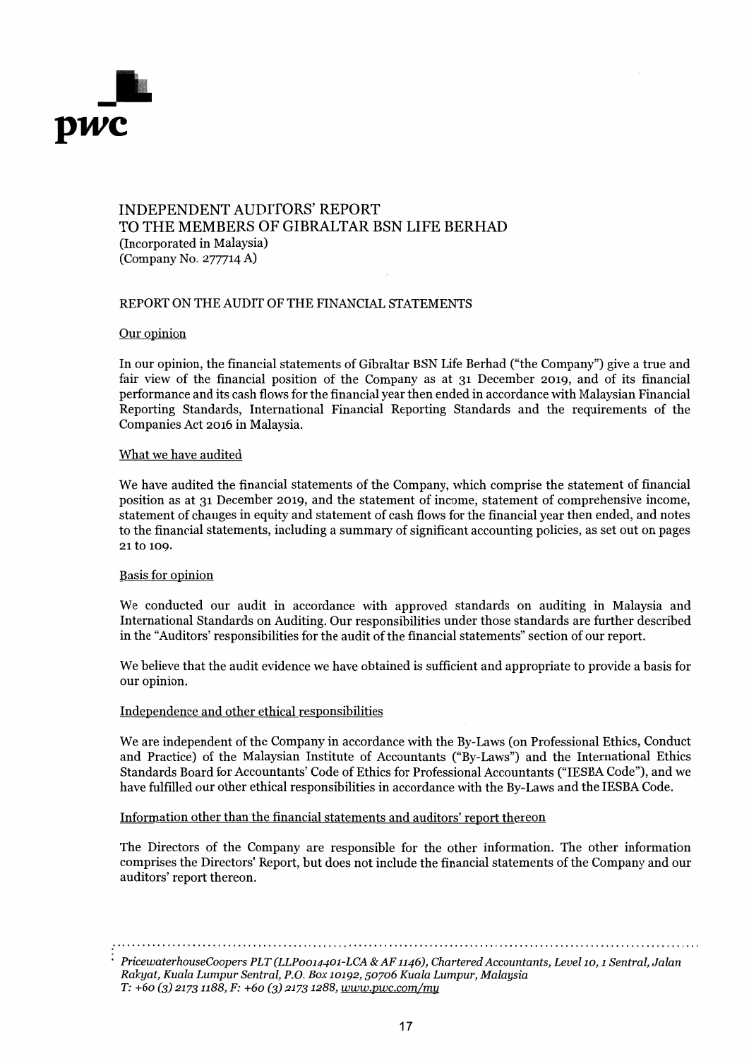

## INDEPENDENT AUDITORS' REPORT TO THE MEMBERS OF GIBRALTAR BSN LIFE BERHAD (Incorporated in Malaysia) (Company No. 277714 A)

#### REPORT ON THE AUDIT OF THE FINANCIAL STATEMENTS

#### Our opinion

In our opinion, the financial statements of Gibraltar BSN Life Berhad ("the Company") give a true and fair view of the financial position of the Company as at 31 December 2019, and of its financial performance and its cash flows for the financial year then ended in accordance with Malaysian Financial Reporting Standards, International Financial Reporting Standards and the requirements of the Companies Act 2016 in Malaysia.

#### What we have audited

We have audited the financial statements of the Company, which comprise the statement of financial position as at 31 December 2019, and the statement of income, statement of comprehensive income, statement of changes in equity and statement of cash flows for the financial year then ended, and notes to the financial statements, including a summary of significant accounting policies, as set out on pages 21 to 109.

#### Basis for opinion

We conducted our audit in accordance with approved standards on auditing in Malaysia and International Standards on Auditing. Our responsibilities under those standards are further described in the "Auditors' responsibilities for the audit of the financial statements" section of our report.

We believe that the audit evidence we have obtained is sufficient and appropriate to provide a basis for our opinion.

#### Independence and other ethical responsibilities

We are independent of the Company in accordance with the By-Laws (on Professional Ethics, Conduct and Practice) of the Malaysian Institute of Accountants ("By-Laws") and the International Ethics Standards Board for Accountants' Code of Ethics for Professional Accountants ("IESBA Code"), and we have fulfilled our other ethical responsibilities in accordance with the By-Laws and the IESBA Code.

Information other than the financial statements and auditors' report thereon

The Directors of the Company are responsible for the other information. The other information comprises the Directors' Report, but does not include the financial statements of the Company and our auditors' report thereon.

*PricewaterhouseCoopers PLT (LLP0014401-LCA* & *AF 1146), Chartered Accountants, Level 10, 1 Sentral, Jalan Rakyat, Kuala Lumpur Sentral, P.O. Box 10192, 50706 Kuala Lumpur, Malaysia T: +60 (3) 21731188, F: +60 (3) 21731288, www.pwc.com/my*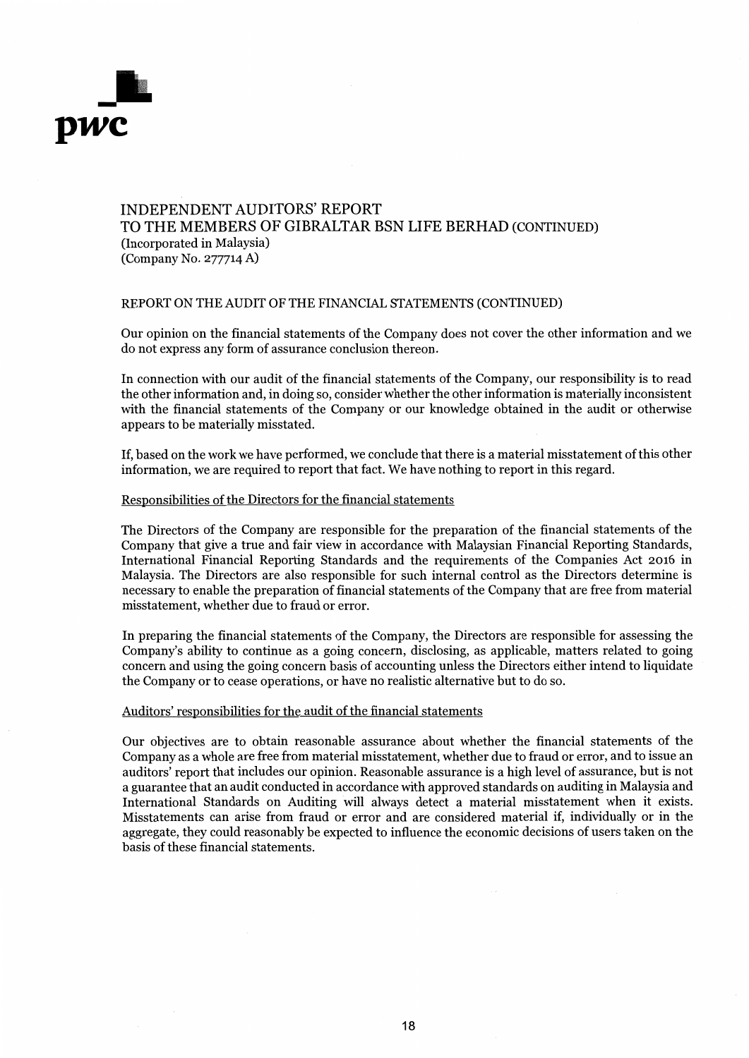

## INDEPENDENT AUDITORS' REPORT TO THE MEMBERS OF GIBRALTAR BSN LIFE BERHAD (CONTINUED) (Incorporated in Malaysia) (Company No. 277714 A)

#### REPORT ON THE AUDIT OF THE FINANCIAL STATEMENTS (CONTINUED)

Our opinion on the financial statements of the Company does not cover the other information and we do not express any form of assurance conclusion thereon.

In connection with our audit of the financial statements of the Company, our responsibility is to read the other information and, in doing so, consider whether the other information is materially inconsistent with the financial statements of the Company or our knowledge obtained in the audit or otherwise appears to be materially misstated.

If, based on the work we have performed, we conclude that there is a material misstatement of this other information, we are required to report that fact. We have nothing to report in this regard.

#### Responsibilities of the Directors for the financial statements

The Directors of the Company are responsible for the preparation of the financial statements of the Company that give a true and fair view in accordance with Malaysian Financial Reporting Standards, International Financial Reporting Standards and the requirements of the Companies Act 2016 in Malaysia. The Directors are also responsible for such internal control as the Directors determine is necessary to enable the preparation of financial statements of the Company that are free from material misstatement, whether due to fraud or error.

In preparing the financial statements of the Company, the Directors are responsible for assessing the Company's ability to continue as a going concern, disclosing, as applicable, matters related to going concern and using the going concern basis of accounting unless the Directors either intend to liquidate the Company or to cease operations, or have no realistic alternative but to do so.

#### Auditors' responsibilities for the audit of the financial statements

Our objectives are to obtain reasonable assurance about whether the financial statements of the Company as a whole are free from material misstatement, whether due to fraud or error, and to issue an auditors' report that includes our opinion. Reasonable assurance is a high level of assurance, but is not a guarantee that an audit conducted in accordance with approved standards on auditing in Malaysia and International Standards on Auditing will always detect a material misstatement when it exists. Misstatements can arise from fraud or error and are considered material if, individually or in the aggregate, they could reasonably be expected to influence the economic decisions of users taken on the basis of these financial statements.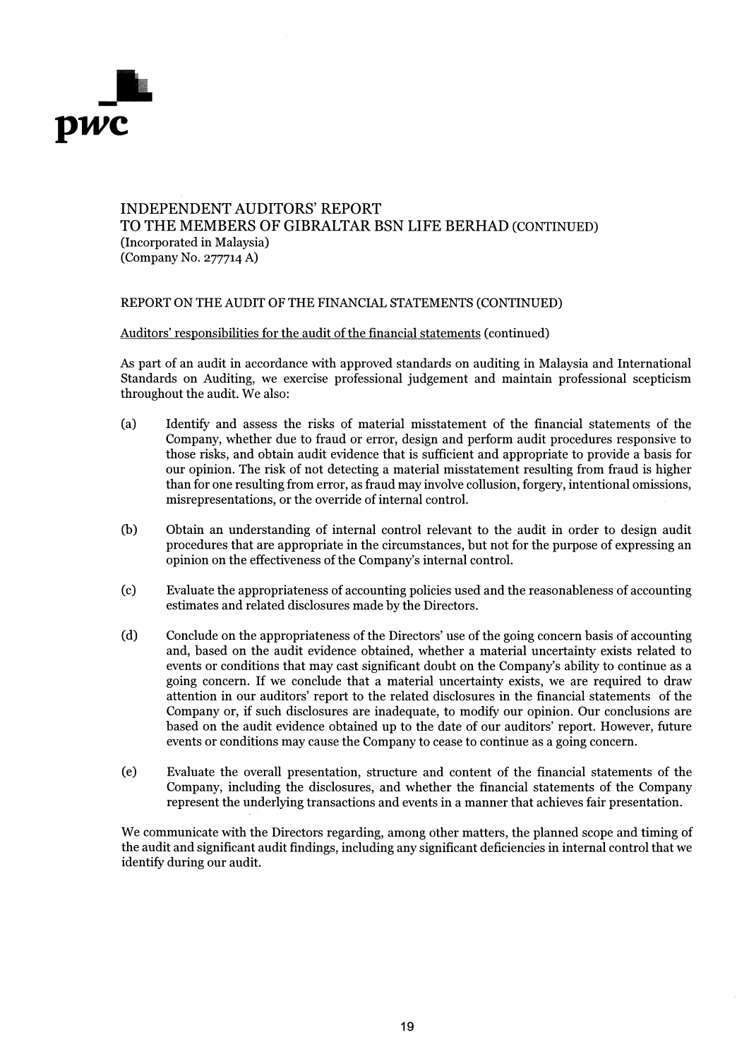

## INDEPENDENT AUDITORS' REPORT TO THE MEMBERS OF GIBRALTAR BSN LIFE BERHAD (CONTINUED) (Incorporated in Malaysia) (Company No. 277714 A)

#### REPORT ON THE AUDIT OF THE FINANCIAL STATEMENTS (CONTINUED)

#### Auditors' responsibilities for the audit of the financial statements (continued)

As part of an audit in accordance with approved standards on auditing in Malaysia and International Standards on Auditing, we exercise professional judgement and maintain professional scepticism throughout the audit. We also:

- (a) Identify and assess the risks of material misstatement of the financial statements of the Company, whether due to fraud or error, design and perform audit procedures responsive to those risks, and obtain audit evidence that is sufficient and appropriate to provide a basis for our opinion. The risk of not detecting a material misstatement resulting from fraud is higher than for one resulting from error, as fraud may involve collusion, forgery, intentional omissions, misrepresentations, or the override of internal control.
- (b) Obtain an understanding of internal control relevant to the audit in order to design audit procedures that are appropriate in the circumstances, but not for the purpose of expressing an opinion on the effectiveness of the Company's internal control.
- (c) Evaluate the appropriateness of accounting policies used and the reasonableness of accounting estimates and related disclosures made by the Directors.
- (d) Conclude on the appropriateness of the Directors' use of the going concern basis of accounting and, based on the audit evidence obtained, whether a material uncertainty exists related to events or conditions that may cast significant doubt on the Company's ability to continue as a going concern. If we conclude that a material uncertainty exists, we are required to draw attention in our auditors' report to the related disclosures in the financial statements of the Company or, if such disclosures are inadequate, to modify our opinion. Our conclusions are based on the audit evidence obtained up to the date of our auditors' report. However, future events or conditions may cause the Company to cease to continue as a going concern.
- (e) Evaluate the overall presentation, structure and content of the financial statements of the Company, including the disclosures, and whether the financial statements of the Company represent the underlying transactions and events in a manner that achieves fair presentation.

We communicate with the Directors regarding, among other matters, the planned scope and timing of the audit and significant audit findings, including any significant deficiencies in internal control that we identify during our audit.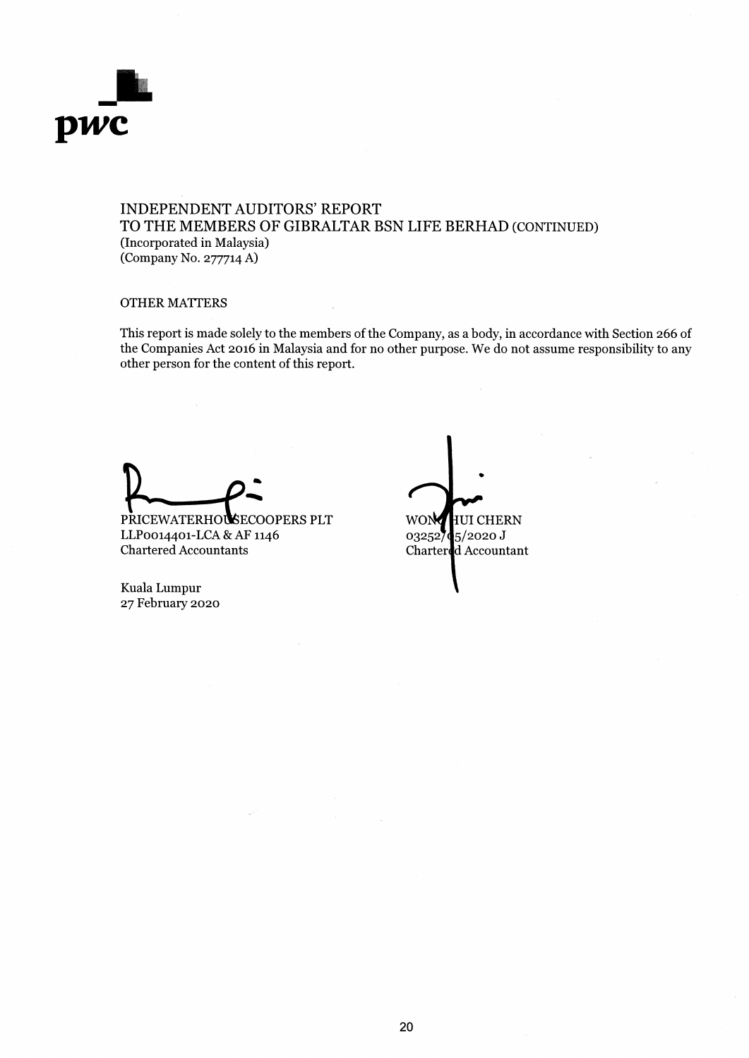

## INDEPENDENT AUDITORS' REPORT TO THE MEMBERS OF GIBRALTAR BSN LIFE BERHAD (CONTINUED) (Incorporated in Malaysia) (Company No. 277714 A)

### OTHER MATTERS

This report is made solely to the members of the Company, as a body, in accordance with Section 266 of the Companies Act 2016 in Malaysia and for no other purpose. We do not assume responsibility to any other person for the content of this report.

PRICEWATERHOUSECOOPERS PLT LLP0014401-LCA & AF 1146 Chartered Accountants

• 03252**74**5/2020 J Charter **d** Accountant

Kuala Lumpur 27 February 2020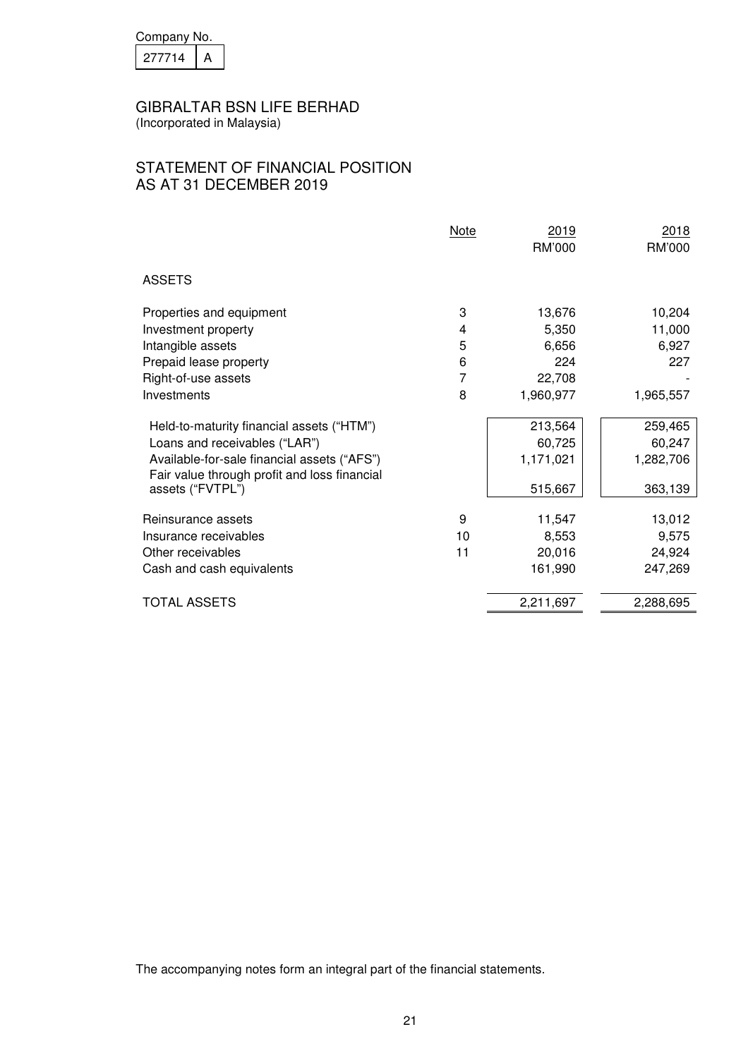| Company No. |  |
|-------------|--|
| 277714      |  |

(Incorporated in Malaysia)

# STATEMENT OF FINANCIAL POSITION AS AT 31 DECEMBER 2019

|                                                                                                                              | <b>Note</b> | 2019<br><b>RM'000</b> | 2018<br>RM'000      |
|------------------------------------------------------------------------------------------------------------------------------|-------------|-----------------------|---------------------|
| <b>ASSETS</b>                                                                                                                |             |                       |                     |
| Properties and equipment                                                                                                     | 3           | 13,676                | 10,204              |
| Investment property                                                                                                          | 4           | 5,350                 | 11,000              |
| Intangible assets                                                                                                            | 5           | 6,656                 | 6,927               |
| Prepaid lease property                                                                                                       | 6           | 224                   | 227                 |
| Right-of-use assets                                                                                                          | 7           | 22,708                |                     |
| Investments                                                                                                                  | 8           | 1,960,977             | 1,965,557           |
| Held-to-maturity financial assets ("HTM")                                                                                    |             | 213,564               | 259,465             |
| Loans and receivables ("LAR")<br>Available-for-sale financial assets ("AFS")<br>Fair value through profit and loss financial |             | 60,725<br>1,171,021   | 60,247<br>1,282,706 |
| assets ("FVTPL")                                                                                                             |             | 515,667               | 363,139             |
| Reinsurance assets                                                                                                           | 9           | 11,547                | 13,012              |
| Insurance receivables                                                                                                        | 10          | 8,553                 | 9,575               |
| Other receivables                                                                                                            | 11          | 20,016                | 24,924              |
| Cash and cash equivalents                                                                                                    |             | 161,990               | 247,269             |
| <b>TOTAL ASSETS</b>                                                                                                          |             | 2,211,697             | 2,288,695           |
|                                                                                                                              |             |                       |                     |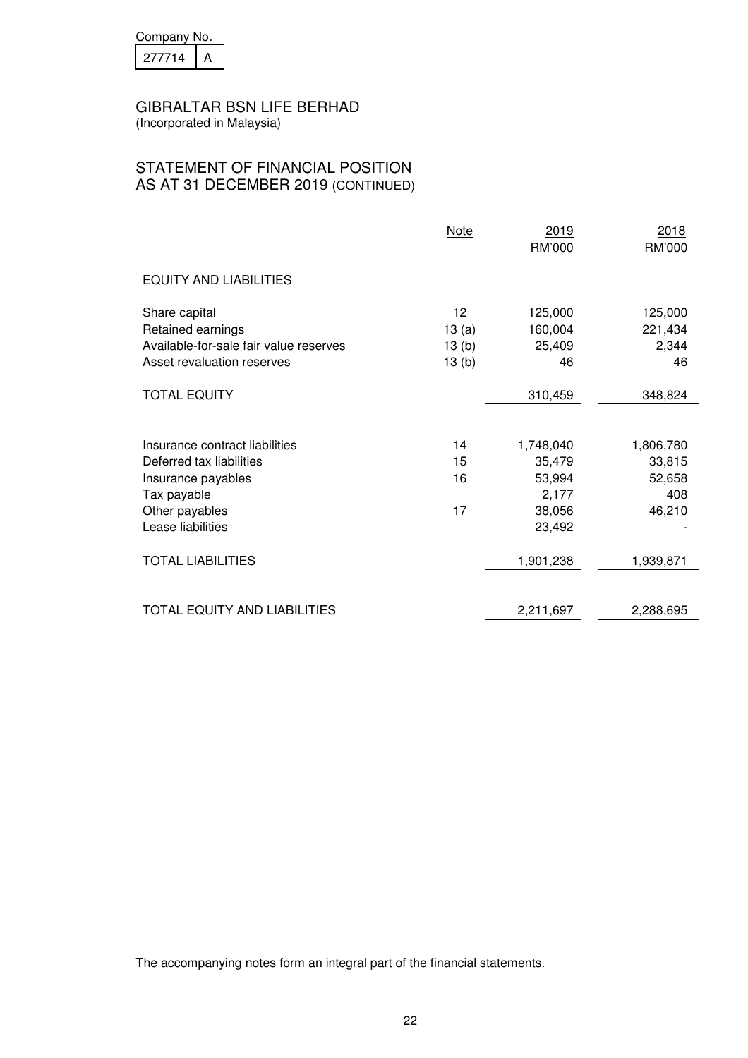| Company No. |  |  |  |
|-------------|--|--|--|
| 277714      |  |  |  |

## STATEMENT OF FINANCIAL POSITION AS AT 31 DECEMBER 2019 (CONTINUED)

|                                                                              | Note                 | 2019<br>RM'000               | 2018<br>RM'000              |
|------------------------------------------------------------------------------|----------------------|------------------------------|-----------------------------|
| <b>EQUITY AND LIABILITIES</b>                                                |                      |                              |                             |
| Share capital<br>Retained earnings<br>Available-for-sale fair value reserves | 12<br>13(a)<br>13(b) | 125,000<br>160,004<br>25,409 | 125,000<br>221,434<br>2,344 |
| Asset revaluation reserves                                                   | 13(b)                | 46                           | 46                          |
| <b>TOTAL EQUITY</b>                                                          |                      | 310,459                      | 348,824                     |
| Insurance contract liabilities                                               | 14                   | 1,748,040                    | 1,806,780                   |
| Deferred tax liabilities<br>Insurance payables                               | 15<br>16             | 35,479<br>53,994             | 33,815<br>52,658            |
| Tax payable<br>Other payables<br>Lease liabilities                           | 17                   | 2,177<br>38,056<br>23,492    | 408<br>46,210               |
| <b>TOTAL LIABILITIES</b>                                                     |                      | 1,901,238                    | 1,939,871                   |
| TOTAL EQUITY AND LIABILITIES                                                 |                      | 2,211,697                    | 2,288,695                   |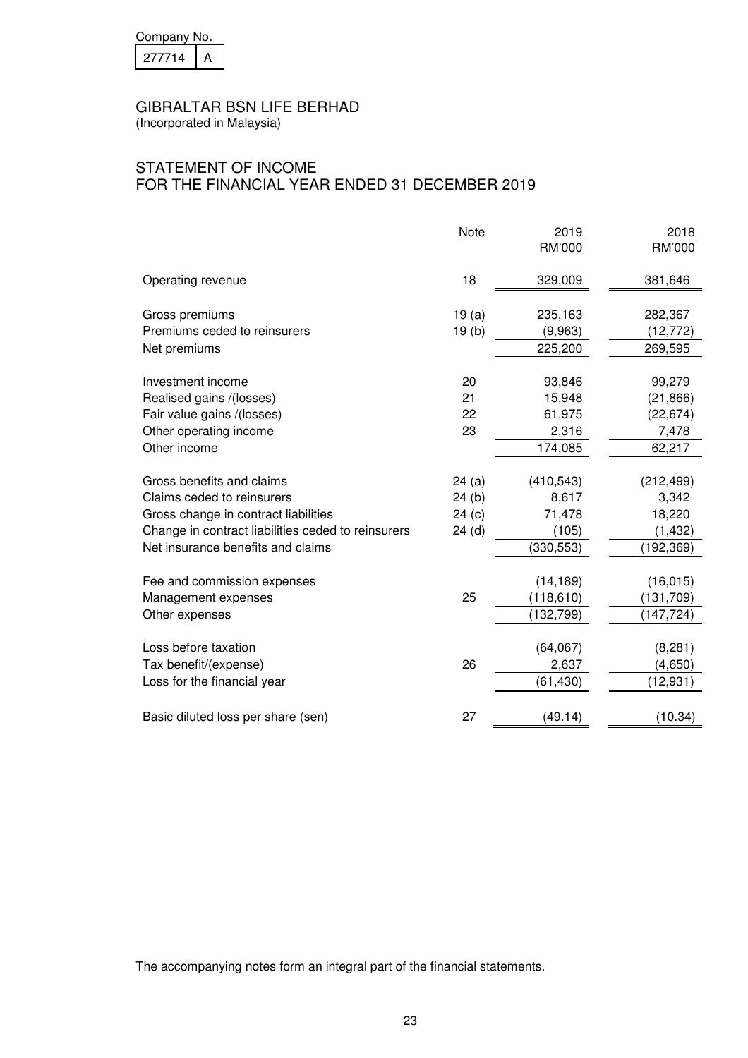| Company No. |  |  |  |
|-------------|--|--|--|
| 277714      |  |  |  |

(Incorporated in Malaysia)

# STATEMENT OF INCOME FOR THE FINANCIAL YEAR ENDED 31 DECEMBER 2019

|                                                    | <b>Note</b>       | 2019<br>RM'000 | 2018<br>RM'000 |
|----------------------------------------------------|-------------------|----------------|----------------|
| Operating revenue                                  | 18                | 329,009        | 381,646        |
| Gross premiums                                     | 19(a)             | 235,163        | 282,367        |
| Premiums ceded to reinsurers                       | 19 <sub>(b)</sub> | (9,963)        | (12, 772)      |
| Net premiums                                       |                   | 225,200        | 269,595        |
| Investment income                                  | 20                | 93,846         | 99,279         |
| Realised gains /(losses)                           | 21                | 15,948         | (21, 866)      |
| Fair value gains /(losses)                         | 22                | 61,975         | (22, 674)      |
| Other operating income                             | 23                | 2,316          | 7,478          |
| Other income                                       |                   | 174,085        | 62,217         |
| Gross benefits and claims                          | 24(a)             | (410, 543)     | (212, 499)     |
| Claims ceded to reinsurers                         | 24(b)             | 8,617          | 3,342          |
| Gross change in contract liabilities               | 24(c)             | 71,478         | 18,220         |
| Change in contract liabilities ceded to reinsurers | 24(d)             | (105)          | (1, 432)       |
| Net insurance benefits and claims                  |                   | (330, 553)     | (192, 369)     |
| Fee and commission expenses                        |                   | (14, 189)      | (16, 015)      |
| Management expenses                                | 25                | (118, 610)     | (131, 709)     |
| Other expenses                                     |                   | (132, 799)     | (147, 724)     |
| Loss before taxation                               |                   | (64,067)       | (8,281)        |
| Tax benefit/(expense)                              | 26                | 2,637          | (4,650)        |
| Loss for the financial year                        |                   | (61, 430)      | (12, 931)      |
|                                                    |                   |                |                |
| Basic diluted loss per share (sen)                 | 27                | (49.14)        | (10.34)        |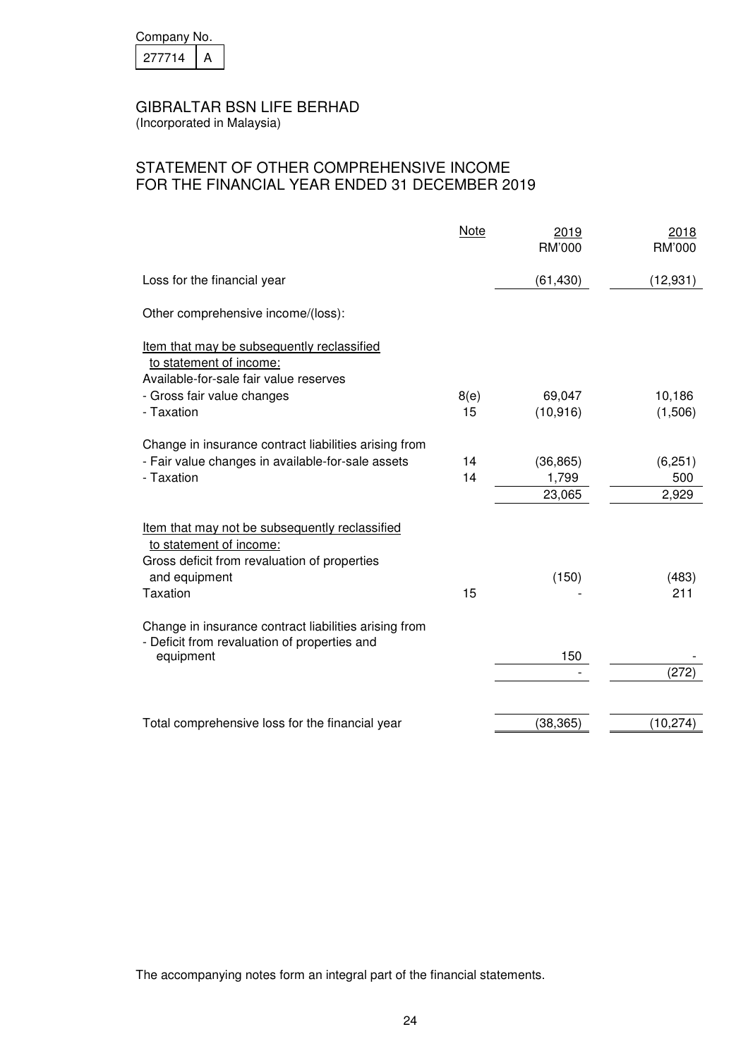| Company No. |  |
|-------------|--|
| 277714      |  |

(Incorporated in Malaysia)

# STATEMENT OF OTHER COMPREHENSIVE INCOME FOR THE FINANCIAL YEAR ENDED 31 DECEMBER 2019

|                                                                                                                                                               | Note     | 2019<br>RM'000     | 2018<br>RM'000  |
|---------------------------------------------------------------------------------------------------------------------------------------------------------------|----------|--------------------|-----------------|
| Loss for the financial year                                                                                                                                   |          | (61, 430)          | (12, 931)       |
| Other comprehensive income/(loss):                                                                                                                            |          |                    |                 |
| Item that may be subsequently reclassified<br>to statement of income:<br>Available-for-sale fair value reserves                                               |          |                    |                 |
| - Gross fair value changes                                                                                                                                    | 8(e)     | 69,047             | 10,186          |
| - Taxation                                                                                                                                                    | 15       | (10, 916)          | (1,506)         |
| Change in insurance contract liabilities arising from<br>- Fair value changes in available-for-sale assets<br>- Taxation                                      | 14<br>14 | (36, 865)<br>1,799 | (6, 251)<br>500 |
|                                                                                                                                                               |          | 23,065             | 2,929           |
| Item that may not be subsequently reclassified<br>to statement of income:<br>Gross deficit from revaluation of properties<br>and equipment<br><b>Taxation</b> | 15       | (150)              | (483)<br>211    |
| Change in insurance contract liabilities arising from<br>- Deficit from revaluation of properties and<br>equipment                                            |          | 150                | (272)           |
| Total comprehensive loss for the financial year                                                                                                               |          | (38, 365)          | (10, 274)       |
|                                                                                                                                                               |          |                    |                 |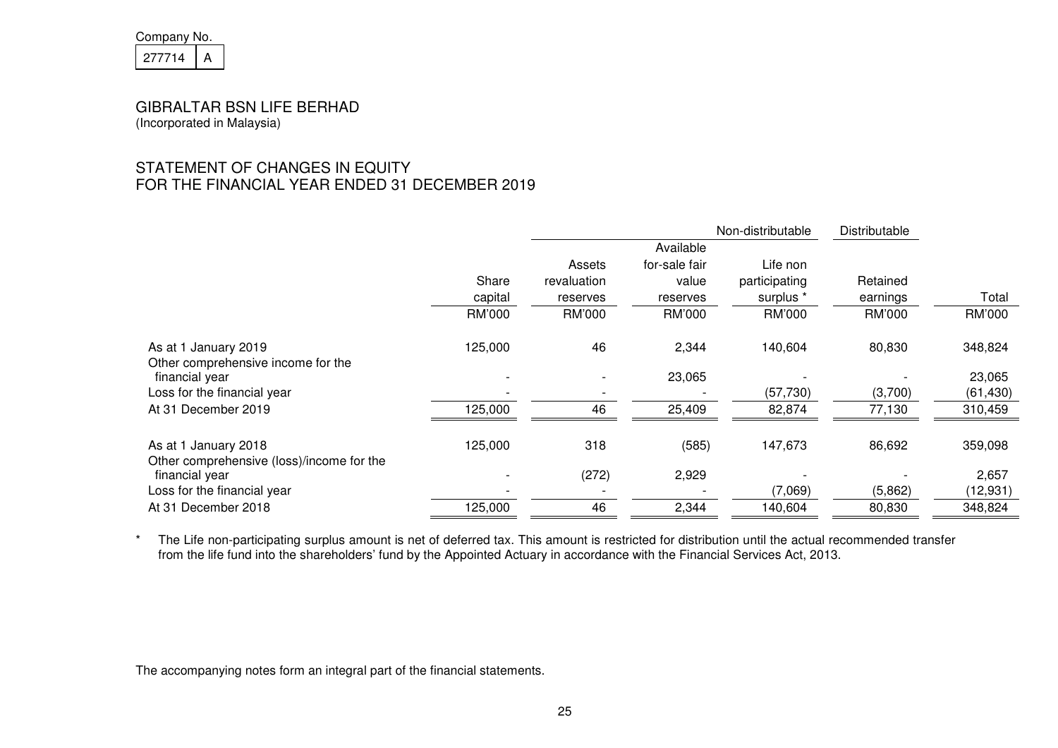| Company No. |  |  |
|-------------|--|--|
| 277714      |  |  |

# STATEMENT OF CHANGES IN EQUITY FOR THE FINANCIAL YEAR ENDED 31 DECEMBER 2019

|                                                                   |         |                          |               | Non-distributable | Distributable |           |
|-------------------------------------------------------------------|---------|--------------------------|---------------|-------------------|---------------|-----------|
|                                                                   |         |                          | Available     |                   |               |           |
|                                                                   |         | Assets                   | for-sale fair | Life non          |               |           |
|                                                                   | Share   | revaluation              | value         | participating     | Retained      |           |
|                                                                   | capital | reserves                 | reserves      | surplus *         | earnings      | Total     |
|                                                                   | RM'000  | RM'000                   | RM'000        | RM'000            | RM'000        | RM'000    |
| As at 1 January 2019<br>Other comprehensive income for the        | 125,000 | 46                       | 2,344         | 140,604           | 80,830        | 348,824   |
| financial year                                                    |         | $\overline{\phantom{a}}$ | 23,065        |                   |               | 23,065    |
| Loss for the financial year                                       |         |                          |               | (57, 730)         | (3,700)       | (61, 430) |
| At 31 December 2019                                               | 125,000 | 46                       | 25,409        | 82,874            | 77,130        | 310,459   |
| As at 1 January 2018<br>Other comprehensive (loss)/income for the | 125,000 | 318                      | (585)         | 147,673           | 86,692        | 359,098   |
| financial year                                                    |         | (272)                    | 2,929         |                   |               | 2,657     |
| Loss for the financial year                                       |         |                          |               | (7,069)           | (5,862)       | (12, 931) |
| At 31 December 2018                                               | 125,000 | 46                       | 2,344         | 140,604           | 80,830        | 348,824   |

\* The Life non-participating surplus amount is net of deferred tax. This amount is restricted for distribution until the actual recommended transfer<br>from the life fund into the shareholders' fund by the Appointed Actuary i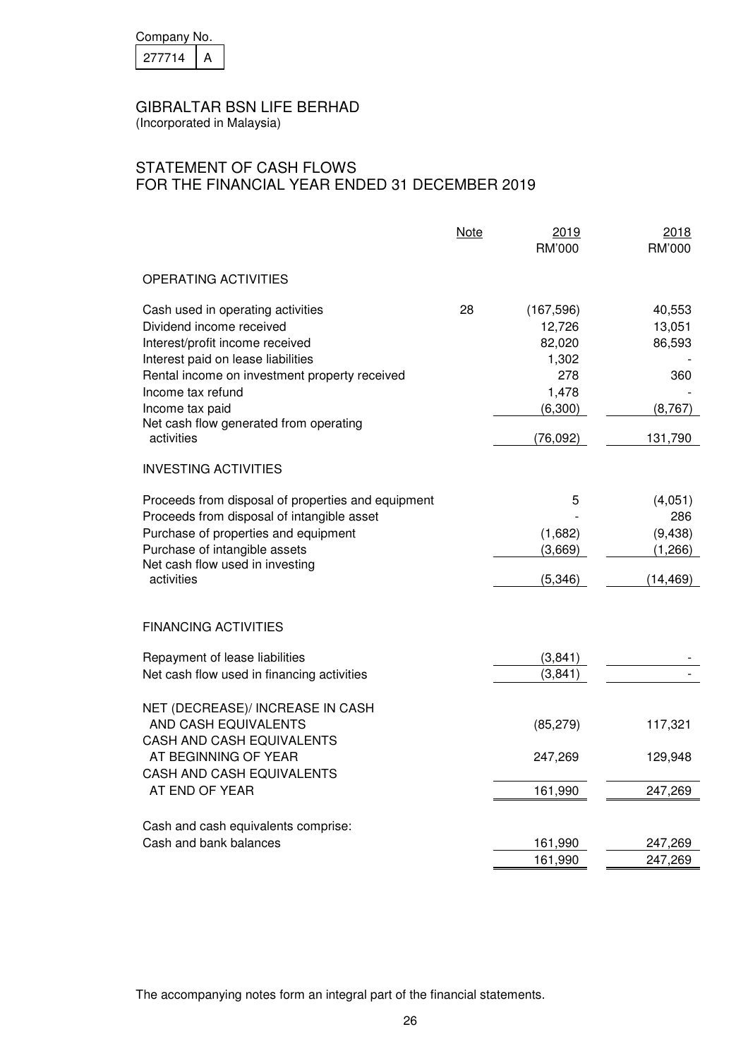| Company No. |  |
|-------------|--|
| 277714      |  |

(Incorporated in Malaysia)

# STATEMENT OF CASH FLOWS FOR THE FINANCIAL YEAR ENDED 31 DECEMBER 2019

|                                                                                                                                                                                                                                                                                         | <b>Note</b> | 2019<br>RM'000                                                                  | 2018<br>RM'000                                           |
|-----------------------------------------------------------------------------------------------------------------------------------------------------------------------------------------------------------------------------------------------------------------------------------------|-------------|---------------------------------------------------------------------------------|----------------------------------------------------------|
| <b>OPERATING ACTIVITIES</b>                                                                                                                                                                                                                                                             |             |                                                                                 |                                                          |
| Cash used in operating activities<br>Dividend income received<br>Interest/profit income received<br>Interest paid on lease liabilities<br>Rental income on investment property received<br>Income tax refund<br>Income tax paid<br>Net cash flow generated from operating<br>activities | 28          | (167, 596)<br>12,726<br>82,020<br>1,302<br>278<br>1,478<br>(6,300)<br>(76, 092) | 40,553<br>13,051<br>86,593<br>360<br>(8, 767)<br>131,790 |
| <b>INVESTING ACTIVITIES</b>                                                                                                                                                                                                                                                             |             |                                                                                 |                                                          |
| Proceeds from disposal of properties and equipment<br>Proceeds from disposal of intangible asset<br>Purchase of properties and equipment<br>Purchase of intangible assets<br>Net cash flow used in investing<br>activities                                                              |             | 5<br>(1,682)<br>(3,669)<br>(5,346)                                              | (4,051)<br>286<br>(9, 438)<br>(1,266)<br>(14, 469)       |
| <b>FINANCING ACTIVITIES</b>                                                                                                                                                                                                                                                             |             |                                                                                 |                                                          |
| Repayment of lease liabilities<br>Net cash flow used in financing activities                                                                                                                                                                                                            |             | (3,841)<br>(3,841)                                                              |                                                          |
| NET (DECREASE)/ INCREASE IN CASH<br>AND CASH EQUIVALENTS<br>CASH AND CASH EQUIVALENTS<br>AT BEGINNING OF YEAR<br>CASH AND CASH EQUIVALENTS<br>AT END OF YEAR                                                                                                                            |             | (85, 279)<br>247,269<br>161,990                                                 | 117,321<br>129,948<br>247,269                            |
| Cash and cash equivalents comprise:<br>Cash and bank balances                                                                                                                                                                                                                           |             | 161,990<br>161,990                                                              | 247,269<br>247,269                                       |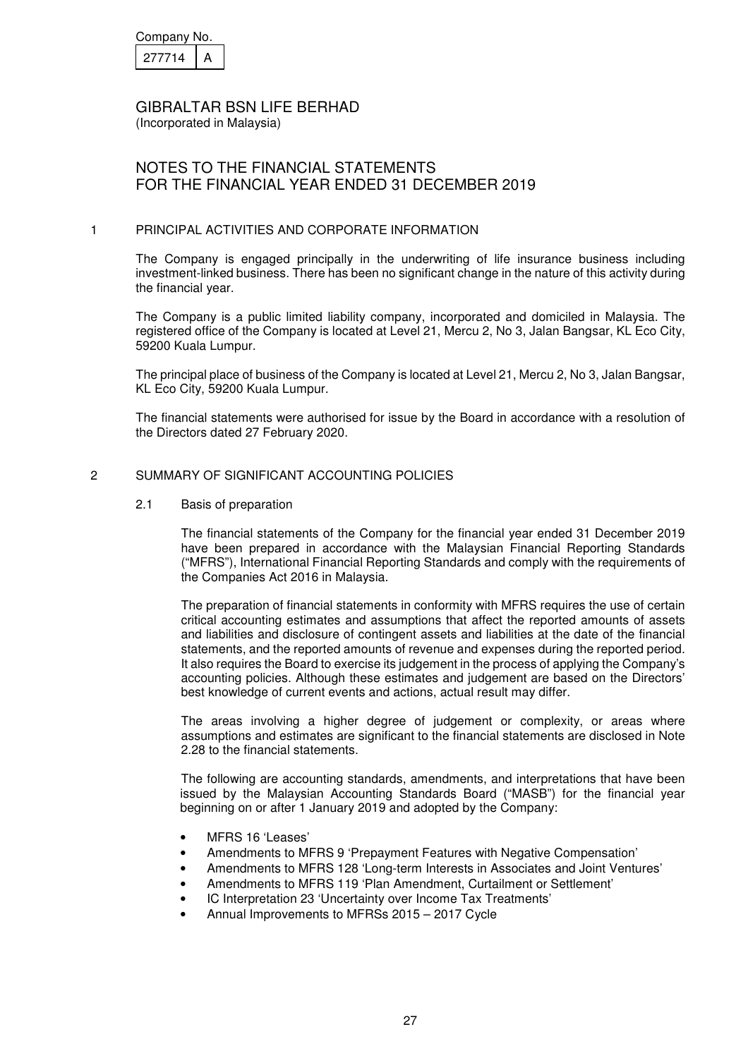| Company No. |  |
|-------------|--|
| 27714       |  |

(Incorporated in Malaysia)

## NOTES TO THE FINANCIAL STATEMENTS FOR THE FINANCIAL YEAR ENDED 31 DECEMBER 2019

### 1 PRINCIPAL ACTIVITIES AND CORPORATE INFORMATION

The Company is engaged principally in the underwriting of life insurance business including investment-linked business. There has been no significant change in the nature of this activity during the financial year.

The Company is a public limited liability company, incorporated and domiciled in Malaysia. The registered office of the Company is located at Level 21, Mercu 2, No 3, Jalan Bangsar, KL Eco City, 59200 Kuala Lumpur.

The principal place of business of the Company is located at Level 21, Mercu 2, No 3, Jalan Bangsar, KL Eco City, 59200 Kuala Lumpur.

The financial statements were authorised for issue by the Board in accordance with a resolution of the Directors dated 27 February 2020.

## 2 SUMMARY OF SIGNIFICANT ACCOUNTING POLICIES

#### 2.1 Basis of preparation

The financial statements of the Company for the financial year ended 31 December 2019 have been prepared in accordance with the Malaysian Financial Reporting Standards ("MFRS"), International Financial Reporting Standards and comply with the requirements of the Companies Act 2016 in Malaysia.

The preparation of financial statements in conformity with MFRS requires the use of certain critical accounting estimates and assumptions that affect the reported amounts of assets and liabilities and disclosure of contingent assets and liabilities at the date of the financial statements, and the reported amounts of revenue and expenses during the reported period. It also requires the Board to exercise its judgement in the process of applying the Company's accounting policies. Although these estimates and judgement are based on the Directors' best knowledge of current events and actions, actual result may differ.

The areas involving a higher degree of judgement or complexity, or areas where assumptions and estimates are significant to the financial statements are disclosed in Note 2.28 to the financial statements.

The following are accounting standards, amendments, and interpretations that have been issued by the Malaysian Accounting Standards Board ("MASB") for the financial year beginning on or after 1 January 2019 and adopted by the Company:

- MFRS 16 'Leases'
- Amendments to MFRS 9 'Prepayment Features with Negative Compensation'
- Amendments to MFRS 128 'Long-term Interests in Associates and Joint Ventures'
- Amendments to MFRS 119 'Plan Amendment, Curtailment or Settlement'
- IC Interpretation 23 'Uncertainty over Income Tax Treatments'
- Annual Improvements to MFRSs 2015 2017 Cycle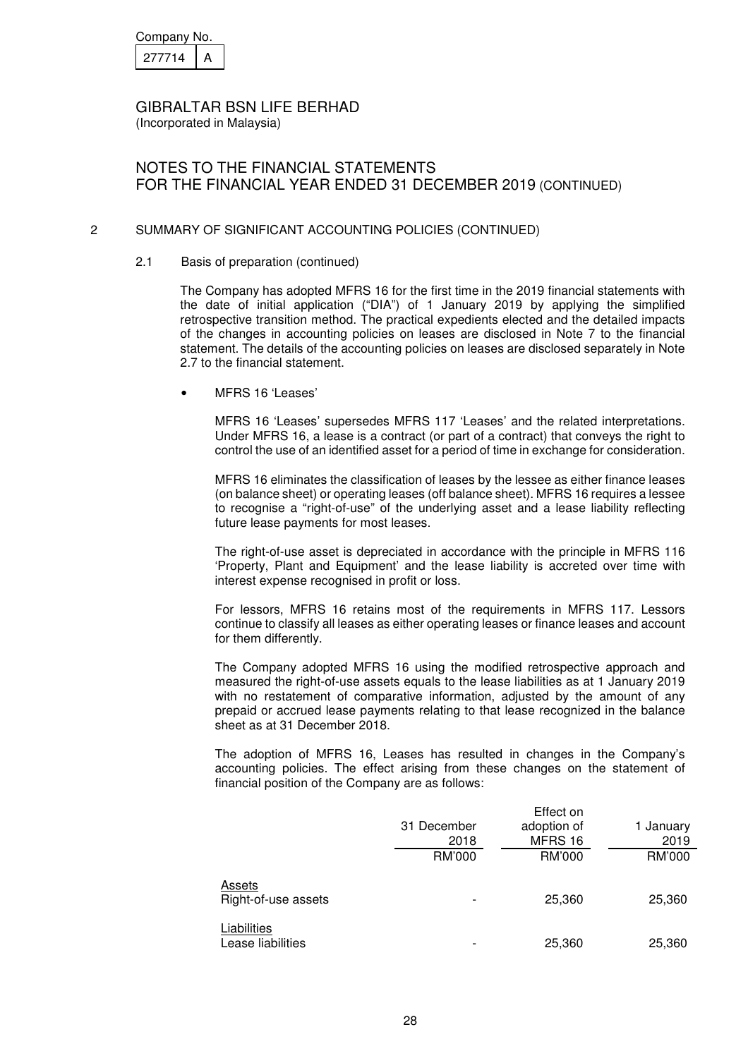| Company No. |  |
|-------------|--|
| 277714      |  |

(Incorporated in Malaysia)

# NOTES TO THE FINANCIAL STATEMENTS FOR THE FINANCIAL YEAR ENDED 31 DECEMBER 2019 (CONTINUED)

### 2 SUMMARY OF SIGNIFICANT ACCOUNTING POLICIES (CONTINUED)

### 2.1 Basis of preparation (continued)

The Company has adopted MFRS 16 for the first time in the 2019 financial statements with the date of initial application ("DIA") of 1 January 2019 by applying the simplified retrospective transition method. The practical expedients elected and the detailed impacts of the changes in accounting policies on leases are disclosed in Note 7 to the financial statement. The details of the accounting policies on leases are disclosed separately in Note 2.7 to the financial statement.

• MFRS 16 'Leases'

MFRS 16 'Leases' supersedes MFRS 117 'Leases' and the related interpretations. Under MFRS 16, a lease is a contract (or part of a contract) that conveys the right to control the use of an identified asset for a period of time in exchange for consideration.

MFRS 16 eliminates the classification of leases by the lessee as either finance leases (on balance sheet) or operating leases (off balance sheet). MFRS 16 requires a lessee to recognise a "right-of-use" of the underlying asset and a lease liability reflecting future lease payments for most leases.

The right-of-use asset is depreciated in accordance with the principle in MFRS 116 'Property, Plant and Equipment' and the lease liability is accreted over time with interest expense recognised in profit or loss.

For lessors, MFRS 16 retains most of the requirements in MFRS 117. Lessors continue to classify all leases as either operating leases or finance leases and account for them differently.

The Company adopted MFRS 16 using the modified retrospective approach and measured the right-of-use assets equals to the lease liabilities as at 1 January 2019 with no restatement of comparative information, adjusted by the amount of any prepaid or accrued lease payments relating to that lease recognized in the balance sheet as at 31 December 2018.

The adoption of MFRS 16, Leases has resulted in changes in the Company's accounting policies. The effect arising from these changes on the statement of financial position of the Company are as follows:

|                                  | 31 December<br>2018 | Effect on<br>adoption of<br>MFRS 16 | 1 January<br>2019 |
|----------------------------------|---------------------|-------------------------------------|-------------------|
|                                  | RM'000              | RM'000                              | RM'000            |
| Assets<br>Right-of-use assets    |                     | 25,360                              | 25,360            |
| Liabilities<br>Lease liabilities |                     | 25,360                              | 25,360            |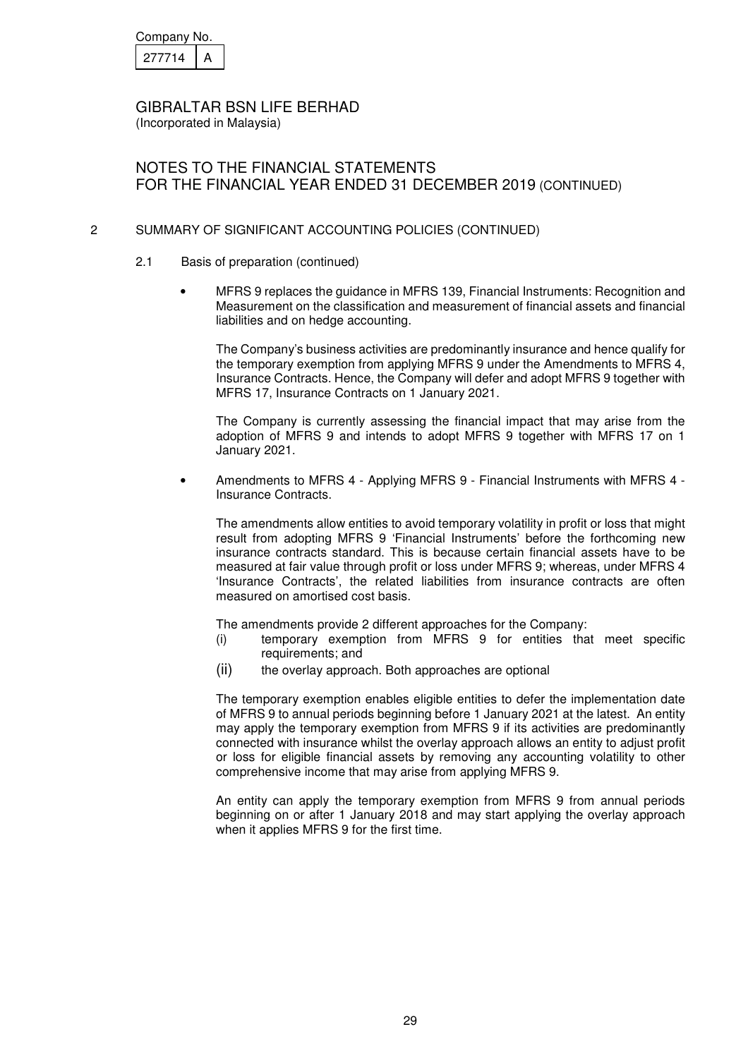| Company No. |  |
|-------------|--|
| 277714      |  |

(Incorporated in Malaysia)

# NOTES TO THE FINANCIAL STATEMENTS FOR THE FINANCIAL YEAR ENDED 31 DECEMBER 2019 (CONTINUED)

## 2 SUMMARY OF SIGNIFICANT ACCOUNTING POLICIES (CONTINUED)

- 2.1 Basis of preparation (continued)
	- MFRS 9 replaces the guidance in MFRS 139, Financial Instruments: Recognition and Measurement on the classification and measurement of financial assets and financial liabilities and on hedge accounting.

The Company's business activities are predominantly insurance and hence qualify for the temporary exemption from applying MFRS 9 under the Amendments to MFRS 4, Insurance Contracts. Hence, the Company will defer and adopt MFRS 9 together with MFRS 17, Insurance Contracts on 1 January 2021.

The Company is currently assessing the financial impact that may arise from the adoption of MFRS 9 and intends to adopt MFRS 9 together with MFRS 17 on 1 January 2021.

• Amendments to MFRS 4 - Applying MFRS 9 - Financial Instruments with MFRS 4 - Insurance Contracts.

The amendments allow entities to avoid temporary volatility in profit or loss that might result from adopting MFRS 9 'Financial Instruments' before the forthcoming new insurance contracts standard. This is because certain financial assets have to be measured at fair value through profit or loss under MFRS 9; whereas, under MFRS 4 'Insurance Contracts', the related liabilities from insurance contracts are often measured on amortised cost basis.

The amendments provide 2 different approaches for the Company:

- (i) temporary exemption from MFRS 9 for entities that meet specific requirements; and
- (ii) the overlay approach. Both approaches are optional

The temporary exemption enables eligible entities to defer the implementation date of MFRS 9 to annual periods beginning before 1 January 2021 at the latest. An entity may apply the temporary exemption from MFRS 9 if its activities are predominantly connected with insurance whilst the overlay approach allows an entity to adjust profit or loss for eligible financial assets by removing any accounting volatility to other comprehensive income that may arise from applying MFRS 9.

An entity can apply the temporary exemption from MFRS 9 from annual periods beginning on or after 1 January 2018 and may start applying the overlay approach when it applies MFRS 9 for the first time.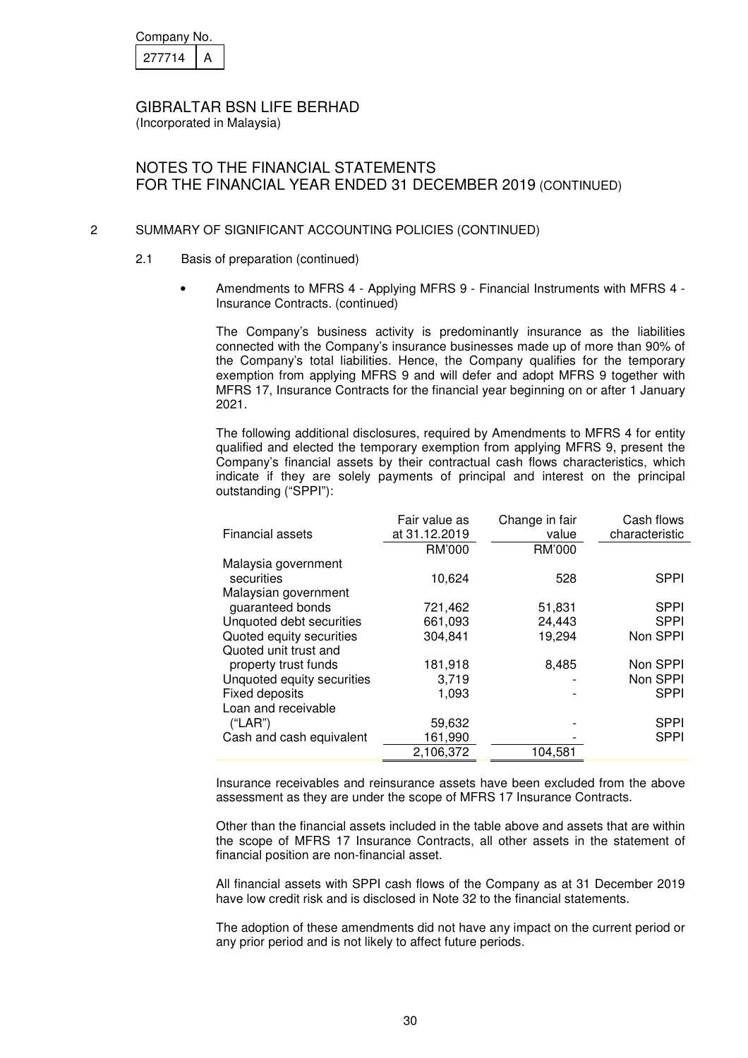| Company No. |  |
|-------------|--|
| 27714       |  |

(Incorporated in Malaysia)

## NOTES TO THE FINANCIAL STATEMENTS FOR THE FINANCIAL YEAR ENDED 31 DECEMBER 2019 (CONTINUED)

### 2 SUMMARY OF SIGNIFICANT ACCOUNTING POLICIES (CONTINUED)

- 2.1 Basis of preparation (continued)
	- Amendments to MFRS 4 Applying MFRS 9 Financial Instruments with MFRS 4 Insurance Contracts. (continued)

The Company's business activity is predominantly insurance as the liabilities connected with the Company's insurance businesses made up of more than 90% of the Company's total liabilities. Hence, the Company qualifies for the temporary exemption from applying MFRS 9 and will defer and adopt MFRS 9 together with MFRS 17, Insurance Contracts for the financial year beginning on or after 1 January 2021.

The following additional disclosures, required by Amendments to MFRS 4 for entity qualified and elected the temporary exemption from applying MFRS 9, present the Company's financial assets by their contractual cash flows characteristics, which indicate if they are solely payments of principal and interest on the principal outstanding ("SPPI"):

|                            | Fair value as | Change in fair | Cash flows     |
|----------------------------|---------------|----------------|----------------|
| <b>Financial assets</b>    | at 31.12.2019 | value          | characteristic |
|                            | RM'000        | RM'000         |                |
| Malaysia government        |               |                |                |
| securities                 | 10,624        | 528            | <b>SPPI</b>    |
| Malaysian government       |               |                |                |
| guaranteed bonds           | 721,462       | 51,831         | <b>SPPI</b>    |
| Unquoted debt securities   | 661,093       | 24,443         | <b>SPPI</b>    |
| Quoted equity securities   | 304.841       | 19,294         | Non SPPI       |
| Quoted unit trust and      |               |                |                |
| property trust funds       | 181,918       | 8,485          | Non SPPI       |
| Unquoted equity securities | 3,719         |                | Non SPPI       |
| <b>Fixed deposits</b>      | 1.093         |                | <b>SPPI</b>    |
| Loan and receivable        |               |                |                |
| ("LAR")                    | 59,632        |                | <b>SPPI</b>    |
| Cash and cash equivalent   | 161,990       |                | <b>SPPI</b>    |
|                            | 2,106,372     | 104.581        |                |

Insurance receivables and reinsurance assets have been excluded from the above assessment as they are under the scope of MFRS 17 Insurance Contracts.

Other than the financial assets included in the table above and assets that are within the scope of MFRS 17 Insurance Contracts, all other assets in the statement of financial position are non-financial asset.

All financial assets with SPPI cash flows of the Company as at 31 December 2019 have low credit risk and is disclosed in Note 32 to the financial statements.

The adoption of these amendments did not have any impact on the current period or any prior period and is not likely to affect future periods.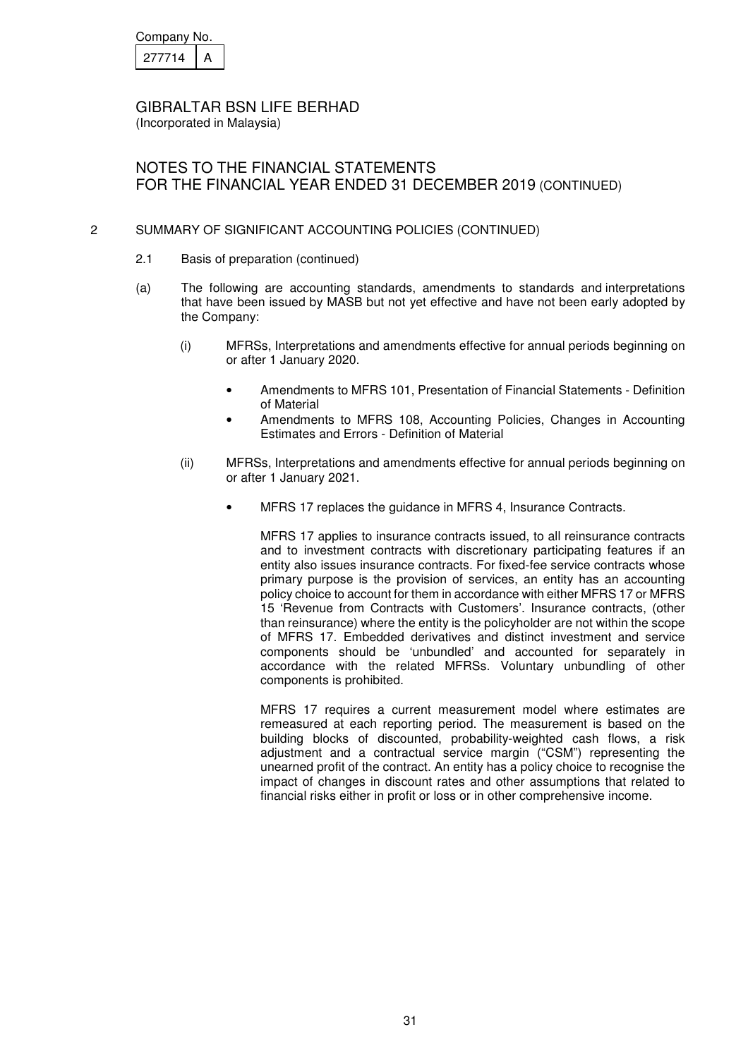| Company No. |  |
|-------------|--|
| 277714      |  |

(Incorporated in Malaysia)

# NOTES TO THE FINANCIAL STATEMENTS FOR THE FINANCIAL YEAR ENDED 31 DECEMBER 2019 (CONTINUED)

## 2 SUMMARY OF SIGNIFICANT ACCOUNTING POLICIES (CONTINUED)

- 2.1 Basis of preparation (continued)
- (a) The following are accounting standards, amendments to standards and interpretations that have been issued by MASB but not yet effective and have not been early adopted by the Company:
	- (i) MFRSs, Interpretations and amendments effective for annual periods beginning on or after 1 January 2020.
		- Amendments to MFRS 101, Presentation of Financial Statements Definition of Material
		- Amendments to MFRS 108, Accounting Policies, Changes in Accounting Estimates and Errors - Definition of Material
	- (ii) MFRSs, Interpretations and amendments effective for annual periods beginning on or after 1 January 2021.
		- MFRS 17 replaces the guidance in MFRS 4, Insurance Contracts.

MFRS 17 applies to insurance contracts issued, to all reinsurance contracts and to investment contracts with discretionary participating features if an entity also issues insurance contracts. For fixed-fee service contracts whose primary purpose is the provision of services, an entity has an accounting policy choice to account for them in accordance with either MFRS 17 or MFRS 15 'Revenue from Contracts with Customers'. Insurance contracts, (other than reinsurance) where the entity is the policyholder are not within the scope of MFRS 17. Embedded derivatives and distinct investment and service components should be 'unbundled' and accounted for separately in accordance with the related MFRSs. Voluntary unbundling of other components is prohibited.

MFRS 17 requires a current measurement model where estimates are remeasured at each reporting period. The measurement is based on the building blocks of discounted, probability-weighted cash flows, a risk adjustment and a contractual service margin ("CSM") representing the unearned profit of the contract. An entity has a policy choice to recognise the impact of changes in discount rates and other assumptions that related to financial risks either in profit or loss or in other comprehensive income.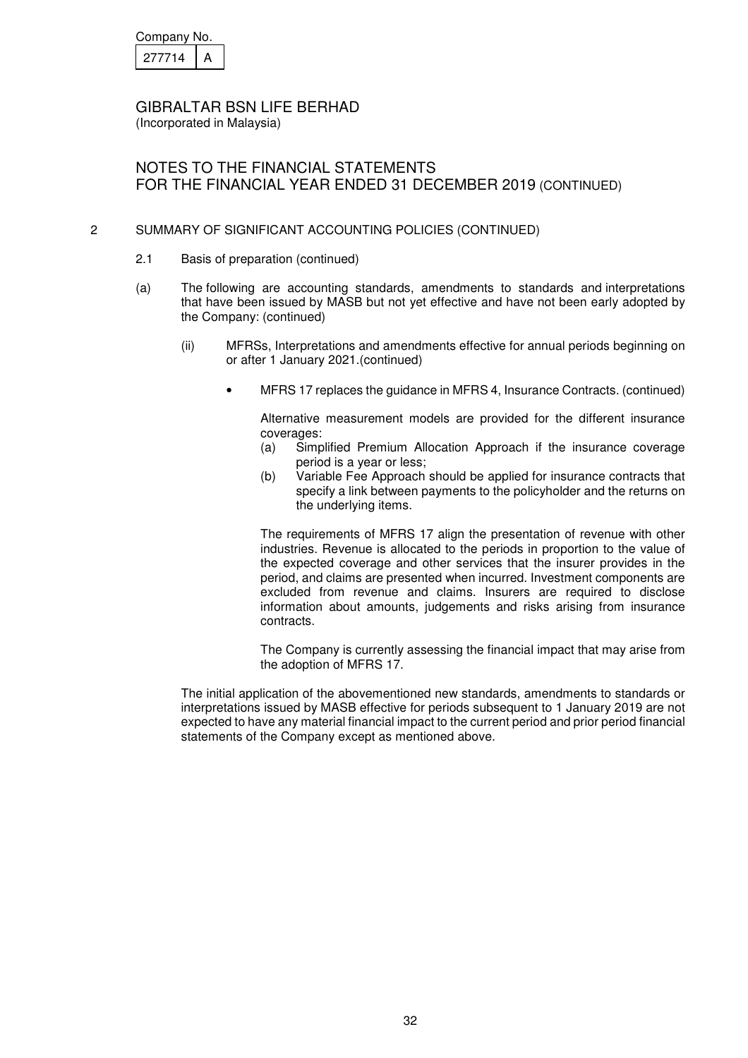| Company No. |  |
|-------------|--|
| 277714      |  |

(Incorporated in Malaysia)

# NOTES TO THE FINANCIAL STATEMENTS FOR THE FINANCIAL YEAR ENDED 31 DECEMBER 2019 (CONTINUED)

## 2 SUMMARY OF SIGNIFICANT ACCOUNTING POLICIES (CONTINUED)

- 2.1 Basis of preparation (continued)
- (a) The following are accounting standards, amendments to standards and interpretations that have been issued by MASB but not yet effective and have not been early adopted by the Company: (continued)
	- (ii) MFRSs, Interpretations and amendments effective for annual periods beginning on or after 1 January 2021.(continued)
		- MFRS 17 replaces the guidance in MFRS 4, Insurance Contracts. (continued)

Alternative measurement models are provided for the different insurance coverages:

- (a) Simplified Premium Allocation Approach if the insurance coverage period is a year or less;
- (b) Variable Fee Approach should be applied for insurance contracts that specify a link between payments to the policyholder and the returns on the underlying items.

The requirements of MFRS 17 align the presentation of revenue with other industries. Revenue is allocated to the periods in proportion to the value of the expected coverage and other services that the insurer provides in the period, and claims are presented when incurred. Investment components are excluded from revenue and claims. Insurers are required to disclose information about amounts, judgements and risks arising from insurance contracts.

The Company is currently assessing the financial impact that may arise from the adoption of MFRS 17.

The initial application of the abovementioned new standards, amendments to standards or interpretations issued by MASB effective for periods subsequent to 1 January 2019 are not expected to have any material financial impact to the current period and prior period financial statements of the Company except as mentioned above.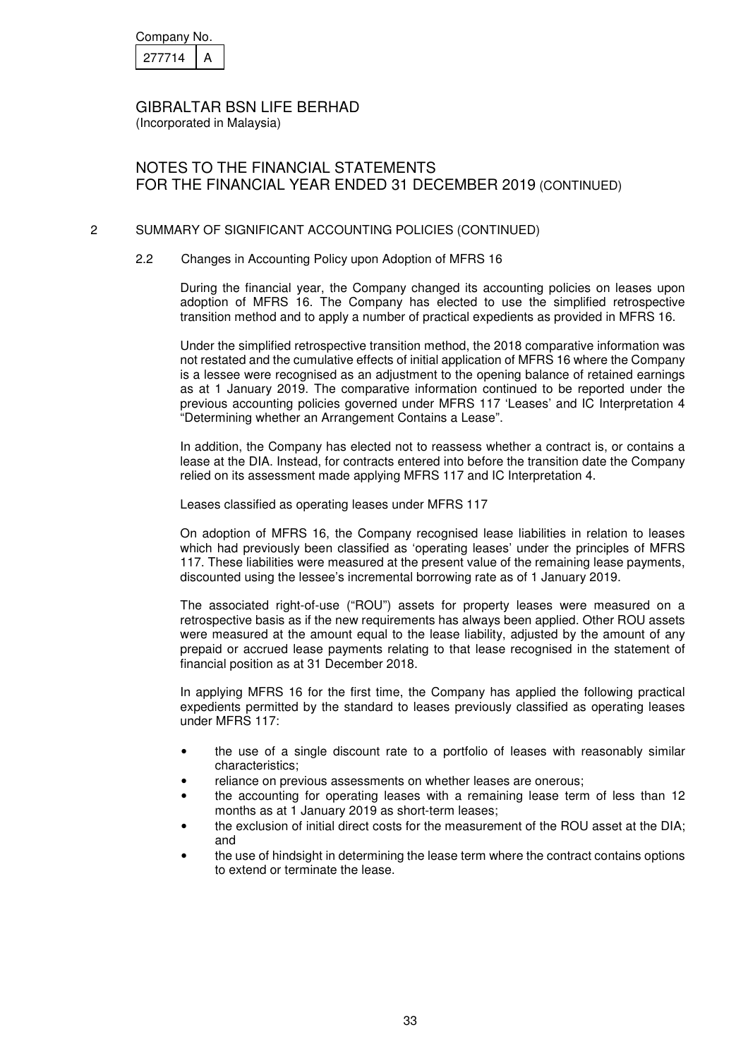| Company No. |  |
|-------------|--|
| 277714      |  |

(Incorporated in Malaysia)

## NOTES TO THE FINANCIAL STATEMENTS FOR THE FINANCIAL YEAR ENDED 31 DECEMBER 2019 (CONTINUED)

### 2 SUMMARY OF SIGNIFICANT ACCOUNTING POLICIES (CONTINUED)

#### 2.2 Changes in Accounting Policy upon Adoption of MFRS 16

During the financial year, the Company changed its accounting policies on leases upon adoption of MFRS 16. The Company has elected to use the simplified retrospective transition method and to apply a number of practical expedients as provided in MFRS 16.

Under the simplified retrospective transition method, the 2018 comparative information was not restated and the cumulative effects of initial application of MFRS 16 where the Company is a lessee were recognised as an adjustment to the opening balance of retained earnings as at 1 January 2019. The comparative information continued to be reported under the previous accounting policies governed under MFRS 117 'Leases' and IC Interpretation 4 "Determining whether an Arrangement Contains a Lease".

In addition, the Company has elected not to reassess whether a contract is, or contains a lease at the DIA. Instead, for contracts entered into before the transition date the Company relied on its assessment made applying MFRS 117 and IC Interpretation 4.

Leases classified as operating leases under MFRS 117

On adoption of MFRS 16, the Company recognised lease liabilities in relation to leases which had previously been classified as 'operating leases' under the principles of MFRS 117. These liabilities were measured at the present value of the remaining lease payments, discounted using the lessee's incremental borrowing rate as of 1 January 2019.

The associated right-of-use ("ROU") assets for property leases were measured on a retrospective basis as if the new requirements has always been applied. Other ROU assets were measured at the amount equal to the lease liability, adjusted by the amount of any prepaid or accrued lease payments relating to that lease recognised in the statement of financial position as at 31 December 2018.

In applying MFRS 16 for the first time, the Company has applied the following practical expedients permitted by the standard to leases previously classified as operating leases under MFRS 117:

- the use of a single discount rate to a portfolio of leases with reasonably similar characteristics;
- reliance on previous assessments on whether leases are onerous;
- the accounting for operating leases with a remaining lease term of less than 12 months as at 1 January 2019 as short-term leases;
- the exclusion of initial direct costs for the measurement of the ROU asset at the DIA; and
- the use of hindsight in determining the lease term where the contract contains options to extend or terminate the lease.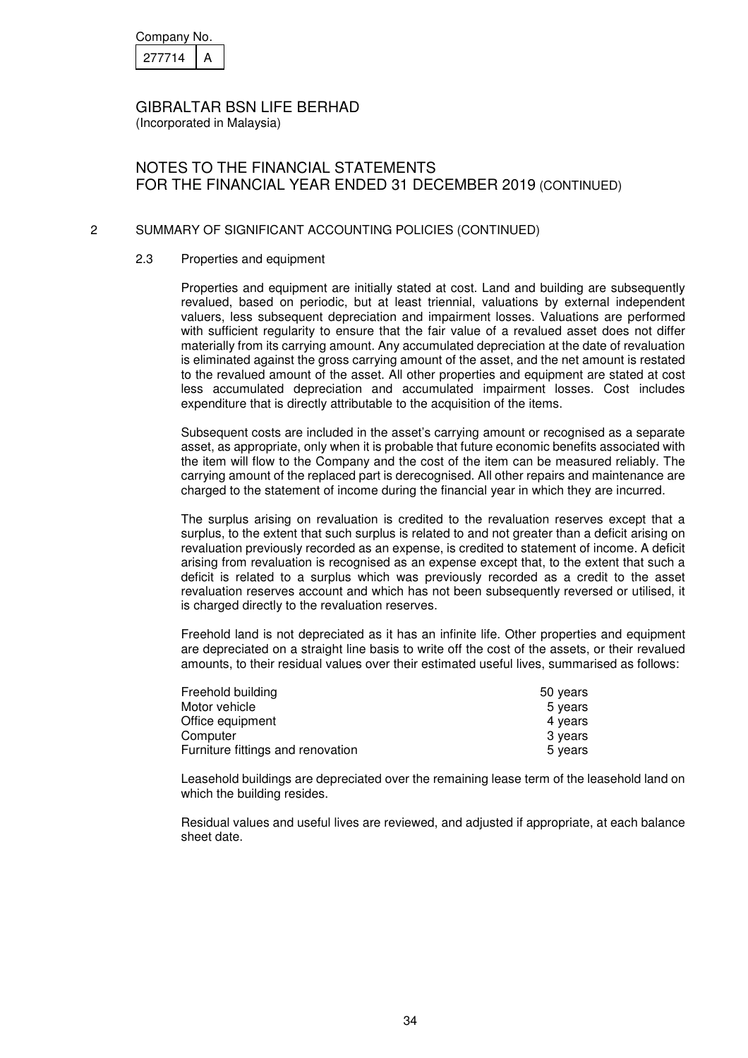| Company No. |  |
|-------------|--|
| 277714      |  |

(Incorporated in Malaysia)

# NOTES TO THE FINANCIAL STATEMENTS FOR THE FINANCIAL YEAR ENDED 31 DECEMBER 2019 (CONTINUED)

## 2 SUMMARY OF SIGNIFICANT ACCOUNTING POLICIES (CONTINUED)

### 2.3 Properties and equipment

Properties and equipment are initially stated at cost. Land and building are subsequently revalued, based on periodic, but at least triennial, valuations by external independent valuers, less subsequent depreciation and impairment losses. Valuations are performed with sufficient regularity to ensure that the fair value of a revalued asset does not differ materially from its carrying amount. Any accumulated depreciation at the date of revaluation is eliminated against the gross carrying amount of the asset, and the net amount is restated to the revalued amount of the asset. All other properties and equipment are stated at cost less accumulated depreciation and accumulated impairment losses. Cost includes expenditure that is directly attributable to the acquisition of the items.

Subsequent costs are included in the asset's carrying amount or recognised as a separate asset, as appropriate, only when it is probable that future economic benefits associated with the item will flow to the Company and the cost of the item can be measured reliably. The carrying amount of the replaced part is derecognised. All other repairs and maintenance are charged to the statement of income during the financial year in which they are incurred.

The surplus arising on revaluation is credited to the revaluation reserves except that a surplus, to the extent that such surplus is related to and not greater than a deficit arising on revaluation previously recorded as an expense, is credited to statement of income. A deficit arising from revaluation is recognised as an expense except that, to the extent that such a deficit is related to a surplus which was previously recorded as a credit to the asset revaluation reserves account and which has not been subsequently reversed or utilised, it is charged directly to the revaluation reserves.

Freehold land is not depreciated as it has an infinite life. Other properties and equipment are depreciated on a straight line basis to write off the cost of the assets, or their revalued amounts, to their residual values over their estimated useful lives, summarised as follows:

| Freehold building                 | 50 years |
|-----------------------------------|----------|
| Motor vehicle                     | 5 years  |
| Office equipment                  | 4 years  |
| Computer                          | 3 years  |
| Furniture fittings and renovation | 5 years  |

Leasehold buildings are depreciated over the remaining lease term of the leasehold land on which the building resides.

Residual values and useful lives are reviewed, and adjusted if appropriate, at each balance sheet date.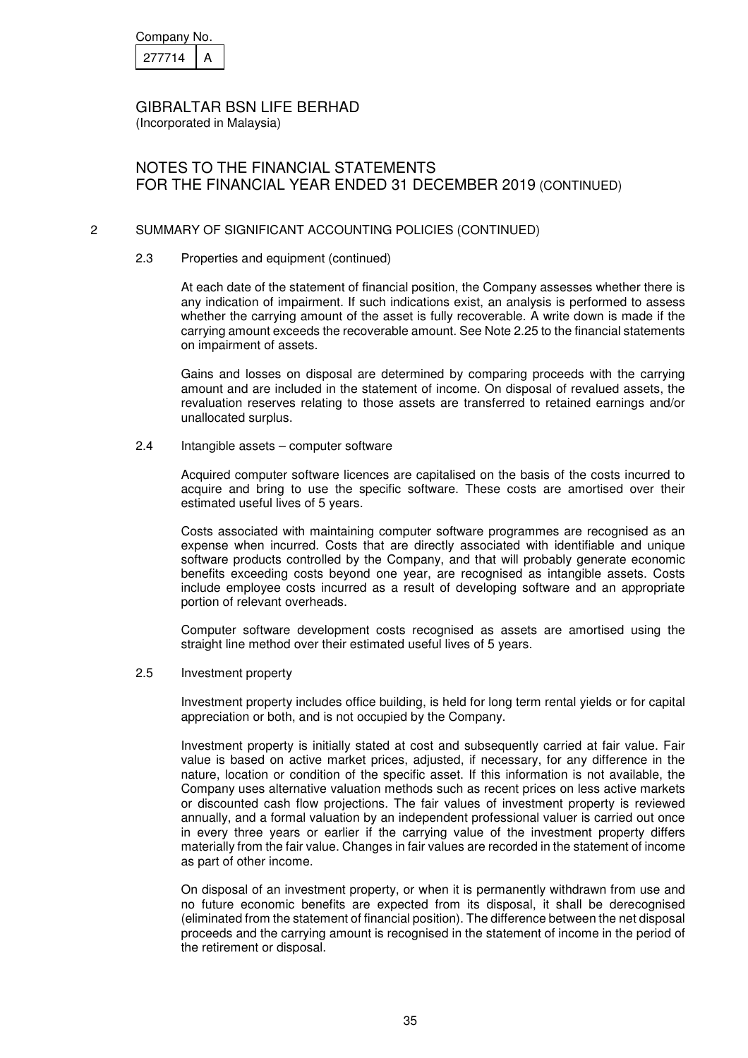| Company No. |  |
|-------------|--|
| 277714      |  |

(Incorporated in Malaysia)

# NOTES TO THE FINANCIAL STATEMENTS FOR THE FINANCIAL YEAR ENDED 31 DECEMBER 2019 (CONTINUED)

## 2 SUMMARY OF SIGNIFICANT ACCOUNTING POLICIES (CONTINUED)

#### 2.3 Properties and equipment (continued)

At each date of the statement of financial position, the Company assesses whether there is any indication of impairment. If such indications exist, an analysis is performed to assess whether the carrying amount of the asset is fully recoverable. A write down is made if the carrying amount exceeds the recoverable amount. See Note 2.25 to the financial statements on impairment of assets.

Gains and losses on disposal are determined by comparing proceeds with the carrying amount and are included in the statement of income. On disposal of revalued assets, the revaluation reserves relating to those assets are transferred to retained earnings and/or unallocated surplus.

#### 2.4 Intangible assets – computer software

Acquired computer software licences are capitalised on the basis of the costs incurred to acquire and bring to use the specific software. These costs are amortised over their estimated useful lives of 5 years.

Costs associated with maintaining computer software programmes are recognised as an expense when incurred. Costs that are directly associated with identifiable and unique software products controlled by the Company, and that will probably generate economic benefits exceeding costs beyond one year, are recognised as intangible assets. Costs include employee costs incurred as a result of developing software and an appropriate portion of relevant overheads.

Computer software development costs recognised as assets are amortised using the straight line method over their estimated useful lives of 5 years.

2.5 Investment property

Investment property includes office building, is held for long term rental yields or for capital appreciation or both, and is not occupied by the Company.

Investment property is initially stated at cost and subsequently carried at fair value. Fair value is based on active market prices, adjusted, if necessary, for any difference in the nature, location or condition of the specific asset. If this information is not available, the Company uses alternative valuation methods such as recent prices on less active markets or discounted cash flow projections. The fair values of investment property is reviewed annually, and a formal valuation by an independent professional valuer is carried out once in every three years or earlier if the carrying value of the investment property differs materially from the fair value. Changes in fair values are recorded in the statement of income as part of other income.

On disposal of an investment property, or when it is permanently withdrawn from use and no future economic benefits are expected from its disposal, it shall be derecognised (eliminated from the statement of financial position). The difference between the net disposal proceeds and the carrying amount is recognised in the statement of income in the period of the retirement or disposal.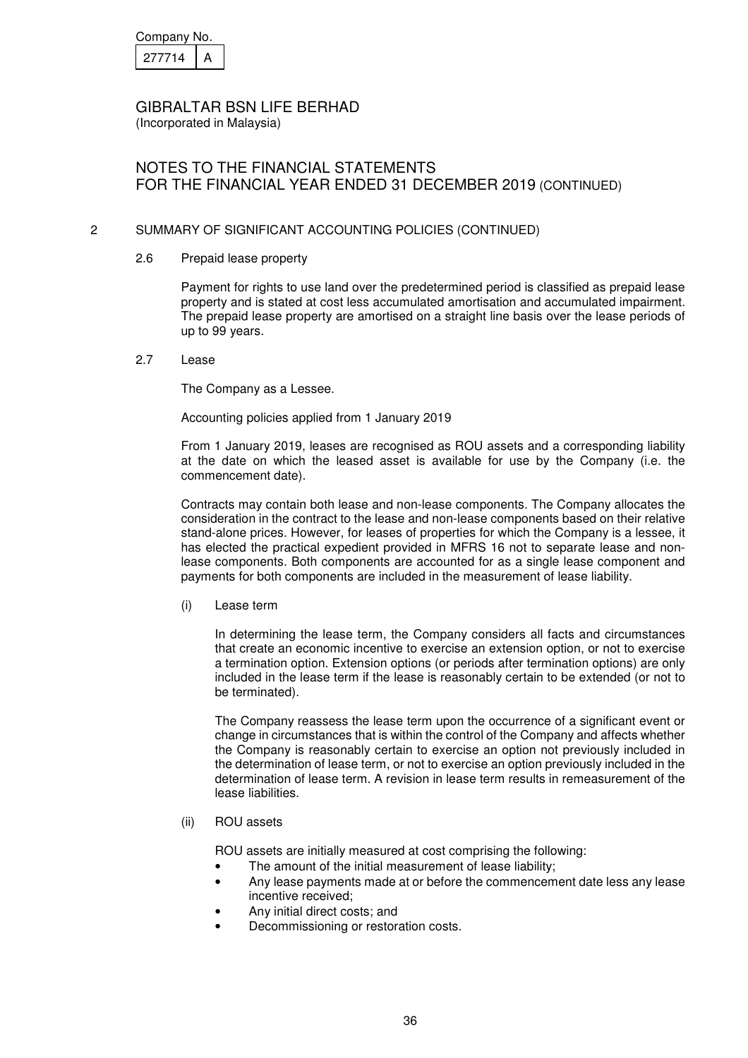| Company No. |  |
|-------------|--|
| 277714      |  |

(Incorporated in Malaysia)

# NOTES TO THE FINANCIAL STATEMENTS FOR THE FINANCIAL YEAR ENDED 31 DECEMBER 2019 (CONTINUED)

## 2 SUMMARY OF SIGNIFICANT ACCOUNTING POLICIES (CONTINUED)

#### 2.6 Prepaid lease property

Payment for rights to use land over the predetermined period is classified as prepaid lease property and is stated at cost less accumulated amortisation and accumulated impairment. The prepaid lease property are amortised on a straight line basis over the lease periods of up to 99 years.

#### 2.7 Lease

The Company as a Lessee.

#### Accounting policies applied from 1 January 2019

From 1 January 2019, leases are recognised as ROU assets and a corresponding liability at the date on which the leased asset is available for use by the Company (i.e. the commencement date).

Contracts may contain both lease and non-lease components. The Company allocates the consideration in the contract to the lease and non-lease components based on their relative stand-alone prices. However, for leases of properties for which the Company is a lessee, it has elected the practical expedient provided in MFRS 16 not to separate lease and nonlease components. Both components are accounted for as a single lease component and payments for both components are included in the measurement of lease liability.

(i) Lease term

In determining the lease term, the Company considers all facts and circumstances that create an economic incentive to exercise an extension option, or not to exercise a termination option. Extension options (or periods after termination options) are only included in the lease term if the lease is reasonably certain to be extended (or not to be terminated).

 The Company reassess the lease term upon the occurrence of a significant event or change in circumstances that is within the control of the Company and affects whether the Company is reasonably certain to exercise an option not previously included in the determination of lease term, or not to exercise an option previously included in the determination of lease term. A revision in lease term results in remeasurement of the lease liabilities.

## (ii) ROU assets

ROU assets are initially measured at cost comprising the following:

- The amount of the initial measurement of lease liability;
- Any lease payments made at or before the commencement date less any lease incentive received;
- Any initial direct costs; and
- Decommissioning or restoration costs.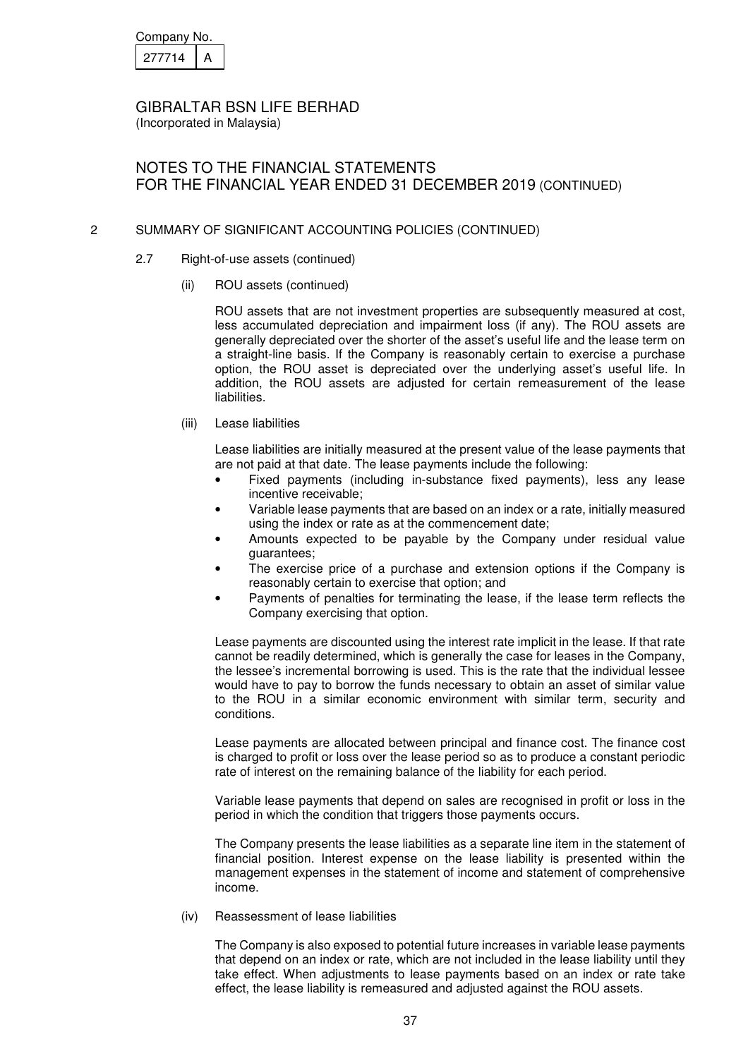| Company No. |  |
|-------------|--|
| 277714      |  |

(Incorporated in Malaysia)

# NOTES TO THE FINANCIAL STATEMENTS FOR THE FINANCIAL YEAR ENDED 31 DECEMBER 2019 (CONTINUED)

## 2 SUMMARY OF SIGNIFICANT ACCOUNTING POLICIES (CONTINUED)

- 2.7 Right-of-use assets (continued)
	- (ii) ROU assets (continued)

 ROU assets that are not investment properties are subsequently measured at cost, less accumulated depreciation and impairment loss (if any). The ROU assets are generally depreciated over the shorter of the asset's useful life and the lease term on a straight-line basis. If the Company is reasonably certain to exercise a purchase option, the ROU asset is depreciated over the underlying asset's useful life. In addition, the ROU assets are adjusted for certain remeasurement of the lease liabilities.

(iii) Lease liabilities

 Lease liabilities are initially measured at the present value of the lease payments that are not paid at that date. The lease payments include the following:

- Fixed payments (including in-substance fixed payments), less any lease incentive receivable;
- Variable lease payments that are based on an index or a rate, initially measured using the index or rate as at the commencement date;
- Amounts expected to be payable by the Company under residual value guarantees;
- The exercise price of a purchase and extension options if the Company is reasonably certain to exercise that option; and
- Payments of penalties for terminating the lease, if the lease term reflects the Company exercising that option.

 Lease payments are discounted using the interest rate implicit in the lease. If that rate cannot be readily determined, which is generally the case for leases in the Company, the lessee's incremental borrowing is used. This is the rate that the individual lessee would have to pay to borrow the funds necessary to obtain an asset of similar value to the ROU in a similar economic environment with similar term, security and conditions.

 Lease payments are allocated between principal and finance cost. The finance cost is charged to profit or loss over the lease period so as to produce a constant periodic rate of interest on the remaining balance of the liability for each period.

 Variable lease payments that depend on sales are recognised in profit or loss in the period in which the condition that triggers those payments occurs.

 The Company presents the lease liabilities as a separate line item in the statement of financial position. Interest expense on the lease liability is presented within the management expenses in the statement of income and statement of comprehensive income.

(iv) Reassessment of lease liabilities

 The Company is also exposed to potential future increases in variable lease payments that depend on an index or rate, which are not included in the lease liability until they take effect. When adjustments to lease payments based on an index or rate take effect, the lease liability is remeasured and adjusted against the ROU assets.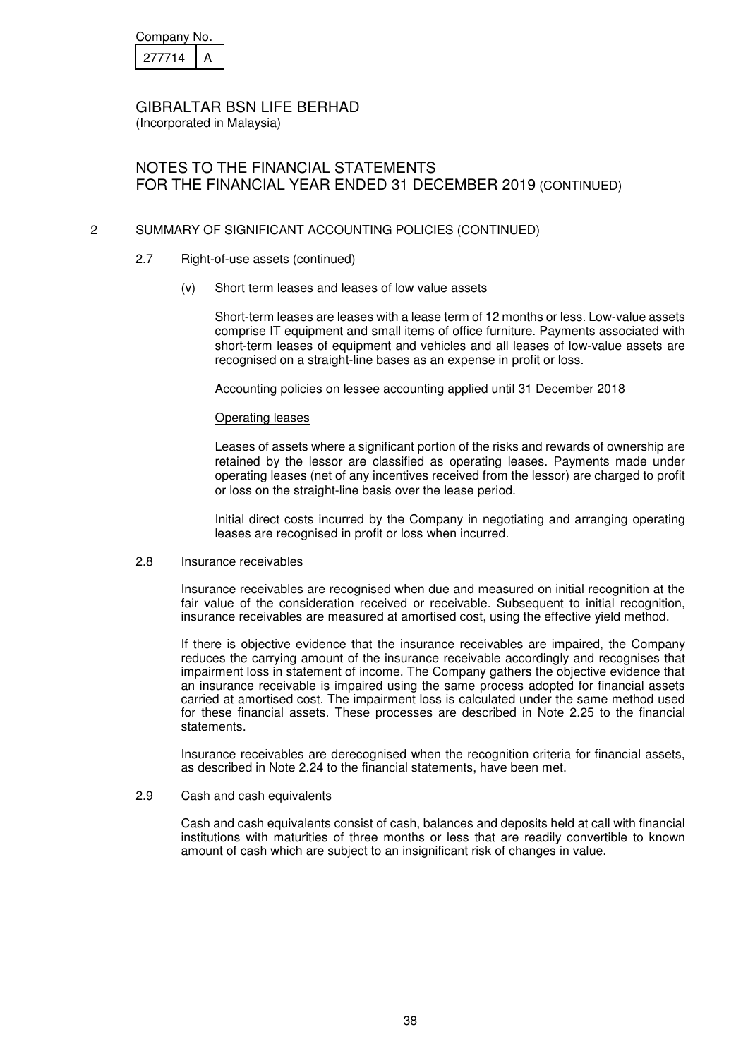| Company No. |  |
|-------------|--|
| 277714      |  |

(Incorporated in Malaysia)

# NOTES TO THE FINANCIAL STATEMENTS FOR THE FINANCIAL YEAR ENDED 31 DECEMBER 2019 (CONTINUED)

## 2 SUMMARY OF SIGNIFICANT ACCOUNTING POLICIES (CONTINUED)

- 2.7 Right-of-use assets (continued)
	- (v) Short term leases and leases of low value assets

Short-term leases are leases with a lease term of 12 months or less. Low-value assets comprise IT equipment and small items of office furniture. Payments associated with short-term leases of equipment and vehicles and all leases of low-value assets are recognised on a straight-line bases as an expense in profit or loss.

Accounting policies on lessee accounting applied until 31 December 2018

#### Operating leases

Leases of assets where a significant portion of the risks and rewards of ownership are retained by the lessor are classified as operating leases. Payments made under operating leases (net of any incentives received from the lessor) are charged to profit or loss on the straight-line basis over the lease period.

Initial direct costs incurred by the Company in negotiating and arranging operating leases are recognised in profit or loss when incurred.

#### 2.8 Insurance receivables

Insurance receivables are recognised when due and measured on initial recognition at the fair value of the consideration received or receivable. Subsequent to initial recognition, insurance receivables are measured at amortised cost, using the effective yield method.

If there is objective evidence that the insurance receivables are impaired, the Company reduces the carrying amount of the insurance receivable accordingly and recognises that impairment loss in statement of income. The Company gathers the objective evidence that an insurance receivable is impaired using the same process adopted for financial assets carried at amortised cost. The impairment loss is calculated under the same method used for these financial assets. These processes are described in Note 2.25 to the financial statements.

Insurance receivables are derecognised when the recognition criteria for financial assets, as described in Note 2.24 to the financial statements, have been met.

2.9 Cash and cash equivalents

Cash and cash equivalents consist of cash, balances and deposits held at call with financial institutions with maturities of three months or less that are readily convertible to known amount of cash which are subject to an insignificant risk of changes in value.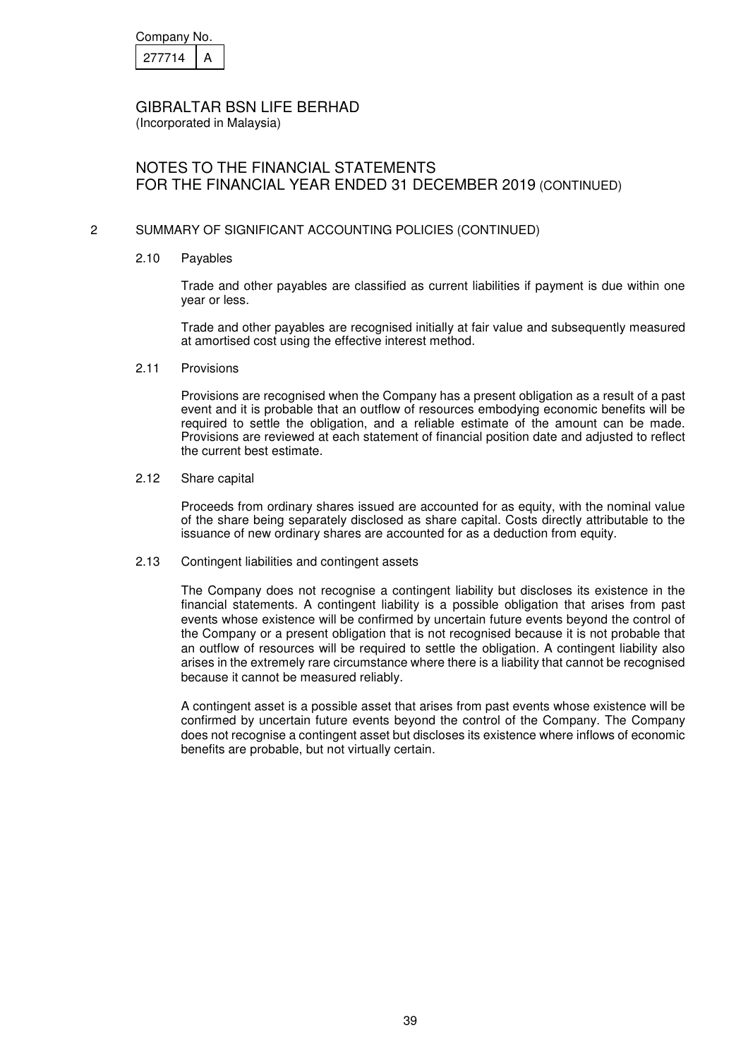| Company No. |  |
|-------------|--|
| 21/714      |  |

(Incorporated in Malaysia)

## NOTES TO THE FINANCIAL STATEMENTS FOR THE FINANCIAL YEAR ENDED 31 DECEMBER 2019 (CONTINUED)

### 2 SUMMARY OF SIGNIFICANT ACCOUNTING POLICIES (CONTINUED)

2.10 Payables

Trade and other payables are classified as current liabilities if payment is due within one year or less.

Trade and other payables are recognised initially at fair value and subsequently measured at amortised cost using the effective interest method.

#### 2.11 Provisions

 Provisions are recognised when the Company has a present obligation as a result of a past event and it is probable that an outflow of resources embodying economic benefits will be required to settle the obligation, and a reliable estimate of the amount can be made. Provisions are reviewed at each statement of financial position date and adjusted to reflect the current best estimate.

#### 2.12 Share capital

Proceeds from ordinary shares issued are accounted for as equity, with the nominal value of the share being separately disclosed as share capital. Costs directly attributable to the issuance of new ordinary shares are accounted for as a deduction from equity.

#### 2.13 Contingent liabilities and contingent assets

The Company does not recognise a contingent liability but discloses its existence in the financial statements. A contingent liability is a possible obligation that arises from past events whose existence will be confirmed by uncertain future events beyond the control of the Company or a present obligation that is not recognised because it is not probable that an outflow of resources will be required to settle the obligation. A contingent liability also arises in the extremely rare circumstance where there is a liability that cannot be recognised because it cannot be measured reliably.

A contingent asset is a possible asset that arises from past events whose existence will be confirmed by uncertain future events beyond the control of the Company. The Company does not recognise a contingent asset but discloses its existence where inflows of economic benefits are probable, but not virtually certain.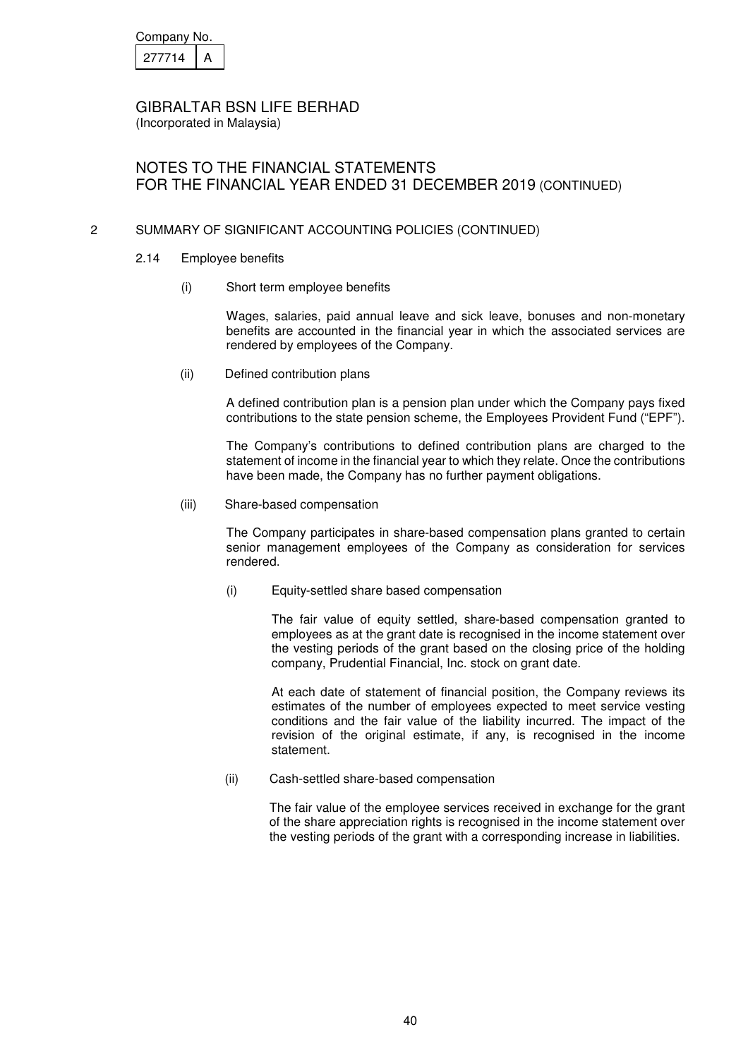| Company No. |  |
|-------------|--|
| 277714      |  |

(Incorporated in Malaysia)

# NOTES TO THE FINANCIAL STATEMENTS FOR THE FINANCIAL YEAR ENDED 31 DECEMBER 2019 (CONTINUED)

## 2 SUMMARY OF SIGNIFICANT ACCOUNTING POLICIES (CONTINUED)

- 2.14 Employee benefits
	- (i) Short term employee benefits

Wages, salaries, paid annual leave and sick leave, bonuses and non-monetary benefits are accounted in the financial year in which the associated services are rendered by employees of the Company.

(ii) Defined contribution plans

A defined contribution plan is a pension plan under which the Company pays fixed contributions to the state pension scheme, the Employees Provident Fund ("EPF").

The Company's contributions to defined contribution plans are charged to the statement of income in the financial year to which they relate. Once the contributions have been made, the Company has no further payment obligations.

(iii) Share-based compensation

The Company participates in share-based compensation plans granted to certain senior management employees of the Company as consideration for services rendered.

(i) Equity-settled share based compensation

The fair value of equity settled, share-based compensation granted to employees as at the grant date is recognised in the income statement over the vesting periods of the grant based on the closing price of the holding company, Prudential Financial, Inc. stock on grant date.

At each date of statement of financial position, the Company reviews its estimates of the number of employees expected to meet service vesting conditions and the fair value of the liability incurred. The impact of the revision of the original estimate, if any, is recognised in the income statement.

(ii) Cash-settled share-based compensation

The fair value of the employee services received in exchange for the grant of the share appreciation rights is recognised in the income statement over the vesting periods of the grant with a corresponding increase in liabilities.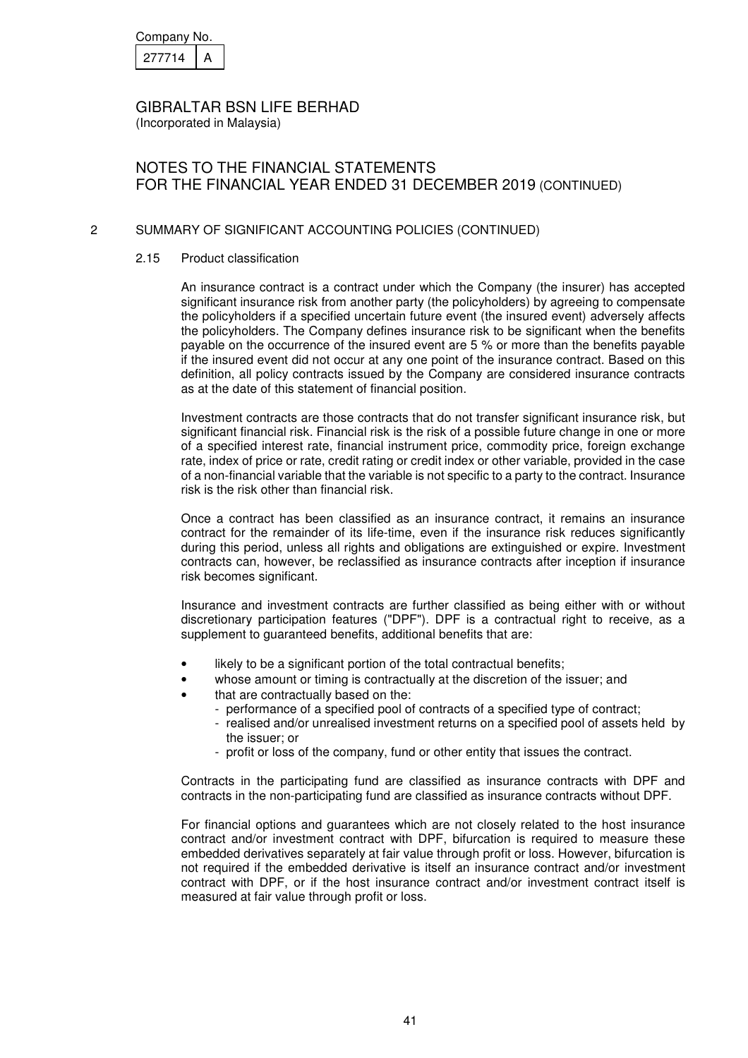| Company No. |  |
|-------------|--|
| 27714       |  |

(Incorporated in Malaysia)

# NOTES TO THE FINANCIAL STATEMENTS FOR THE FINANCIAL YEAR ENDED 31 DECEMBER 2019 (CONTINUED)

## 2 SUMMARY OF SIGNIFICANT ACCOUNTING POLICIES (CONTINUED)

#### 2.15 Product classification

An insurance contract is a contract under which the Company (the insurer) has accepted significant insurance risk from another party (the policyholders) by agreeing to compensate the policyholders if a specified uncertain future event (the insured event) adversely affects the policyholders. The Company defines insurance risk to be significant when the benefits payable on the occurrence of the insured event are 5 % or more than the benefits payable if the insured event did not occur at any one point of the insurance contract. Based on this definition, all policy contracts issued by the Company are considered insurance contracts as at the date of this statement of financial position.

Investment contracts are those contracts that do not transfer significant insurance risk, but significant financial risk. Financial risk is the risk of a possible future change in one or more of a specified interest rate, financial instrument price, commodity price, foreign exchange rate, index of price or rate, credit rating or credit index or other variable, provided in the case of a non-financial variable that the variable is not specific to a party to the contract. Insurance risk is the risk other than financial risk.

Once a contract has been classified as an insurance contract, it remains an insurance contract for the remainder of its life-time, even if the insurance risk reduces significantly during this period, unless all rights and obligations are extinguished or expire. Investment contracts can, however, be reclassified as insurance contracts after inception if insurance risk becomes significant.

Insurance and investment contracts are further classified as being either with or without discretionary participation features ("DPF"). DPF is a contractual right to receive, as a supplement to guaranteed benefits, additional benefits that are:

- likely to be a significant portion of the total contractual benefits;
- whose amount or timing is contractually at the discretion of the issuer; and
- that are contractually based on the:
	- performance of a specified pool of contracts of a specified type of contract;
	- realised and/or unrealised investment returns on a specified pool of assets held by the issuer; or
	- profit or loss of the company, fund or other entity that issues the contract.

Contracts in the participating fund are classified as insurance contracts with DPF and contracts in the non-participating fund are classified as insurance contracts without DPF.

For financial options and guarantees which are not closely related to the host insurance contract and/or investment contract with DPF, bifurcation is required to measure these embedded derivatives separately at fair value through profit or loss. However, bifurcation is not required if the embedded derivative is itself an insurance contract and/or investment contract with DPF, or if the host insurance contract and/or investment contract itself is measured at fair value through profit or loss.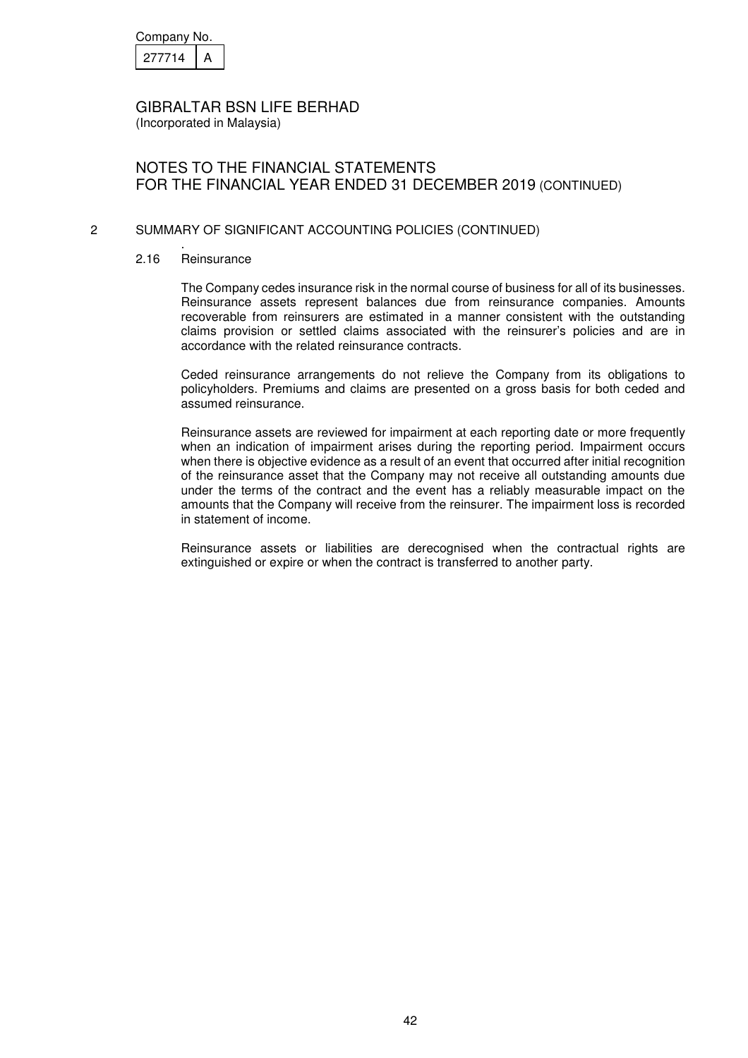| Company No. |  |
|-------------|--|
| 277714      |  |

(Incorporated in Malaysia)

## NOTES TO THE FINANCIAL STATEMENTS FOR THE FINANCIAL YEAR ENDED 31 DECEMBER 2019 (CONTINUED)

### 2 SUMMARY OF SIGNIFICANT ACCOUNTING POLICIES (CONTINUED)

. 2.16 Reinsurance

> The Company cedes insurance risk in the normal course of business for all of its businesses. Reinsurance assets represent balances due from reinsurance companies. Amounts recoverable from reinsurers are estimated in a manner consistent with the outstanding claims provision or settled claims associated with the reinsurer's policies and are in accordance with the related reinsurance contracts.

> Ceded reinsurance arrangements do not relieve the Company from its obligations to policyholders. Premiums and claims are presented on a gross basis for both ceded and assumed reinsurance.

> Reinsurance assets are reviewed for impairment at each reporting date or more frequently when an indication of impairment arises during the reporting period. Impairment occurs when there is objective evidence as a result of an event that occurred after initial recognition of the reinsurance asset that the Company may not receive all outstanding amounts due under the terms of the contract and the event has a reliably measurable impact on the amounts that the Company will receive from the reinsurer. The impairment loss is recorded in statement of income.

> Reinsurance assets or liabilities are derecognised when the contractual rights are extinguished or expire or when the contract is transferred to another party.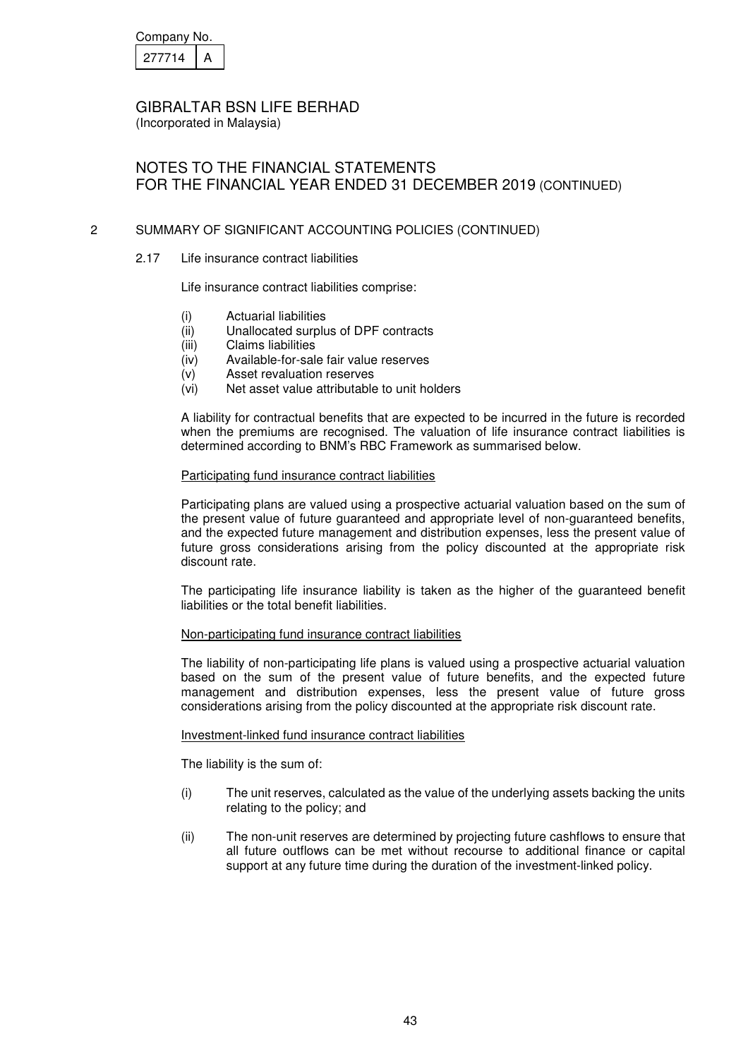| Company No. |  |
|-------------|--|
| 277714      |  |

(Incorporated in Malaysia)

# NOTES TO THE FINANCIAL STATEMENTS FOR THE FINANCIAL YEAR ENDED 31 DECEMBER 2019 (CONTINUED)

## 2 SUMMARY OF SIGNIFICANT ACCOUNTING POLICIES (CONTINUED)

2.17 Life insurance contract liabilities

Life insurance contract liabilities comprise:

- (i) Actuarial liabilities
- (ii) Unallocated surplus of DPF contracts
- (iii) Claims liabilities
- (iv) Available-for-sale fair value reserves
- (v) Asset revaluation reserves
- (vi) Net asset value attributable to unit holders

A liability for contractual benefits that are expected to be incurred in the future is recorded when the premiums are recognised. The valuation of life insurance contract liabilities is determined according to BNM's RBC Framework as summarised below.

#### Participating fund insurance contract liabilities

Participating plans are valued using a prospective actuarial valuation based on the sum of the present value of future guaranteed and appropriate level of non-guaranteed benefits, and the expected future management and distribution expenses, less the present value of future gross considerations arising from the policy discounted at the appropriate risk discount rate.

The participating life insurance liability is taken as the higher of the guaranteed benefit liabilities or the total benefit liabilities.

#### Non-participating fund insurance contract liabilities

The liability of non-participating life plans is valued using a prospective actuarial valuation based on the sum of the present value of future benefits, and the expected future management and distribution expenses, less the present value of future gross considerations arising from the policy discounted at the appropriate risk discount rate.

#### Investment-linked fund insurance contract liabilities

The liability is the sum of:

- (i) The unit reserves, calculated as the value of the underlying assets backing the units relating to the policy; and
- (ii) The non-unit reserves are determined by projecting future cashflows to ensure that all future outflows can be met without recourse to additional finance or capital support at any future time during the duration of the investment-linked policy.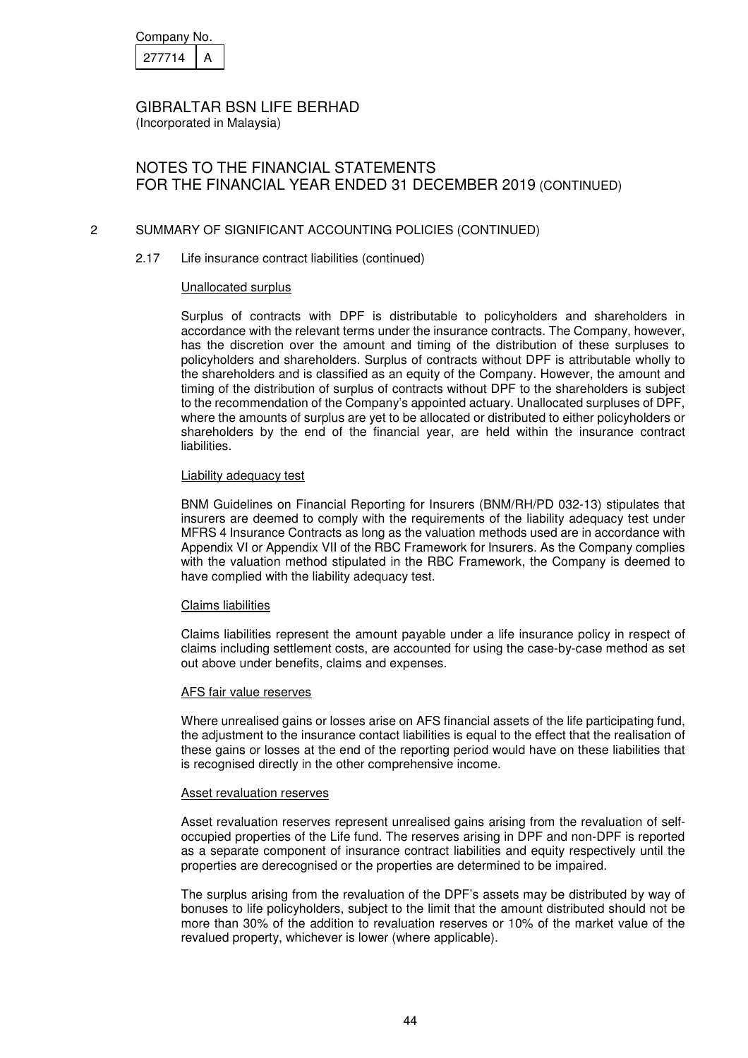| Company No. |  |
|-------------|--|
| 277714      |  |

(Incorporated in Malaysia)

# NOTES TO THE FINANCIAL STATEMENTS FOR THE FINANCIAL YEAR ENDED 31 DECEMBER 2019 (CONTINUED)

## 2 SUMMARY OF SIGNIFICANT ACCOUNTING POLICIES (CONTINUED)

### 2.17 Life insurance contract liabilities (continued)

#### Unallocated surplus

Surplus of contracts with DPF is distributable to policyholders and shareholders in accordance with the relevant terms under the insurance contracts. The Company, however, has the discretion over the amount and timing of the distribution of these surpluses to policyholders and shareholders. Surplus of contracts without DPF is attributable wholly to the shareholders and is classified as an equity of the Company. However, the amount and timing of the distribution of surplus of contracts without DPF to the shareholders is subject to the recommendation of the Company's appointed actuary. Unallocated surpluses of DPF, where the amounts of surplus are yet to be allocated or distributed to either policyholders or shareholders by the end of the financial year, are held within the insurance contract liabilities.

#### Liability adequacy test

BNM Guidelines on Financial Reporting for Insurers (BNM/RH/PD 032-13) stipulates that insurers are deemed to comply with the requirements of the liability adequacy test under MFRS 4 Insurance Contracts as long as the valuation methods used are in accordance with Appendix VI or Appendix VII of the RBC Framework for Insurers. As the Company complies with the valuation method stipulated in the RBC Framework, the Company is deemed to have complied with the liability adequacy test.

#### Claims liabilities

Claims liabilities represent the amount payable under a life insurance policy in respect of claims including settlement costs, are accounted for using the case-by-case method as set out above under benefits, claims and expenses.

### AFS fair value reserves

Where unrealised gains or losses arise on AFS financial assets of the life participating fund, the adjustment to the insurance contact liabilities is equal to the effect that the realisation of these gains or losses at the end of the reporting period would have on these liabilities that is recognised directly in the other comprehensive income.

#### Asset revaluation reserves

Asset revaluation reserves represent unrealised gains arising from the revaluation of selfoccupied properties of the Life fund. The reserves arising in DPF and non-DPF is reported as a separate component of insurance contract liabilities and equity respectively until the properties are derecognised or the properties are determined to be impaired.

The surplus arising from the revaluation of the DPF's assets may be distributed by way of bonuses to life policyholders, subject to the limit that the amount distributed should not be more than 30% of the addition to revaluation reserves or 10% of the market value of the revalued property, whichever is lower (where applicable).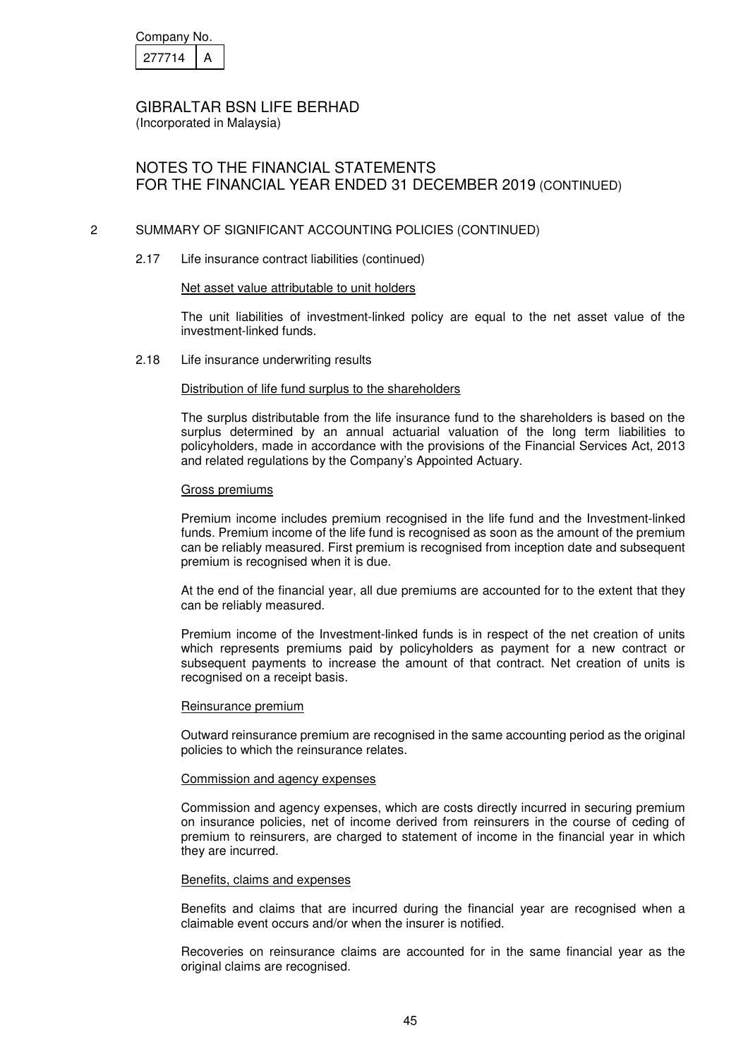| Company No. |  |
|-------------|--|
| 277714      |  |

(Incorporated in Malaysia)

# NOTES TO THE FINANCIAL STATEMENTS FOR THE FINANCIAL YEAR ENDED 31 DECEMBER 2019 (CONTINUED)

### 2 SUMMARY OF SIGNIFICANT ACCOUNTING POLICIES (CONTINUED)

2.17 Life insurance contract liabilities (continued)

#### Net asset value attributable to unit holders

The unit liabilities of investment-linked policy are equal to the net asset value of the investment-linked funds.

2.18 Life insurance underwriting results

#### Distribution of life fund surplus to the shareholders

The surplus distributable from the life insurance fund to the shareholders is based on the surplus determined by an annual actuarial valuation of the long term liabilities to policyholders, made in accordance with the provisions of the Financial Services Act, 2013 and related regulations by the Company's Appointed Actuary.

#### Gross premiums

Premium income includes premium recognised in the life fund and the Investment-linked funds. Premium income of the life fund is recognised as soon as the amount of the premium can be reliably measured. First premium is recognised from inception date and subsequent premium is recognised when it is due.

At the end of the financial year, all due premiums are accounted for to the extent that they can be reliably measured.

Premium income of the Investment-linked funds is in respect of the net creation of units which represents premiums paid by policyholders as payment for a new contract or subsequent payments to increase the amount of that contract. Net creation of units is recognised on a receipt basis.

#### Reinsurance premium

Outward reinsurance premium are recognised in the same accounting period as the original policies to which the reinsurance relates.

#### Commission and agency expenses

Commission and agency expenses, which are costs directly incurred in securing premium on insurance policies, net of income derived from reinsurers in the course of ceding of premium to reinsurers, are charged to statement of income in the financial year in which they are incurred.

#### Benefits, claims and expenses

Benefits and claims that are incurred during the financial year are recognised when a claimable event occurs and/or when the insurer is notified.

Recoveries on reinsurance claims are accounted for in the same financial year as the original claims are recognised.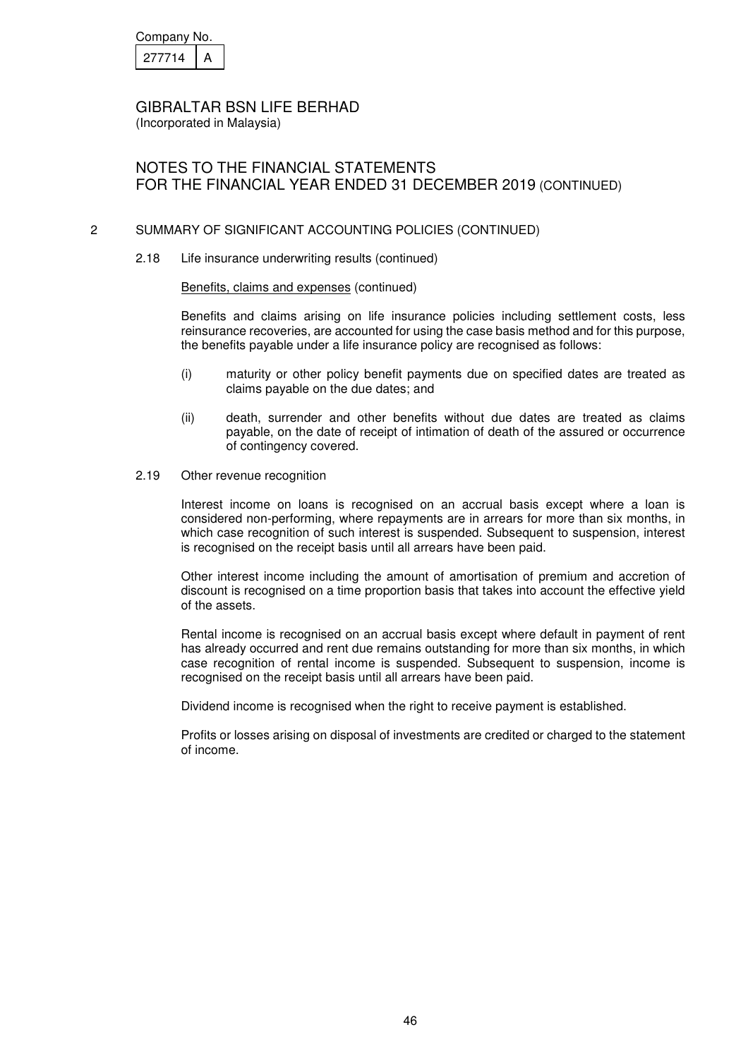| Company No. |  |
|-------------|--|
| 277714      |  |

(Incorporated in Malaysia)

# NOTES TO THE FINANCIAL STATEMENTS FOR THE FINANCIAL YEAR ENDED 31 DECEMBER 2019 (CONTINUED)

### 2 SUMMARY OF SIGNIFICANT ACCOUNTING POLICIES (CONTINUED)

2.18 Life insurance underwriting results (continued)

#### Benefits, claims and expenses (continued)

Benefits and claims arising on life insurance policies including settlement costs, less reinsurance recoveries, are accounted for using the case basis method and for this purpose, the benefits payable under a life insurance policy are recognised as follows:

- (i) maturity or other policy benefit payments due on specified dates are treated as claims payable on the due dates; and
- (ii) death, surrender and other benefits without due dates are treated as claims payable, on the date of receipt of intimation of death of the assured or occurrence of contingency covered.
- 2.19 Other revenue recognition

Interest income on loans is recognised on an accrual basis except where a loan is considered non-performing, where repayments are in arrears for more than six months, in which case recognition of such interest is suspended. Subsequent to suspension, interest is recognised on the receipt basis until all arrears have been paid.

Other interest income including the amount of amortisation of premium and accretion of discount is recognised on a time proportion basis that takes into account the effective yield of the assets.

 Rental income is recognised on an accrual basis except where default in payment of rent has already occurred and rent due remains outstanding for more than six months, in which case recognition of rental income is suspended. Subsequent to suspension, income is recognised on the receipt basis until all arrears have been paid.

Dividend income is recognised when the right to receive payment is established.

Profits or losses arising on disposal of investments are credited or charged to the statement of income.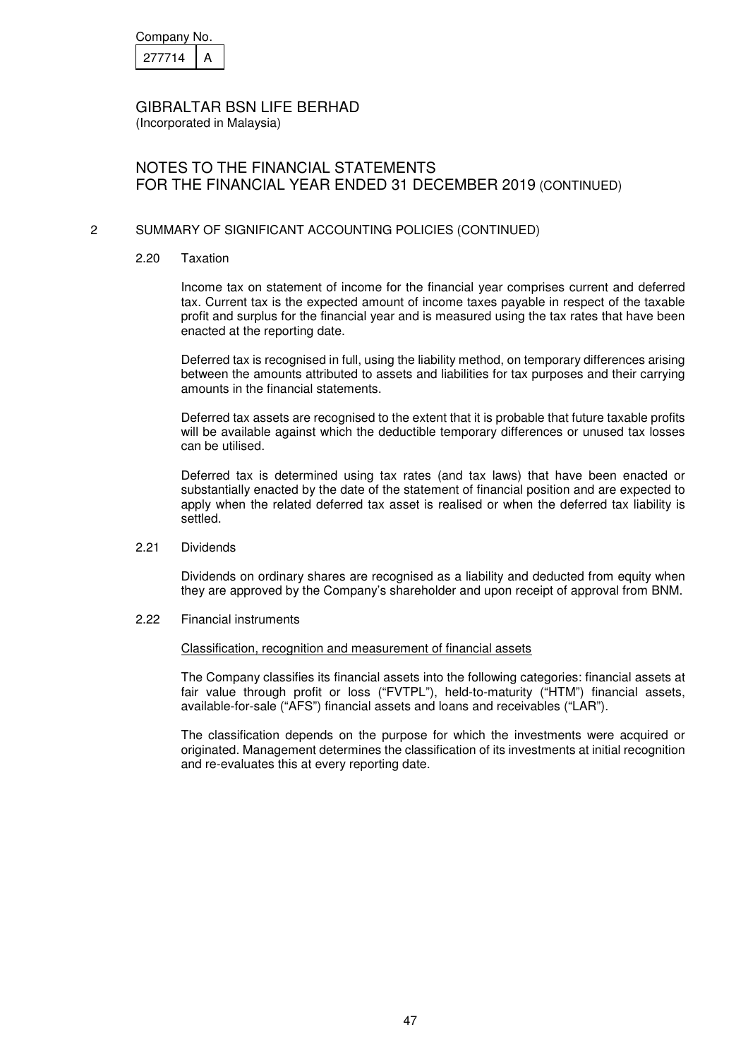| Company No. |  |
|-------------|--|
| 277714      |  |

(Incorporated in Malaysia)

# NOTES TO THE FINANCIAL STATEMENTS FOR THE FINANCIAL YEAR ENDED 31 DECEMBER 2019 (CONTINUED)

### 2 SUMMARY OF SIGNIFICANT ACCOUNTING POLICIES (CONTINUED)

2.20 Taxation

Income tax on statement of income for the financial year comprises current and deferred tax. Current tax is the expected amount of income taxes payable in respect of the taxable profit and surplus for the financial year and is measured using the tax rates that have been enacted at the reporting date.

Deferred tax is recognised in full, using the liability method, on temporary differences arising between the amounts attributed to assets and liabilities for tax purposes and their carrying amounts in the financial statements.

Deferred tax assets are recognised to the extent that it is probable that future taxable profits will be available against which the deductible temporary differences or unused tax losses can be utilised.

Deferred tax is determined using tax rates (and tax laws) that have been enacted or substantially enacted by the date of the statement of financial position and are expected to apply when the related deferred tax asset is realised or when the deferred tax liability is settled.

2.21 Dividends

 Dividends on ordinary shares are recognised as a liability and deducted from equity when they are approved by the Company's shareholder and upon receipt of approval from BNM.

2.22 Financial instruments

### Classification, recognition and measurement of financial assets

 The Company classifies its financial assets into the following categories: financial assets at fair value through profit or loss ("FVTPL"), held-to-maturity ("HTM") financial assets, available-for-sale ("AFS") financial assets and loans and receivables ("LAR").

 The classification depends on the purpose for which the investments were acquired or originated. Management determines the classification of its investments at initial recognition and re-evaluates this at every reporting date.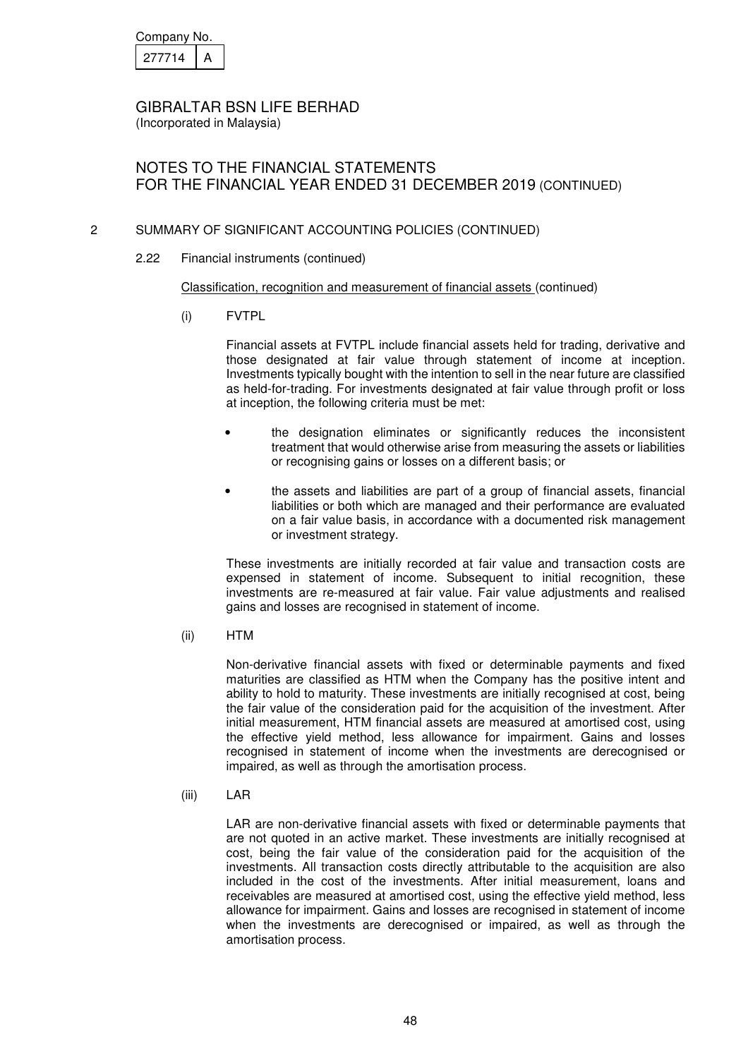| Company No. |  |
|-------------|--|
| 277714      |  |

NOTES TO THE FINANCIAL STATEMENTS FOR THE FINANCIAL YEAR ENDED 31 DECEMBER 2019 (CONTINUED)

# 2 SUMMARY OF SIGNIFICANT ACCOUNTING POLICIES (CONTINUED)

2.22 Financial instruments (continued)

#### Classification, recognition and measurement of financial assets (continued)

(i) FVTPL

 Financial assets at FVTPL include financial assets held for trading, derivative and those designated at fair value through statement of income at inception. Investments typically bought with the intention to sell in the near future are classified as held-for-trading. For investments designated at fair value through profit or loss at inception, the following criteria must be met:

- the designation eliminates or significantly reduces the inconsistent treatment that would otherwise arise from measuring the assets or liabilities or recognising gains or losses on a different basis; or
- the assets and liabilities are part of a group of financial assets, financial liabilities or both which are managed and their performance are evaluated on a fair value basis, in accordance with a documented risk management or investment strategy.

These investments are initially recorded at fair value and transaction costs are expensed in statement of income. Subsequent to initial recognition, these investments are re-measured at fair value. Fair value adjustments and realised gains and losses are recognised in statement of income.

(ii) HTM

 Non-derivative financial assets with fixed or determinable payments and fixed maturities are classified as HTM when the Company has the positive intent and ability to hold to maturity. These investments are initially recognised at cost, being the fair value of the consideration paid for the acquisition of the investment. After initial measurement, HTM financial assets are measured at amortised cost, using the effective yield method, less allowance for impairment. Gains and losses recognised in statement of income when the investments are derecognised or impaired, as well as through the amortisation process.

(iii) LAR

 LAR are non-derivative financial assets with fixed or determinable payments that are not quoted in an active market. These investments are initially recognised at cost, being the fair value of the consideration paid for the acquisition of the investments. All transaction costs directly attributable to the acquisition are also included in the cost of the investments. After initial measurement, loans and receivables are measured at amortised cost, using the effective yield method, less allowance for impairment. Gains and losses are recognised in statement of income when the investments are derecognised or impaired, as well as through the amortisation process.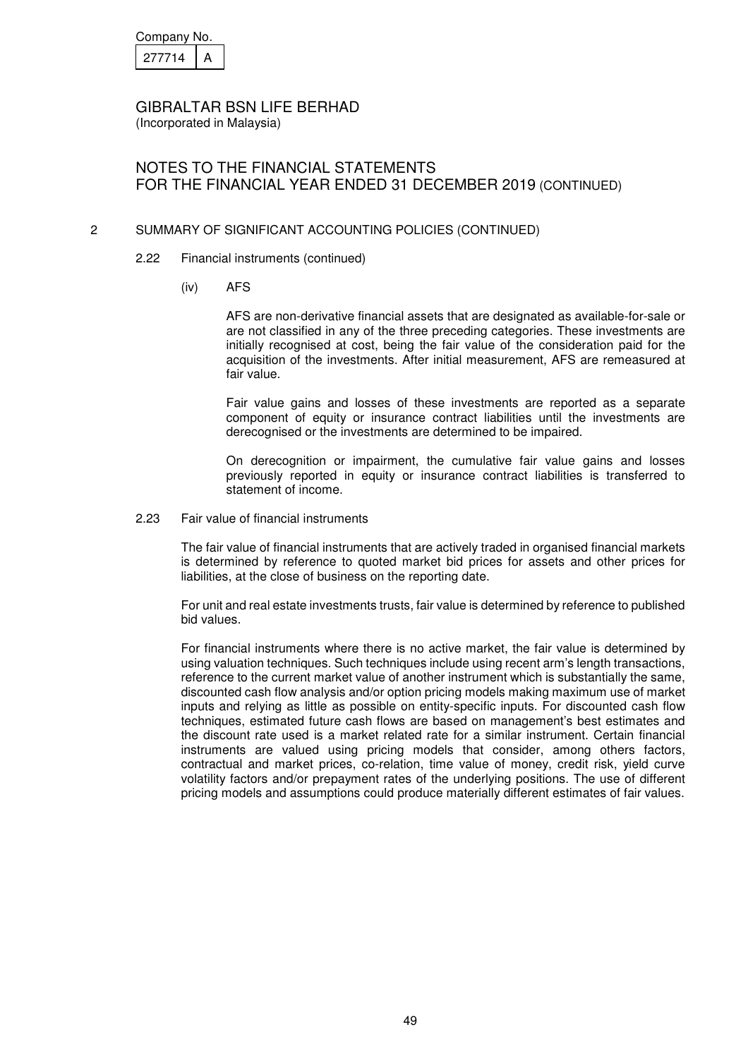| Company No. |  |
|-------------|--|
| 277714      |  |

(Incorporated in Malaysia)

# NOTES TO THE FINANCIAL STATEMENTS FOR THE FINANCIAL YEAR ENDED 31 DECEMBER 2019 (CONTINUED)

## 2 SUMMARY OF SIGNIFICANT ACCOUNTING POLICIES (CONTINUED)

- 2.22 Financial instruments (continued)
	- (iv) AFS

 AFS are non-derivative financial assets that are designated as available-for-sale or are not classified in any of the three preceding categories. These investments are initially recognised at cost, being the fair value of the consideration paid for the acquisition of the investments. After initial measurement, AFS are remeasured at fair value.

 Fair value gains and losses of these investments are reported as a separate component of equity or insurance contract liabilities until the investments are derecognised or the investments are determined to be impaired.

 On derecognition or impairment, the cumulative fair value gains and losses previously reported in equity or insurance contract liabilities is transferred to statement of income.

2.23 Fair value of financial instruments

The fair value of financial instruments that are actively traded in organised financial markets is determined by reference to quoted market bid prices for assets and other prices for liabilities, at the close of business on the reporting date.

For unit and real estate investments trusts, fair value is determined by reference to published bid values.

For financial instruments where there is no active market, the fair value is determined by using valuation techniques. Such techniques include using recent arm's length transactions, reference to the current market value of another instrument which is substantially the same, discounted cash flow analysis and/or option pricing models making maximum use of market inputs and relying as little as possible on entity-specific inputs. For discounted cash flow techniques, estimated future cash flows are based on management's best estimates and the discount rate used is a market related rate for a similar instrument. Certain financial instruments are valued using pricing models that consider, among others factors, contractual and market prices, co-relation, time value of money, credit risk, yield curve volatility factors and/or prepayment rates of the underlying positions. The use of different pricing models and assumptions could produce materially different estimates of fair values.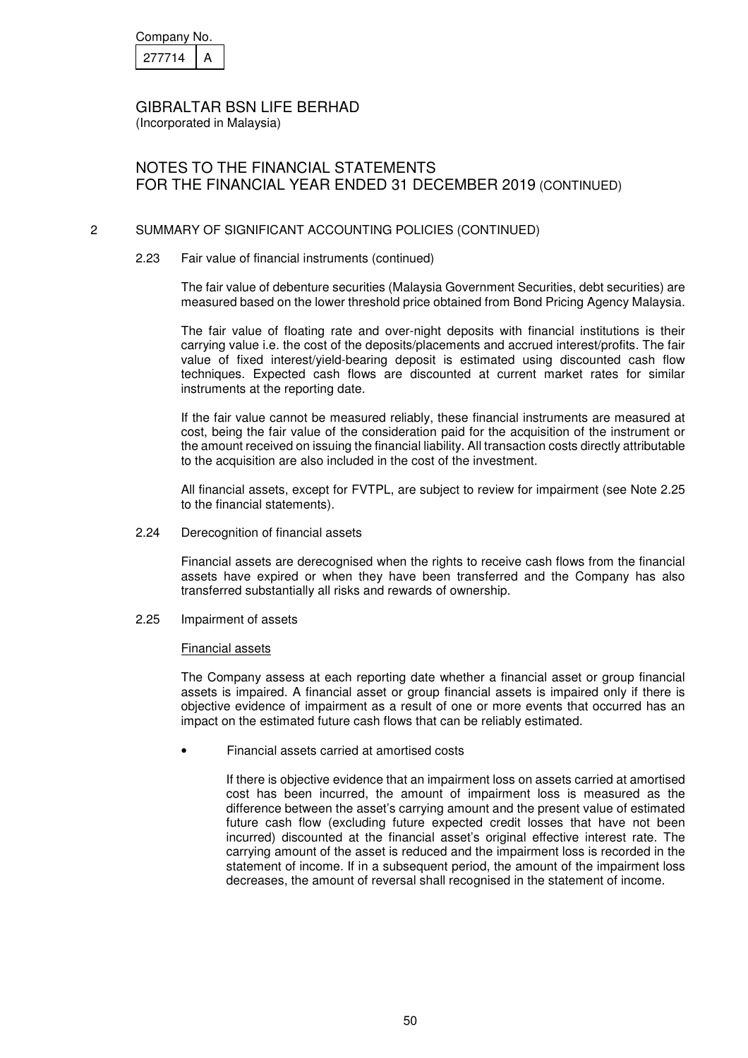| Company No. |  |
|-------------|--|
| 277714      |  |

(Incorporated in Malaysia)

# NOTES TO THE FINANCIAL STATEMENTS FOR THE FINANCIAL YEAR ENDED 31 DECEMBER 2019 (CONTINUED)

### 2 SUMMARY OF SIGNIFICANT ACCOUNTING POLICIES (CONTINUED)

#### 2.23 Fair value of financial instruments (continued)

The fair value of debenture securities (Malaysia Government Securities, debt securities) are measured based on the lower threshold price obtained from Bond Pricing Agency Malaysia.

The fair value of floating rate and over-night deposits with financial institutions is their carrying value i.e. the cost of the deposits/placements and accrued interest/profits. The fair value of fixed interest/yield-bearing deposit is estimated using discounted cash flow techniques. Expected cash flows are discounted at current market rates for similar instruments at the reporting date.

If the fair value cannot be measured reliably, these financial instruments are measured at cost, being the fair value of the consideration paid for the acquisition of the instrument or the amount received on issuing the financial liability. All transaction costs directly attributable to the acquisition are also included in the cost of the investment.

All financial assets, except for FVTPL, are subject to review for impairment (see Note 2.25 to the financial statements).

#### 2.24 Derecognition of financial assets

Financial assets are derecognised when the rights to receive cash flows from the financial assets have expired or when they have been transferred and the Company has also transferred substantially all risks and rewards of ownership.

2.25 Impairment of assets

### Financial assets

The Company assess at each reporting date whether a financial asset or group financial assets is impaired. A financial asset or group financial assets is impaired only if there is objective evidence of impairment as a result of one or more events that occurred has an impact on the estimated future cash flows that can be reliably estimated.

• Financial assets carried at amortised costs

If there is objective evidence that an impairment loss on assets carried at amortised cost has been incurred, the amount of impairment loss is measured as the difference between the asset's carrying amount and the present value of estimated future cash flow (excluding future expected credit losses that have not been incurred) discounted at the financial asset's original effective interest rate. The carrying amount of the asset is reduced and the impairment loss is recorded in the statement of income. If in a subsequent period, the amount of the impairment loss decreases, the amount of reversal shall recognised in the statement of income.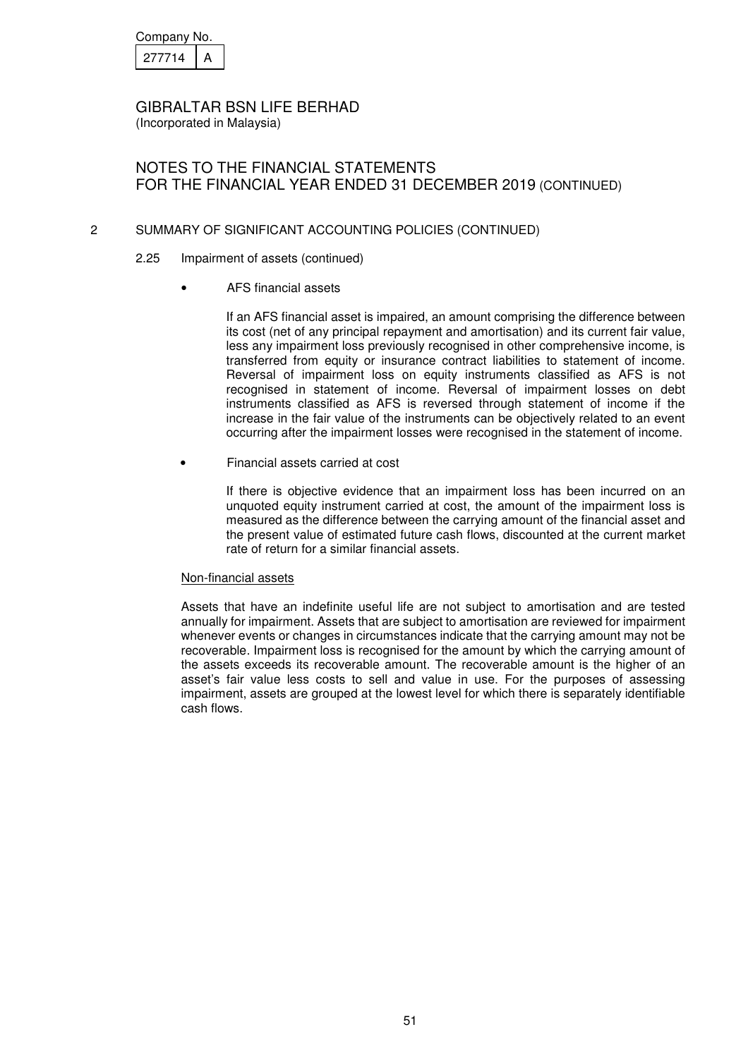| Company No. |  |
|-------------|--|
| 27714       |  |

(Incorporated in Malaysia)

# NOTES TO THE FINANCIAL STATEMENTS FOR THE FINANCIAL YEAR ENDED 31 DECEMBER 2019 (CONTINUED)

## 2 SUMMARY OF SIGNIFICANT ACCOUNTING POLICIES (CONTINUED)

- 2.25 Impairment of assets (continued)
	- AFS financial assets

 If an AFS financial asset is impaired, an amount comprising the difference between its cost (net of any principal repayment and amortisation) and its current fair value, less any impairment loss previously recognised in other comprehensive income, is transferred from equity or insurance contract liabilities to statement of income. Reversal of impairment loss on equity instruments classified as AFS is not recognised in statement of income. Reversal of impairment losses on debt instruments classified as AFS is reversed through statement of income if the increase in the fair value of the instruments can be objectively related to an event occurring after the impairment losses were recognised in the statement of income.

• Financial assets carried at cost

If there is objective evidence that an impairment loss has been incurred on an unquoted equity instrument carried at cost, the amount of the impairment loss is measured as the difference between the carrying amount of the financial asset and the present value of estimated future cash flows, discounted at the current market rate of return for a similar financial assets.

#### Non-financial assets

Assets that have an indefinite useful life are not subject to amortisation and are tested annually for impairment. Assets that are subject to amortisation are reviewed for impairment whenever events or changes in circumstances indicate that the carrying amount may not be recoverable. Impairment loss is recognised for the amount by which the carrying amount of the assets exceeds its recoverable amount. The recoverable amount is the higher of an asset's fair value less costs to sell and value in use. For the purposes of assessing impairment, assets are grouped at the lowest level for which there is separately identifiable cash flows.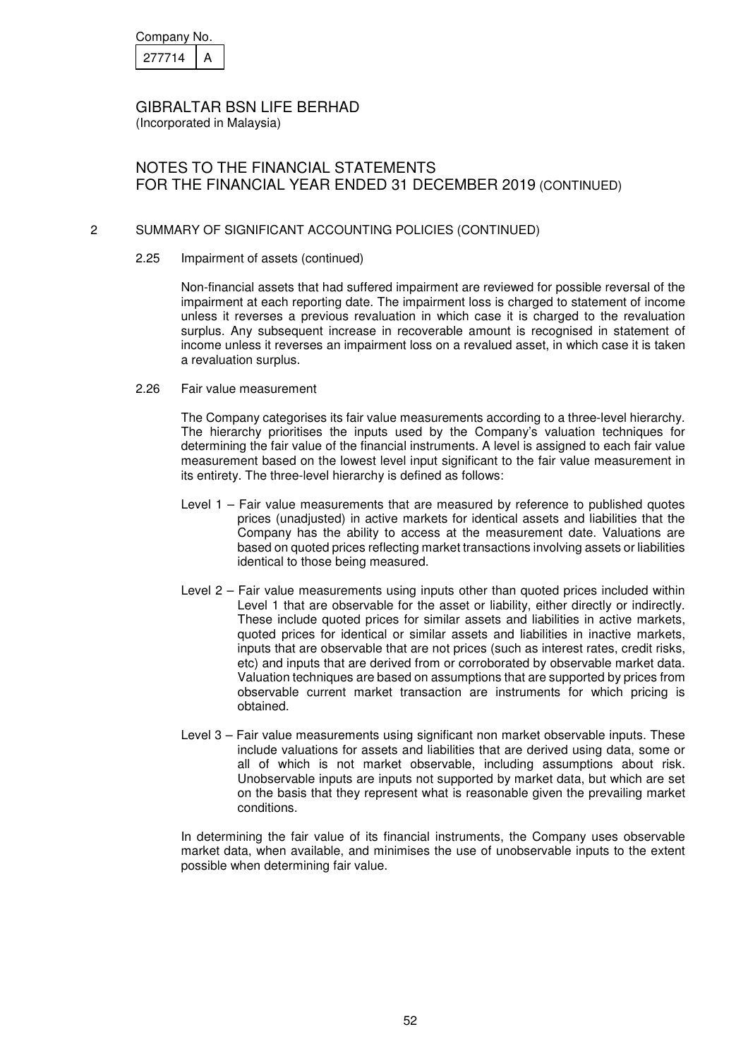| Company No. |  |
|-------------|--|
| 277714      |  |

(Incorporated in Malaysia)

# NOTES TO THE FINANCIAL STATEMENTS FOR THE FINANCIAL YEAR ENDED 31 DECEMBER 2019 (CONTINUED)

### 2 SUMMARY OF SIGNIFICANT ACCOUNTING POLICIES (CONTINUED)

2.25 Impairment of assets (continued)

 Non-financial assets that had suffered impairment are reviewed for possible reversal of the impairment at each reporting date. The impairment loss is charged to statement of income unless it reverses a previous revaluation in which case it is charged to the revaluation surplus. Any subsequent increase in recoverable amount is recognised in statement of income unless it reverses an impairment loss on a revalued asset, in which case it is taken a revaluation surplus.

2.26 Fair value measurement

The Company categorises its fair value measurements according to a three-level hierarchy. The hierarchy prioritises the inputs used by the Company's valuation techniques for determining the fair value of the financial instruments. A level is assigned to each fair value measurement based on the lowest level input significant to the fair value measurement in its entirety. The three-level hierarchy is defined as follows:

- Level 1 Fair value measurements that are measured by reference to published quotes prices (unadjusted) in active markets for identical assets and liabilities that the Company has the ability to access at the measurement date. Valuations are based on quoted prices reflecting market transactions involving assets or liabilities identical to those being measured.
- Level 2 Fair value measurements using inputs other than quoted prices included within Level 1 that are observable for the asset or liability, either directly or indirectly. These include quoted prices for similar assets and liabilities in active markets, quoted prices for identical or similar assets and liabilities in inactive markets, inputs that are observable that are not prices (such as interest rates, credit risks, etc) and inputs that are derived from or corroborated by observable market data. Valuation techniques are based on assumptions that are supported by prices from observable current market transaction are instruments for which pricing is obtained.
- Level 3 Fair value measurements using significant non market observable inputs. These include valuations for assets and liabilities that are derived using data, some or all of which is not market observable, including assumptions about risk. Unobservable inputs are inputs not supported by market data, but which are set on the basis that they represent what is reasonable given the prevailing market conditions.

In determining the fair value of its financial instruments, the Company uses observable market data, when available, and minimises the use of unobservable inputs to the extent possible when determining fair value.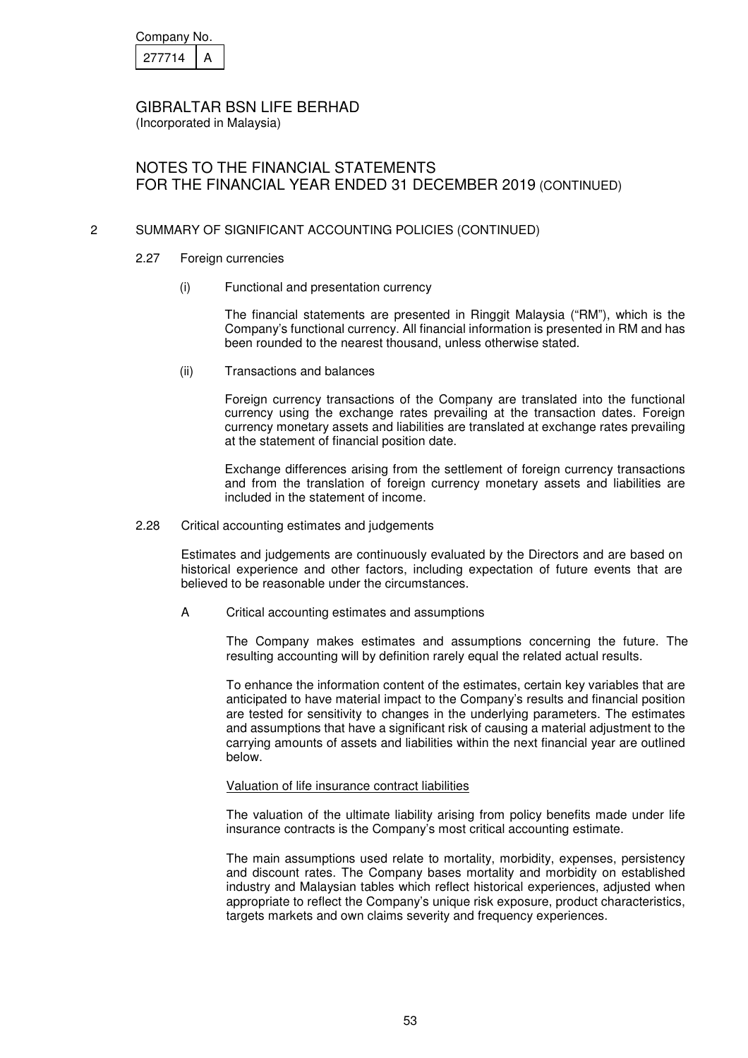| Company No. |  |
|-------------|--|
| 277714      |  |

(Incorporated in Malaysia)

# NOTES TO THE FINANCIAL STATEMENTS FOR THE FINANCIAL YEAR ENDED 31 DECEMBER 2019 (CONTINUED)

## 2 SUMMARY OF SIGNIFICANT ACCOUNTING POLICIES (CONTINUED)

- 2.27 Foreign currencies
	- (i) Functional and presentation currency

 The financial statements are presented in Ringgit Malaysia ("RM"), which is the Company's functional currency. All financial information is presented in RM and has been rounded to the nearest thousand, unless otherwise stated.

(ii) Transactions and balances

 Foreign currency transactions of the Company are translated into the functional currency using the exchange rates prevailing at the transaction dates. Foreign currency monetary assets and liabilities are translated at exchange rates prevailing at the statement of financial position date.

 Exchange differences arising from the settlement of foreign currency transactions and from the translation of foreign currency monetary assets and liabilities are included in the statement of income.

2.28 Critical accounting estimates and judgements

Estimates and judgements are continuously evaluated by the Directors and are based on historical experience and other factors, including expectation of future events that are believed to be reasonable under the circumstances.

A Critical accounting estimates and assumptions

The Company makes estimates and assumptions concerning the future. The resulting accounting will by definition rarely equal the related actual results.

To enhance the information content of the estimates, certain key variables that are anticipated to have material impact to the Company's results and financial position are tested for sensitivity to changes in the underlying parameters. The estimates and assumptions that have a significant risk of causing a material adjustment to the carrying amounts of assets and liabilities within the next financial year are outlined below.

### Valuation of life insurance contract liabilities

The valuation of the ultimate liability arising from policy benefits made under life insurance contracts is the Company's most critical accounting estimate.

The main assumptions used relate to mortality, morbidity, expenses, persistency and discount rates. The Company bases mortality and morbidity on established industry and Malaysian tables which reflect historical experiences, adjusted when appropriate to reflect the Company's unique risk exposure, product characteristics, targets markets and own claims severity and frequency experiences.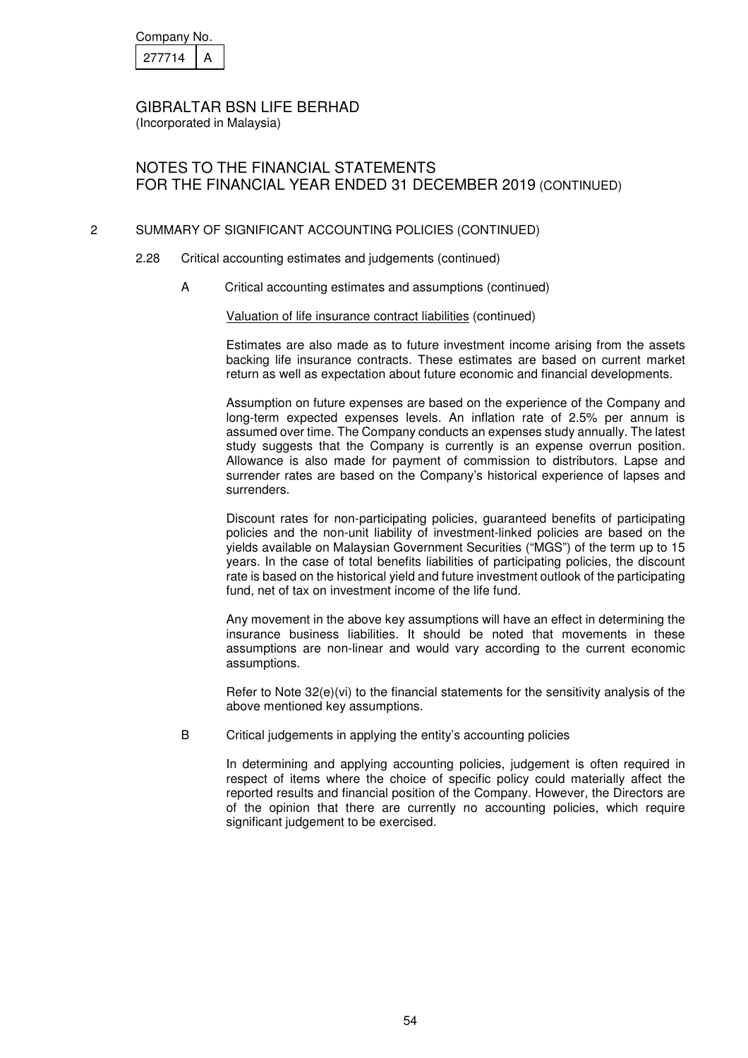| Company No. |  |
|-------------|--|
| 27714       |  |

# NOTES TO THE FINANCIAL STATEMENTS FOR THE FINANCIAL YEAR ENDED 31 DECEMBER 2019 (CONTINUED)

## 2 SUMMARY OF SIGNIFICANT ACCOUNTING POLICIES (CONTINUED)

- 2.28 Critical accounting estimates and judgements (continued)
	- A Critical accounting estimates and assumptions (continued)

Valuation of life insurance contract liabilities (continued)

Estimates are also made as to future investment income arising from the assets backing life insurance contracts. These estimates are based on current market return as well as expectation about future economic and financial developments.

Assumption on future expenses are based on the experience of the Company and long-term expected expenses levels. An inflation rate of 2.5% per annum is assumed over time. The Company conducts an expenses study annually. The latest study suggests that the Company is currently is an expense overrun position. Allowance is also made for payment of commission to distributors. Lapse and surrender rates are based on the Company's historical experience of lapses and surrenders.

Discount rates for non-participating policies, guaranteed benefits of participating policies and the non-unit liability of investment-linked policies are based on the yields available on Malaysian Government Securities ("MGS") of the term up to 15 years. In the case of total benefits liabilities of participating policies, the discount rate is based on the historical yield and future investment outlook of the participating fund, net of tax on investment income of the life fund.

Any movement in the above key assumptions will have an effect in determining the insurance business liabilities. It should be noted that movements in these assumptions are non-linear and would vary according to the current economic assumptions.

Refer to Note 32(e)(vi) to the financial statements for the sensitivity analysis of the above mentioned key assumptions.

B Critical judgements in applying the entity's accounting policies

In determining and applying accounting policies, judgement is often required in respect of items where the choice of specific policy could materially affect the reported results and financial position of the Company. However, the Directors are of the opinion that there are currently no accounting policies, which require significant judgement to be exercised.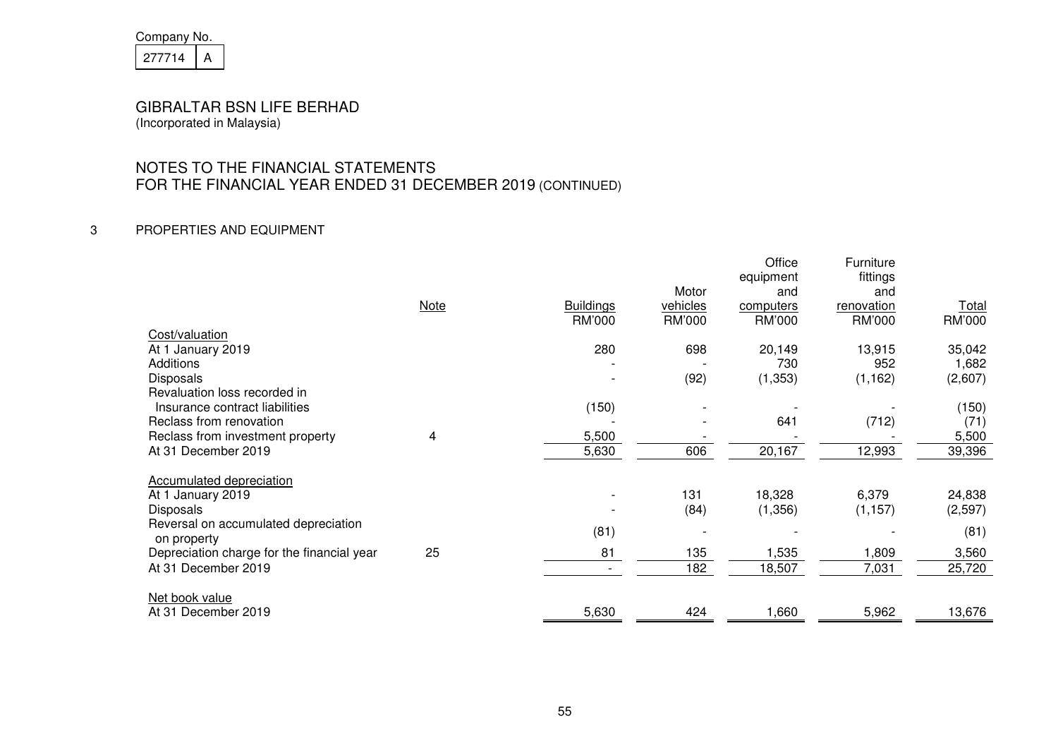| Company No. |  |
|-------------|--|
| 21/714      |  |

# NOTES TO THE FINANCIAL STATEMENTS FOR THE FINANCIAL YEAR ENDED 31 DECEMBER 2019 (CONTINUED)

## 3 PROPERTIES AND EQUIPMENT

|                                                     |             |                  |          | Office<br>equipment | Furniture<br>fittings |              |
|-----------------------------------------------------|-------------|------------------|----------|---------------------|-----------------------|--------------|
|                                                     |             |                  | Motor    | and                 | and                   |              |
|                                                     | <b>Note</b> | <b>Buildings</b> | vehicles | computers           | renovation            | <u>Total</u> |
|                                                     |             | RM'000           | RM'000   | RM'000              | RM'000                | RM'000       |
| Cost/valuation                                      |             |                  |          |                     |                       |              |
| At 1 January 2019                                   |             | 280              | 698      | 20,149              | 13,915                | 35,042       |
| Additions                                           |             |                  |          | 730                 | 952                   | 1,682        |
| <b>Disposals</b>                                    |             |                  | (92)     | (1,353)             | (1, 162)              | (2,607)      |
| Revaluation loss recorded in                        |             |                  |          |                     |                       |              |
| Insurance contract liabilities                      |             | (150)            |          |                     |                       | (150)        |
| Reclass from renovation                             |             |                  |          | 641                 | (712)                 | (71)         |
| Reclass from investment property                    | 4           | 5,500            |          |                     |                       | 5,500        |
| At 31 December 2019                                 |             | 5,630            | 606      | 20,167              | 12,993                | 39,396       |
|                                                     |             |                  |          |                     |                       |              |
| Accumulated depreciation                            |             |                  |          |                     |                       |              |
| At 1 January 2019                                   |             |                  | 131      | 18,328              | 6,379                 | 24,838       |
| <b>Disposals</b>                                    |             |                  | (84)     | (1, 356)            | (1, 157)              | (2, 597)     |
| Reversal on accumulated depreciation<br>on property |             | (81)             |          |                     |                       | (81)         |
| Depreciation charge for the financial year          | 25          | 81               | 135      | 1,535               | 1,809                 | 3,560        |
| At 31 December 2019                                 |             |                  | 182      | 18,507              | 7,031                 | 25,720       |
|                                                     |             |                  |          |                     |                       |              |
| Net book value                                      |             |                  |          |                     |                       |              |
| At 31 December 2019                                 |             | 5,630            | 424      | 1,660               | 5,962                 | 13,676       |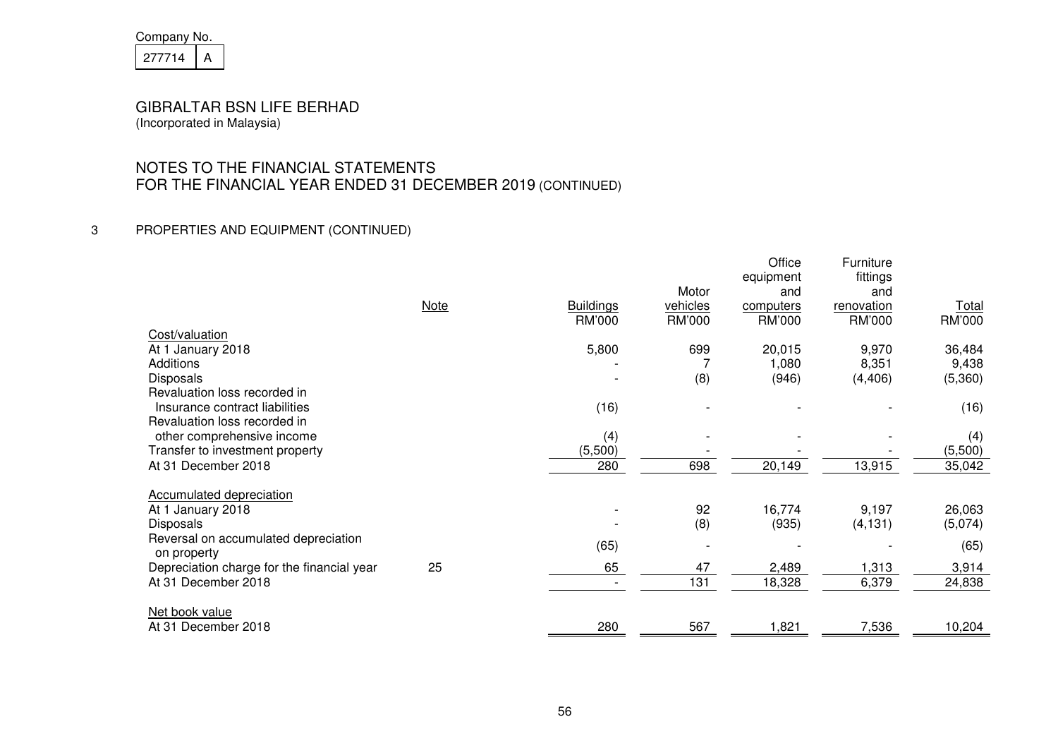| Company No. |  |
|-------------|--|
| 21/714      |  |

# NOTES TO THE FINANCIAL STATEMENTS FOR THE FINANCIAL YEAR ENDED 31 DECEMBER 2019 (CONTINUED)

## 3 PROPERTIES AND EQUIPMENT (CONTINUED)

|                                                           |             |                  |                          | Office        | Furniture  |              |
|-----------------------------------------------------------|-------------|------------------|--------------------------|---------------|------------|--------------|
|                                                           |             |                  | Motor                    | equipment     | fittings   |              |
|                                                           |             |                  |                          | and           | and        |              |
|                                                           | <b>Note</b> | <b>Buildings</b> | vehicles                 | computers     | renovation | <b>Total</b> |
|                                                           |             | RM'000           | RM'000                   | <b>RM'000</b> | RM'000     | RM'000       |
| Cost/valuation                                            |             |                  |                          |               |            |              |
| At 1 January 2018                                         |             | 5,800            | 699                      | 20,015        | 9,970      | 36,484       |
| Additions                                                 |             |                  |                          | 1,080         | 8,351      | 9,438        |
| Disposals                                                 |             |                  | (8)                      | (946)         | (4, 406)   | (5,360)      |
| Revaluation loss recorded in                              |             |                  |                          |               |            |              |
| Insurance contract liabilities                            |             | (16)             |                          |               |            | (16)         |
| Revaluation loss recorded in                              |             |                  |                          |               |            |              |
| other comprehensive income                                |             | (4)              |                          |               |            | (4)          |
| Transfer to investment property                           |             | (5,500)          |                          |               |            | (5,500)      |
| At 31 December 2018                                       |             | 280              | 698                      | 20,149        | 13,915     | 35,042       |
|                                                           |             |                  |                          |               |            |              |
| Accumulated depreciation                                  |             |                  |                          |               |            |              |
| At 1 January 2018                                         |             |                  | 92                       | 16,774        | 9,197      | 26,063       |
| <b>Disposals</b>                                          |             |                  | (8)                      | (935)         | (4, 131)   | (5,074)      |
| Reversal on accumulated depreciation                      |             |                  |                          |               |            |              |
|                                                           |             | (65)             | $\overline{\phantom{a}}$ |               |            | (65)         |
| on property<br>Depreciation charge for the financial year | 25          | 65               | 47                       | 2,489         | 1,313      | 3,914        |
|                                                           |             |                  |                          |               |            |              |
| At 31 December 2018                                       |             |                  | 131                      | 18,328        | 6,379      | 24,838       |
|                                                           |             |                  |                          |               |            |              |
| Net book value                                            |             |                  |                          |               |            |              |
| At 31 December 2018                                       |             | 280              | 567                      | 1,821         | 7,536      | 10,204       |
|                                                           |             |                  |                          |               |            |              |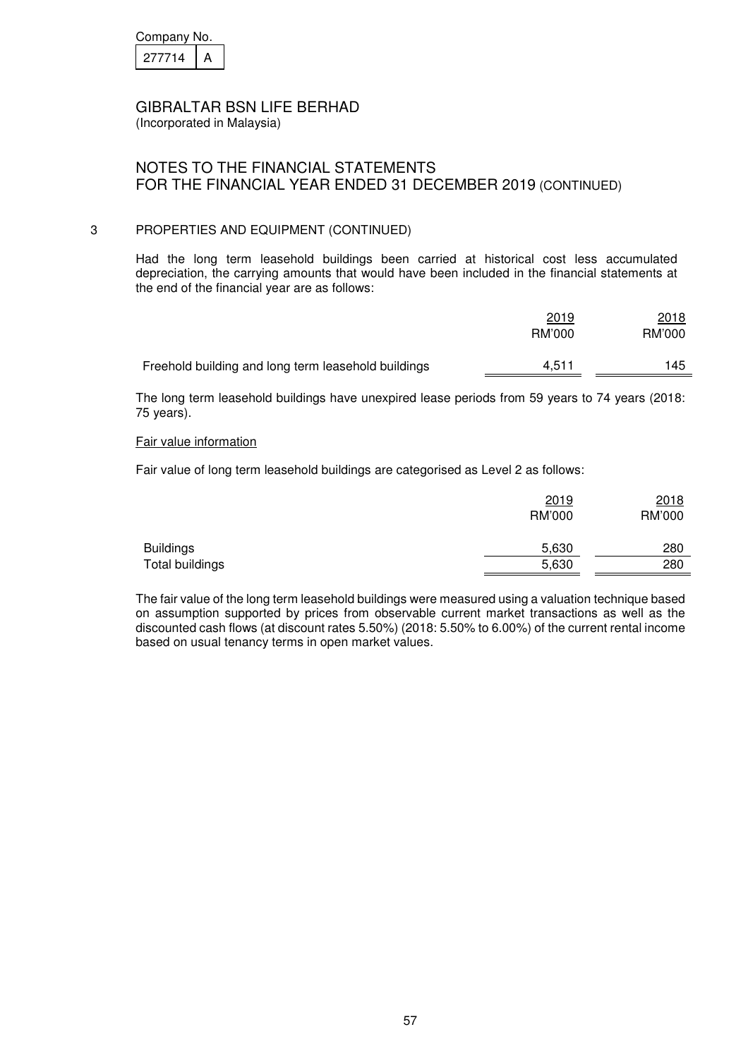| Company No. |  |  |
|-------------|--|--|
| 27714       |  |  |

(Incorporated in Malaysia)

# NOTES TO THE FINANCIAL STATEMENTS FOR THE FINANCIAL YEAR ENDED 31 DECEMBER 2019 (CONTINUED)

## 3 PROPERTIES AND EQUIPMENT (CONTINUED)

Had the long term leasehold buildings been carried at historical cost less accumulated depreciation, the carrying amounts that would have been included in the financial statements at the end of the financial year are as follows:

|                                                     | 2019<br>RM'000 | 2018<br>RM'000 |
|-----------------------------------------------------|----------------|----------------|
| Freehold building and long term leasehold buildings | 4.511          | 145            |

The long term leasehold buildings have unexpired lease periods from 59 years to 74 years (2018: 75 years).

#### Fair value information

Fair value of long term leasehold buildings are categorised as Level 2 as follows:

|                  | 2019<br>RM'000 | 2018<br>RM'000 |
|------------------|----------------|----------------|
| <b>Buildings</b> | 5,630          | 280            |
| Total buildings  | 5,630          | 280            |

The fair value of the long term leasehold buildings were measured using a valuation technique based on assumption supported by prices from observable current market transactions as well as the discounted cash flows (at discount rates 5.50%) (2018: 5.50% to 6.00%) of the current rental income based on usual tenancy terms in open market values.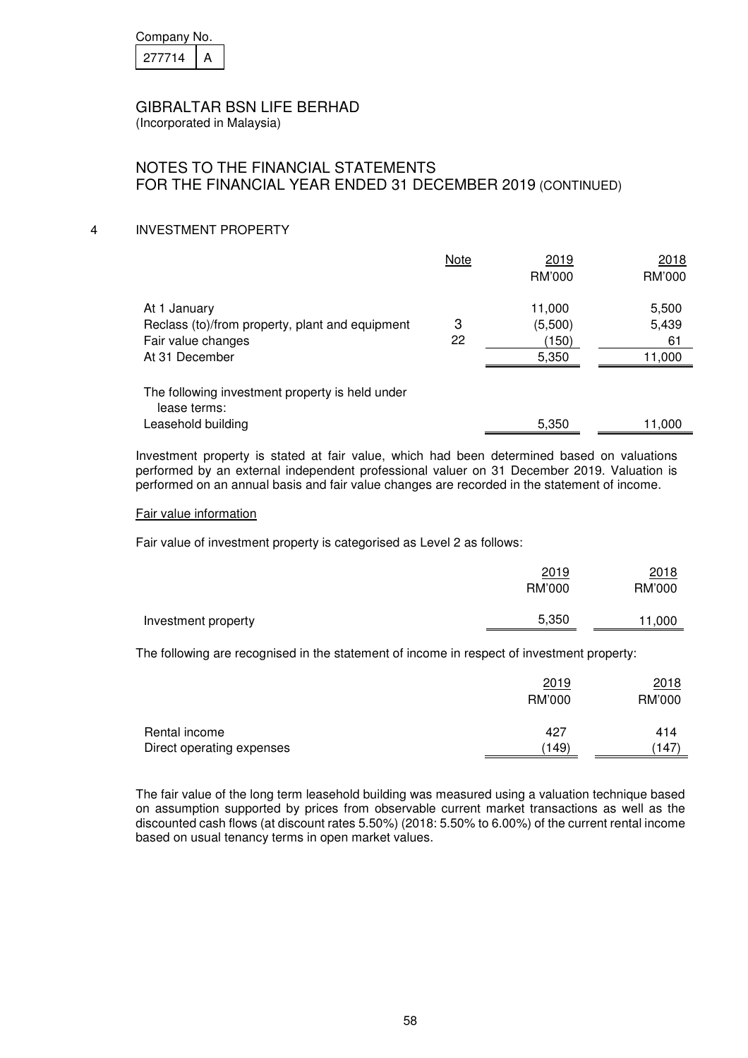| Company No. |  |
|-------------|--|
| 21/714      |  |

(Incorporated in Malaysia)

# NOTES TO THE FINANCIAL STATEMENTS FOR THE FINANCIAL YEAR ENDED 31 DECEMBER 2019 (CONTINUED)

## 4 INVESTMENT PROPERTY

|                                                 | Note | 2019    | 2018   |
|-------------------------------------------------|------|---------|--------|
|                                                 |      | RM'000  | RM'000 |
| At 1 January                                    |      | 11,000  | 5,500  |
| Reclass (to)/from property, plant and equipment | 3    | (5,500) | 5,439  |
| Fair value changes                              | 22   | (150)   | 61     |
| At 31 December                                  |      | 5,350   | 11,000 |
| The following investment property is held under |      |         |        |
| lease terms:                                    |      |         |        |
| Leasehold building                              |      | 5,350   | 11,000 |

Investment property is stated at fair value, which had been determined based on valuations performed by an external independent professional valuer on 31 December 2019. Valuation is performed on an annual basis and fair value changes are recorded in the statement of income.

#### Fair value information

Fair value of investment property is categorised as Level 2 as follows:

|                     | 2019<br>RM'000 | 2018<br>RM'000 |
|---------------------|----------------|----------------|
| Investment property | 5,350          | 11,000         |

The following are recognised in the statement of income in respect of investment property:

|                           | 2019<br>RM'000 | 2018<br>RM'000 |
|---------------------------|----------------|----------------|
| Rental income             | 427            | 414            |
| Direct operating expenses | (149)          | (147)          |

The fair value of the long term leasehold building was measured using a valuation technique based on assumption supported by prices from observable current market transactions as well as the discounted cash flows (at discount rates 5.50%) (2018: 5.50% to 6.00%) of the current rental income based on usual tenancy terms in open market values.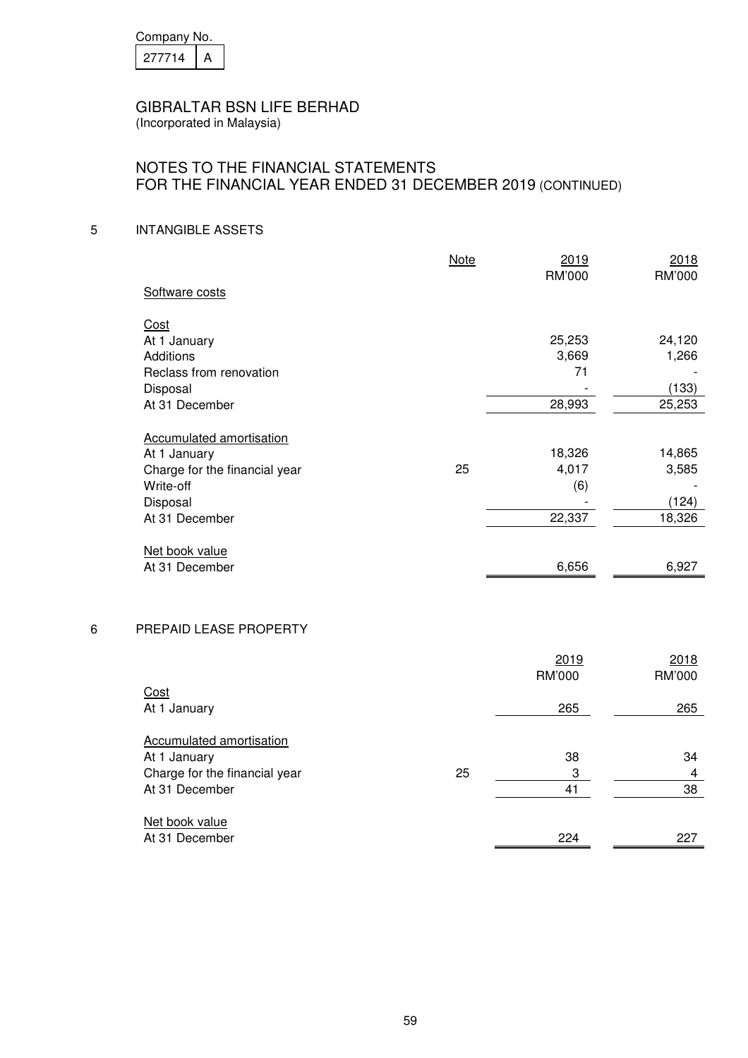| Company No. |  |  |
|-------------|--|--|
| 27714       |  |  |

## NOTES TO THE FINANCIAL STATEMENTS FOR THE FINANCIAL YEAR ENDED 31 DECEMBER 2019 (CONTINUED)

## 5 INTANGIBLE ASSETS

|                               | Note | 2019<br>RM'000 | 2018<br>RM'000 |
|-------------------------------|------|----------------|----------------|
| Software costs                |      |                |                |
| Cost                          |      |                |                |
| At 1 January                  |      | 25,253         | 24,120         |
| Additions                     |      | 3,669          | 1,266          |
| Reclass from renovation       |      | 71             |                |
| Disposal                      |      |                | (133)          |
| At 31 December                |      | 28,993         | 25,253         |
| Accumulated amortisation      |      |                |                |
| At 1 January                  |      | 18,326         | 14,865         |
| Charge for the financial year | 25   | 4,017          | 3,585          |
| Write-off                     |      | (6)            |                |
| Disposal                      |      |                | (124)          |
| At 31 December                |      | 22,337         | 18,326         |
| Net book value                |      |                |                |
| At 31 December                |      | 6,656          | 6,927          |

### 6 PREPAID LEASE PROPERTY

|                               |    | 2019   | 2018   |
|-------------------------------|----|--------|--------|
|                               |    | RM'000 | RM'000 |
| Cost                          |    |        |        |
| At 1 January                  |    | 265    | 265    |
|                               |    |        |        |
| Accumulated amortisation      |    |        |        |
| At 1 January                  |    | 38     | 34     |
|                               |    |        |        |
| Charge for the financial year | 25 | 3      | 4      |
| At 31 December                |    | 41     | 38     |
|                               |    |        |        |
| Net book value                |    |        |        |
| At 31 December                |    | 224    | 227    |
|                               |    |        |        |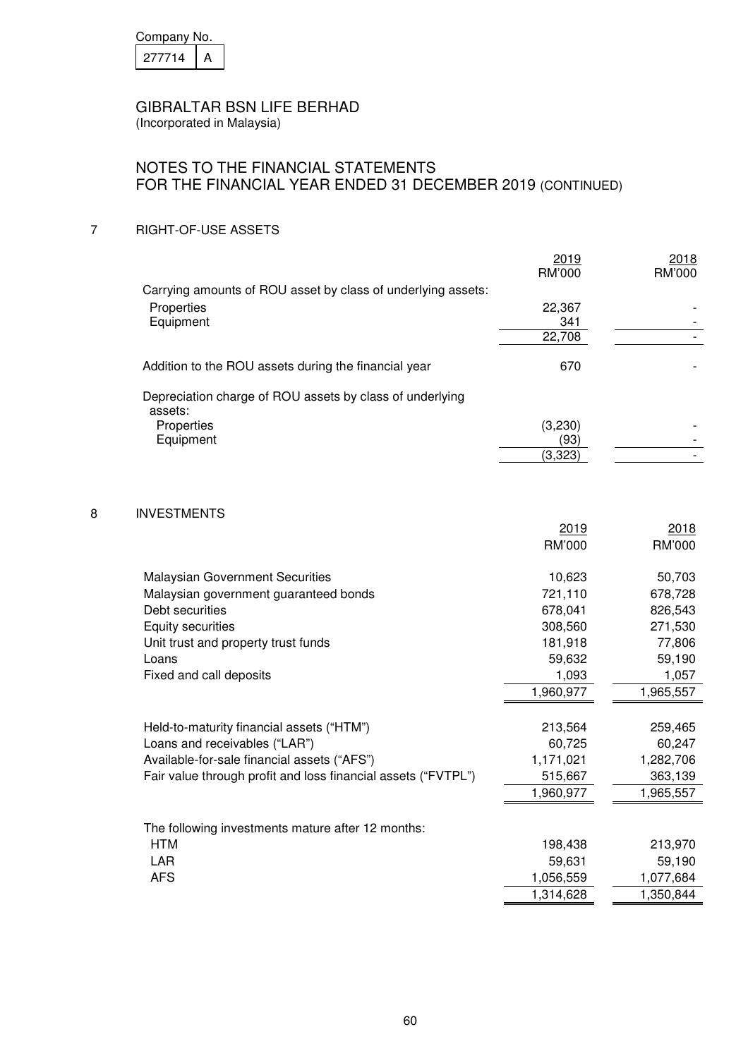| Company No. |  |  |
|-------------|--|--|
| 277714      |  |  |

(Incorporated in Malaysia)

## NOTES TO THE FINANCIAL STATEMENTS FOR THE FINANCIAL YEAR ENDED 31 DECEMBER 2019 (CONTINUED)

## 7 RIGHT-OF-USE ASSETS

|                                                                     | 2019<br>RM'000 | 2018<br>RM'000 |
|---------------------------------------------------------------------|----------------|----------------|
| Carrying amounts of ROU asset by class of underlying assets:        |                |                |
| Properties                                                          | 22,367         |                |
| Equipment                                                           | 341            |                |
|                                                                     | 22,708         |                |
| Addition to the ROU assets during the financial year                | 670            |                |
| Depreciation charge of ROU assets by class of underlying<br>assets: |                |                |
| Properties                                                          | (3,230)        |                |
| Equipment                                                           | (93)           |                |
|                                                                     | (3,323)        |                |

## 8 INVESTMENTS

|                                                               | 2019      | 2018      |
|---------------------------------------------------------------|-----------|-----------|
|                                                               | RM'000    | RM'000    |
| <b>Malaysian Government Securities</b>                        | 10,623    | 50,703    |
| Malaysian government guaranteed bonds                         | 721,110   | 678,728   |
| Debt securities                                               | 678,041   | 826,543   |
|                                                               |           |           |
| Equity securities                                             | 308,560   | 271,530   |
| Unit trust and property trust funds                           | 181,918   | 77,806    |
| Loans                                                         | 59,632    | 59,190    |
| Fixed and call deposits                                       | 1,093     | 1,057     |
|                                                               | 1,960,977 | 1,965,557 |
|                                                               |           |           |
| Held-to-maturity financial assets ("HTM")                     | 213,564   | 259,465   |
| Loans and receivables ("LAR")                                 | 60,725    | 60,247    |
| Available-for-sale financial assets ("AFS")                   | 1,171,021 | 1,282,706 |
| Fair value through profit and loss financial assets ("FVTPL") | 515,667   | 363,139   |
|                                                               | 1,960,977 | 1,965,557 |
|                                                               |           |           |
| The following investments mature after 12 months:             |           |           |
| <b>HTM</b>                                                    | 198,438   | 213,970   |
| LAR                                                           | 59,631    | 59,190    |
| <b>AFS</b>                                                    | 1,056,559 | 1,077,684 |
|                                                               | 1,314,628 | 1,350,844 |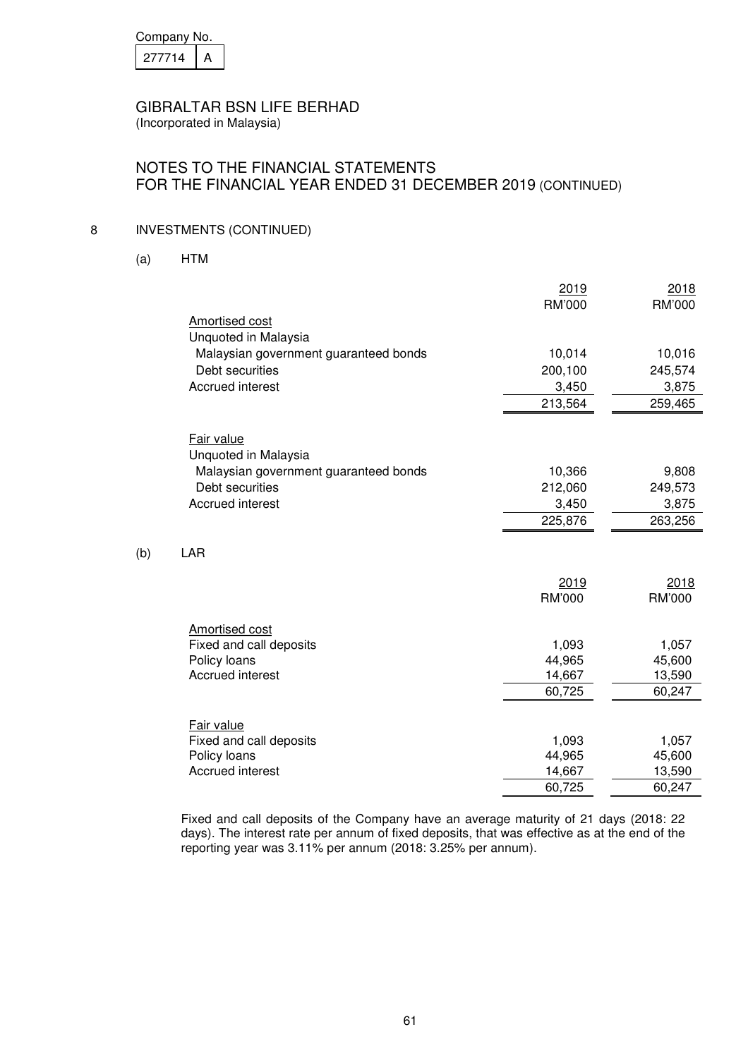| Company No. |  |  |
|-------------|--|--|
| 27714       |  |  |

## NOTES TO THE FINANCIAL STATEMENTS FOR THE FINANCIAL YEAR ENDED 31 DECEMBER 2019 (CONTINUED)

## 8 INVESTMENTS (CONTINUED)

(a) HTM

 $(b)$ 

| RM'000<br>RM'000<br>Amortised cost<br>Unquoted in Malaysia<br>Malaysian government guaranteed bonds<br>10,014<br>10,016<br>Debt securities<br>200,100<br>245,574<br><b>Accrued interest</b><br>3,450<br>3,875<br>213,564<br>259,465<br>Fair value<br>Unquoted in Malaysia<br>Malaysian government guaranteed bonds<br>10,366<br>9,808<br>Debt securities<br>212,060<br>249,573<br><b>Accrued interest</b><br>3,875<br>3,450<br>225,876<br>263,256<br>LAR<br>2019<br>2018<br>RM'000<br>RM'000<br><b>Amortised cost</b><br>Fixed and call deposits<br>1,093<br>1,057<br>Policy loans<br>44,965<br>45,600<br><b>Accrued interest</b><br>14,667<br>13,590<br>60,725<br>60,247<br>Fair value<br>Fixed and call deposits<br>1,093<br>1,057<br>44,965<br>Policy loans<br>45,600<br><b>Accrued interest</b><br>14,667<br>13,590<br>60,725<br>60,247 | 2019 | 2018 |
|---------------------------------------------------------------------------------------------------------------------------------------------------------------------------------------------------------------------------------------------------------------------------------------------------------------------------------------------------------------------------------------------------------------------------------------------------------------------------------------------------------------------------------------------------------------------------------------------------------------------------------------------------------------------------------------------------------------------------------------------------------------------------------------------------------------------------------------------|------|------|
|                                                                                                                                                                                                                                                                                                                                                                                                                                                                                                                                                                                                                                                                                                                                                                                                                                             |      |      |
|                                                                                                                                                                                                                                                                                                                                                                                                                                                                                                                                                                                                                                                                                                                                                                                                                                             |      |      |
|                                                                                                                                                                                                                                                                                                                                                                                                                                                                                                                                                                                                                                                                                                                                                                                                                                             |      |      |
|                                                                                                                                                                                                                                                                                                                                                                                                                                                                                                                                                                                                                                                                                                                                                                                                                                             |      |      |
|                                                                                                                                                                                                                                                                                                                                                                                                                                                                                                                                                                                                                                                                                                                                                                                                                                             |      |      |
|                                                                                                                                                                                                                                                                                                                                                                                                                                                                                                                                                                                                                                                                                                                                                                                                                                             |      |      |
|                                                                                                                                                                                                                                                                                                                                                                                                                                                                                                                                                                                                                                                                                                                                                                                                                                             |      |      |
|                                                                                                                                                                                                                                                                                                                                                                                                                                                                                                                                                                                                                                                                                                                                                                                                                                             |      |      |
|                                                                                                                                                                                                                                                                                                                                                                                                                                                                                                                                                                                                                                                                                                                                                                                                                                             |      |      |
|                                                                                                                                                                                                                                                                                                                                                                                                                                                                                                                                                                                                                                                                                                                                                                                                                                             |      |      |
|                                                                                                                                                                                                                                                                                                                                                                                                                                                                                                                                                                                                                                                                                                                                                                                                                                             |      |      |
|                                                                                                                                                                                                                                                                                                                                                                                                                                                                                                                                                                                                                                                                                                                                                                                                                                             |      |      |
|                                                                                                                                                                                                                                                                                                                                                                                                                                                                                                                                                                                                                                                                                                                                                                                                                                             |      |      |
|                                                                                                                                                                                                                                                                                                                                                                                                                                                                                                                                                                                                                                                                                                                                                                                                                                             |      |      |
|                                                                                                                                                                                                                                                                                                                                                                                                                                                                                                                                                                                                                                                                                                                                                                                                                                             |      |      |
|                                                                                                                                                                                                                                                                                                                                                                                                                                                                                                                                                                                                                                                                                                                                                                                                                                             |      |      |
|                                                                                                                                                                                                                                                                                                                                                                                                                                                                                                                                                                                                                                                                                                                                                                                                                                             |      |      |
|                                                                                                                                                                                                                                                                                                                                                                                                                                                                                                                                                                                                                                                                                                                                                                                                                                             |      |      |
|                                                                                                                                                                                                                                                                                                                                                                                                                                                                                                                                                                                                                                                                                                                                                                                                                                             |      |      |
|                                                                                                                                                                                                                                                                                                                                                                                                                                                                                                                                                                                                                                                                                                                                                                                                                                             |      |      |
|                                                                                                                                                                                                                                                                                                                                                                                                                                                                                                                                                                                                                                                                                                                                                                                                                                             |      |      |
|                                                                                                                                                                                                                                                                                                                                                                                                                                                                                                                                                                                                                                                                                                                                                                                                                                             |      |      |
|                                                                                                                                                                                                                                                                                                                                                                                                                                                                                                                                                                                                                                                                                                                                                                                                                                             |      |      |
|                                                                                                                                                                                                                                                                                                                                                                                                                                                                                                                                                                                                                                                                                                                                                                                                                                             |      |      |
|                                                                                                                                                                                                                                                                                                                                                                                                                                                                                                                                                                                                                                                                                                                                                                                                                                             |      |      |
|                                                                                                                                                                                                                                                                                                                                                                                                                                                                                                                                                                                                                                                                                                                                                                                                                                             |      |      |
|                                                                                                                                                                                                                                                                                                                                                                                                                                                                                                                                                                                                                                                                                                                                                                                                                                             |      |      |
|                                                                                                                                                                                                                                                                                                                                                                                                                                                                                                                                                                                                                                                                                                                                                                                                                                             |      |      |
|                                                                                                                                                                                                                                                                                                                                                                                                                                                                                                                                                                                                                                                                                                                                                                                                                                             |      |      |

 Fixed and call deposits of the Company have an average maturity of 21 days (2018: 22 days). The interest rate per annum of fixed deposits, that was effective as at the end of the reporting year was 3.11% per annum (2018: 3.25% per annum).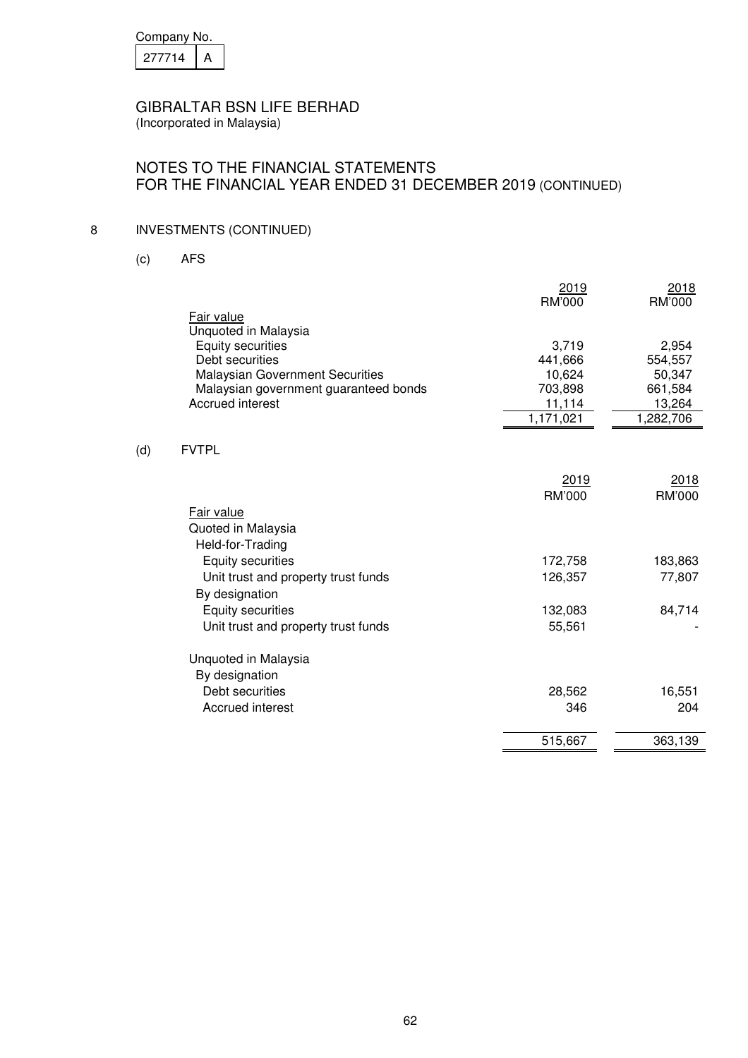| Company No. |  |
|-------------|--|
| 277714      |  |

(Incorporated in Malaysia)

# NOTES TO THE FINANCIAL STATEMENTS FOR THE FINANCIAL YEAR ENDED 31 DECEMBER 2019 (CONTINUED)

# 8 INVESTMENTS (CONTINUED)

(c) AFS

 $(d)$ 

|                                        | 2019                    | 2018          |
|----------------------------------------|-------------------------|---------------|
|                                        | <b>RM'000</b>           | <b>RM'000</b> |
| Fair value                             |                         |               |
| Unquoted in Malaysia                   |                         |               |
| <b>Equity securities</b>               | 3,719                   | 2,954         |
| Debt securities                        | 441,666                 | 554,557       |
| <b>Malaysian Government Securities</b> | 10,624                  | 50,347        |
| Malaysian government guaranteed bonds  | 703,898                 | 661,584       |
| Accrued interest                       | 11,114                  | 13,264        |
|                                        | $\overline{1,1}$ 71,021 | 1,282,706     |
|                                        |                         |               |
| <b>FVTPL</b>                           |                         |               |
|                                        | 2019                    | 2018          |
|                                        | <b>RM'000</b>           | RM'000        |
| Fair value                             |                         |               |
| Quoted in Malaysia                     |                         |               |
| Held-for-Trading                       |                         |               |
|                                        |                         |               |
| <b>Equity securities</b>               | 172,758                 | 183,863       |
| Unit trust and property trust funds    | 126,357                 | 77,807        |
| By designation                         |                         |               |
| <b>Equity securities</b>               | 132,083                 | 84,714        |
| Unit trust and property trust funds    | 55,561                  |               |
| Unquoted in Malaysia                   |                         |               |
| By designation                         |                         |               |
| Debt securities                        |                         |               |
|                                        | 28,562                  | 16,551        |
| Accrued interest                       | 346                     | 204           |
|                                        | 515,667                 | 363,139       |
|                                        |                         |               |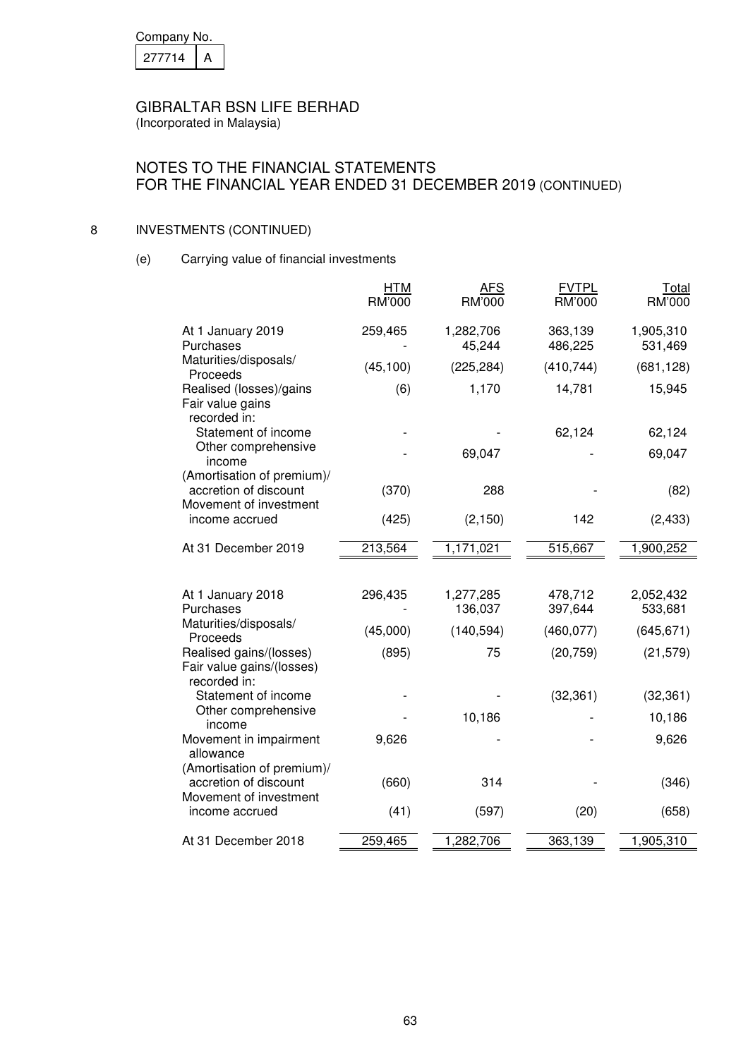| Company No. |  |  |
|-------------|--|--|
| 27714       |  |  |

# NOTES TO THE FINANCIAL STATEMENTS FOR THE FINANCIAL YEAR ENDED 31 DECEMBER 2019 (CONTINUED)

## 8 INVESTMENTS (CONTINUED)

(e) Carrying value of financial investments

|                                                                               | <b>HTM</b><br>RM'000 | AFS<br>RM'000        | <b>FVTPL</b><br><b>RM'000</b> | <u>Total</u><br>RM'000 |
|-------------------------------------------------------------------------------|----------------------|----------------------|-------------------------------|------------------------|
| At 1 January 2019<br>Purchases                                                | 259,465              | 1,282,706<br>45,244  | 363,139<br>486,225            | 1,905,310<br>531,469   |
| Maturities/disposals/<br>Proceeds                                             | (45, 100)            | (225, 284)           | (410, 744)                    | (681, 128)             |
| Realised (losses)/gains<br>Fair value gains<br>recorded in:                   | (6)                  | 1,170                | 14,781                        | 15,945                 |
| Statement of income                                                           |                      |                      | 62,124                        | 62,124                 |
| Other comprehensive<br>income                                                 |                      | 69,047               |                               | 69,047                 |
| (Amortisation of premium)/<br>accretion of discount<br>Movement of investment | (370)                | 288                  |                               | (82)                   |
| income accrued                                                                | (425)                | (2, 150)             | 142                           | (2, 433)               |
| At 31 December 2019                                                           | 213,564              | 1,171,021            | 515,667                       | 1,900,252              |
| At 1 January 2018<br>Purchases                                                | 296,435              | 1,277,285<br>136,037 | 478,712<br>397,644            | 2,052,432<br>533,681   |
| Maturities/disposals/<br>Proceeds                                             | (45,000)             | (140, 594)           | (460, 077)                    | (645, 671)             |
| Realised gains/(losses)<br>Fair value gains/(losses)<br>recorded in:          | (895)                | 75                   | (20, 759)                     | (21, 579)              |
| Statement of income                                                           |                      |                      | (32, 361)                     | (32, 361)              |
| Other comprehensive<br>income                                                 |                      | 10,186               |                               | 10,186                 |
| Movement in impairment<br>allowance                                           | 9,626                |                      |                               | 9,626                  |
| (Amortisation of premium)/<br>accretion of discount<br>Movement of investment | (660)                | 314                  |                               | (346)                  |
| income accrued                                                                | (41)                 | (597)                | (20)                          | (658)                  |
| At 31 December 2018                                                           | 259,465              | 1,282,706            | 363,139                       | 1,905,310              |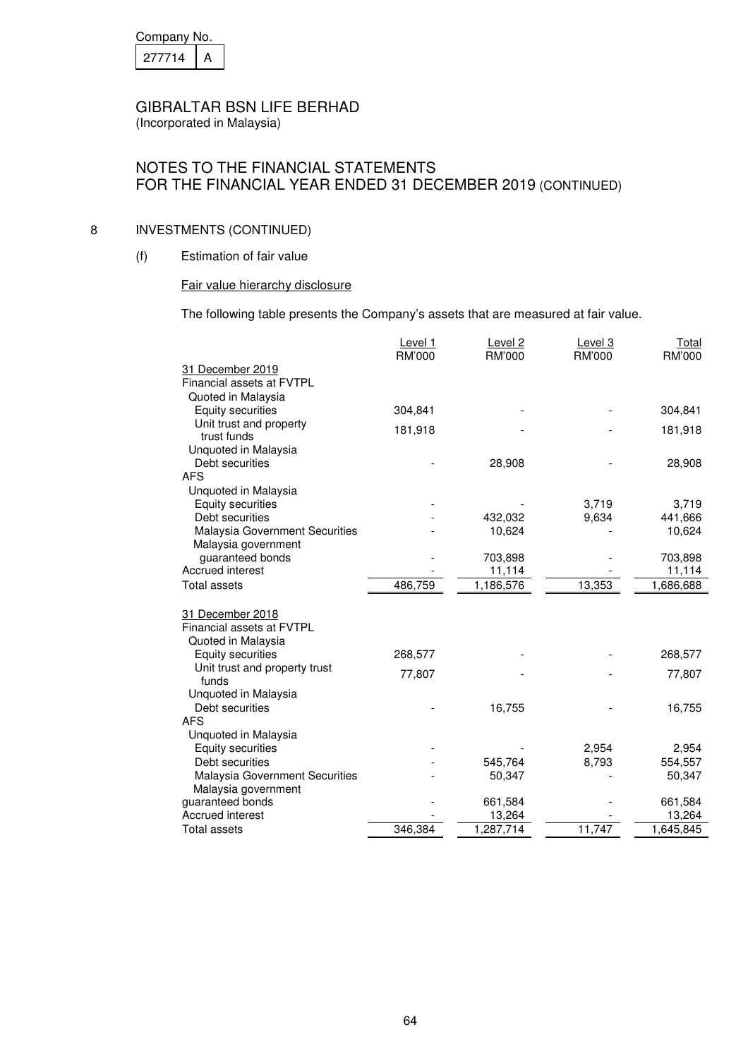| Company No. |  |  |
|-------------|--|--|
| 27714       |  |  |

(Incorporated in Malaysia)

# NOTES TO THE FINANCIAL STATEMENTS FOR THE FINANCIAL YEAR ENDED 31 DECEMBER 2019 (CONTINUED)

## 8 INVESTMENTS (CONTINUED)

(f) Estimation of fair value

## Fair value hierarchy disclosure

The following table presents the Company's assets that are measured at fair value.

|                                        | Level 1 | Level 2   | Level 3 | <b>Total</b> |
|----------------------------------------|---------|-----------|---------|--------------|
|                                        | RM'000  | RM'000    | RM'000  | RM'000       |
| 31 December 2019                       |         |           |         |              |
| Financial assets at FVTPL              |         |           |         |              |
| Quoted in Malaysia                     |         |           |         |              |
| Equity securities                      | 304,841 |           |         | 304,841      |
| Unit trust and property                | 181,918 |           |         | 181,918      |
| trust funds                            |         |           |         |              |
| Unquoted in Malaysia                   |         |           |         |              |
| Debt securities                        |         | 28,908    |         | 28,908       |
| <b>AFS</b>                             |         |           |         |              |
| Unquoted in Malaysia                   |         |           |         |              |
| Equity securities                      |         |           | 3,719   | 3,719        |
| Debt securities                        |         | 432,032   | 9,634   | 441,666      |
| Malaysia Government Securities         |         | 10,624    |         | 10,624       |
| Malaysia government                    |         |           |         |              |
| guaranteed bonds                       |         | 703,898   |         | 703,898      |
| Accrued interest                       |         | 11,114    |         | 11,114       |
| <b>Total assets</b>                    | 486,759 | 1,186,576 | 13,353  | 1,686,688    |
|                                        |         |           |         |              |
| 31 December 2018                       |         |           |         |              |
| Financial assets at FVTPL              |         |           |         |              |
| Quoted in Malaysia                     |         |           |         |              |
| <b>Equity securities</b>               | 268,577 |           |         | 268,577      |
| Unit trust and property trust<br>funds | 77,807  |           |         | 77,807       |
| Unquoted in Malaysia                   |         |           |         |              |
| Debt securities                        |         | 16,755    |         | 16,755       |
| <b>AFS</b>                             |         |           |         |              |
| Unquoted in Malaysia                   |         |           |         |              |
| <b>Equity securities</b>               |         |           | 2,954   | 2,954        |
| Debt securities                        |         | 545,764   | 8,793   | 554,557      |
| Malaysia Government Securities         |         | 50,347    |         | 50,347       |
| Malaysia government                    |         |           |         |              |
| guaranteed bonds                       |         | 661,584   |         | 661,584      |
| Accrued interest                       |         | 13,264    |         | 13,264       |
| <b>Total assets</b>                    | 346,384 | 1,287,714 | 11,747  | 1,645,845    |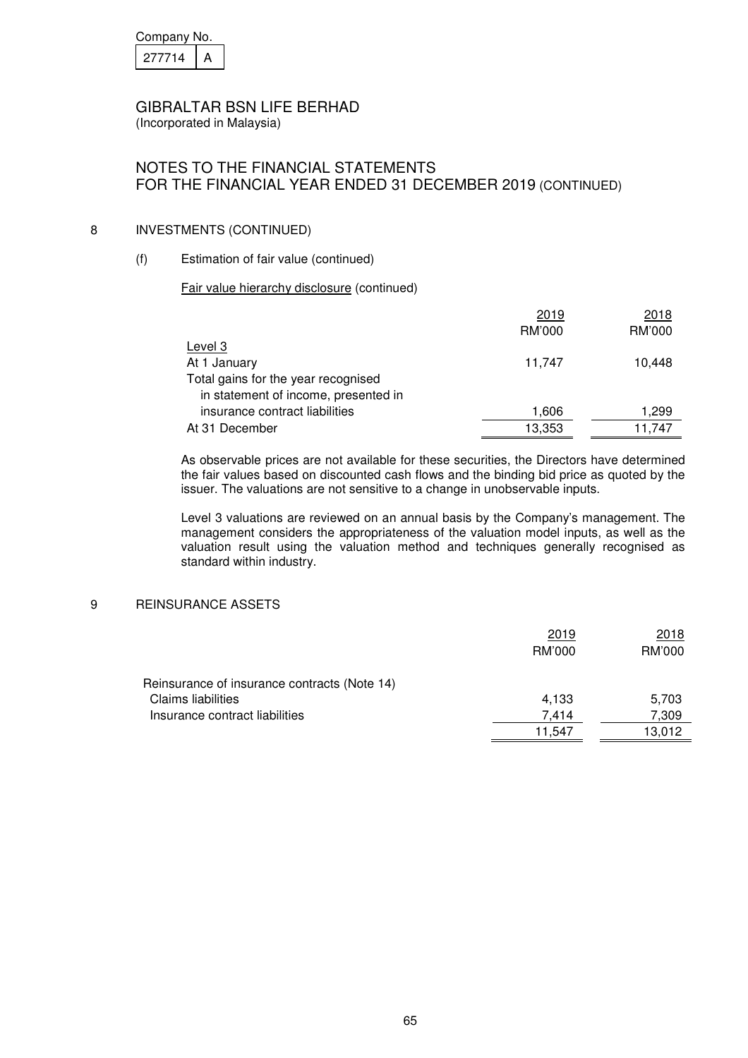| Company No. |  |
|-------------|--|
| 277714      |  |

(Incorporated in Malaysia)

# NOTES TO THE FINANCIAL STATEMENTS FOR THE FINANCIAL YEAR ENDED 31 DECEMBER 2019 (CONTINUED)

## 8 INVESTMENTS (CONTINUED)

## (f) Estimation of fair value (continued)

## Fair value hierarchy disclosure (continued)

|                                      | 2019   | 2018   |
|--------------------------------------|--------|--------|
|                                      | RM'000 | RM'000 |
| Level 3                              |        |        |
| At 1 January                         | 11,747 | 10.448 |
| Total gains for the year recognised  |        |        |
| in statement of income, presented in |        |        |
| insurance contract liabilities       | 1,606  | 1,299  |
| At 31 December                       | 13,353 | 11,747 |

As observable prices are not available for these securities, the Directors have determined the fair values based on discounted cash flows and the binding bid price as quoted by the issuer. The valuations are not sensitive to a change in unobservable inputs.

Level 3 valuations are reviewed on an annual basis by the Company's management. The management considers the appropriateness of the valuation model inputs, as well as the valuation result using the valuation method and techniques generally recognised as standard within industry.

### 9 REINSURANCE ASSETS

|                                              | 2019   | 2018   |
|----------------------------------------------|--------|--------|
|                                              | RM'000 | RM'000 |
| Reinsurance of insurance contracts (Note 14) |        |        |
| <b>Claims liabilities</b>                    | 4,133  | 5,703  |
| Insurance contract liabilities               | 7.414  | 7,309  |
|                                              | 11.547 | 13.012 |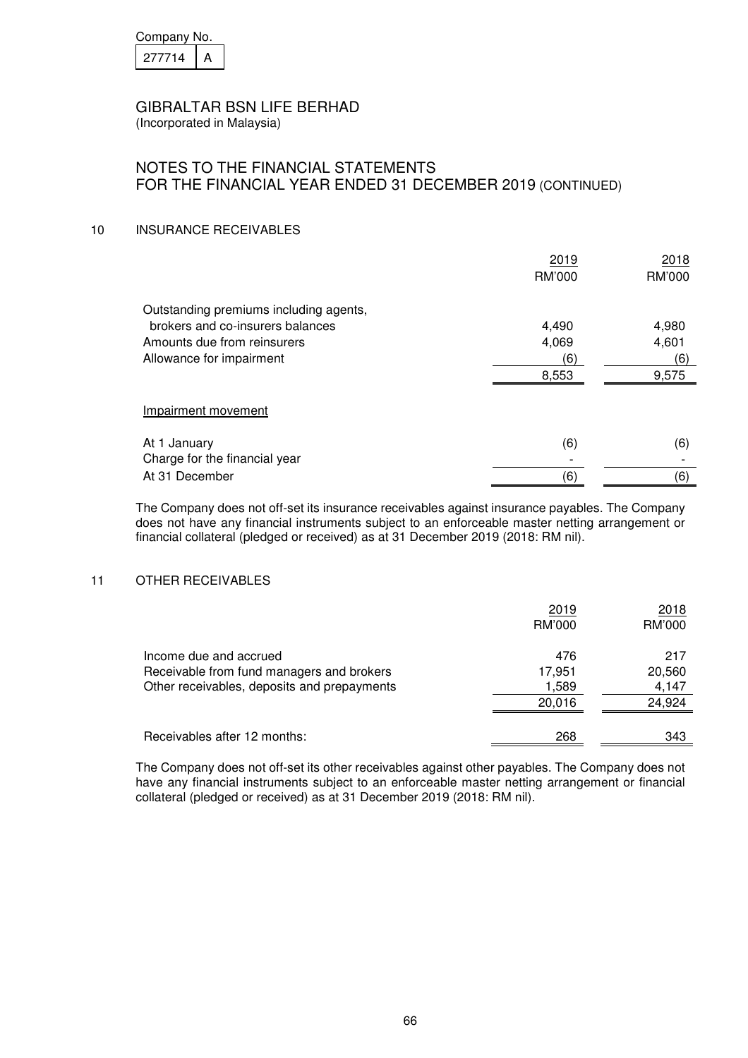| Company No. |  |
|-------------|--|
| 277714      |  |

(Incorporated in Malaysia)

## NOTES TO THE FINANCIAL STATEMENTS FOR THE FINANCIAL YEAR ENDED 31 DECEMBER 2019 (CONTINUED)

## 10 INSURANCE RECEIVABLES

|                                        | 2019   | 2018   |
|----------------------------------------|--------|--------|
|                                        | RM'000 | RM'000 |
| Outstanding premiums including agents, |        |        |
| brokers and co-insurers balances       | 4,490  | 4,980  |
| Amounts due from reinsurers            | 4,069  | 4,601  |
| Allowance for impairment               | (6)    | (6)    |
|                                        | 8,553  | 9,575  |
|                                        |        |        |
| Impairment movement                    |        |        |
| At 1 January                           | (6)    | (6)    |
| Charge for the financial year          |        |        |
| At 31 December                         | (6)    | (6)    |

The Company does not off-set its insurance receivables against insurance payables. The Company does not have any financial instruments subject to an enforceable master netting arrangement or financial collateral (pledged or received) as at 31 December 2019 (2018: RM nil).

### 11 OTHER RECEIVABLES

|                                             | 2019   | 2018   |
|---------------------------------------------|--------|--------|
|                                             | RM'000 | RM'000 |
| Income due and accrued                      | 476    | 217    |
| Receivable from fund managers and brokers   | 17,951 | 20,560 |
| Other receivables, deposits and prepayments | 1,589  | 4,147  |
|                                             | 20.016 | 24,924 |
| Receivables after 12 months:                | 268    | 343    |

The Company does not off-set its other receivables against other payables. The Company does not have any financial instruments subject to an enforceable master netting arrangement or financial collateral (pledged or received) as at 31 December 2019 (2018: RM nil).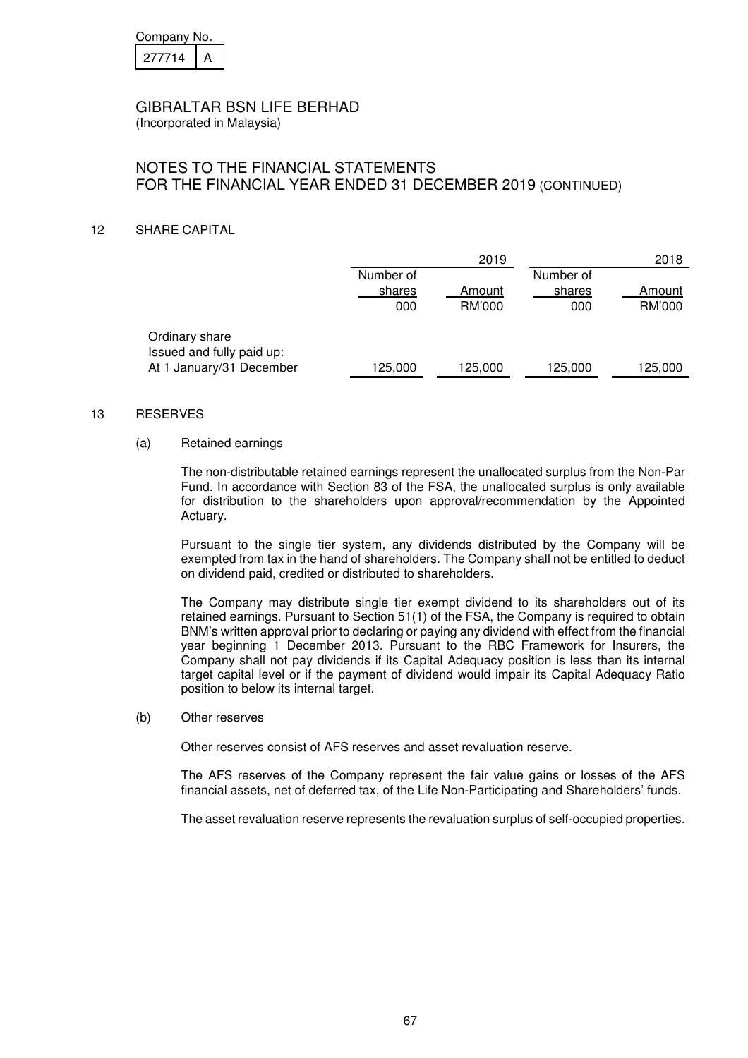| Company No. |  |
|-------------|--|
| 277714      |  |

(Incorporated in Malaysia)

# NOTES TO THE FINANCIAL STATEMENTS FOR THE FINANCIAL YEAR ENDED 31 DECEMBER 2019 (CONTINUED)

## 12 SHARE CAPITAL

|           | 2019    |           | 2018    |
|-----------|---------|-----------|---------|
| Number of |         | Number of |         |
| shares    | Amount  | shares    | Amount  |
| 000       | RM'000  | 000       | RM'000  |
|           |         |           |         |
|           |         |           |         |
|           |         |           |         |
| 125,000   | 125,000 | 125,000   | 125,000 |
|           |         |           |         |

#### 13 RESERVES

#### (a) Retained earnings

The non-distributable retained earnings represent the unallocated surplus from the Non-Par Fund. In accordance with Section 83 of the FSA, the unallocated surplus is only available for distribution to the shareholders upon approval/recommendation by the Appointed Actuary.

Pursuant to the single tier system, any dividends distributed by the Company will be exempted from tax in the hand of shareholders. The Company shall not be entitled to deduct on dividend paid, credited or distributed to shareholders.

The Company may distribute single tier exempt dividend to its shareholders out of its retained earnings. Pursuant to Section 51(1) of the FSA, the Company is required to obtain BNM's written approval prior to declaring or paying any dividend with effect from the financial year beginning 1 December 2013. Pursuant to the RBC Framework for Insurers, the Company shall not pay dividends if its Capital Adequacy position is less than its internal target capital level or if the payment of dividend would impair its Capital Adequacy Ratio position to below its internal target.

#### (b) Other reserves

Other reserves consist of AFS reserves and asset revaluation reserve.

The AFS reserves of the Company represent the fair value gains or losses of the AFS financial assets, net of deferred tax, of the Life Non-Participating and Shareholders' funds.

The asset revaluation reserve represents the revaluation surplus of self-occupied properties.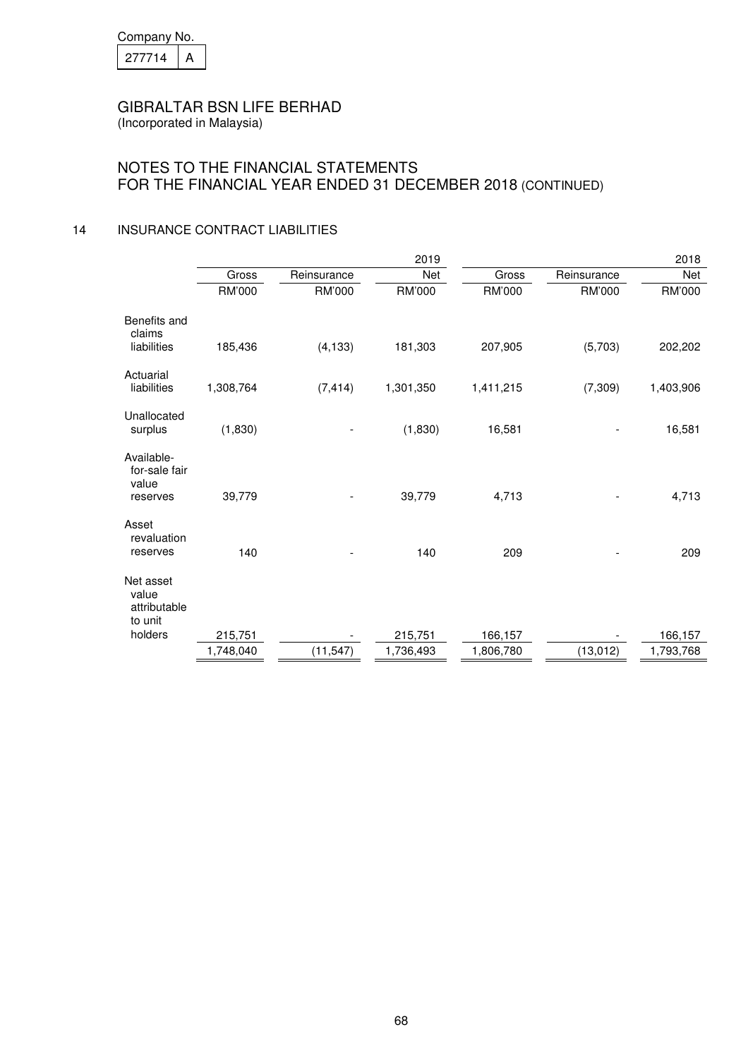| Company No. |  |
|-------------|--|
| 277714      |  |

(Incorporated in Malaysia)

# NOTES TO THE FINANCIAL STATEMENTS FOR THE FINANCIAL YEAR ENDED 31 DECEMBER 2018 (CONTINUED)

## 14 INSURANCE CONTRACT LIABILITIES

|                                               |           |             | 2019      |           |             | 2018      |
|-----------------------------------------------|-----------|-------------|-----------|-----------|-------------|-----------|
|                                               | Gross     | Reinsurance | Net       | Gross     | Reinsurance | Net       |
|                                               | RM'000    | RM'000      | RM'000    | RM'000    | RM'000      | RM'000    |
| Benefits and<br>claims                        |           |             |           |           |             |           |
| liabilities                                   | 185,436   | (4, 133)    | 181,303   | 207,905   | (5,703)     | 202,202   |
| Actuarial<br>liabilities                      | 1,308,764 | (7, 414)    | 1,301,350 | 1,411,215 | (7, 309)    | 1,403,906 |
|                                               |           |             |           |           |             |           |
| Unallocated<br>surplus                        | (1,830)   |             | (1,830)   | 16,581    |             | 16,581    |
| Available-<br>for-sale fair<br>value          | 39,779    |             |           |           |             |           |
| reserves                                      |           |             | 39,779    | 4,713     |             | 4,713     |
| Asset<br>revaluation                          |           |             |           |           |             |           |
| reserves                                      | 140       |             | 140       | 209       |             | 209       |
| Net asset<br>value<br>attributable<br>to unit |           |             |           |           |             |           |
| holders                                       | 215,751   |             | 215,751   | 166,157   |             | 166,157   |
|                                               | 1,748,040 | (11, 547)   | 1,736,493 | 1,806,780 | (13, 012)   | 1,793,768 |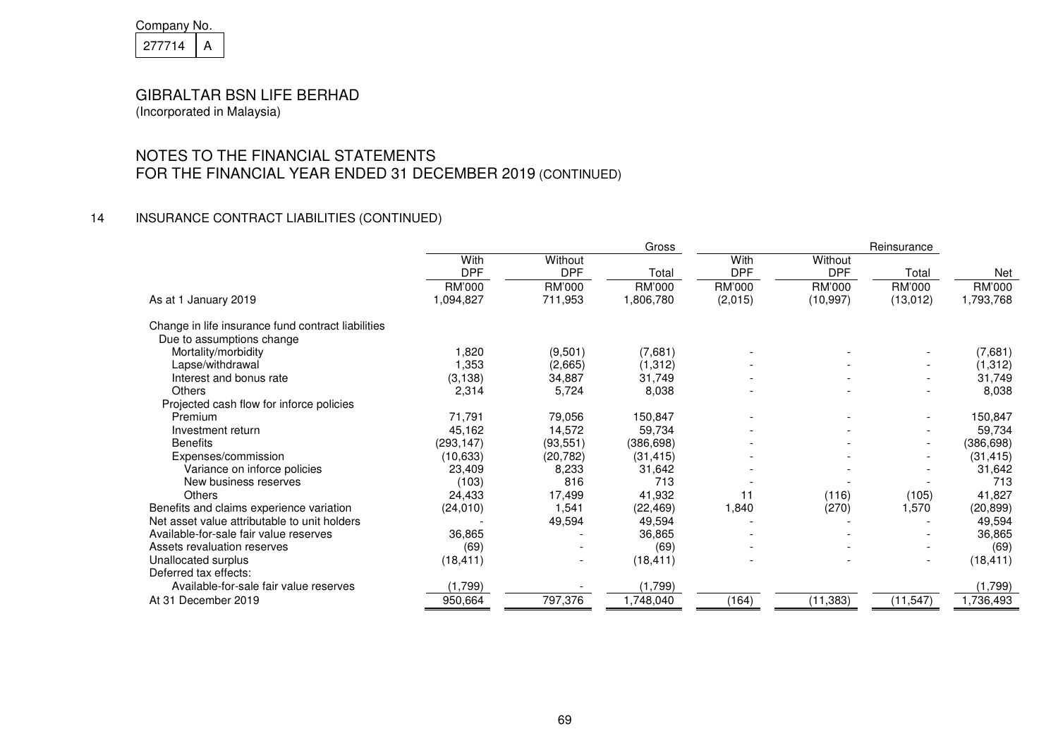| Company No. |  |
|-------------|--|
| 277714      |  |

# NOTES TO THE FINANCIAL STATEMENTS FOR THE FINANCIAL YEAR ENDED 31 DECEMBER 2019 (CONTINUED)

# 14 INSURANCE CONTRACT LIABILITIES (CONTINUED)

|                                                    |            |                          | Gross      |            |            | Reinsurance              |            |
|----------------------------------------------------|------------|--------------------------|------------|------------|------------|--------------------------|------------|
|                                                    | With       | Without                  |            | With       | Without    |                          |            |
|                                                    | <b>DPF</b> | <b>DPF</b>               | Total      | <b>DPF</b> | <b>DPF</b> | Total                    | Net        |
|                                                    | RM'000     | RM'000                   | RM'000     | RM'000     | RM'000     | <b>RM'000</b>            | RM'000     |
| As at 1 January 2019                               | 1,094,827  | 711,953                  | 1,806,780  | (2,015)    | (10, 997)  | (13, 012)                | 1,793,768  |
| Change in life insurance fund contract liabilities |            |                          |            |            |            |                          |            |
| Due to assumptions change                          |            |                          |            |            |            |                          |            |
| Mortality/morbidity                                | 820, ا     | (9,501)                  | (7,681)    |            |            |                          | (7,681)    |
| Lapse/withdrawal                                   | 1,353      | (2,665)                  | (1,312)    |            |            |                          | (1, 312)   |
| Interest and bonus rate                            | (3, 138)   | 34,887                   | 31,749     |            |            |                          | 31,749     |
| <b>Others</b>                                      | 2,314      | 5,724                    | 8,038      |            |            |                          | 8,038      |
| Projected cash flow for inforce policies           |            |                          |            |            |            |                          |            |
| Premium                                            | 71,791     | 79,056                   | 150,847    |            |            |                          | 150,847    |
| Investment return                                  | 45,162     | 14,572                   | 59,734     |            |            |                          | 59,734     |
| <b>Benefits</b>                                    | (293, 147) | (93, 551)                | (386, 698) |            |            |                          | (386, 698) |
| Expenses/commission                                | (10, 633)  | (20, 782)                | (31, 415)  |            |            |                          | (31, 415)  |
| Variance on inforce policies                       | 23,409     | 8,233                    | 31,642     |            |            |                          | 31,642     |
| New business reserves                              | (103)      | 816                      | 713        |            |            |                          | 713        |
| Others                                             | 24,433     | 17,499                   | 41,932     | 11         | (116)      | (105)                    | 41,827     |
| Benefits and claims experience variation           | (24, 010)  | 1,541                    | (22, 469)  | 1,840      | (270)      | 1,570                    | (20, 899)  |
| Net asset value attributable to unit holders       |            | 49,594                   | 49,594     |            |            |                          | 49,594     |
| Available-for-sale fair value reserves             | 36,865     |                          | 36,865     |            |            |                          | 36,865     |
| Assets revaluation reserves                        | (69)       |                          | (69)       |            |            |                          | (69)       |
| Unallocated surplus                                | (18, 411)  | $\overline{\phantom{a}}$ | (18, 411)  |            |            | $\overline{\phantom{0}}$ | (18, 411)  |
| Deferred tax effects:                              |            |                          |            |            |            |                          |            |
| Available-for-sale fair value reserves             | (1,799)    |                          | (1,799)    |            |            |                          | (1,799)    |
| At 31 December 2019                                | 950,664    | 797,376                  | 1,748,040  | (164)      | (11, 383)  | (11, 547)                | 1,736,493  |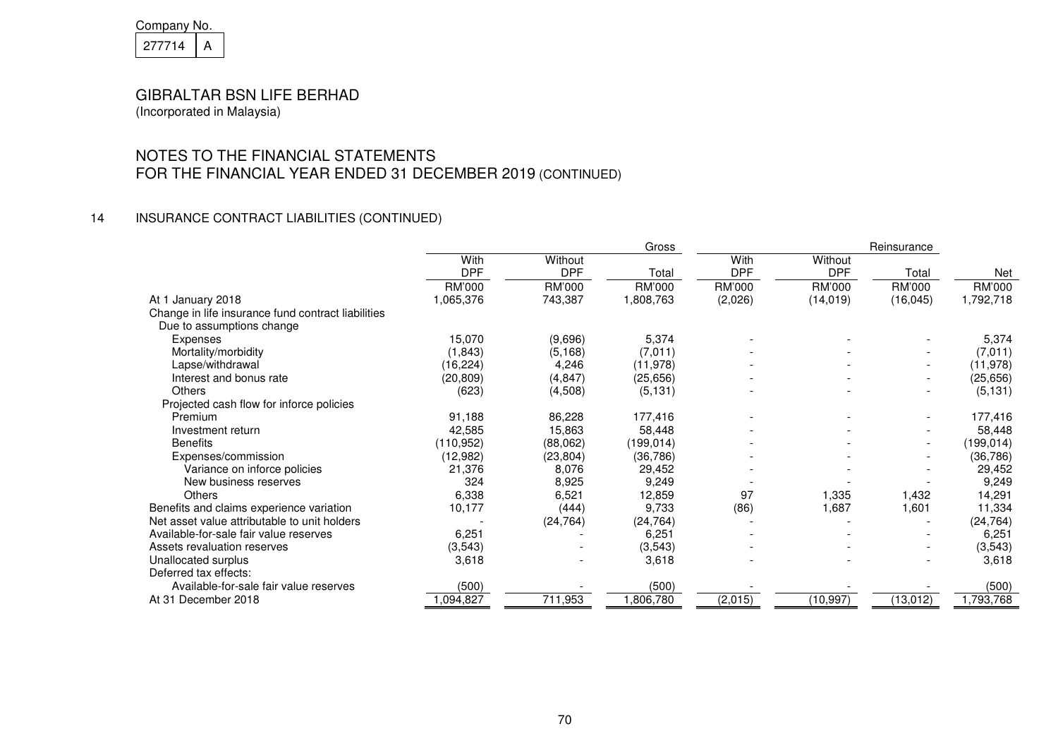| Company No. |  |
|-------------|--|
| 277714      |  |

# NOTES TO THE FINANCIAL STATEMENTS FOR THE FINANCIAL YEAR ENDED 31 DECEMBER 2019 (CONTINUED)

## 14 INSURANCE CONTRACT LIABILITIES (CONTINUED)

|                                                    |            |            | Gross     |            |            | Reinsurance |            |
|----------------------------------------------------|------------|------------|-----------|------------|------------|-------------|------------|
|                                                    | With       | Without    |           | With       | Without    |             |            |
|                                                    | <b>DPF</b> | <b>DPF</b> | Total     | <b>DPF</b> | <b>DPF</b> | Total       | Net        |
|                                                    | RM'000     | RM'000     | RM'000    | RM'000     | RM'000     | RM'000      | RM'000     |
| At 1 January 2018                                  | 1,065,376  | 743,387    | 1,808,763 | (2,026)    | (14, 019)  | (16, 045)   | 1,792,718  |
| Change in life insurance fund contract liabilities |            |            |           |            |            |             |            |
| Due to assumptions change                          |            |            |           |            |            |             |            |
| Expenses                                           | 15,070     | (9,696)    | 5,374     |            |            |             | 5,374      |
| Mortality/morbidity                                | (1,843)    | (5, 168)   | (7,011)   |            |            |             | (7,011)    |
| Lapse/withdrawal                                   | (16, 224)  | 4,246      | (11, 978) |            |            |             | (11, 978)  |
| Interest and bonus rate                            | (20, 809)  | (4, 847)   | (25, 656) |            |            |             | (25, 656)  |
| Others                                             | (623)      | (4,508)    | (5, 131)  |            |            |             | (5, 131)   |
| Projected cash flow for inforce policies           |            |            |           |            |            |             |            |
| Premium                                            | 91,188     | 86,228     | 177,416   |            |            |             | 177,416    |
| Investment return                                  | 42,585     | 15,863     | 58,448    |            |            |             | 58,448     |
| <b>Benefits</b>                                    | (110, 952) | (88,062)   | (199,014) |            |            |             | (199, 014) |
| Expenses/commission                                | (12,982)   | (23, 804)  | (36, 786) |            |            |             | (36, 786)  |
| Variance on inforce policies                       | 21,376     | 8,076      | 29,452    |            |            |             | 29,452     |
| New business reserves                              | 324        | 8,925      | 9,249     |            |            |             | 9,249      |
| Others                                             | 6,338      | 6,521      | 12,859    | 97         | 1,335      | 1,432       | 14,291     |
| Benefits and claims experience variation           | 10,177     | (444)      | 9,733     | (86)       | 1,687      | 1,601       | 11,334     |
| Net asset value attributable to unit holders       |            | (24, 764)  | (24, 764) |            |            |             | (24, 764)  |
| Available-for-sale fair value reserves             | 6,251      |            | 6,251     |            |            |             | 6,251      |
| Assets revaluation reserves                        | (3,543)    |            | (3,543)   |            |            |             | (3, 543)   |
| Unallocated surplus                                | 3,618      |            | 3,618     |            |            |             | 3,618      |
| Deferred tax effects:                              |            |            |           |            |            |             |            |
| Available-for-sale fair value reserves             | (500)      |            | (500)     |            |            |             | (500)      |
| At 31 December 2018                                | ,094,827   | 711,953    | 1,806,780 | (2,015)    | (10, 997)  | (13, 012)   | 1,793,768  |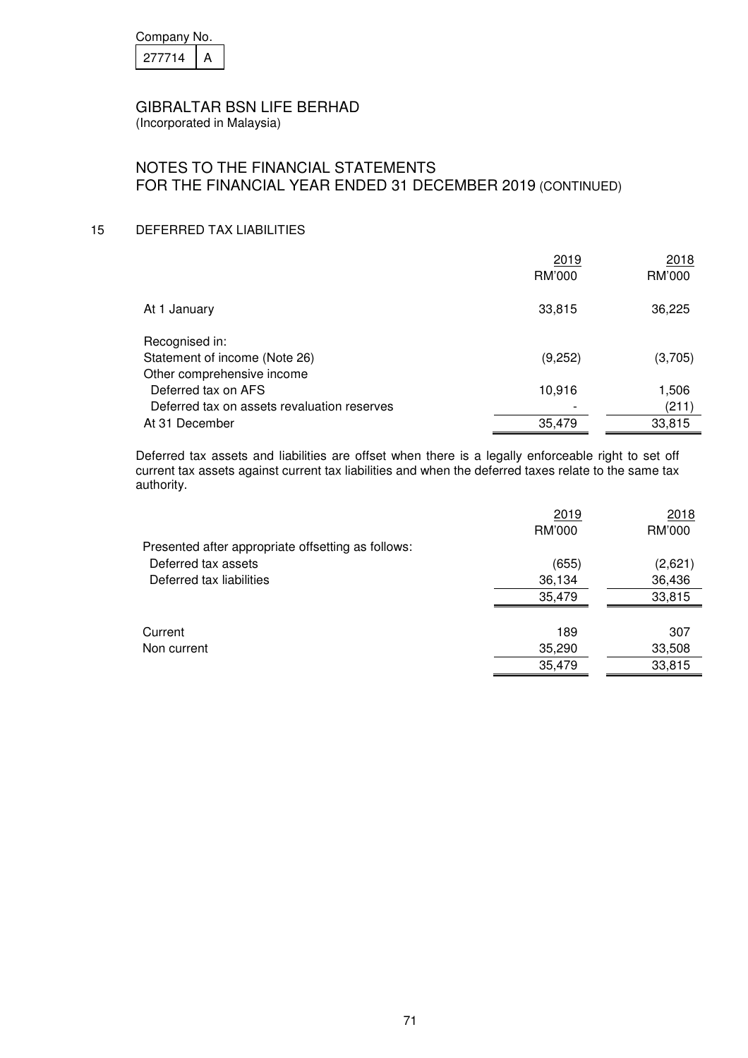| Company No. |  |  |
|-------------|--|--|
| 277714      |  |  |

(Incorporated in Malaysia)

# NOTES TO THE FINANCIAL STATEMENTS FOR THE FINANCIAL YEAR ENDED 31 DECEMBER 2019 (CONTINUED)

#### 15 DEFERRED TAX LIABILITIES

|                                             | 2019    | 2018    |
|---------------------------------------------|---------|---------|
|                                             | RM'000  | RM'000  |
| At 1 January                                | 33,815  | 36,225  |
| Recognised in:                              |         |         |
| Statement of income (Note 26)               | (9,252) | (3,705) |
| Other comprehensive income                  |         |         |
| Deferred tax on AFS                         | 10,916  | 1,506   |
| Deferred tax on assets revaluation reserves |         | (211)   |
| At 31 December                              | 35,479  | 33,815  |

Deferred tax assets and liabilities are offset when there is a legally enforceable right to set off current tax assets against current tax liabilities and when the deferred taxes relate to the same tax authority.

|                                                    | 2019   | 2018    |
|----------------------------------------------------|--------|---------|
|                                                    | RM'000 | RM'000  |
| Presented after appropriate offsetting as follows: |        |         |
| Deferred tax assets                                | (655)  | (2,621) |
| Deferred tax liabilities                           | 36,134 | 36,436  |
|                                                    | 35,479 | 33,815  |
|                                                    |        |         |
| Current                                            | 189    | 307     |
| Non current                                        | 35,290 | 33,508  |
|                                                    | 35,479 | 33,815  |
|                                                    |        |         |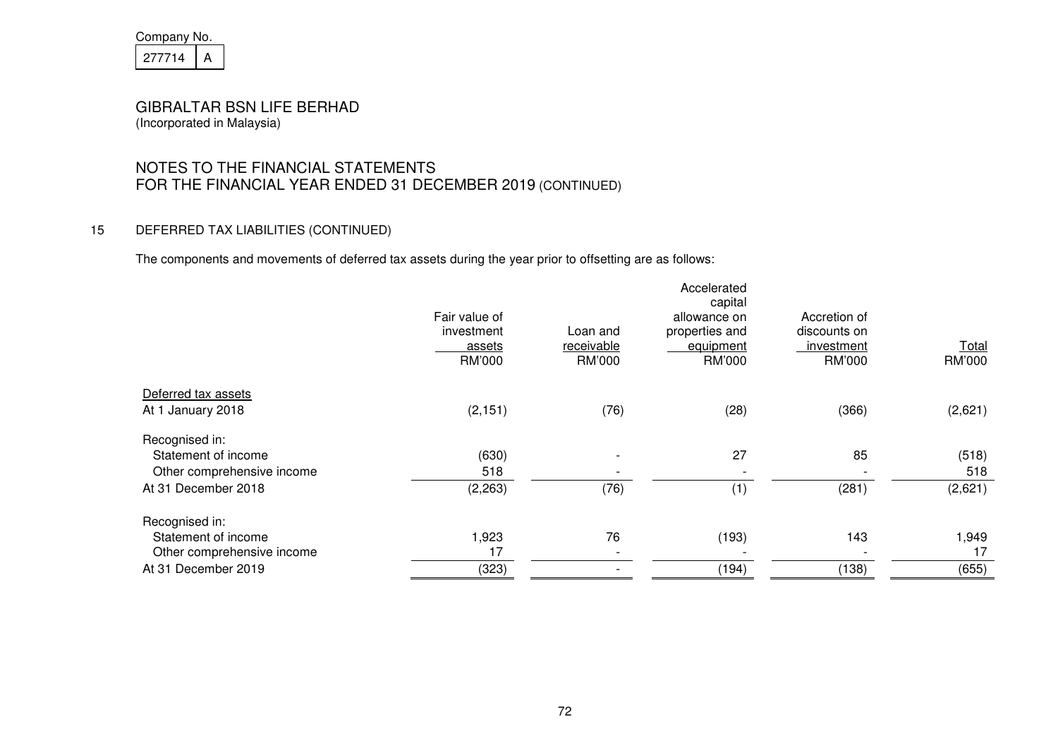| Company No. |  |  |
|-------------|--|--|
| 27714       |  |  |

# NOTES TO THE FINANCIAL STATEMENTS FOR THE FINANCIAL YEAR ENDED 31 DECEMBER 2019 (CONTINUED)

#### 15 DEFERRED TAX LIABILITIES (CONTINUED)

The components and movements of deferred tax assets during the year prior to offsetting are as follows:

|                            | Fair value of<br>investment<br><u>assets</u><br>RM'000 | Loan and<br>receivable<br>RM'000 | Accelerated<br>capital<br>allowance on<br>properties and<br>equipment<br>RM'000 | Accretion of<br>discounts on<br>investment<br>RM'000 | <b>Total</b><br>RM'000 |
|----------------------------|--------------------------------------------------------|----------------------------------|---------------------------------------------------------------------------------|------------------------------------------------------|------------------------|
| Deferred tax assets        |                                                        |                                  |                                                                                 |                                                      |                        |
| At 1 January 2018          | (2, 151)                                               | (76)                             | (28)                                                                            | (366)                                                | (2,621)                |
| Recognised in:             |                                                        |                                  |                                                                                 |                                                      |                        |
| Statement of income        | (630)                                                  |                                  | 27                                                                              | 85                                                   | (518)                  |
| Other comprehensive income | 518                                                    |                                  |                                                                                 |                                                      | 518                    |
| At 31 December 2018        | (2, 263)                                               | (76)                             | (1)                                                                             | (281)                                                | (2,621)                |
| Recognised in:             |                                                        |                                  |                                                                                 |                                                      |                        |
| Statement of income        | 1,923                                                  | 76                               | (193)                                                                           | 143                                                  | 1,949                  |
| Other comprehensive income | 17                                                     |                                  |                                                                                 |                                                      | 17                     |
| At 31 December 2019        | (323)                                                  |                                  | (194)                                                                           | (138)                                                | (655)                  |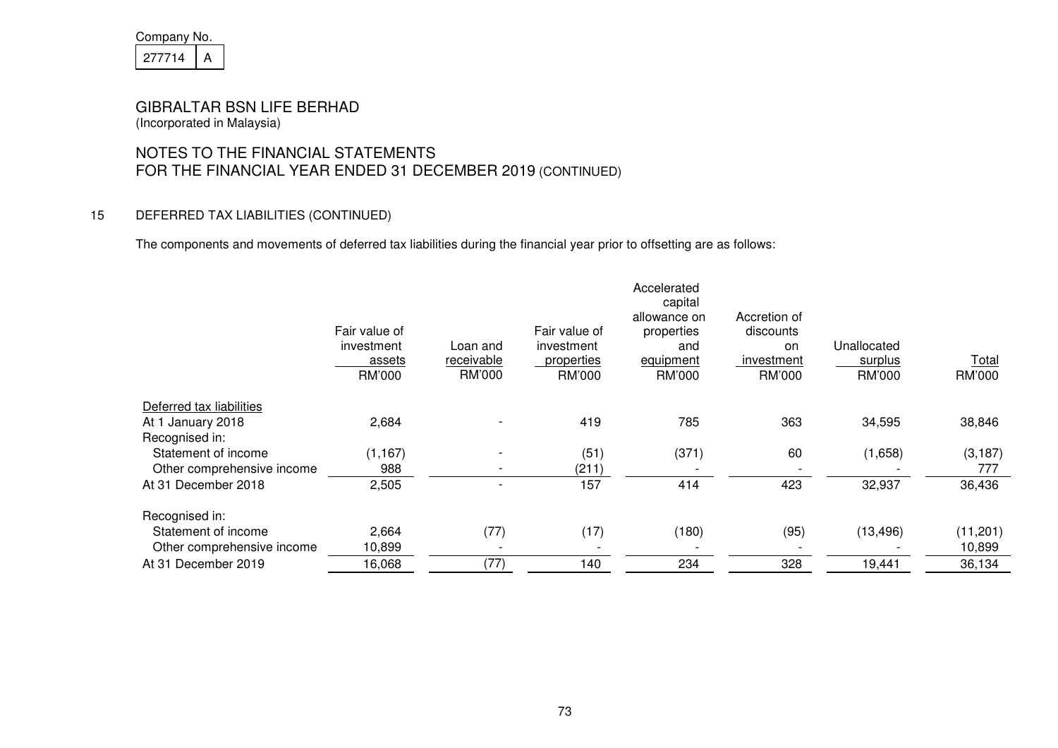| Company No. |  |  |
|-------------|--|--|
| 21/714      |  |  |

# NOTES TO THE FINANCIAL STATEMENTS FOR THE FINANCIAL YEAR ENDED 31 DECEMBER 2019 (CONTINUED)

### 15 DEFERRED TAX LIABILITIES (CONTINUED)

The components and movements of deferred tax liabilities during the financial year prior to offsetting are as follows:

|                            | Fair value of<br>investment<br>assets<br>RM'000 | Loan and<br><u>receivable</u><br>RM'000 | Fair value of<br>investment<br><i>properties</i><br>RM'000 | Accelerated<br>capital<br>allowance on<br>properties<br>and<br>equipment<br>RM'000 | Accretion of<br>discounts<br>on<br><u>investment</u><br>RM'000 | Unallocated<br>surplus<br>RM'000 | <b>Total</b><br>RM'000 |
|----------------------------|-------------------------------------------------|-----------------------------------------|------------------------------------------------------------|------------------------------------------------------------------------------------|----------------------------------------------------------------|----------------------------------|------------------------|
| Deferred tax liabilities   |                                                 |                                         |                                                            |                                                                                    |                                                                |                                  |                        |
| At 1 January 2018          | 2,684                                           |                                         | 419                                                        | 785                                                                                | 363                                                            | 34,595                           | 38,846                 |
| Recognised in:             |                                                 |                                         |                                                            |                                                                                    |                                                                |                                  |                        |
| Statement of income        | (1, 167)                                        |                                         | (51)                                                       | (371)                                                                              | 60                                                             | (1,658)                          | (3, 187)               |
| Other comprehensive income | 988                                             |                                         | (211)                                                      |                                                                                    |                                                                |                                  | 777                    |
| At 31 December 2018        | 2,505                                           |                                         | 157                                                        | 414                                                                                | 423                                                            | 32,937                           | 36,436                 |
| Recognised in:             |                                                 |                                         |                                                            |                                                                                    |                                                                |                                  |                        |
| Statement of income        | 2,664                                           | (77)                                    | (17)                                                       | (180)                                                                              | (95)                                                           | (13, 496)                        | (11, 201)              |
| Other comprehensive income | 10,899                                          |                                         |                                                            |                                                                                    |                                                                |                                  | 10,899                 |
| At 31 December 2019        | 16,068                                          | (77)                                    | 140                                                        | 234                                                                                | 328                                                            | 19,441                           | 36,134                 |
|                            |                                                 |                                         |                                                            |                                                                                    |                                                                |                                  |                        |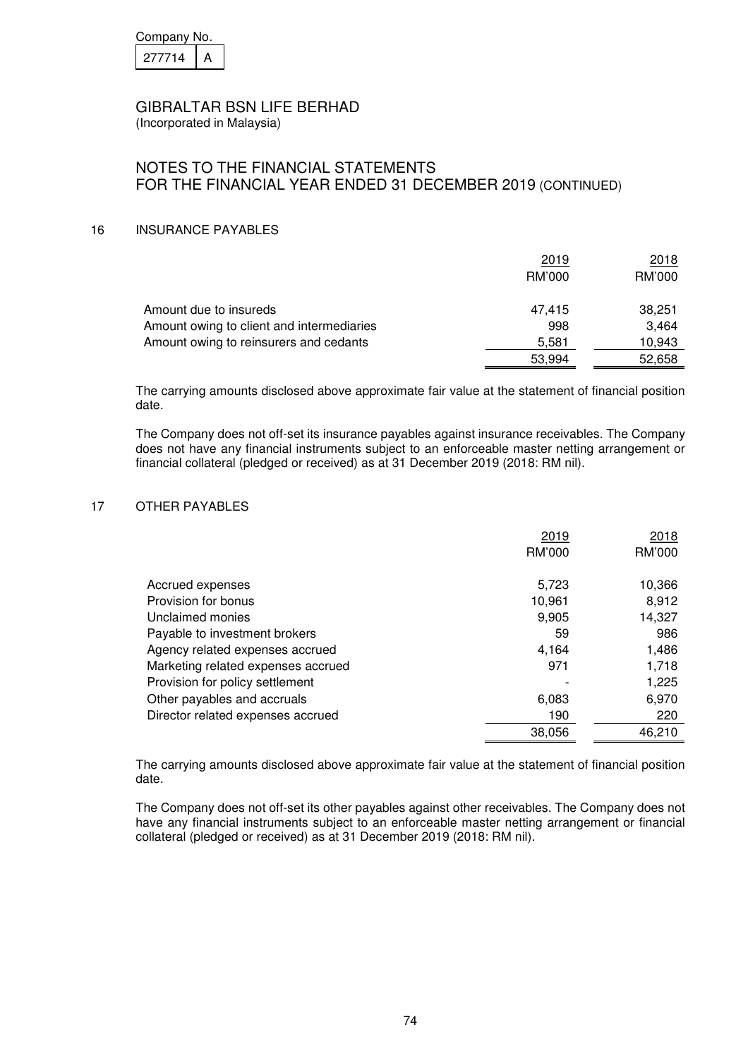| Company No. |  |  |
|-------------|--|--|
| 277714      |  |  |

(Incorporated in Malaysia)

# NOTES TO THE FINANCIAL STATEMENTS FOR THE FINANCIAL YEAR ENDED 31 DECEMBER 2019 (CONTINUED)

#### 16 INSURANCE PAYABLES

|                                           | 2019   | 2018   |
|-------------------------------------------|--------|--------|
|                                           | RM'000 | RM'000 |
| Amount due to insureds                    | 47,415 | 38,251 |
| Amount owing to client and intermediaries | 998    | 3.464  |
| Amount owing to reinsurers and cedants    | 5.581  | 10,943 |
|                                           | 53,994 | 52,658 |

 The carrying amounts disclosed above approximate fair value at the statement of financial position date.

The Company does not off-set its insurance payables against insurance receivables. The Company does not have any financial instruments subject to an enforceable master netting arrangement or financial collateral (pledged or received) as at 31 December 2019 (2018: RM nil).

#### 17 OTHER PAYABLES

|                                    | 2019   | 2018   |
|------------------------------------|--------|--------|
|                                    | RM'000 | RM'000 |
|                                    |        |        |
| Accrued expenses                   | 5,723  | 10,366 |
| Provision for bonus                | 10.961 | 8,912  |
| Unclaimed monies                   | 9,905  | 14,327 |
| Payable to investment brokers      | 59     | 986    |
| Agency related expenses accrued    | 4,164  | 1,486  |
| Marketing related expenses accrued | 971    | 1.718  |
| Provision for policy settlement    |        | 1,225  |
| Other payables and accruals        | 6,083  | 6,970  |
| Director related expenses accrued  | 190    | 220    |
|                                    | 38,056 | 46,210 |

 The carrying amounts disclosed above approximate fair value at the statement of financial position date.

The Company does not off-set its other payables against other receivables. The Company does not have any financial instruments subject to an enforceable master netting arrangement or financial collateral (pledged or received) as at 31 December 2019 (2018: RM nil).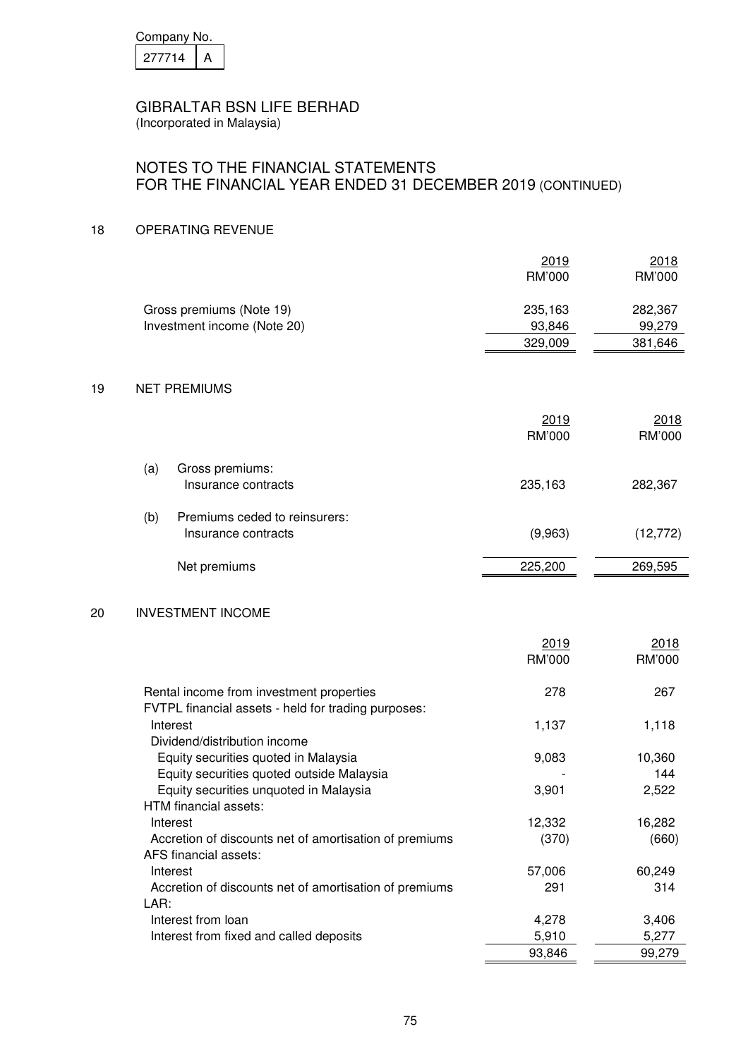| Company No. |  |  |
|-------------|--|--|
| 277714      |  |  |

# NOTES TO THE FINANCIAL STATEMENTS FOR THE FINANCIAL YEAR ENDED 31 DECEMBER 2019 (CONTINUED)

#### 18 OPERATING REVENUE

LAR:

|    |                                                                                                 | 2019<br>RM'000               | 2018<br>RM'000               |
|----|-------------------------------------------------------------------------------------------------|------------------------------|------------------------------|
|    | Gross premiums (Note 19)<br>Investment income (Note 20)                                         | 235,163<br>93,846<br>329,009 | 282,367<br>99,279<br>381,646 |
| 19 | <b>NET PREMIUMS</b>                                                                             |                              |                              |
|    |                                                                                                 | 2019<br>RM'000               | 2018<br>RM'000               |
|    | (a)<br>Gross premiums:<br>Insurance contracts                                                   | 235,163                      | 282,367                      |
|    | Premiums ceded to reinsurers:<br>(b)<br>Insurance contracts                                     | (9,963)                      | (12, 772)                    |
|    | Net premiums                                                                                    | 225,200                      | 269,595                      |
| 20 | <b>INVESTMENT INCOME</b>                                                                        |                              |                              |
|    |                                                                                                 | 2019<br>RM'000               | 2018<br>RM'000               |
|    | Rental income from investment properties<br>FVTPL financial assets - held for trading purposes: | 278                          | 267                          |
|    | Interest<br>Dividend/distribution income                                                        | 1,137                        | 1,118                        |
|    | Equity securities quoted in Malaysia<br>Equity securities quoted outside Malaysia               | 9,083                        | 10,360<br>144                |
|    | Equity securities unquoted in Malaysia<br>HTM financial assets:                                 | 3,901                        | 2,522                        |
|    | Interest<br>Accretion of discounts net of amortisation of premiums<br>AFS financial assets:     | 12,332<br>(370)              | 16,282<br>(660)              |
|    | Interest<br>Accretion of discounts net of amortisation of premiums                              | 57,006<br>291                | 60,249<br>314                |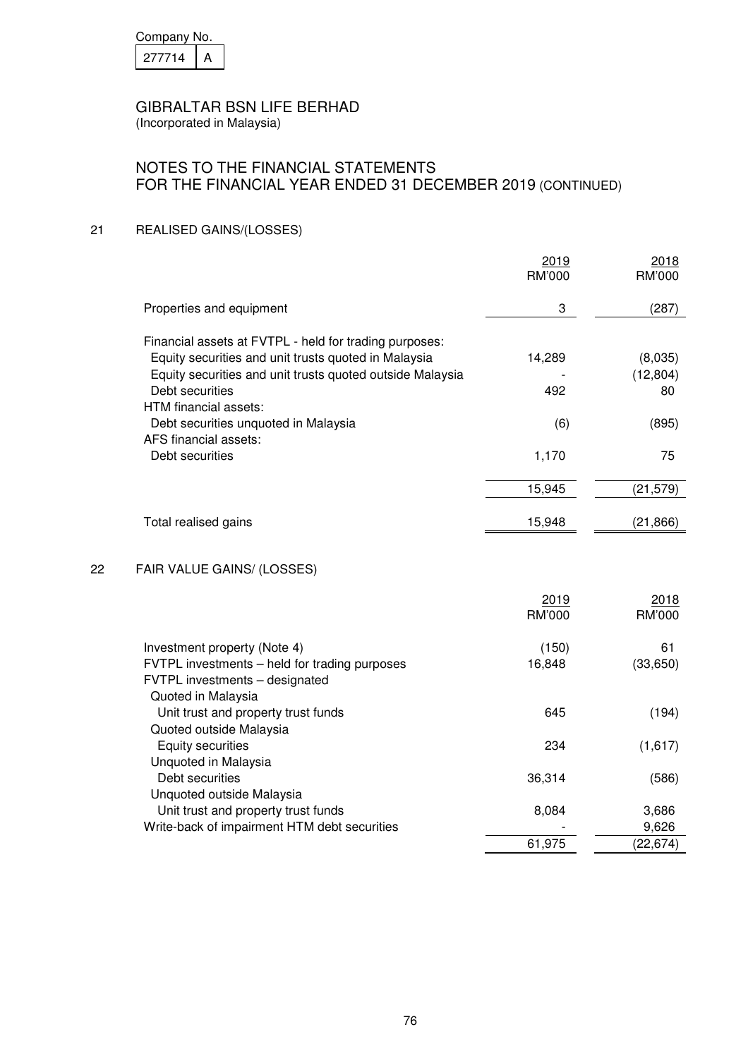| Company No. |  |
|-------------|--|
| 27714       |  |

(Incorporated in Malaysia)

# NOTES TO THE FINANCIAL STATEMENTS FOR THE FINANCIAL YEAR ENDED 31 DECEMBER 2019 (CONTINUED)

#### 21 REALISED GAINS/(LOSSES)

|    |                                                                                                       | 2019<br>RM'000 | 2018<br><b>RM'000</b> |
|----|-------------------------------------------------------------------------------------------------------|----------------|-----------------------|
|    | Properties and equipment                                                                              | 3              | (287)                 |
|    | Financial assets at FVTPL - held for trading purposes:                                                |                |                       |
|    | Equity securities and unit trusts quoted in Malaysia                                                  | 14,289         | (8,035)               |
|    | Equity securities and unit trusts quoted outside Malaysia                                             |                | (12, 804)             |
|    | Debt securities                                                                                       | 492            | 80                    |
|    | HTM financial assets:                                                                                 |                |                       |
|    | Debt securities unquoted in Malaysia                                                                  | (6)            | (895)                 |
|    | AFS financial assets:                                                                                 |                |                       |
|    | Debt securities                                                                                       | 1,170          | 75                    |
|    |                                                                                                       | 15,945         | (21, 579)             |
|    |                                                                                                       |                |                       |
|    | Total realised gains                                                                                  | 15,948         | (21, 866)             |
| 22 | FAIR VALUE GAINS/ (LOSSES)                                                                            |                |                       |
|    |                                                                                                       |                |                       |
|    |                                                                                                       | 2019           | 2018                  |
|    |                                                                                                       | RM'000         | RM'000                |
|    | Investment property (Note 4)                                                                          | (150)          | 61                    |
|    | FVTPL investments - held for trading purposes<br>FVTPL investments - designated<br>Quoted in Malaysia | 16,848         | (33, 650)             |
|    | Unit trust and property trust funds                                                                   | 645            | (194)                 |
|    | Quoted outside Malaysia                                                                               |                |                       |
|    | <b>Equity securities</b>                                                                              | 234            | (1,617)               |
|    | Unquoted in Malaysia                                                                                  |                |                       |
|    | Debt securities                                                                                       | 36,314         | (586)                 |
|    | Unquoted outside Malaysia                                                                             |                |                       |
|    | Unit trust and property trust funds<br>Write-back of impairment HTM debt securities                   | 8,084          | 3,686<br>9,626        |
|    |                                                                                                       | 61,975         | (22, 674)             |
|    |                                                                                                       |                |                       |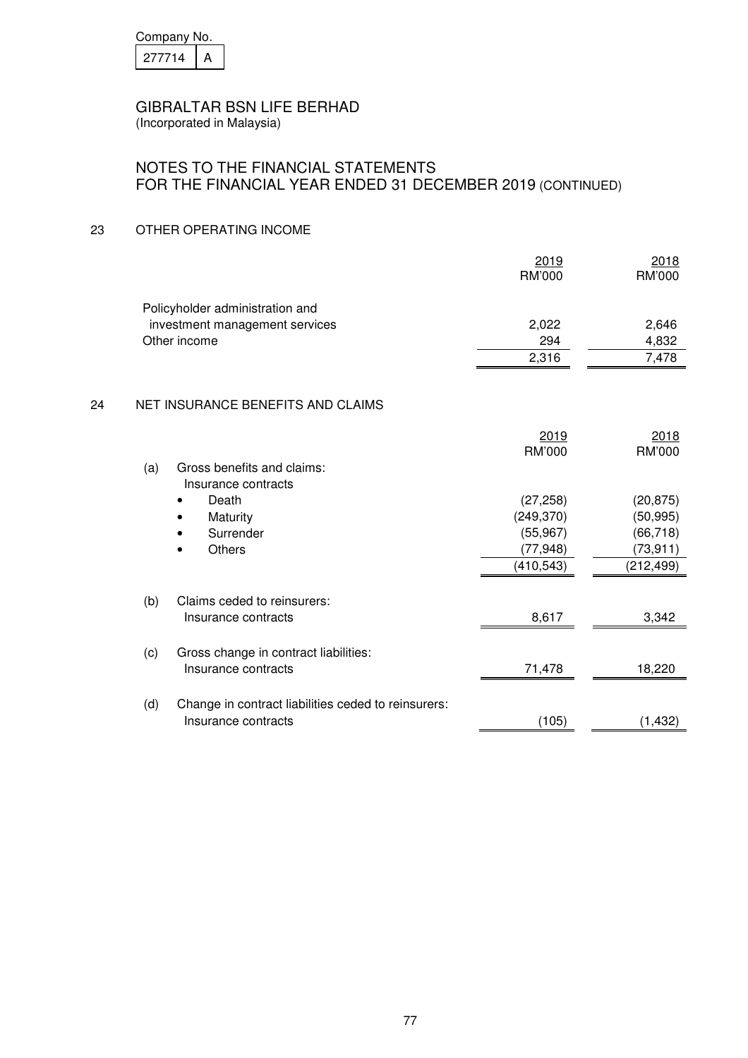| Company No. |  |  |
|-------------|--|--|
| 277714      |  |  |

(Incorporated in Malaysia)

# NOTES TO THE FINANCIAL STATEMENTS FOR THE FINANCIAL YEAR ENDED 31 DECEMBER 2019 (CONTINUED)

### 23 OTHER OPERATING INCOME

|    |     |                                                     | 2019<br>RM'000 | 2018<br><b>RM'000</b> |
|----|-----|-----------------------------------------------------|----------------|-----------------------|
|    |     | Policyholder administration and                     |                |                       |
|    |     | investment management services                      | 2,022          | 2,646                 |
|    |     | Other income                                        | 294            | 4,832                 |
|    |     |                                                     | 2,316          | 7,478                 |
|    |     |                                                     |                |                       |
| 24 |     | NET INSURANCE BENEFITS AND CLAIMS                   |                |                       |
|    |     |                                                     | 2019           | 2018                  |
|    |     |                                                     | RM'000         | RM'000                |
|    | (a) | Gross benefits and claims:                          |                |                       |
|    |     | Insurance contracts                                 |                |                       |
|    |     | Death                                               | (27, 258)      | (20, 875)             |
|    |     | Maturity                                            | (249, 370)     | (50, 995)             |
|    |     | Surrender                                           | (55, 967)      | (66, 718)             |
|    |     | <b>Others</b><br>$\bullet$                          | (77, 948)      | (73, 911)             |
|    |     |                                                     | (410, 543)     | (212, 499)            |
|    | (b) | Claims ceded to reinsurers:                         |                |                       |
|    |     | Insurance contracts                                 | 8,617          | 3,342                 |
|    | (c) | Gross change in contract liabilities:               |                |                       |
|    |     | Insurance contracts                                 | 71,478         | 18,220                |
|    | (d) | Change in contract liabilities ceded to reinsurers: |                |                       |
|    |     | Insurance contracts                                 | (105)          | (1, 432)              |
|    |     |                                                     |                |                       |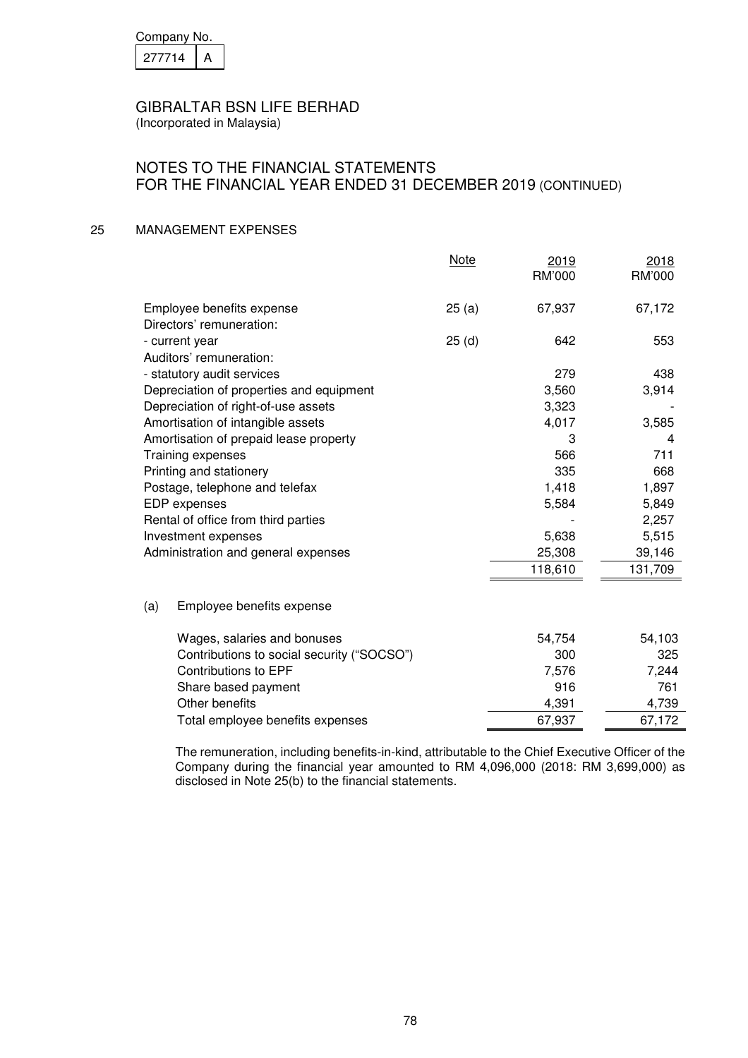| Company No. |  |
|-------------|--|
| 277714      |  |

(Incorporated in Malaysia)

### NOTES TO THE FINANCIAL STATEMENTS FOR THE FINANCIAL YEAR ENDED 31 DECEMBER 2019 (CONTINUED)

#### 25 MANAGEMENT EXPENSES

|                                            | <b>Note</b> | 2019<br>RM'000 | 2018<br>RM'000 |
|--------------------------------------------|-------------|----------------|----------------|
| Employee benefits expense                  | 25(a)       | 67,937         | 67,172         |
| Directors' remuneration:                   |             |                |                |
| - current year                             | 25(d)       | 642            | 553            |
| Auditors' remuneration:                    |             |                |                |
| - statutory audit services                 |             | 279            | 438            |
| Depreciation of properties and equipment   |             | 3,560          | 3,914          |
| Depreciation of right-of-use assets        |             | 3,323          |                |
| Amortisation of intangible assets          |             | 4,017          | 3,585          |
| Amortisation of prepaid lease property     |             | 3              | 4              |
| Training expenses                          |             | 566            | 711            |
| Printing and stationery                    |             | 335            | 668            |
| Postage, telephone and telefax             |             | 1,418          | 1,897          |
| EDP expenses                               |             | 5,584          | 5,849          |
| Rental of office from third parties        |             |                | 2,257          |
| Investment expenses                        |             | 5,638          | 5,515          |
| Administration and general expenses        |             | 25,308         | 39,146         |
|                                            |             | 118,610        | 131,709        |
| (a)<br>Employee benefits expense           |             |                |                |
| Wages, salaries and bonuses                |             | 54,754         | 54,103         |
| Contributions to social security ("SOCSO") |             | 300            | 325            |
| <b>Contributions to EPF</b>                |             | 7,576          | 7,244          |
| Share based payment                        |             | 916            | 761            |
| Other benefits                             |             | 4,391          | 4,739          |
| Total employee benefits expenses           |             | 67,937         | 67,172         |

 The remuneration, including benefits-in-kind, attributable to the Chief Executive Officer of the Company during the financial year amounted to RM 4,096,000 (2018: RM 3,699,000) as disclosed in Note 25(b) to the financial statements.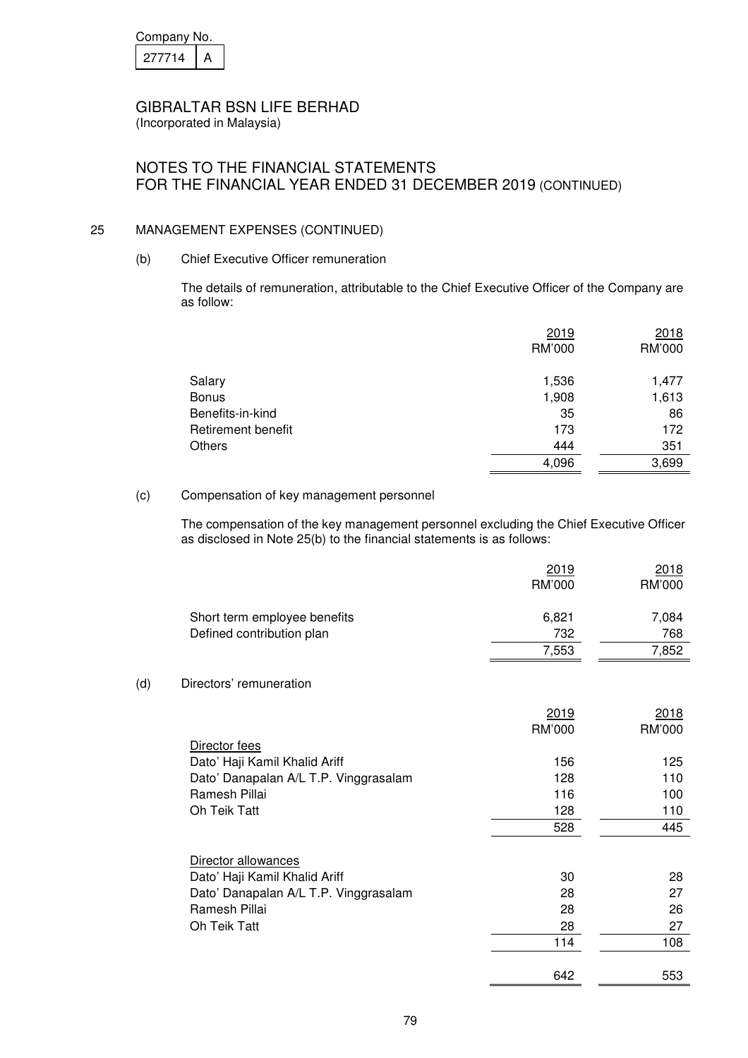| Company No. |  |  |
|-------------|--|--|
| 277714      |  |  |

# NOTES TO THE FINANCIAL STATEMENTS FOR THE FINANCIAL YEAR ENDED 31 DECEMBER 2019 (CONTINUED)

# 25 MANAGEMENT EXPENSES (CONTINUED)

### (b) Chief Executive Officer remuneration

 The details of remuneration, attributable to the Chief Executive Officer of the Company are as follow:

|                    | 2019   | 2018   |
|--------------------|--------|--------|
|                    | RM'000 | RM'000 |
|                    |        |        |
| Salary             | 1,536  | 1,477  |
| <b>Bonus</b>       | 1,908  | 1,613  |
| Benefits-in-kind   | 35     | 86     |
| Retirement benefit | 173    | 172    |
| Others             | 444    | 351    |
|                    | 4,096  | 3,699  |

#### (c) Compensation of key management personnel

 The compensation of the key management personnel excluding the Chief Executive Officer as disclosed in Note 25(b) to the financial statements is as follows:

|                              | 2019<br>RM'000 | <u>2018</u><br>RM'000 |
|------------------------------|----------------|-----------------------|
| Short term employee benefits | 6.821          | 7,084                 |
| Defined contribution plan    | 732            | 768                   |
|                              | 7,553          | 7,852                 |

### (d) Directors' remuneration

|                                       | 2019   | 2018   |
|---------------------------------------|--------|--------|
|                                       | RM'000 | RM'000 |
| Director fees                         |        |        |
| Dato' Haji Kamil Khalid Ariff         | 156    | 125    |
| Dato' Danapalan A/L T.P. Vinggrasalam | 128    | 110    |
| Ramesh Pillai                         | 116    | 100    |
| Oh Teik Tatt                          | 128    | 110    |
|                                       | 528    | 445    |
| Director allowances                   |        |        |
| Dato' Haji Kamil Khalid Ariff         | 30     | 28     |
| Dato' Danapalan A/L T.P. Vinggrasalam | 28     | 27     |
| Ramesh Pillai                         | 28     | 26     |
| Oh Teik Tatt                          | 28     | 27     |
|                                       | 114    | 108    |
|                                       | 642    | 553    |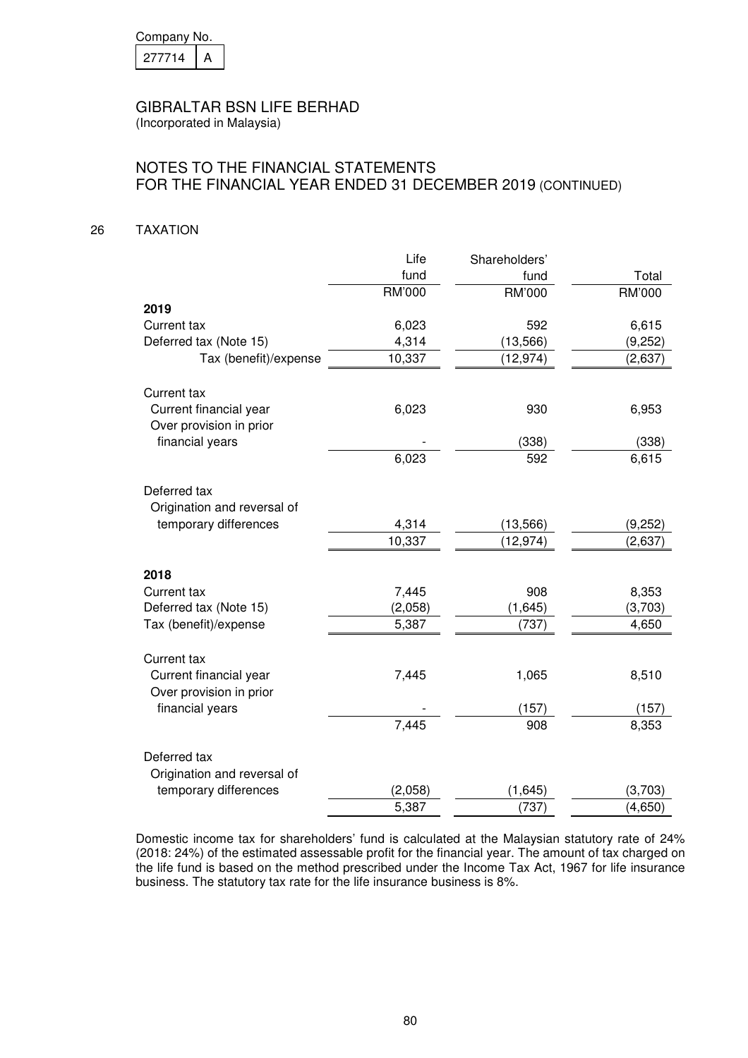| Company No. |  |
|-------------|--|
| 277714      |  |

(Incorporated in Malaysia)

# NOTES TO THE FINANCIAL STATEMENTS FOR THE FINANCIAL YEAR ENDED 31 DECEMBER 2019 (CONTINUED)

#### 26 TAXATION

|                             | Life          | Shareholders' |               |
|-----------------------------|---------------|---------------|---------------|
|                             | fund          | fund          | Total         |
|                             | <b>RM'000</b> | RM'000        | <b>RM'000</b> |
| 2019                        |               |               |               |
| Current tax                 | 6,023         | 592           | 6,615         |
| Deferred tax (Note 15)      | 4,314         | (13, 566)     | (9,252)       |
| Tax (benefit)/expense       | 10,337        | (12, 974)     | (2,637)       |
|                             |               |               |               |
| Current tax                 |               |               |               |
| Current financial year      | 6,023         | 930           | 6,953         |
| Over provision in prior     |               |               |               |
| financial years             |               | (338)         | (338)         |
|                             | 6,023         | 592           | 6,615         |
|                             |               |               |               |
| Deferred tax                |               |               |               |
| Origination and reversal of |               |               |               |
| temporary differences       | 4,314         | (13, 566)     | (9,252)       |
|                             | 10,337        | (12, 974)     | (2,637)       |
|                             |               |               |               |
| 2018<br>Current tax         | 7,445         | 908           | 8,353         |
| Deferred tax (Note 15)      | (2,058)       | (1,645)       | (3,703)       |
| Tax (benefit)/expense       | 5,387         | (737)         | 4,650         |
|                             |               |               |               |
| Current tax                 |               |               |               |
| Current financial year      | 7,445         | 1,065         | 8,510         |
| Over provision in prior     |               |               |               |
| financial years             |               | (157)         | (157)         |
|                             | 7,445         | 908           | 8,353         |
|                             |               |               |               |
| Deferred tax                |               |               |               |
| Origination and reversal of |               |               |               |
| temporary differences       | (2,058)       | (1,645)       | (3,703)       |
|                             | 5,387         | (737)         | (4,650)       |

 Domestic income tax for shareholders' fund is calculated at the Malaysian statutory rate of 24% (2018: 24%) of the estimated assessable profit for the financial year. The amount of tax charged on the life fund is based on the method prescribed under the Income Tax Act, 1967 for life insurance business. The statutory tax rate for the life insurance business is 8%.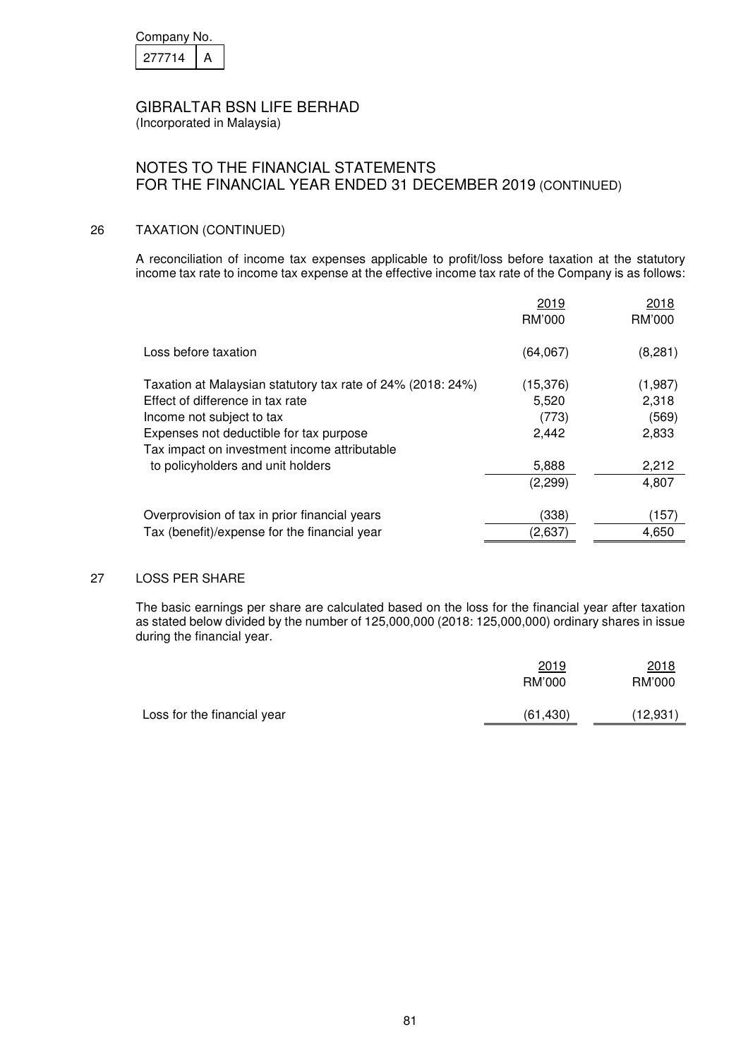| Company No. |  |  |
|-------------|--|--|
| 27714       |  |  |

(Incorporated in Malaysia)

# NOTES TO THE FINANCIAL STATEMENTS FOR THE FINANCIAL YEAR ENDED 31 DECEMBER 2019 (CONTINUED)

#### 26 TAXATION (CONTINUED)

 A reconciliation of income tax expenses applicable to profit/loss before taxation at the statutory income tax rate to income tax expense at the effective income tax rate of the Company is as follows:

|                                                             | 2019<br>RM'000 | 2018<br>RM'000 |
|-------------------------------------------------------------|----------------|----------------|
| Loss before taxation                                        | (64, 067)      | (8, 281)       |
| Taxation at Malaysian statutory tax rate of 24% (2018: 24%) | (15, 376)      | (1,987)        |
| Effect of difference in tax rate                            | 5,520          | 2,318          |
| Income not subject to tax                                   | (773)          | (569)          |
| Expenses not deductible for tax purpose                     | 2,442          | 2,833          |
| Tax impact on investment income attributable                |                |                |
| to policyholders and unit holders                           | 5,888          | 2,212          |
|                                                             | (2,299)        | 4,807          |
| Overprovision of tax in prior financial years               | (338)          | (157)          |
| Tax (benefit)/expense for the financial year                | (2,637)        | 4,650          |

#### 27 LOSS PER SHARE

The basic earnings per share are calculated based on the loss for the financial year after taxation as stated below divided by the number of 125,000,000 (2018: 125,000,000) ordinary shares in issue during the financial year.

|                             | 2019      | 2018    |
|-----------------------------|-----------|---------|
|                             | RM'000    | RM'000  |
| Loss for the financial year | (61, 430) | 12,931` |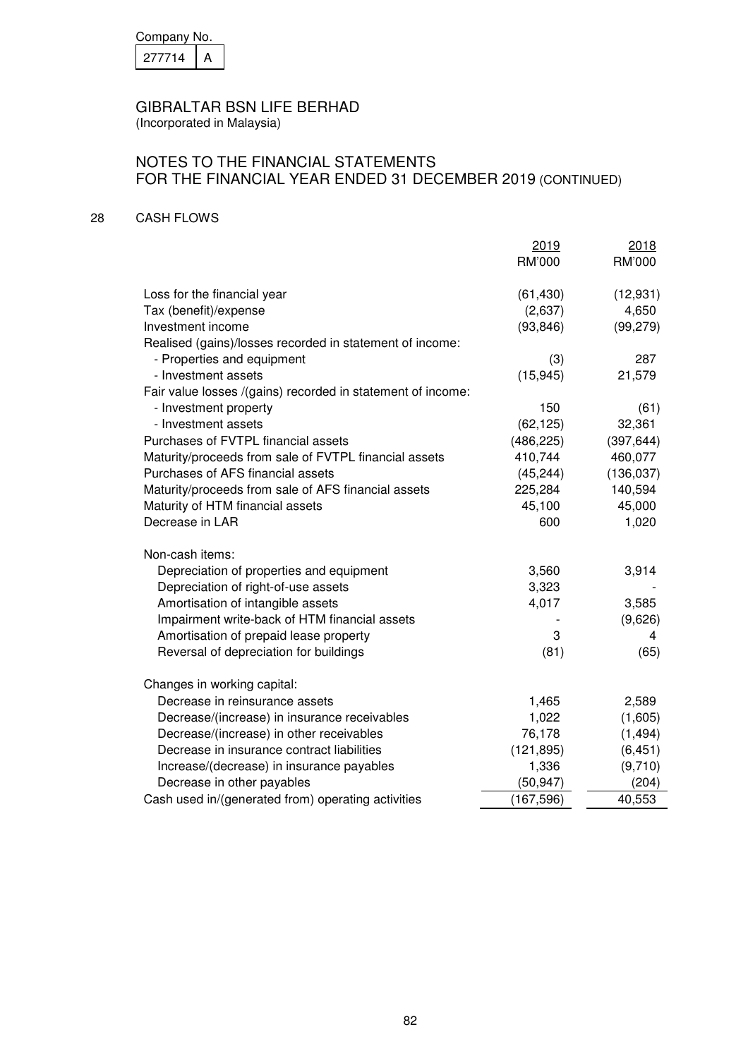| Company No. |  |
|-------------|--|
| 277714      |  |

(Incorporated in Malaysia)

# NOTES TO THE FINANCIAL STATEMENTS FOR THE FINANCIAL YEAR ENDED 31 DECEMBER 2019 (CONTINUED)

### 28 CASH FLOWS

|                                                             | 2019       | 2018       |
|-------------------------------------------------------------|------------|------------|
|                                                             | RM'000     | RM'000     |
| Loss for the financial year                                 | (61, 430)  | (12, 931)  |
| Tax (benefit)/expense                                       | (2,637)    | 4,650      |
| Investment income                                           | (93, 846)  | (99, 279)  |
| Realised (gains)/losses recorded in statement of income:    |            |            |
| - Properties and equipment                                  | (3)        | 287        |
| - Investment assets                                         | (15, 945)  | 21,579     |
| Fair value losses /(gains) recorded in statement of income: |            |            |
| - Investment property                                       | 150        | (61)       |
| - Investment assets                                         | (62, 125)  | 32,361     |
| Purchases of FVTPL financial assets                         | (486, 225) | (397, 644) |
| Maturity/proceeds from sale of FVTPL financial assets       | 410,744    | 460,077    |
| Purchases of AFS financial assets                           | (45, 244)  | (136, 037) |
| Maturity/proceeds from sale of AFS financial assets         | 225,284    | 140,594    |
| Maturity of HTM financial assets                            | 45,100     | 45,000     |
| Decrease in LAR                                             | 600        | 1,020      |
| Non-cash items:                                             |            |            |
| Depreciation of properties and equipment                    | 3,560      | 3,914      |
| Depreciation of right-of-use assets                         | 3,323      |            |
| Amortisation of intangible assets                           | 4,017      | 3,585      |
| Impairment write-back of HTM financial assets               |            | (9,626)    |
| Amortisation of prepaid lease property                      | 3          | 4          |
| Reversal of depreciation for buildings                      | (81)       | (65)       |
| Changes in working capital:                                 |            |            |
| Decrease in reinsurance assets                              | 1,465      | 2,589      |
| Decrease/(increase) in insurance receivables                | 1,022      | (1,605)    |
| Decrease/(increase) in other receivables                    | 76,178     | (1, 494)   |
| Decrease in insurance contract liabilities                  | (121, 895) | (6, 451)   |
| Increase/(decrease) in insurance payables                   | 1,336      | (9,710)    |
| Decrease in other payables                                  | (50, 947)  | (204)      |
| Cash used in/(generated from) operating activities          | (167, 596) | 40,553     |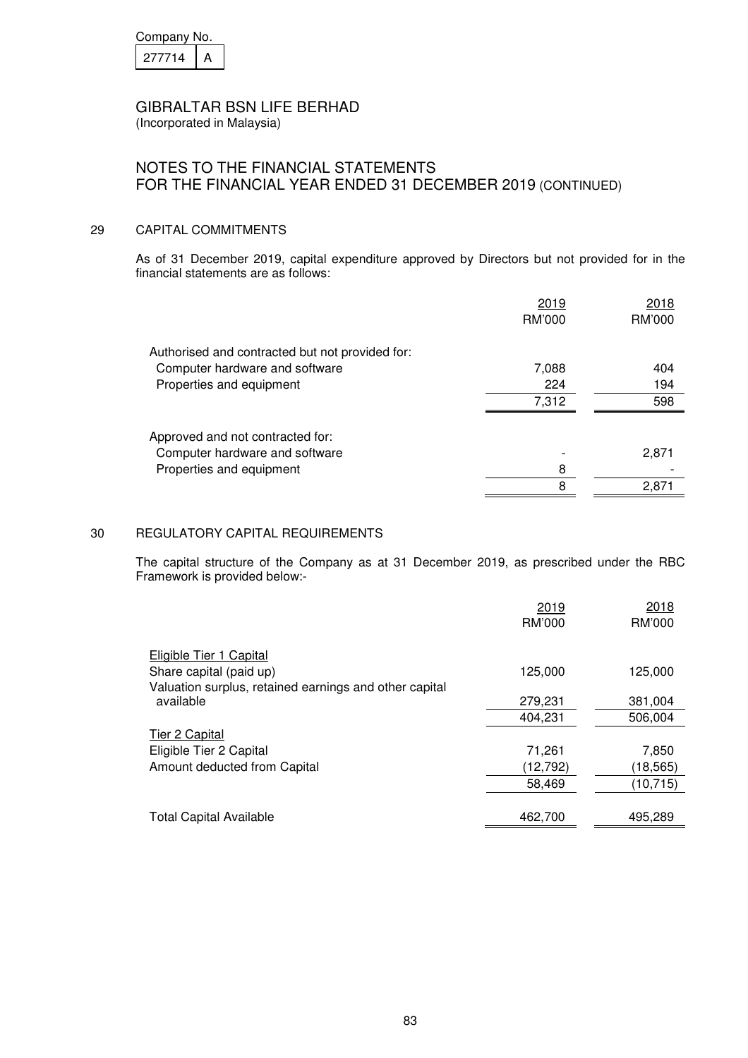| Company No. |  |  |
|-------------|--|--|
| 277714      |  |  |

### NOTES TO THE FINANCIAL STATEMENTS FOR THE FINANCIAL YEAR ENDED 31 DECEMBER 2019 (CONTINUED)

#### 29 CAPITAL COMMITMENTS

As of 31 December 2019, capital expenditure approved by Directors but not provided for in the financial statements are as follows:

|                                                 | 2019   | 2018   |
|-------------------------------------------------|--------|--------|
|                                                 | RM'000 | RM'000 |
| Authorised and contracted but not provided for: |        |        |
| Computer hardware and software                  | 7,088  | 404    |
| Properties and equipment                        | 224    | 194    |
|                                                 | 7,312  | 598    |
| Approved and not contracted for:                |        |        |
| Computer hardware and software                  |        | 2,871  |
| Properties and equipment                        | 8      |        |
|                                                 | 8      | 2.871  |

#### 30 REGULATORY CAPITAL REQUIREMENTS

 The capital structure of the Company as at 31 December 2019, as prescribed under the RBC Framework is provided below:-

|                                                        | 2019<br>RM'000 | 2018<br>RM'000 |
|--------------------------------------------------------|----------------|----------------|
|                                                        |                |                |
| Eligible Tier 1 Capital                                |                |                |
| Share capital (paid up)                                | 125,000        | 125,000        |
| Valuation surplus, retained earnings and other capital |                |                |
| available                                              | 279,231        | 381,004        |
|                                                        | 404.231        | 506.004        |
| Tier 2 Capital                                         |                |                |
| Eligible Tier 2 Capital                                | 71,261         | 7,850          |
| Amount deducted from Capital                           | (12, 792)      | (18, 565)      |
|                                                        | 58,469         | (10, 715)      |
|                                                        |                |                |
| <b>Total Capital Available</b>                         | 462,700        | 495,289        |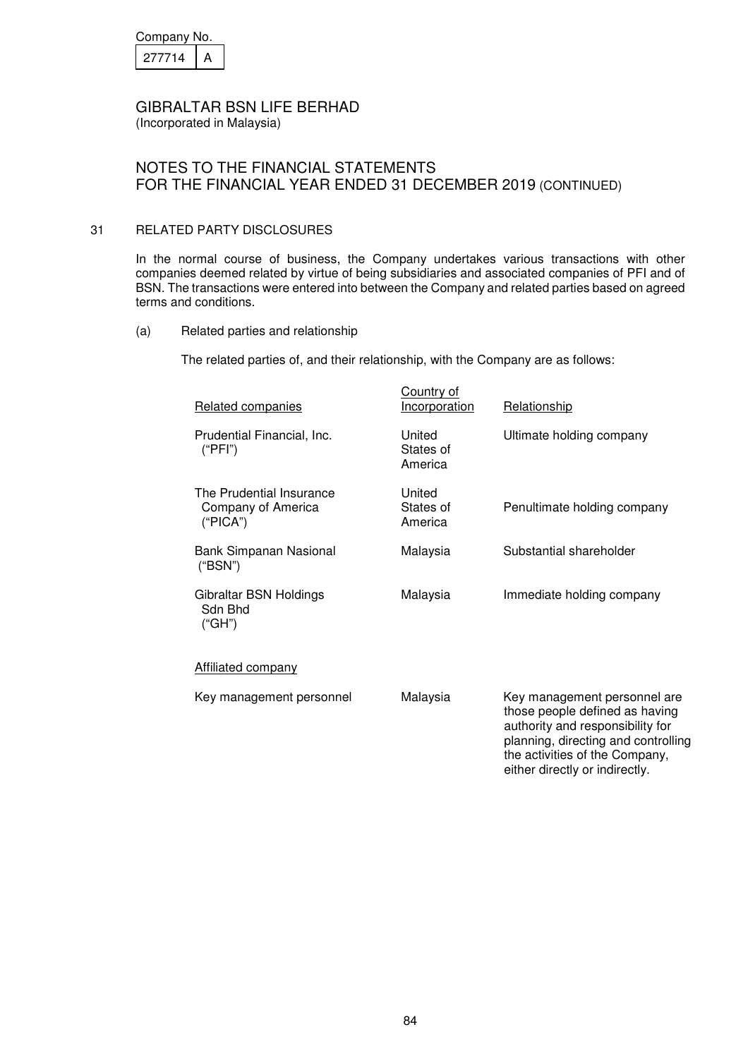| Company No. |  |  |
|-------------|--|--|
| 27714       |  |  |

(Incorporated in Malaysia)

# NOTES TO THE FINANCIAL STATEMENTS FOR THE FINANCIAL YEAR ENDED 31 DECEMBER 2019 (CONTINUED)

#### 31 RELATED PARTY DISCLOSURES

In the normal course of business, the Company undertakes various transactions with other companies deemed related by virtue of being subsidiaries and associated companies of PFI and of BSN. The transactions were entered into between the Company and related parties based on agreed terms and conditions.

(a) Related parties and relationship

The related parties of, and their relationship, with the Company are as follows:

| Related companies                                          | Country of<br><b>Incorporation</b> | Relationship                                                                                                                                                                                                  |
|------------------------------------------------------------|------------------------------------|---------------------------------------------------------------------------------------------------------------------------------------------------------------------------------------------------------------|
| Prudential Financial, Inc.<br>("PFI")                      | United<br>States of<br>America     | Ultimate holding company                                                                                                                                                                                      |
| The Prudential Insurance<br>Company of America<br>("PICA") | United<br>States of<br>America     | Penultimate holding company                                                                                                                                                                                   |
| Bank Simpanan Nasional<br>("BSN")                          | Malaysia                           | Substantial shareholder                                                                                                                                                                                       |
| Gibraltar BSN Holdings<br>Sdn Bhd<br>("GH")                | Malaysia                           | Immediate holding company                                                                                                                                                                                     |
| Affiliated company                                         |                                    |                                                                                                                                                                                                               |
| Key management personnel                                   | Malaysia                           | Key management personnel are<br>those people defined as having<br>authority and responsibility for<br>planning, directing and controlling<br>the activities of the Company,<br>either directly or indirectly. |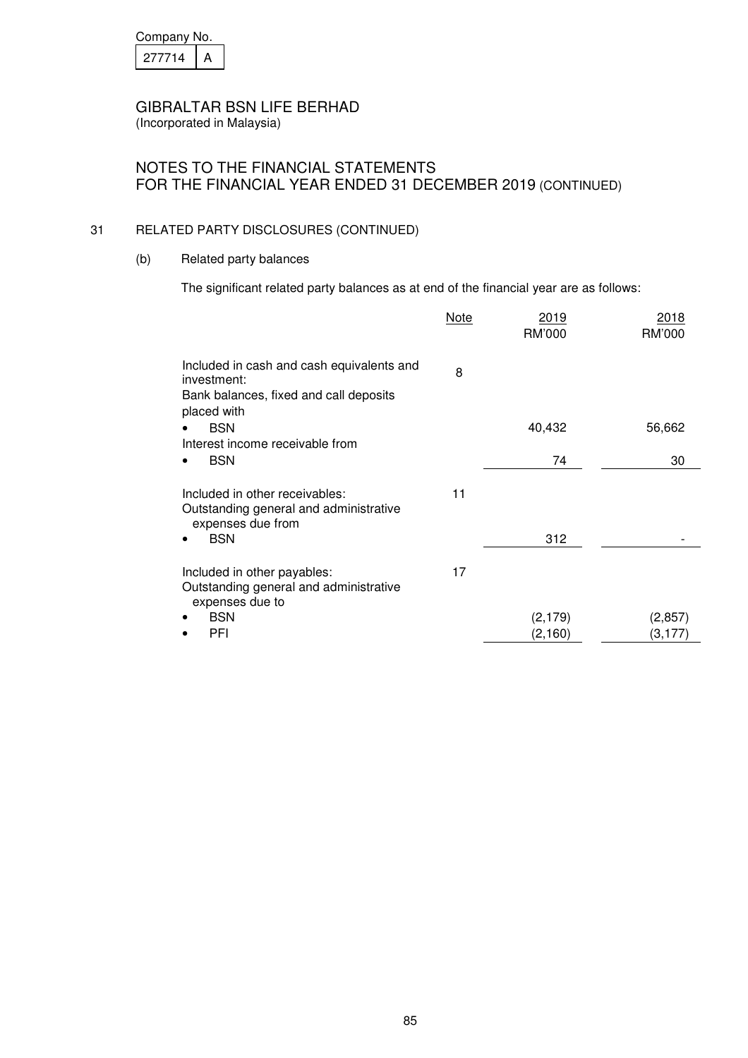| Company No. |  |  |
|-------------|--|--|
| 277714      |  |  |

# NOTES TO THE FINANCIAL STATEMENTS FOR THE FINANCIAL YEAR ENDED 31 DECEMBER 2019 (CONTINUED)

#### 31 RELATED PARTY DISCLOSURES (CONTINUED)

(b) Related party balances

The significant related party balances as at end of the financial year are as follows:

|                                                                                                                   | <b>Note</b> | 2019<br>RM'000 | 2018<br>RM'000 |
|-------------------------------------------------------------------------------------------------------------------|-------------|----------------|----------------|
| Included in cash and cash equivalents and<br>investment:<br>Bank balances, fixed and call deposits<br>placed with | 8           |                |                |
| <b>BSN</b>                                                                                                        |             | 40,432         | 56,662         |
| Interest income receivable from<br><b>BSN</b>                                                                     |             | 74             | 30             |
| Included in other receivables:<br>Outstanding general and administrative<br>expenses due from                     | 11          |                |                |
| <b>BSN</b>                                                                                                        |             | 312            |                |
| Included in other payables:<br>Outstanding general and administrative<br>expenses due to                          | 17          |                |                |
| <b>BSN</b>                                                                                                        |             | (2, 179)       | (2,857)        |
| PFI                                                                                                               |             | (2, 160)       | (3,177)        |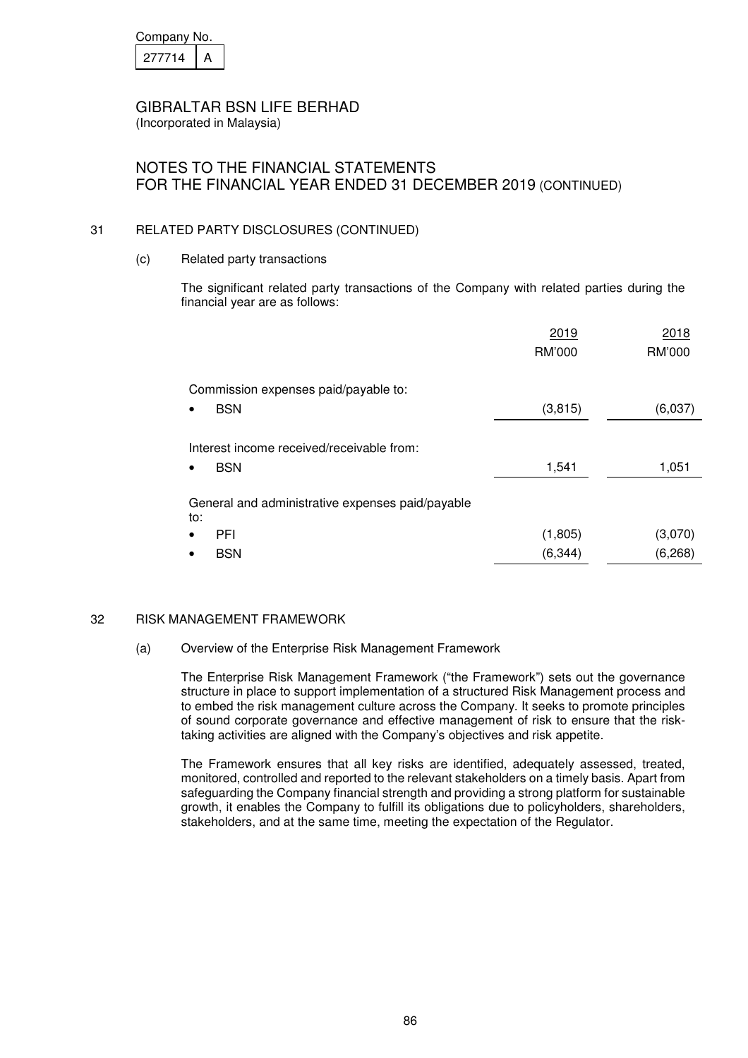| Company No. |  |  |
|-------------|--|--|
| 277714      |  |  |

(Incorporated in Malaysia)

# NOTES TO THE FINANCIAL STATEMENTS FOR THE FINANCIAL YEAR ENDED 31 DECEMBER 2019 (CONTINUED)

#### 31 RELATED PARTY DISCLOSURES (CONTINUED)

(c) Related party transactions

 The significant related party transactions of the Company with related parties during the financial year are as follows:

|                                                                            | 2019<br>RM'000 | 2018<br>RM'000 |
|----------------------------------------------------------------------------|----------------|----------------|
| Commission expenses paid/payable to:<br><b>BSN</b>                         | (3, 815)       | (6,037)        |
| Interest income received/receivable from:<br><b>BSN</b><br>$\bullet$       | 1,541          | 1,051          |
| General and administrative expenses paid/payable<br>to:<br><b>PFI</b><br>٠ | (1,805)        | (3,070)        |
| <b>BSN</b>                                                                 | (6, 344)       | (6, 268)       |

#### 32 RISK MANAGEMENT FRAMEWORK

#### (a) Overview of the Enterprise Risk Management Framework

 The Enterprise Risk Management Framework ("the Framework") sets out the governance structure in place to support implementation of a structured Risk Management process and to embed the risk management culture across the Company. It seeks to promote principles of sound corporate governance and effective management of risk to ensure that the risktaking activities are aligned with the Company's objectives and risk appetite.

 The Framework ensures that all key risks are identified, adequately assessed, treated, monitored, controlled and reported to the relevant stakeholders on a timely basis. Apart from safeguarding the Company financial strength and providing a strong platform for sustainable growth, it enables the Company to fulfill its obligations due to policyholders, shareholders, stakeholders, and at the same time, meeting the expectation of the Regulator.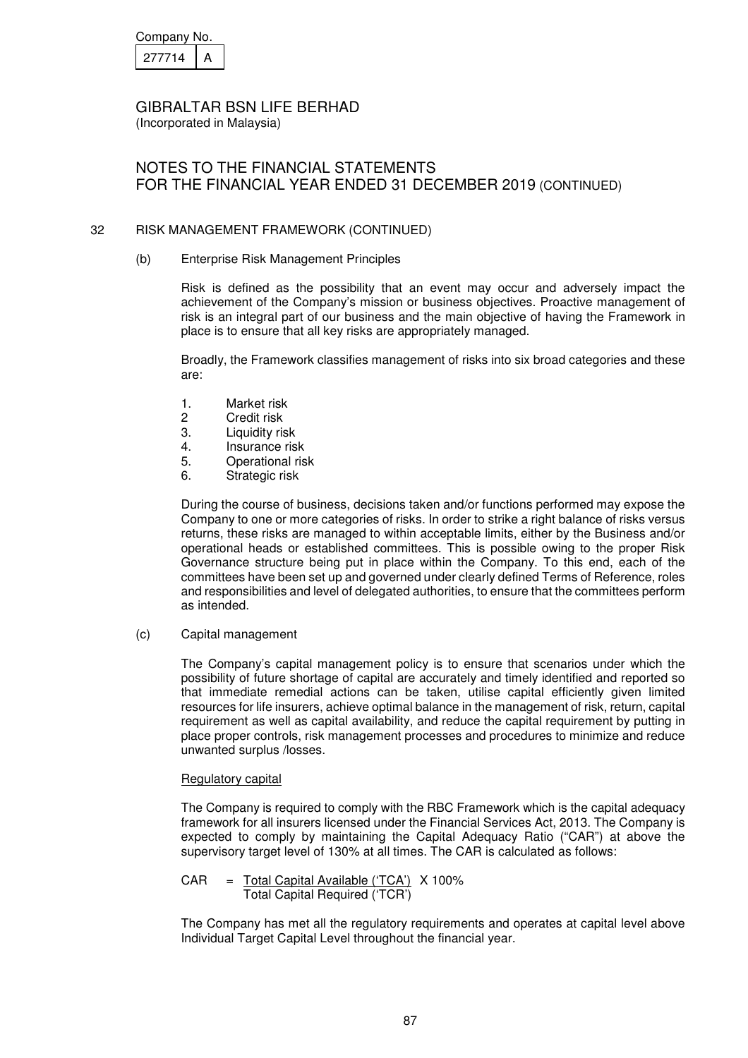| Company No. |  |  |
|-------------|--|--|
| 277714      |  |  |

(Incorporated in Malaysia)

# NOTES TO THE FINANCIAL STATEMENTS FOR THE FINANCIAL YEAR ENDED 31 DECEMBER 2019 (CONTINUED)

#### 32 RISK MANAGEMENT FRAMEWORK (CONTINUED)

(b) Enterprise Risk Management Principles

 Risk is defined as the possibility that an event may occur and adversely impact the achievement of the Company's mission or business objectives. Proactive management of risk is an integral part of our business and the main objective of having the Framework in place is to ensure that all key risks are appropriately managed.

 Broadly, the Framework classifies management of risks into six broad categories and these are:

- 1. Market risk
- 2 Credit risk<br>3 Liquidity ris
- Liquidity risk
- 4. Insurance risk
- 5. Operational risk
- 6. Strategic risk

During the course of business, decisions taken and/or functions performed may expose the Company to one or more categories of risks. In order to strike a right balance of risks versus returns, these risks are managed to within acceptable limits, either by the Business and/or operational heads or established committees. This is possible owing to the proper Risk Governance structure being put in place within the Company. To this end, each of the committees have been set up and governed under clearly defined Terms of Reference, roles and responsibilities and level of delegated authorities, to ensure that the committees perform as intended.

(c) Capital management

 The Company's capital management policy is to ensure that scenarios under which the possibility of future shortage of capital are accurately and timely identified and reported so that immediate remedial actions can be taken, utilise capital efficiently given limited resources for life insurers, achieve optimal balance in the management of risk, return, capital requirement as well as capital availability, and reduce the capital requirement by putting in place proper controls, risk management processes and procedures to minimize and reduce unwanted surplus /losses.

#### Regulatory capital

 The Company is required to comply with the RBC Framework which is the capital adequacy framework for all insurers licensed under the Financial Services Act, 2013. The Company is expected to comply by maintaining the Capital Adequacy Ratio ("CAR") at above the supervisory target level of 130% at all times. The CAR is calculated as follows:

 CAR = Total Capital Available ('TCA') X 100% Total Capital Required ('TCR')

 The Company has met all the regulatory requirements and operates at capital level above Individual Target Capital Level throughout the financial year.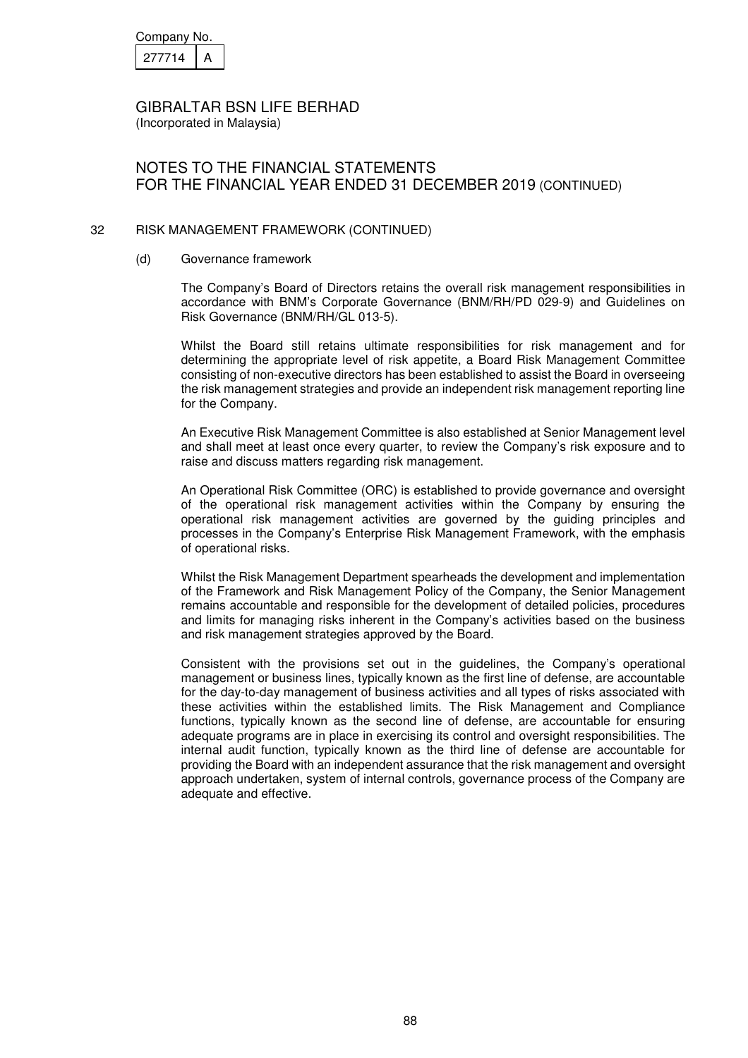| Company No. |  |  |
|-------------|--|--|
| 277714      |  |  |

NOTES TO THE FINANCIAL STATEMENTS FOR THE FINANCIAL YEAR ENDED 31 DECEMBER 2019 (CONTINUED)

#### 32 RISK MANAGEMENT FRAMEWORK (CONTINUED)

#### (d) Governance framework

 The Company's Board of Directors retains the overall risk management responsibilities in accordance with BNM's Corporate Governance (BNM/RH/PD 029-9) and Guidelines on Risk Governance (BNM/RH/GL 013-5).

 Whilst the Board still retains ultimate responsibilities for risk management and for determining the appropriate level of risk appetite, a Board Risk Management Committee consisting of non-executive directors has been established to assist the Board in overseeing the risk management strategies and provide an independent risk management reporting line for the Company.

 An Executive Risk Management Committee is also established at Senior Management level and shall meet at least once every quarter, to review the Company's risk exposure and to raise and discuss matters regarding risk management.

 An Operational Risk Committee (ORC) is established to provide governance and oversight of the operational risk management activities within the Company by ensuring the operational risk management activities are governed by the guiding principles and processes in the Company's Enterprise Risk Management Framework, with the emphasis of operational risks.

 Whilst the Risk Management Department spearheads the development and implementation of the Framework and Risk Management Policy of the Company, the Senior Management remains accountable and responsible for the development of detailed policies, procedures and limits for managing risks inherent in the Company's activities based on the business and risk management strategies approved by the Board.

 Consistent with the provisions set out in the guidelines, the Company's operational management or business lines, typically known as the first line of defense, are accountable for the day-to-day management of business activities and all types of risks associated with these activities within the established limits. The Risk Management and Compliance functions, typically known as the second line of defense, are accountable for ensuring adequate programs are in place in exercising its control and oversight responsibilities. The internal audit function, typically known as the third line of defense are accountable for providing the Board with an independent assurance that the risk management and oversight approach undertaken, system of internal controls, governance process of the Company are adequate and effective.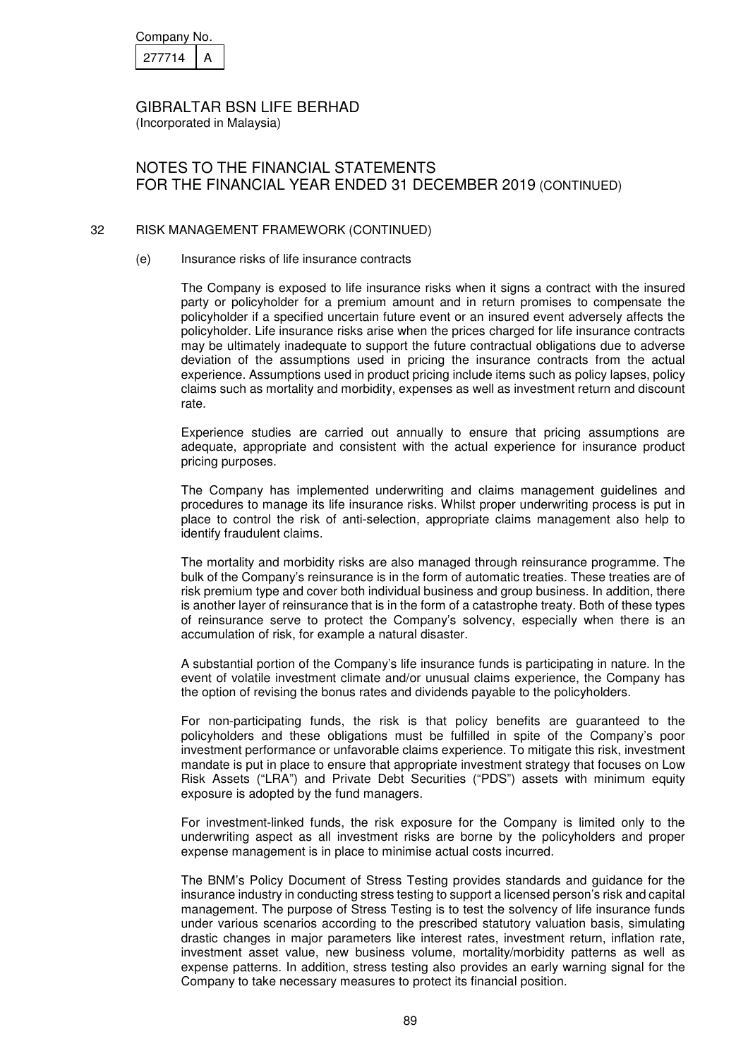| Company No. |  |  |
|-------------|--|--|
| 27714       |  |  |

# NOTES TO THE FINANCIAL STATEMENTS FOR THE FINANCIAL YEAR ENDED 31 DECEMBER 2019 (CONTINUED)

#### 32 RISK MANAGEMENT FRAMEWORK (CONTINUED)

#### (e) Insurance risks of life insurance contracts

The Company is exposed to life insurance risks when it signs a contract with the insured party or policyholder for a premium amount and in return promises to compensate the policyholder if a specified uncertain future event or an insured event adversely affects the policyholder. Life insurance risks arise when the prices charged for life insurance contracts may be ultimately inadequate to support the future contractual obligations due to adverse deviation of the assumptions used in pricing the insurance contracts from the actual experience. Assumptions used in product pricing include items such as policy lapses, policy claims such as mortality and morbidity, expenses as well as investment return and discount rate.

Experience studies are carried out annually to ensure that pricing assumptions are adequate, appropriate and consistent with the actual experience for insurance product pricing purposes.

The Company has implemented underwriting and claims management guidelines and procedures to manage its life insurance risks. Whilst proper underwriting process is put in place to control the risk of anti-selection, appropriate claims management also help to identify fraudulent claims.

The mortality and morbidity risks are also managed through reinsurance programme. The bulk of the Company's reinsurance is in the form of automatic treaties. These treaties are of risk premium type and cover both individual business and group business. In addition, there is another layer of reinsurance that is in the form of a catastrophe treaty. Both of these types of reinsurance serve to protect the Company's solvency, especially when there is an accumulation of risk, for example a natural disaster.

A substantial portion of the Company's life insurance funds is participating in nature. In the event of volatile investment climate and/or unusual claims experience, the Company has the option of revising the bonus rates and dividends payable to the policyholders.

For non-participating funds, the risk is that policy benefits are guaranteed to the policyholders and these obligations must be fulfilled in spite of the Company's poor investment performance or unfavorable claims experience. To mitigate this risk, investment mandate is put in place to ensure that appropriate investment strategy that focuses on Low Risk Assets ("LRA") and Private Debt Securities ("PDS") assets with minimum equity exposure is adopted by the fund managers.

For investment-linked funds, the risk exposure for the Company is limited only to the underwriting aspect as all investment risks are borne by the policyholders and proper expense management is in place to minimise actual costs incurred.

The BNM's Policy Document of Stress Testing provides standards and guidance for the insurance industry in conducting stress testing to support a licensed person's risk and capital management. The purpose of Stress Testing is to test the solvency of life insurance funds under various scenarios according to the prescribed statutory valuation basis, simulating drastic changes in major parameters like interest rates, investment return, inflation rate, investment asset value, new business volume, mortality/morbidity patterns as well as expense patterns. In addition, stress testing also provides an early warning signal for the Company to take necessary measures to protect its financial position.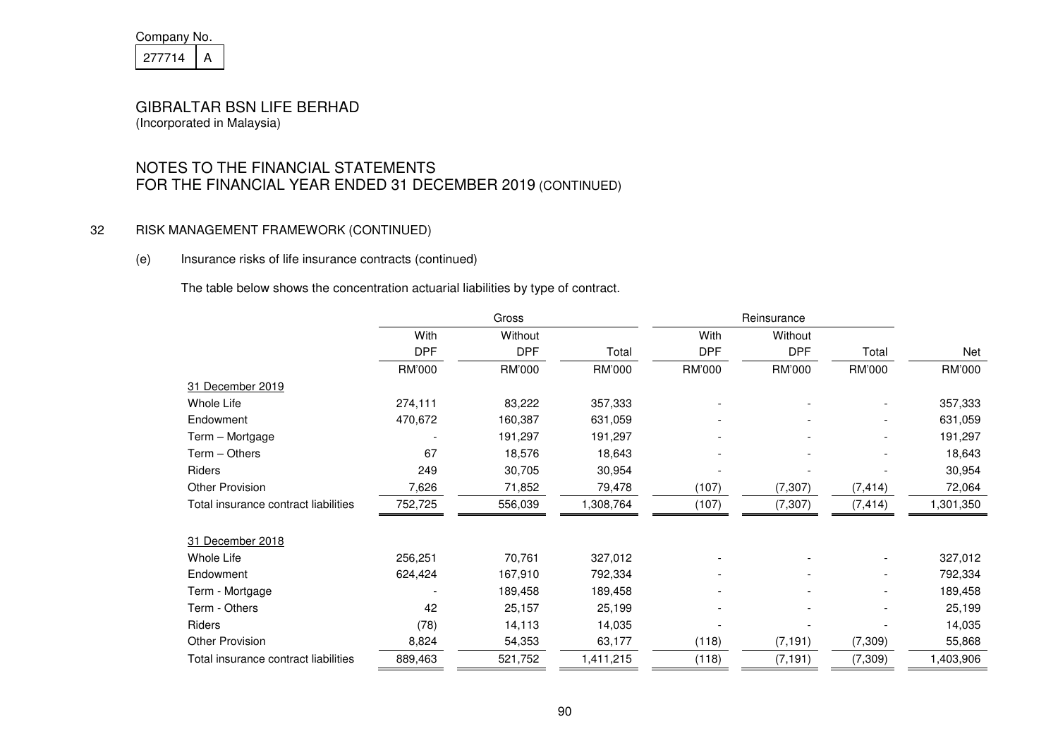| Company No. |  |  |
|-------------|--|--|
| 27714       |  |  |

# NOTES TO THE FINANCIAL STATEMENTS FOR THE FINANCIAL YEAR ENDED 31 DECEMBER 2019 (CONTINUED)

#### 32 RISK MANAGEMENT FRAMEWORK (CONTINUED)

#### (e) Insurance risks of life insurance contracts (continued)

The table below shows the concentration actuarial liabilities by type of contract.

|                                      |            | Gross      |           | Reinsurance |            |                          |           |
|--------------------------------------|------------|------------|-----------|-------------|------------|--------------------------|-----------|
|                                      | With       | Without    |           | With        | Without    |                          |           |
|                                      | <b>DPF</b> | <b>DPF</b> | Total     | <b>DPF</b>  | <b>DPF</b> | Total                    | Net       |
|                                      | RM'000     | RM'000     | RM'000    | RM'000      | RM'000     | RM'000                   | RM'000    |
| 31 December 2019                     |            |            |           |             |            |                          |           |
| Whole Life                           | 274,111    | 83,222     | 357,333   |             |            |                          | 357,333   |
| Endowment                            | 470,672    | 160,387    | 631,059   |             |            | $\overline{\phantom{a}}$ | 631,059   |
| Term - Mortgage                      |            | 191,297    | 191,297   |             |            |                          | 191,297   |
| Term - Others                        | 67         | 18,576     | 18,643    |             |            | $\overline{\phantom{a}}$ | 18,643    |
| Riders                               | 249        | 30,705     | 30,954    |             |            |                          | 30,954    |
| <b>Other Provision</b>               | 7,626      | 71,852     | 79,478    | (107)       | (7, 307)   | (7, 414)                 | 72,064    |
| Total insurance contract liabilities | 752,725    | 556,039    | 1,308,764 | (107)       | (7, 307)   | (7, 414)                 | 1,301,350 |
|                                      |            |            |           |             |            |                          |           |
| 31 December 2018                     |            |            |           |             |            |                          |           |
| Whole Life                           | 256,251    | 70,761     | 327,012   |             |            | $\overline{\phantom{a}}$ | 327,012   |
| Endowment                            | 624,424    | 167,910    | 792,334   |             |            | $\overline{\phantom{a}}$ | 792,334   |
| Term - Mortgage                      |            | 189,458    | 189,458   |             |            |                          | 189,458   |
| Term - Others                        | 42         | 25,157     | 25,199    |             |            |                          | 25,199    |
| Riders                               | (78)       | 14,113     | 14,035    |             |            |                          | 14,035    |
| <b>Other Provision</b>               | 8,824      | 54,353     | 63,177    | (118)       | (7, 191)   | (7, 309)                 | 55,868    |
| Total insurance contract liabilities | 889,463    | 521,752    | 1,411,215 | (118)       | (7, 191)   | (7, 309)                 | 1,403,906 |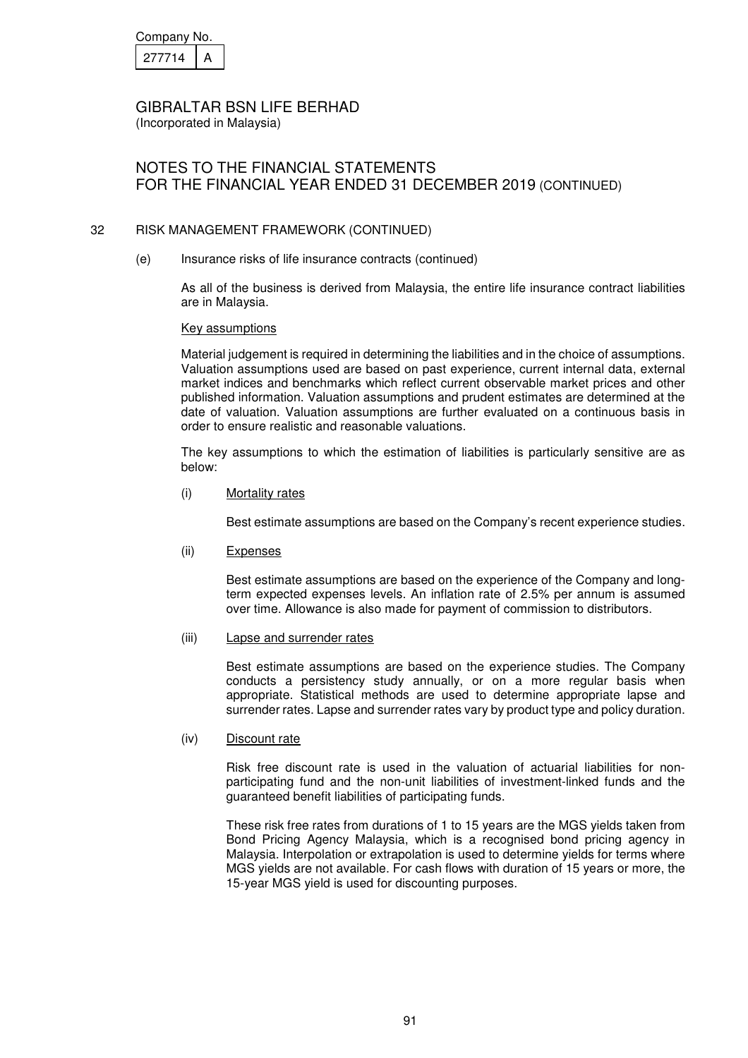| Company No. |  |  |
|-------------|--|--|
| 277714      |  |  |

(Incorporated in Malaysia)

# NOTES TO THE FINANCIAL STATEMENTS FOR THE FINANCIAL YEAR ENDED 31 DECEMBER 2019 (CONTINUED)

#### 32 RISK MANAGEMENT FRAMEWORK (CONTINUED)

(e) Insurance risks of life insurance contracts (continued)

As all of the business is derived from Malaysia, the entire life insurance contract liabilities are in Malaysia.

#### Key assumptions

Material judgement is required in determining the liabilities and in the choice of assumptions. Valuation assumptions used are based on past experience, current internal data, external market indices and benchmarks which reflect current observable market prices and other published information. Valuation assumptions and prudent estimates are determined at the date of valuation. Valuation assumptions are further evaluated on a continuous basis in order to ensure realistic and reasonable valuations.

The key assumptions to which the estimation of liabilities is particularly sensitive are as below:

(i) Mortality rates

Best estimate assumptions are based on the Company's recent experience studies.

(ii) Expenses

Best estimate assumptions are based on the experience of the Company and longterm expected expenses levels. An inflation rate of 2.5% per annum is assumed over time. Allowance is also made for payment of commission to distributors.

#### (iii) Lapse and surrender rates

Best estimate assumptions are based on the experience studies. The Company conducts a persistency study annually, or on a more regular basis when appropriate. Statistical methods are used to determine appropriate lapse and surrender rates. Lapse and surrender rates vary by product type and policy duration.

#### (iv) Discount rate

Risk free discount rate is used in the valuation of actuarial liabilities for nonparticipating fund and the non-unit liabilities of investment-linked funds and the guaranteed benefit liabilities of participating funds.

These risk free rates from durations of 1 to 15 years are the MGS yields taken from Bond Pricing Agency Malaysia, which is a recognised bond pricing agency in Malaysia. Interpolation or extrapolation is used to determine yields for terms where MGS yields are not available. For cash flows with duration of 15 years or more, the 15-year MGS yield is used for discounting purposes.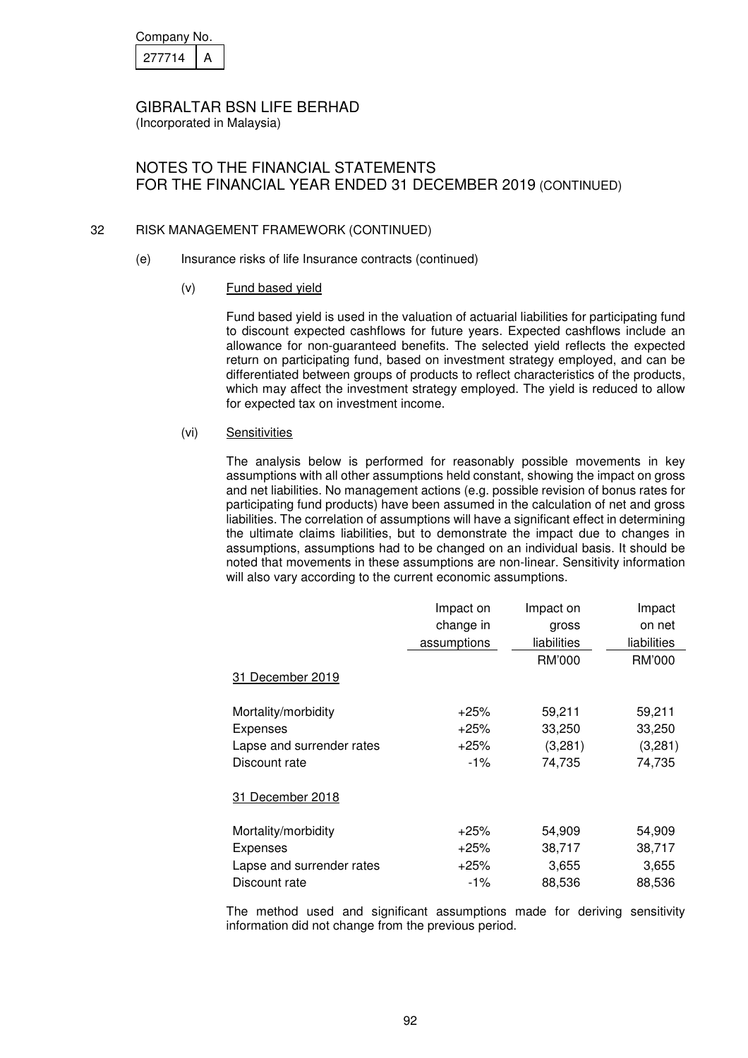| Company No. |  |  |
|-------------|--|--|
| 27714       |  |  |

NOTES TO THE FINANCIAL STATEMENTS FOR THE FINANCIAL YEAR ENDED 31 DECEMBER 2019 (CONTINUED)

#### 32 RISK MANAGEMENT FRAMEWORK (CONTINUED)

(e) Insurance risks of life Insurance contracts (continued)

#### (v) Fund based yield

Fund based yield is used in the valuation of actuarial liabilities for participating fund to discount expected cashflows for future years. Expected cashflows include an allowance for non-guaranteed benefits. The selected yield reflects the expected return on participating fund, based on investment strategy employed, and can be differentiated between groups of products to reflect characteristics of the products, which may affect the investment strategy employed. The yield is reduced to allow for expected tax on investment income.

#### (vi) Sensitivities

The analysis below is performed for reasonably possible movements in key assumptions with all other assumptions held constant, showing the impact on gross and net liabilities. No management actions (e.g. possible revision of bonus rates for participating fund products) have been assumed in the calculation of net and gross liabilities. The correlation of assumptions will have a significant effect in determining the ultimate claims liabilities, but to demonstrate the impact due to changes in assumptions, assumptions had to be changed on an individual basis. It should be noted that movements in these assumptions are non-linear. Sensitivity information will also vary according to the current economic assumptions.

|                           | Impact on   | Impact on   | Impact      |
|---------------------------|-------------|-------------|-------------|
|                           | change in   | gross       | on net      |
|                           | assumptions | liabilities | liabilities |
|                           |             | RM'000      | RM'000      |
| 31 December 2019          |             |             |             |
| Mortality/morbidity       | $+25%$      | 59,211      | 59,211      |
| <b>Expenses</b>           | $+25%$      | 33,250      | 33,250      |
| Lapse and surrender rates | $+25%$      | (3,281)     | (3,281)     |
| Discount rate             | $-1\%$      | 74,735      | 74,735      |
| 31 December 2018          |             |             |             |
| Mortality/morbidity       | $+25%$      | 54,909      | 54,909      |
| Expenses                  | $+25%$      | 38,717      | 38,717      |
| Lapse and surrender rates | $+25%$      | 3,655       | 3,655       |
| Discount rate             | $-1\%$      | 88,536      | 88,536      |

The method used and significant assumptions made for deriving sensitivity information did not change from the previous period.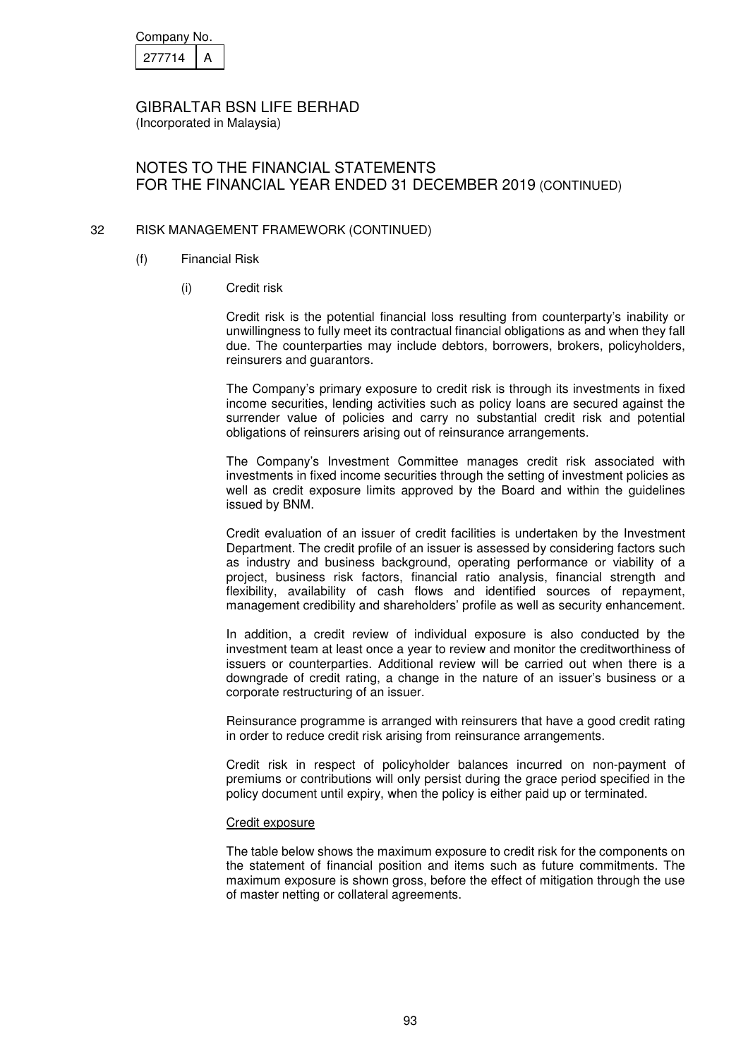| Company No. |  |  |
|-------------|--|--|
| 27714       |  |  |

# NOTES TO THE FINANCIAL STATEMENTS FOR THE FINANCIAL YEAR ENDED 31 DECEMBER 2019 (CONTINUED)

#### 32 RISK MANAGEMENT FRAMEWORK (CONTINUED)

- (f) Financial Risk
	- (i) Credit risk

Credit risk is the potential financial loss resulting from counterparty's inability or unwillingness to fully meet its contractual financial obligations as and when they fall due. The counterparties may include debtors, borrowers, brokers, policyholders, reinsurers and guarantors.

The Company's primary exposure to credit risk is through its investments in fixed income securities, lending activities such as policy loans are secured against the surrender value of policies and carry no substantial credit risk and potential obligations of reinsurers arising out of reinsurance arrangements.

The Company's Investment Committee manages credit risk associated with investments in fixed income securities through the setting of investment policies as well as credit exposure limits approved by the Board and within the guidelines issued by BNM.

Credit evaluation of an issuer of credit facilities is undertaken by the Investment Department. The credit profile of an issuer is assessed by considering factors such as industry and business background, operating performance or viability of a project, business risk factors, financial ratio analysis, financial strength and flexibility, availability of cash flows and identified sources of repayment, management credibility and shareholders' profile as well as security enhancement.

In addition, a credit review of individual exposure is also conducted by the investment team at least once a year to review and monitor the creditworthiness of issuers or counterparties. Additional review will be carried out when there is a downgrade of credit rating, a change in the nature of an issuer's business or a corporate restructuring of an issuer.

Reinsurance programme is arranged with reinsurers that have a good credit rating in order to reduce credit risk arising from reinsurance arrangements.

Credit risk in respect of policyholder balances incurred on non-payment of premiums or contributions will only persist during the grace period specified in the policy document until expiry, when the policy is either paid up or terminated.

#### Credit exposure

The table below shows the maximum exposure to credit risk for the components on the statement of financial position and items such as future commitments. The maximum exposure is shown gross, before the effect of mitigation through the use of master netting or collateral agreements.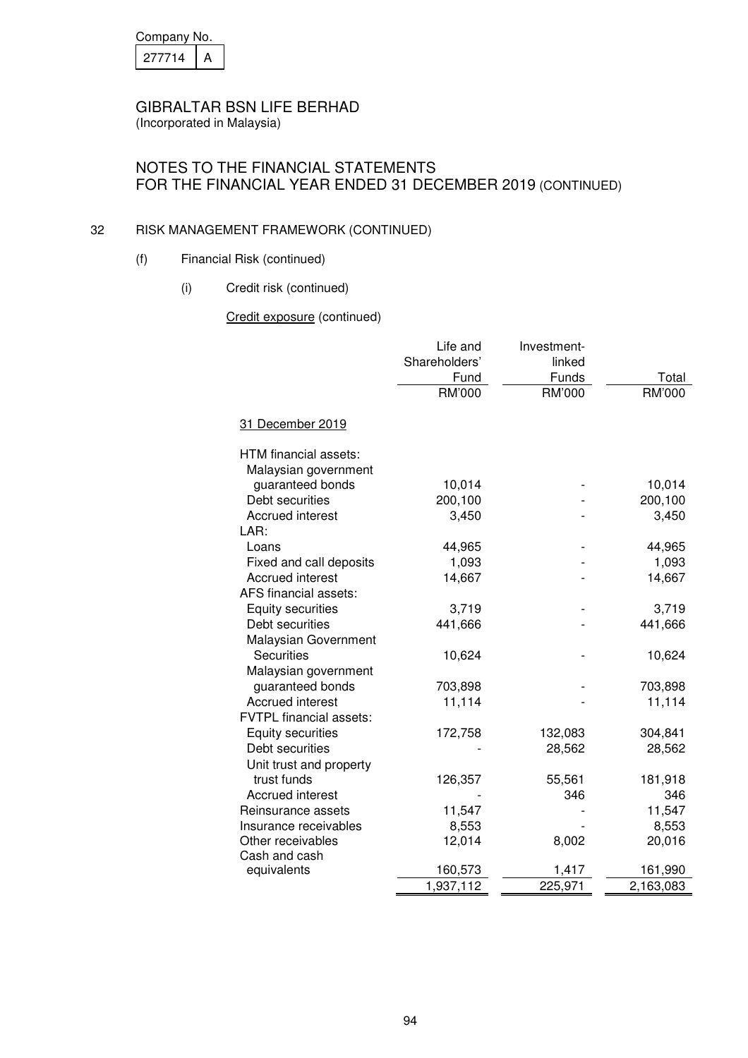| Company No. |  |  |
|-------------|--|--|
| 21/714      |  |  |

# NOTES TO THE FINANCIAL STATEMENTS FOR THE FINANCIAL YEAR ENDED 31 DECEMBER 2019 (CONTINUED)

#### 32 RISK MANAGEMENT FRAMEWORK (CONTINUED)

- (f) Financial Risk (continued)
	- (i) Credit risk (continued)

Credit exposure (continued)

|                                               | Life and<br>Shareholders'<br>Fund | Investment-<br>linked<br>Funds | Total     |
|-----------------------------------------------|-----------------------------------|--------------------------------|-----------|
|                                               | RM'000                            | RM'000                         | RM'000    |
| 31 December 2019                              |                                   |                                |           |
| HTM financial assets:<br>Malaysian government |                                   |                                |           |
| guaranteed bonds                              | 10,014                            |                                | 10,014    |
| Debt securities                               | 200,100                           |                                | 200,100   |
| <b>Accrued interest</b>                       | 3,450                             |                                | 3,450     |
| LAR:                                          |                                   |                                |           |
| Loans                                         | 44,965                            |                                | 44,965    |
| Fixed and call deposits                       | 1,093                             |                                | 1,093     |
| <b>Accrued interest</b>                       | 14,667                            |                                | 14,667    |
| AFS financial assets:                         |                                   |                                |           |
| <b>Equity securities</b>                      | 3,719                             |                                | 3,719     |
| Debt securities                               | 441,666                           |                                | 441,666   |
| Malaysian Government                          |                                   |                                |           |
| <b>Securities</b>                             | 10,624                            |                                | 10,624    |
| Malaysian government                          |                                   |                                |           |
| guaranteed bonds                              | 703,898                           |                                | 703,898   |
| <b>Accrued interest</b>                       | 11,114                            |                                | 11,114    |
| <b>FVTPL</b> financial assets:                |                                   |                                |           |
| <b>Equity securities</b>                      | 172,758                           | 132,083                        | 304,841   |
| Debt securities                               |                                   | 28,562                         | 28,562    |
| Unit trust and property                       |                                   |                                |           |
| trust funds                                   | 126,357                           | 55,561                         | 181,918   |
| <b>Accrued interest</b>                       |                                   | 346                            | 346       |
| Reinsurance assets                            | 11,547                            |                                | 11,547    |
| Insurance receivables                         | 8,553                             |                                | 8,553     |
| Other receivables<br>Cash and cash            | 12,014                            | 8,002                          | 20,016    |
| equivalents                                   | 160,573                           | 1,417                          | 161,990   |
|                                               | 1,937,112                         | 225,971                        | 2,163,083 |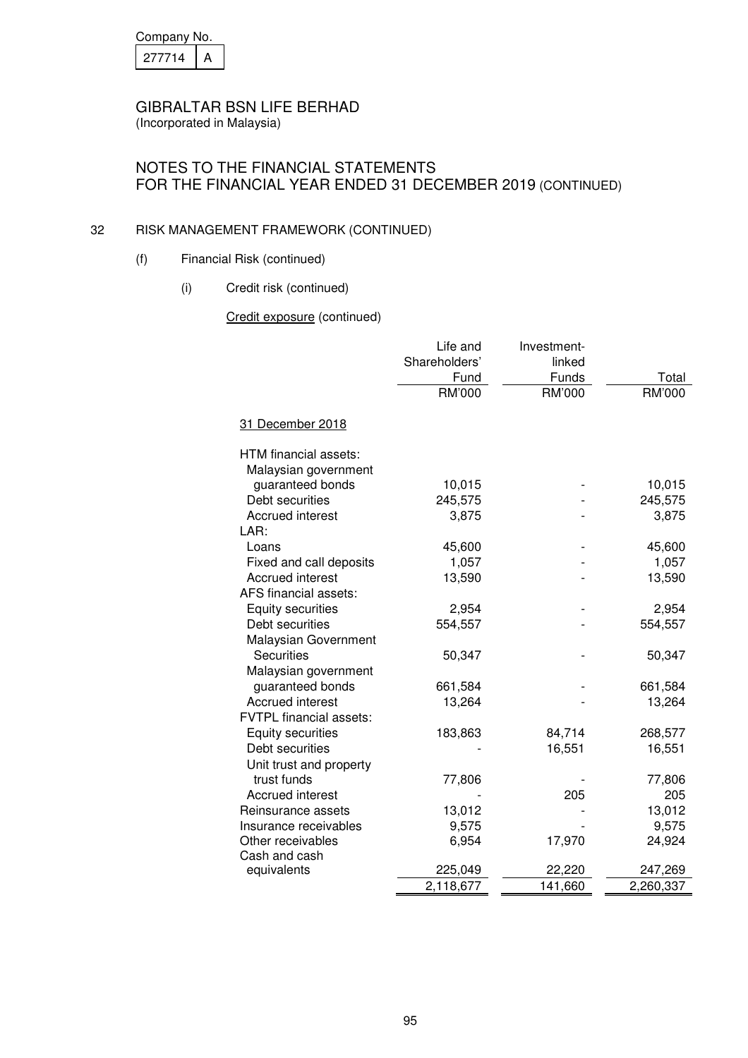| Company No. |  |
|-------------|--|
| 21/714      |  |

# NOTES TO THE FINANCIAL STATEMENTS FOR THE FINANCIAL YEAR ENDED 31 DECEMBER 2019 (CONTINUED)

#### 32 RISK MANAGEMENT FRAMEWORK (CONTINUED)

- (f) Financial Risk (continued)
	- (i) Credit risk (continued)

Credit exposure (continued)

| RM'000<br>RM'000<br>RM'000<br>31 December 2018<br>HTM financial assets:<br>Malaysian government<br>guaranteed bonds<br>10,015<br>10,015<br>Debt securities<br>245,575<br>245,575<br><b>Accrued interest</b><br>3,875<br>3,875<br>LAR:<br>45,600<br>45,600<br>Loans<br>Fixed and call deposits<br>1,057<br>1,057<br><b>Accrued interest</b><br>13,590<br>13,590<br>AFS financial assets:<br>Equity securities<br>2,954<br>2,954 |
|--------------------------------------------------------------------------------------------------------------------------------------------------------------------------------------------------------------------------------------------------------------------------------------------------------------------------------------------------------------------------------------------------------------------------------|
|                                                                                                                                                                                                                                                                                                                                                                                                                                |
|                                                                                                                                                                                                                                                                                                                                                                                                                                |
|                                                                                                                                                                                                                                                                                                                                                                                                                                |
|                                                                                                                                                                                                                                                                                                                                                                                                                                |
|                                                                                                                                                                                                                                                                                                                                                                                                                                |
|                                                                                                                                                                                                                                                                                                                                                                                                                                |
|                                                                                                                                                                                                                                                                                                                                                                                                                                |
|                                                                                                                                                                                                                                                                                                                                                                                                                                |
|                                                                                                                                                                                                                                                                                                                                                                                                                                |
|                                                                                                                                                                                                                                                                                                                                                                                                                                |
|                                                                                                                                                                                                                                                                                                                                                                                                                                |
|                                                                                                                                                                                                                                                                                                                                                                                                                                |
| Debt securities<br>554,557<br>554,557                                                                                                                                                                                                                                                                                                                                                                                          |
| Malaysian Government                                                                                                                                                                                                                                                                                                                                                                                                           |
| <b>Securities</b><br>50,347<br>50,347                                                                                                                                                                                                                                                                                                                                                                                          |
| Malaysian government                                                                                                                                                                                                                                                                                                                                                                                                           |
| guaranteed bonds<br>661,584<br>661,584                                                                                                                                                                                                                                                                                                                                                                                         |
| <b>Accrued interest</b><br>13,264<br>13,264                                                                                                                                                                                                                                                                                                                                                                                    |
| <b>FVTPL</b> financial assets:                                                                                                                                                                                                                                                                                                                                                                                                 |
| <b>Equity securities</b><br>183,863<br>84,714<br>268,577                                                                                                                                                                                                                                                                                                                                                                       |
| Debt securities<br>16,551<br>16,551                                                                                                                                                                                                                                                                                                                                                                                            |
| Unit trust and property                                                                                                                                                                                                                                                                                                                                                                                                        |
| trust funds<br>77,806<br>77,806                                                                                                                                                                                                                                                                                                                                                                                                |
| <b>Accrued interest</b><br>205<br>205                                                                                                                                                                                                                                                                                                                                                                                          |
| 13,012<br>13,012<br>Reinsurance assets                                                                                                                                                                                                                                                                                                                                                                                         |
| 9,575<br>9,575<br>Insurance receivables                                                                                                                                                                                                                                                                                                                                                                                        |
| 6,954<br>24,924<br>Other receivables<br>17,970                                                                                                                                                                                                                                                                                                                                                                                 |
| Cash and cash<br>225,049                                                                                                                                                                                                                                                                                                                                                                                                       |
| equivalents<br>22,220<br>247,269<br>2,118,677<br>141,660<br>2,260,337                                                                                                                                                                                                                                                                                                                                                          |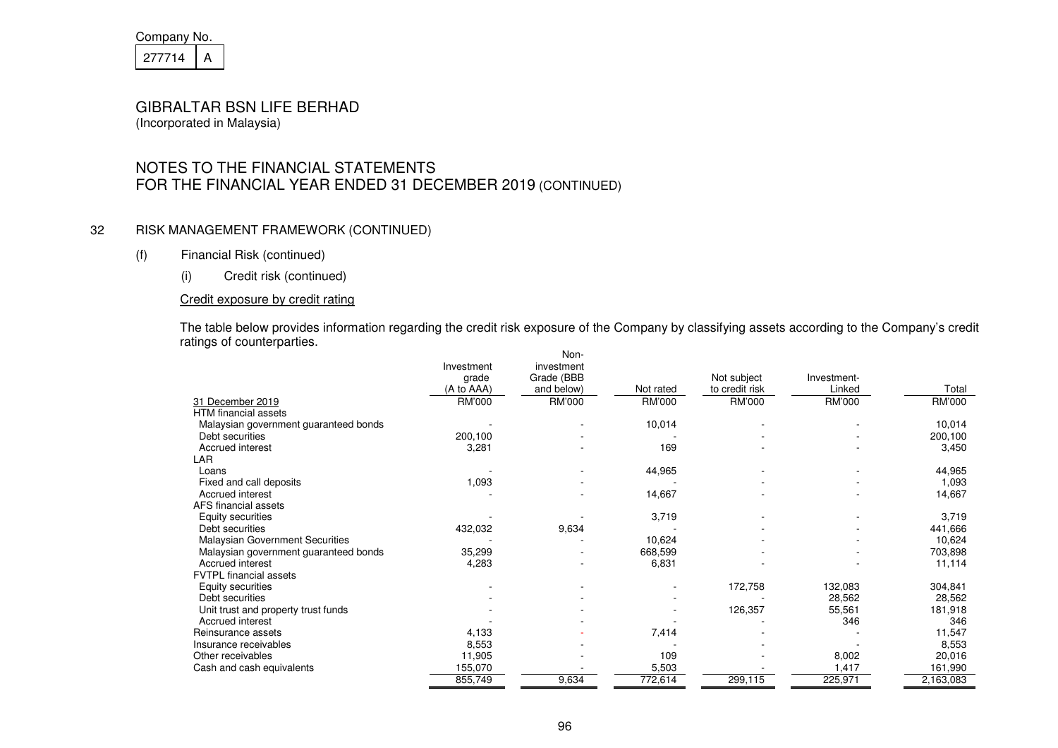| Company No. |  |
|-------------|--|
| 21/714      |  |

# NOTES TO THE FINANCIAL STATEMENTS FOR THE FINANCIAL YEAR ENDED 31 DECEMBER 2019 (CONTINUED)

#### 32 RISK MANAGEMENT FRAMEWORK (CONTINUED)

#### (f) Financial Risk (continued)

(i) Credit risk (continued)

#### Credit exposure by credit rating

The table below provides information regarding the credit risk exposure of the Company by classifying assets according to the Company's credit ratings of counterparties.

|                                        |               | Non-       |           |                |             |           |
|----------------------------------------|---------------|------------|-----------|----------------|-------------|-----------|
|                                        | Investment    | investment |           |                |             |           |
|                                        | grade         | Grade (BBB |           | Not subject    | Investment- |           |
|                                        | (A to AAA)    | and below) | Not rated | to credit risk | Linked      | Total     |
| 31 December 2019                       | <b>RM'000</b> | RM'000     | RM'000    | RM'000         | RM'000      | RM'000    |
| <b>HTM</b> financial assets            |               |            |           |                |             |           |
| Malaysian government guaranteed bonds  |               |            | 10,014    |                |             | 10,014    |
| Debt securities                        | 200,100       |            |           |                |             | 200,100   |
| Accrued interest                       | 3,281         |            | 169       |                |             | 3,450     |
| LAR                                    |               |            |           |                |             |           |
| Loans                                  |               |            | 44,965    |                |             | 44,965    |
| Fixed and call deposits                | 1,093         |            |           |                |             | 1,093     |
| Accrued interest                       |               |            | 14,667    |                |             | 14,667    |
| AFS financial assets                   |               |            |           |                |             |           |
| Equity securities                      |               |            | 3,719     |                |             | 3,719     |
| Debt securities                        | 432,032       | 9,634      |           |                |             | 441,666   |
| <b>Malaysian Government Securities</b> |               |            | 10,624    |                |             | 10,624    |
| Malaysian government guaranteed bonds  | 35,299        |            | 668,599   |                |             | 703,898   |
| Accrued interest                       | 4,283         |            | 6,831     |                |             | 11,114    |
| <b>FVTPL</b> financial assets          |               |            |           |                |             |           |
| Equity securities                      |               |            |           | 172,758        | 132,083     | 304,841   |
| Debt securities                        |               |            |           |                | 28,562      | 28,562    |
| Unit trust and property trust funds    |               |            |           | 126,357        | 55,561      | 181,918   |
| Accrued interest                       |               |            |           |                | 346         | 346       |
| Reinsurance assets                     | 4,133         |            | 7,414     |                |             | 11,547    |
| Insurance receivables                  | 8,553         |            |           |                |             | 8,553     |
| Other receivables                      | 11,905        |            | 109       |                | 8,002       | 20,016    |
| Cash and cash equivalents              | 155,070       |            | 5,503     |                | 1,417       | 161,990   |
|                                        | 855,749       | 9,634      | 772,614   | 299,115        | 225,971     | 2,163,083 |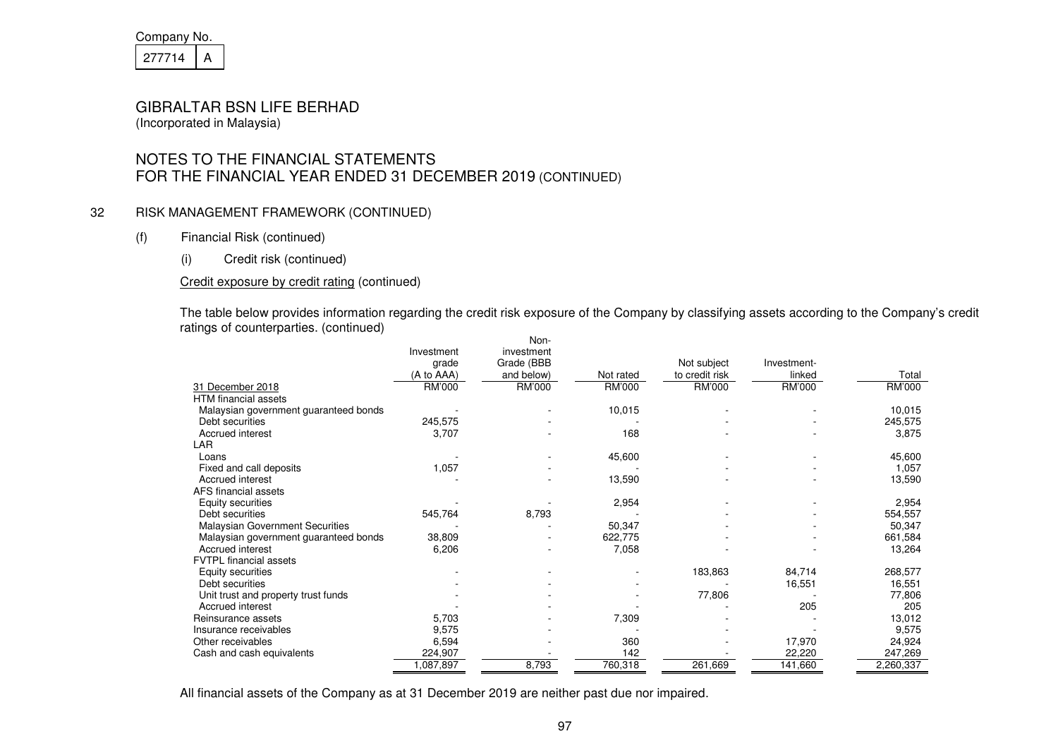| Company No. |  |
|-------------|--|
| 21/714      |  |

# NOTES TO THE FINANCIAL STATEMENTS FOR THE FINANCIAL YEAR ENDED 31 DECEMBER 2019 (CONTINUED)

#### 32 RISK MANAGEMENT FRAMEWORK (CONTINUED)

- (f) Financial Risk (continued)
	- (i) Credit risk (continued)

#### Credit exposure by credit rating (continued)

The table below provides information regarding the credit risk exposure of the Company by classifying assets according to the Company's credit ratings of counterparties. (continued)

|                                        |            | Non-       |           |                |             |           |
|----------------------------------------|------------|------------|-----------|----------------|-------------|-----------|
|                                        | Investment | investment |           |                |             |           |
|                                        | grade      | Grade (BBB |           | Not subject    | Investment- |           |
|                                        | (A to AAA) | and below) | Not rated | to credit risk | linked      | Total     |
| 31 December 2018                       | RM'000     | RM'000     | RM'000    | RM'000         | RM'000      | RM'000    |
| <b>HTM</b> financial assets            |            |            |           |                |             |           |
| Malaysian government guaranteed bonds  |            |            | 10,015    |                |             | 10,015    |
| Debt securities                        | 245,575    |            |           |                |             | 245,575   |
| Accrued interest                       | 3,707      |            | 168       |                |             | 3,875     |
| LAR                                    |            |            |           |                |             |           |
| Loans                                  |            |            | 45,600    |                |             | 45,600    |
| Fixed and call deposits                | 1,057      |            |           |                |             | 1,057     |
| Accrued interest                       |            |            | 13,590    |                |             | 13,590    |
| AFS financial assets                   |            |            |           |                |             |           |
| Equity securities                      |            |            | 2,954     |                |             | 2,954     |
| Debt securities                        | 545,764    | 8,793      |           |                |             | 554,557   |
| <b>Malaysian Government Securities</b> |            |            | 50,347    |                |             | 50,347    |
| Malaysian government guaranteed bonds  | 38,809     |            | 622,775   |                |             | 661,584   |
| Accrued interest                       | 6,206      |            | 7,058     |                |             | 13,264    |
| <b>FVTPL</b> financial assets          |            |            |           |                |             |           |
| Equity securities                      |            |            |           | 183,863        | 84,714      | 268,577   |
| Debt securities                        |            |            |           |                | 16,551      | 16,551    |
| Unit trust and property trust funds    |            |            |           | 77,806         |             | 77,806    |
| Accrued interest                       |            |            |           |                | 205         | 205       |
| Reinsurance assets                     | 5,703      |            | 7,309     |                |             | 13,012    |
| Insurance receivables                  | 9,575      |            |           |                |             | 9,575     |
| Other receivables                      | 6,594      |            | 360       |                | 17,970      | 24,924    |
| Cash and cash equivalents              | 224,907    |            | 142       |                | 22,220      | 247,269   |
|                                        | ,087,897   | 8,793      | 760,318   | 261,669        | 141,660     | 2,260,337 |

All financial assets of the Company as at 31 December 2019 are neither past due nor impaired.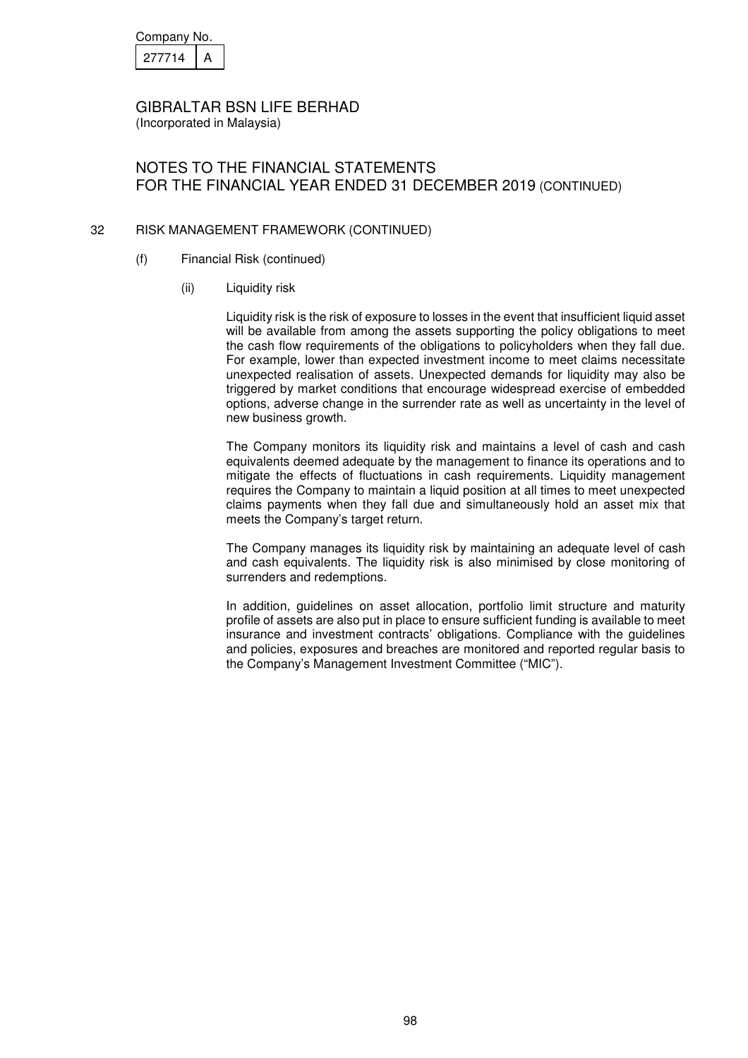| Company No. |  |
|-------------|--|
| 277714      |  |

### NOTES TO THE FINANCIAL STATEMENTS FOR THE FINANCIAL YEAR ENDED 31 DECEMBER 2019 (CONTINUED)

#### 32 RISK MANAGEMENT FRAMEWORK (CONTINUED)

- (f) Financial Risk (continued)
	- (ii) Liquidity risk

Liquidity risk is the risk of exposure to losses in the event that insufficient liquid asset will be available from among the assets supporting the policy obligations to meet the cash flow requirements of the obligations to policyholders when they fall due. For example, lower than expected investment income to meet claims necessitate unexpected realisation of assets. Unexpected demands for liquidity may also be triggered by market conditions that encourage widespread exercise of embedded options, adverse change in the surrender rate as well as uncertainty in the level of new business growth.

The Company monitors its liquidity risk and maintains a level of cash and cash equivalents deemed adequate by the management to finance its operations and to mitigate the effects of fluctuations in cash requirements. Liquidity management requires the Company to maintain a liquid position at all times to meet unexpected claims payments when they fall due and simultaneously hold an asset mix that meets the Company's target return.

The Company manages its liquidity risk by maintaining an adequate level of cash and cash equivalents. The liquidity risk is also minimised by close monitoring of surrenders and redemptions.

In addition, guidelines on asset allocation, portfolio limit structure and maturity profile of assets are also put in place to ensure sufficient funding is available to meet insurance and investment contracts' obligations. Compliance with the guidelines and policies, exposures and breaches are monitored and reported regular basis to the Company's Management Investment Committee ("MIC").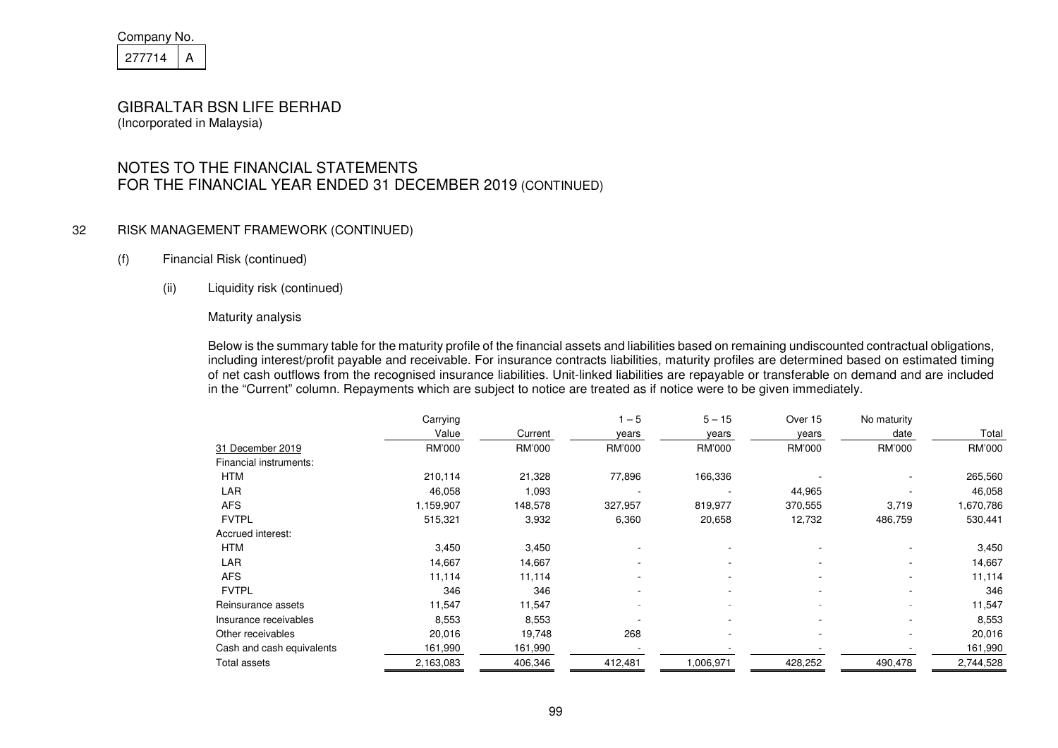| Company No. |  |
|-------------|--|
| 277714      |  |

# NOTES TO THE FINANCIAL STATEMENTS FOR THE FINANCIAL YEAR ENDED 31 DECEMBER 2019 (CONTINUED)

#### 32 RISK MANAGEMENT FRAMEWORK (CONTINUED)

#### (f) Financial Risk (continued)

#### (ii) Liquidity risk (continued)

#### Maturity analysis

Below is the summary table for the maturity profile of the financial assets and liabilities based on remaining undiscounted contractual obligations, including interest/profit payable and receivable. For insurance contracts liabilities, maturity profiles are determined based on estimated timing of net cash outflows from the recognised insurance liabilities. Unit-linked liabilities are repayable or transferable on demand and are included in the "Current" column. Repayments which are subject to notice are treated as if notice were to be given immediately.

|                           | Carrying  |         | $1 - 5$ | $5 - 15$  | Over 15 | No maturity |           |
|---------------------------|-----------|---------|---------|-----------|---------|-------------|-----------|
|                           | Value     | Current | years   | years     | years   | date        | Total     |
| 31 December 2019          | RM'000    | RM'000  | RM'000  | RM'000    | RM'000  | RM'000      | RM'000    |
| Financial instruments:    |           |         |         |           |         |             |           |
| <b>HTM</b>                | 210,114   | 21,328  | 77,896  | 166,336   |         |             | 265,560   |
| LAR                       | 46,058    | 1,093   |         |           | 44,965  |             | 46,058    |
| <b>AFS</b>                | 1,159,907 | 148,578 | 327,957 | 819,977   | 370,555 | 3,719       | 1,670,786 |
| <b>FVTPL</b>              | 515,321   | 3,932   | 6,360   | 20,658    | 12,732  | 486,759     | 530,441   |
| Accrued interest:         |           |         |         |           |         |             |           |
| <b>HTM</b>                | 3,450     | 3,450   |         |           |         |             | 3,450     |
| LAR                       | 14,667    | 14,667  |         |           |         |             | 14,667    |
| <b>AFS</b>                | 11,114    | 11,114  |         |           |         |             | 11,114    |
| <b>FVTPL</b>              | 346       | 346     | ۰       | ۰         |         | ۰           | 346       |
| Reinsurance assets        | 11,547    | 11,547  |         |           |         |             | 11,547    |
| Insurance receivables     | 8,553     | 8,553   |         |           |         |             | 8,553     |
| Other receivables         | 20,016    | 19,748  | 268     |           |         |             | 20,016    |
| Cash and cash equivalents | 161,990   | 161,990 |         |           |         |             | 161,990   |
| Total assets              | 2,163,083 | 406,346 | 412,481 | 1,006,971 | 428,252 | 490,478     | 2,744,528 |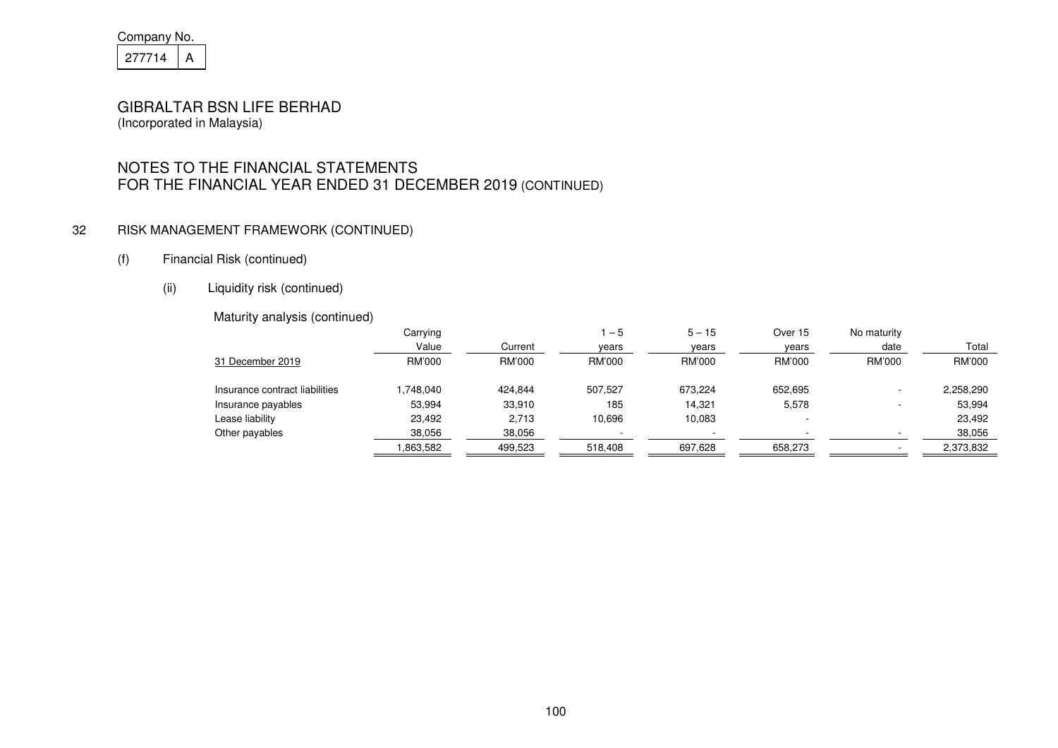| Company No. |  |
|-------------|--|
| 277714      |  |

# NOTES TO THE FINANCIAL STATEMENTS FOR THE FINANCIAL YEAR ENDED 31 DECEMBER 2019 (CONTINUED)

#### 32 RISK MANAGEMENT FRAMEWORK (CONTINUED)

- (f) Financial Risk (continued)
	- (ii) Liquidity risk (continued)

#### Maturity analysis (continued)

|                                | Carrying |         | $-5$          | $5 - 15$ | Over 15                  | No maturity |           |
|--------------------------------|----------|---------|---------------|----------|--------------------------|-------------|-----------|
|                                | Value    | Current | years         | years    | years                    | date        | Total     |
| 31 December 2019               | RM'000   | RM'000  | <b>RM'000</b> | RM'000   | RM'000                   | RM'000      | RM'000    |
| Insurance contract liabilities | .748.040 | 424,844 | 507,527       | 673,224  | 652,695                  |             | 2,258,290 |
| Insurance payables             | 53,994   | 33,910  | 185           | 14.321   | 5,578                    |             | 53,994    |
| Lease liability                | 23.492   | 2,713   | 10.696        | 10,083   | $\overline{\phantom{a}}$ |             | 23,492    |
| Other payables                 | 38,056   | 38,056  |               |          |                          |             | 38,056    |
|                                | .863,582 | 499,523 | 518,408       | 697,628  | 658,273                  |             | 2,373,832 |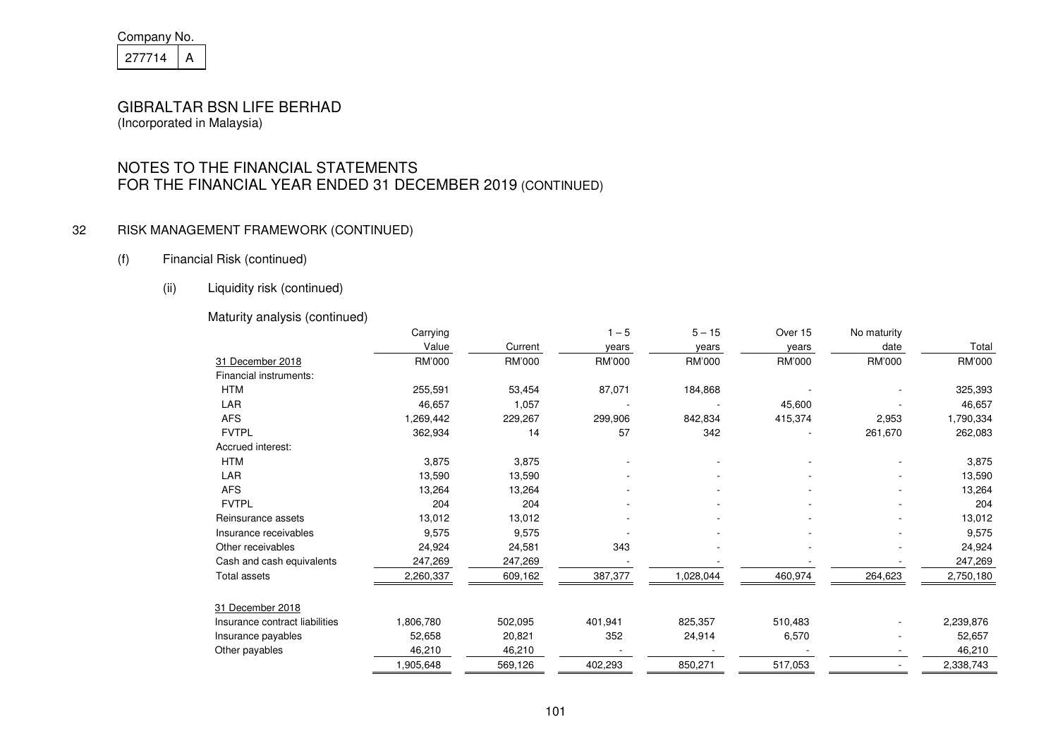| Company No. |  |  |
|-------------|--|--|
| 277714      |  |  |

# NOTES TO THE FINANCIAL STATEMENTS FOR THE FINANCIAL YEAR ENDED 31 DECEMBER 2019 (CONTINUED)

#### 32 RISK MANAGEMENT FRAMEWORK (CONTINUED)

#### (f) Financial Risk (continued)

(ii) Liquidity risk (continued)

#### Maturity analysis (continued)

| Carrying  |         | $1 - 5$ | $5 - 15$  | Over 15 | No maturity |           |
|-----------|---------|---------|-----------|---------|-------------|-----------|
| Value     | Current | years   | years     | years   | date        | Total     |
| RM'000    | RM'000  | RM'000  | RM'000    | RM'000  | RM'000      | RM'000    |
|           |         |         |           |         |             |           |
| 255,591   | 53,454  | 87,071  | 184,868   |         |             | 325,393   |
| 46,657    | 1,057   |         |           | 45,600  |             | 46,657    |
| 1,269,442 | 229,267 | 299,906 | 842,834   | 415,374 | 2,953       | 1,790,334 |
| 362,934   | 14      | 57      | 342       |         | 261,670     | 262,083   |
|           |         |         |           |         |             |           |
| 3,875     | 3,875   |         |           |         |             | 3,875     |
| 13,590    | 13,590  |         |           |         |             | 13,590    |
| 13,264    | 13,264  |         |           |         |             | 13,264    |
| 204       | 204     |         |           |         |             | 204       |
| 13,012    | 13,012  |         |           |         |             | 13,012    |
| 9,575     | 9,575   |         |           |         |             | 9,575     |
| 24,924    | 24,581  | 343     |           |         |             | 24,924    |
| 247,269   | 247,269 |         |           |         |             | 247,269   |
| 2,260,337 | 609,162 | 387,377 | 1,028,044 | 460,974 | 264,623     | 2,750,180 |
|           |         |         |           |         |             |           |
| 1,806,780 | 502,095 | 401,941 | 825,357   | 510,483 |             | 2,239,876 |
| 52,658    | 20,821  | 352     | 24,914    | 6,570   |             | 52,657    |
| 46,210    | 46,210  |         |           |         |             | 46,210    |
| 1,905,648 | 569,126 | 402,293 | 850,271   | 517,053 |             | 2,338,743 |
|           |         |         |           |         |             |           |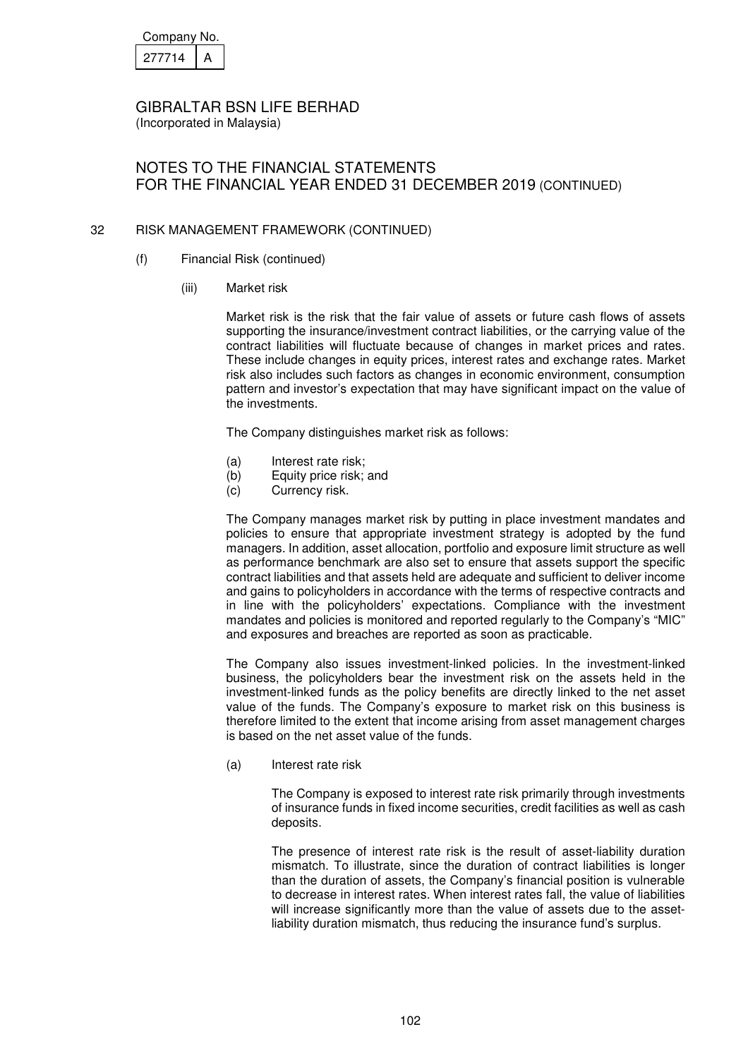| Company No. |  |  |
|-------------|--|--|
| 277714      |  |  |

(Incorporated in Malaysia)

# NOTES TO THE FINANCIAL STATEMENTS FOR THE FINANCIAL YEAR ENDED 31 DECEMBER 2019 (CONTINUED)

#### 32 RISK MANAGEMENT FRAMEWORK (CONTINUED)

- (f) Financial Risk (continued)
	- (iii) Market risk

Market risk is the risk that the fair value of assets or future cash flows of assets supporting the insurance/investment contract liabilities, or the carrying value of the contract liabilities will fluctuate because of changes in market prices and rates. These include changes in equity prices, interest rates and exchange rates. Market risk also includes such factors as changes in economic environment, consumption pattern and investor's expectation that may have significant impact on the value of the investments.

The Company distinguishes market risk as follows:

- (a) Interest rate risk;
- (b) Equity price risk; and
- (c) Currency risk.

The Company manages market risk by putting in place investment mandates and policies to ensure that appropriate investment strategy is adopted by the fund managers. In addition, asset allocation, portfolio and exposure limit structure as well as performance benchmark are also set to ensure that assets support the specific contract liabilities and that assets held are adequate and sufficient to deliver income and gains to policyholders in accordance with the terms of respective contracts and in line with the policyholders' expectations. Compliance with the investment mandates and policies is monitored and reported regularly to the Company's "MIC" and exposures and breaches are reported as soon as practicable.

The Company also issues investment-linked policies. In the investment-linked business, the policyholders bear the investment risk on the assets held in the investment-linked funds as the policy benefits are directly linked to the net asset value of the funds. The Company's exposure to market risk on this business is therefore limited to the extent that income arising from asset management charges is based on the net asset value of the funds.

(a) Interest rate risk

The Company is exposed to interest rate risk primarily through investments of insurance funds in fixed income securities, credit facilities as well as cash deposits.

The presence of interest rate risk is the result of asset-liability duration mismatch. To illustrate, since the duration of contract liabilities is longer than the duration of assets, the Company's financial position is vulnerable to decrease in interest rates. When interest rates fall, the value of liabilities will increase significantly more than the value of assets due to the assetliability duration mismatch, thus reducing the insurance fund's surplus.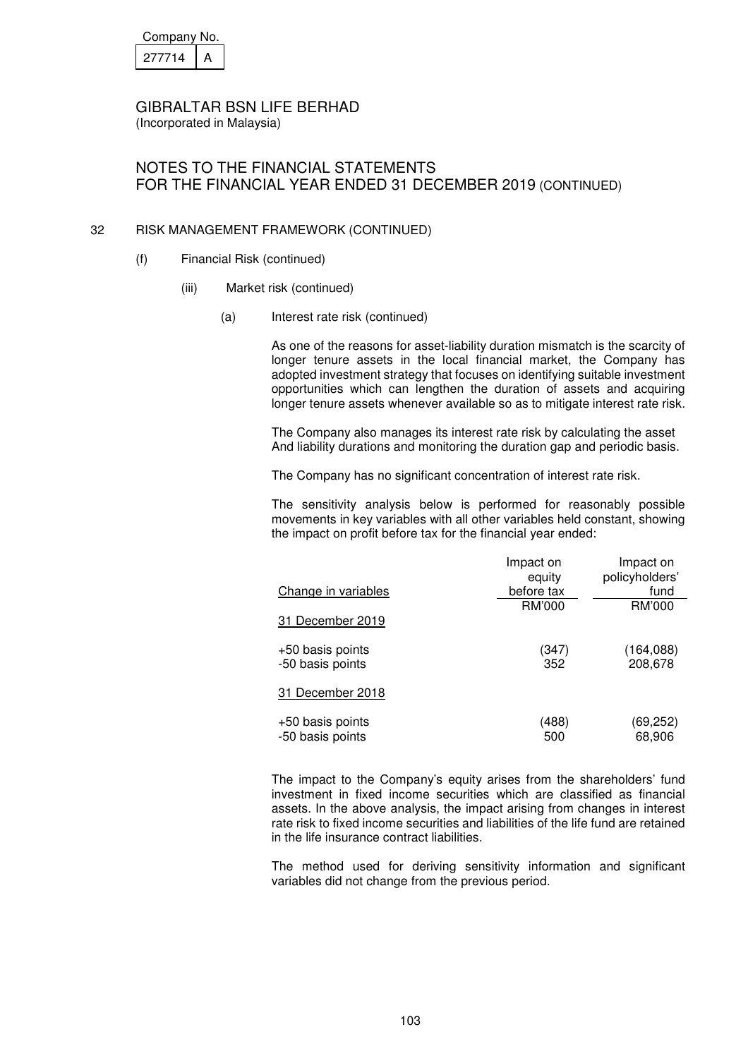| Company No. |  |  |
|-------------|--|--|
| 277714      |  |  |

# NOTES TO THE FINANCIAL STATEMENTS FOR THE FINANCIAL YEAR ENDED 31 DECEMBER 2019 (CONTINUED)

#### 32 RISK MANAGEMENT FRAMEWORK (CONTINUED)

- (f) Financial Risk (continued)
	- (iii) Market risk (continued)
		- (a) Interest rate risk (continued)

As one of the reasons for asset-liability duration mismatch is the scarcity of longer tenure assets in the local financial market, the Company has adopted investment strategy that focuses on identifying suitable investment opportunities which can lengthen the duration of assets and acquiring longer tenure assets whenever available so as to mitigate interest rate risk.

The Company also manages its interest rate risk by calculating the asset And liability durations and monitoring the duration gap and periodic basis.

The Company has no significant concentration of interest rate risk.

The sensitivity analysis below is performed for reasonably possible movements in key variables with all other variables held constant, showing the impact on profit before tax for the financial year ended:

|                                      | Impact on            | Impact on              |
|--------------------------------------|----------------------|------------------------|
| Change in variables                  | equity<br>before tax | policyholders'<br>fund |
|                                      | RM'000               | RM'000                 |
| 31 December 2019                     |                      |                        |
| +50 basis points<br>-50 basis points | (347)<br>352         | (164, 088)<br>208,678  |
| 31 December 2018                     |                      |                        |
| +50 basis points<br>-50 basis points | (488)<br>500         | (69,252)<br>68,906     |

The impact to the Company's equity arises from the shareholders' fund investment in fixed income securities which are classified as financial assets. In the above analysis, the impact arising from changes in interest rate risk to fixed income securities and liabilities of the life fund are retained in the life insurance contract liabilities.

The method used for deriving sensitivity information and significant variables did not change from the previous period.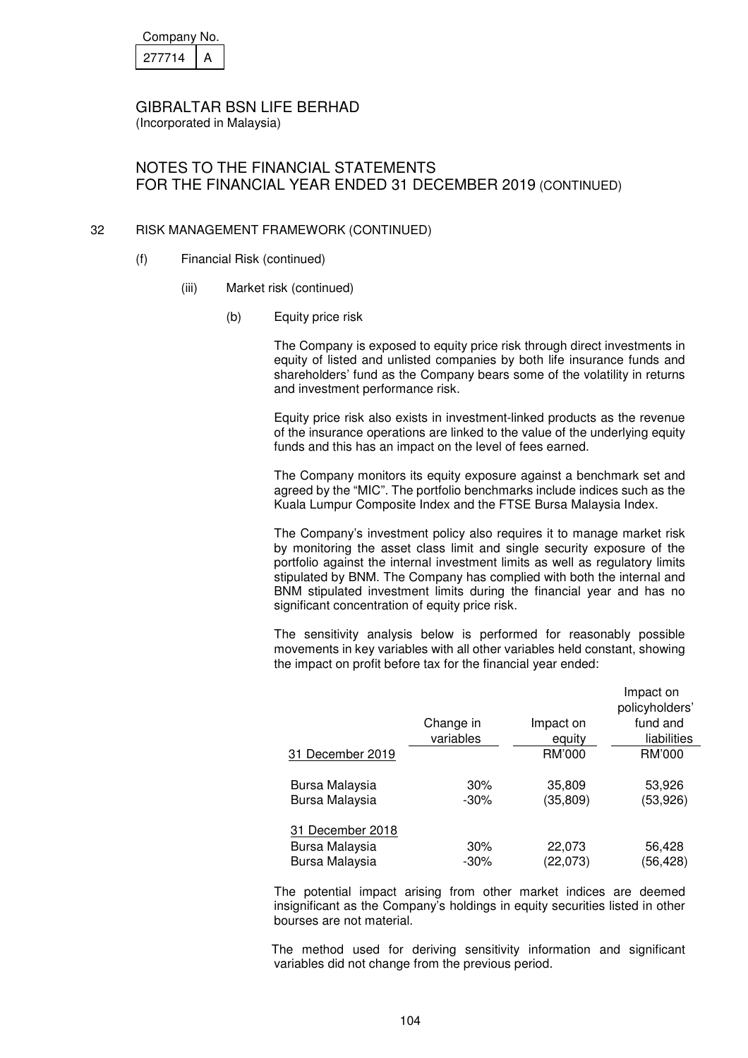| Company No. |  |  |
|-------------|--|--|
| 277714      |  |  |

# NOTES TO THE FINANCIAL STATEMENTS FOR THE FINANCIAL YEAR ENDED 31 DECEMBER 2019 (CONTINUED)

#### 32 RISK MANAGEMENT FRAMEWORK (CONTINUED)

- (f) Financial Risk (continued)
	- (iii) Market risk (continued)
		- (b) Equity price risk

The Company is exposed to equity price risk through direct investments in equity of listed and unlisted companies by both life insurance funds and shareholders' fund as the Company bears some of the volatility in returns and investment performance risk.

Equity price risk also exists in investment-linked products as the revenue of the insurance operations are linked to the value of the underlying equity funds and this has an impact on the level of fees earned.

The Company monitors its equity exposure against a benchmark set and agreed by the "MIC". The portfolio benchmarks include indices such as the Kuala Lumpur Composite Index and the FTSE Bursa Malaysia Index.

The Company's investment policy also requires it to manage market risk by monitoring the asset class limit and single security exposure of the portfolio against the internal investment limits as well as regulatory limits stipulated by BNM. The Company has complied with both the internal and BNM stipulated investment limits during the financial year and has no significant concentration of equity price risk.

The sensitivity analysis below is performed for reasonably possible movements in key variables with all other variables held constant, showing the impact on profit before tax for the financial year ended:

|                  |           |           | Impact on      |
|------------------|-----------|-----------|----------------|
|                  |           |           | policyholders' |
|                  | Change in | Impact on | fund and       |
|                  | variables | equity    | liabilities    |
| 31 December 2019 |           | RM'000    | RM'000         |
| Bursa Malaysia   | 30%       | 35,809    | 53,926         |
| Bursa Malaysia   | $-30\%$   | (35, 809) | (53, 926)      |
| 31 December 2018 |           |           |                |
| Bursa Malaysia   | 30%       | 22,073    | 56,428         |
| Bursa Malaysia   | $-30\%$   | (22,073)  | (56, 428)      |

The potential impact arising from other market indices are deemed insignificant as the Company's holdings in equity securities listed in other bourses are not material.

The method used for deriving sensitivity information and significant variables did not change from the previous period.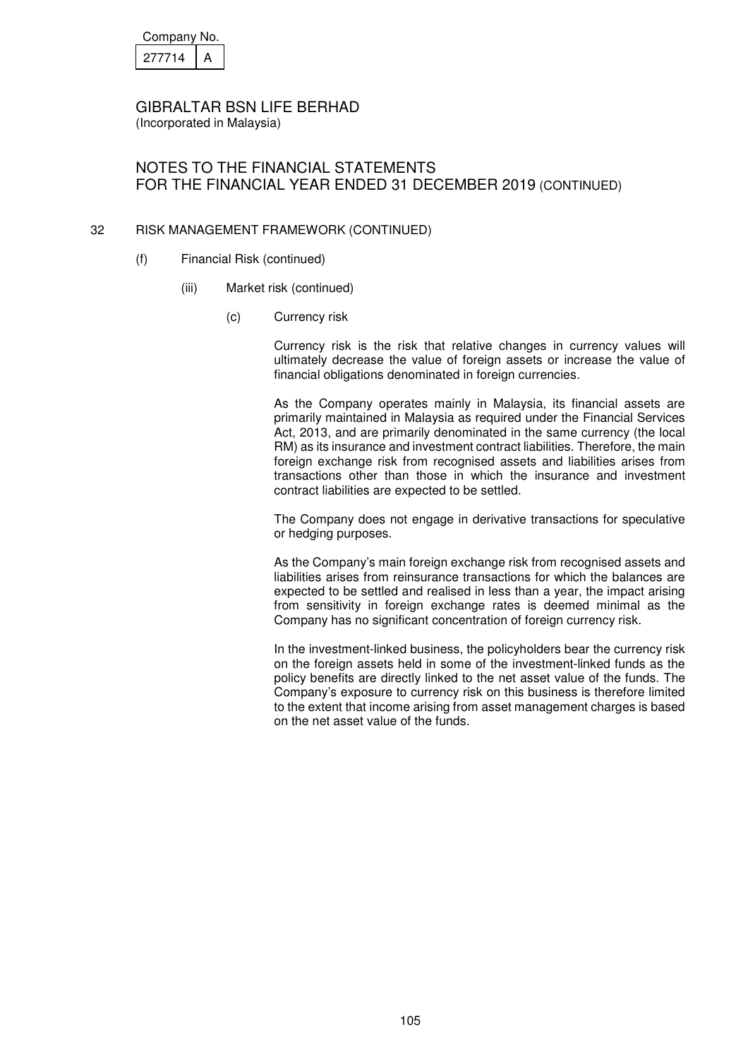| Company No. |  |  |
|-------------|--|--|
| 277714      |  |  |

# NOTES TO THE FINANCIAL STATEMENTS FOR THE FINANCIAL YEAR ENDED 31 DECEMBER 2019 (CONTINUED)

#### 32 RISK MANAGEMENT FRAMEWORK (CONTINUED)

- (f) Financial Risk (continued)
	- (iii) Market risk (continued)
		- (c) Currency risk

Currency risk is the risk that relative changes in currency values will ultimately decrease the value of foreign assets or increase the value of financial obligations denominated in foreign currencies.

As the Company operates mainly in Malaysia, its financial assets are primarily maintained in Malaysia as required under the Financial Services Act, 2013, and are primarily denominated in the same currency (the local RM) as its insurance and investment contract liabilities. Therefore, the main foreign exchange risk from recognised assets and liabilities arises from transactions other than those in which the insurance and investment contract liabilities are expected to be settled.

The Company does not engage in derivative transactions for speculative or hedging purposes.

As the Company's main foreign exchange risk from recognised assets and liabilities arises from reinsurance transactions for which the balances are expected to be settled and realised in less than a year, the impact arising from sensitivity in foreign exchange rates is deemed minimal as the Company has no significant concentration of foreign currency risk.

In the investment-linked business, the policyholders bear the currency risk on the foreign assets held in some of the investment-linked funds as the policy benefits are directly linked to the net asset value of the funds. The Company's exposure to currency risk on this business is therefore limited to the extent that income arising from asset management charges is based on the net asset value of the funds.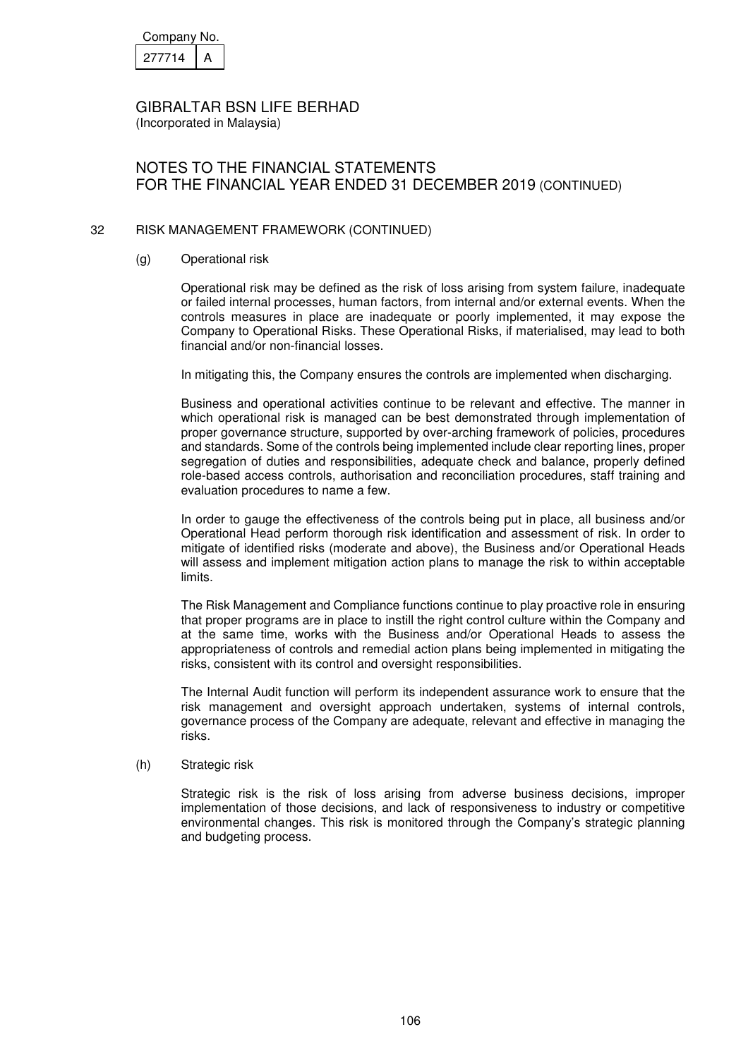| Company No. |  |  |
|-------------|--|--|
| 277714      |  |  |

(Incorporated in Malaysia)

# NOTES TO THE FINANCIAL STATEMENTS FOR THE FINANCIAL YEAR ENDED 31 DECEMBER 2019 (CONTINUED)

#### 32 RISK MANAGEMENT FRAMEWORK (CONTINUED)

(g) Operational risk

Operational risk may be defined as the risk of loss arising from system failure, inadequate or failed internal processes, human factors, from internal and/or external events. When the controls measures in place are inadequate or poorly implemented, it may expose the Company to Operational Risks. These Operational Risks, if materialised, may lead to both financial and/or non-financial losses.

In mitigating this, the Company ensures the controls are implemented when discharging.

Business and operational activities continue to be relevant and effective. The manner in which operational risk is managed can be best demonstrated through implementation of proper governance structure, supported by over-arching framework of policies, procedures and standards. Some of the controls being implemented include clear reporting lines, proper segregation of duties and responsibilities, adequate check and balance, properly defined role-based access controls, authorisation and reconciliation procedures, staff training and evaluation procedures to name a few.

In order to gauge the effectiveness of the controls being put in place, all business and/or Operational Head perform thorough risk identification and assessment of risk. In order to mitigate of identified risks (moderate and above), the Business and/or Operational Heads will assess and implement mitigation action plans to manage the risk to within acceptable limits.

The Risk Management and Compliance functions continue to play proactive role in ensuring that proper programs are in place to instill the right control culture within the Company and at the same time, works with the Business and/or Operational Heads to assess the appropriateness of controls and remedial action plans being implemented in mitigating the risks, consistent with its control and oversight responsibilities.

The Internal Audit function will perform its independent assurance work to ensure that the risk management and oversight approach undertaken, systems of internal controls, governance process of the Company are adequate, relevant and effective in managing the risks.

#### (h) Strategic risk

Strategic risk is the risk of loss arising from adverse business decisions, improper implementation of those decisions, and lack of responsiveness to industry or competitive environmental changes. This risk is monitored through the Company's strategic planning and budgeting process.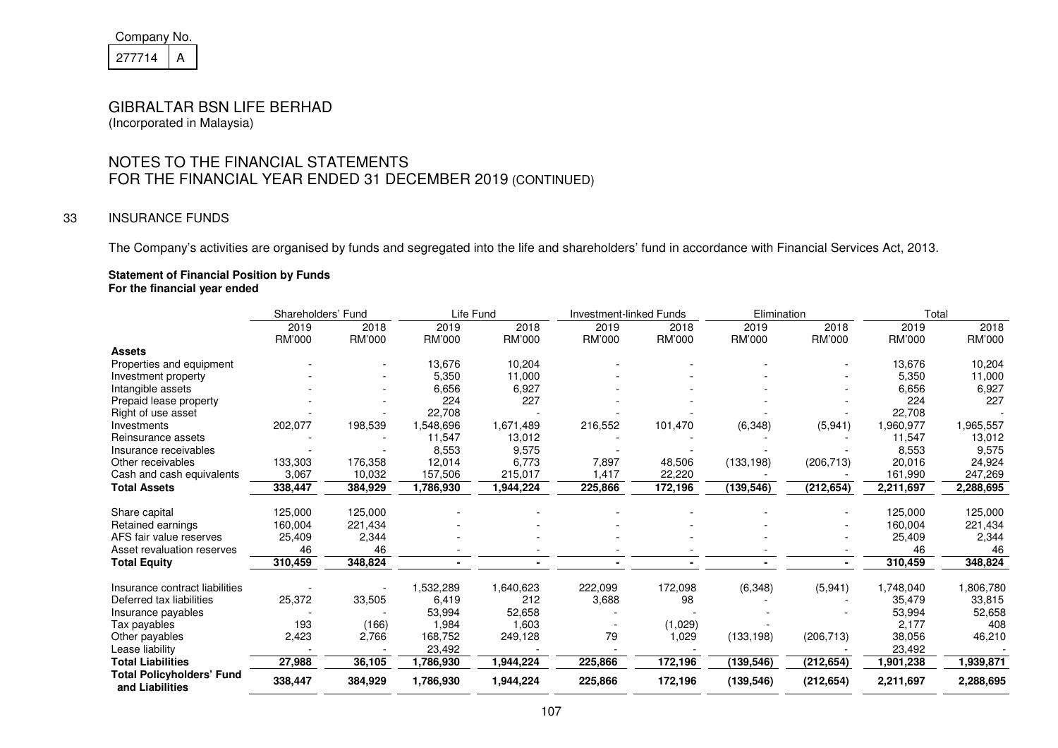| Company No. |  |  |  |  |  |  |
|-------------|--|--|--|--|--|--|
| 27714       |  |  |  |  |  |  |

# GIBRALTAR BSN LIFE BERHAD

(Incorporated in Malaysia)

## NOTES TO THE FINANCIAL STATEMENTS FOR THE FINANCIAL YEAR ENDED 31 DECEMBER 2019 (CONTINUED)

#### 33 INSURANCE FUNDS

The Company's activities are organised by funds and segregated into the life and shareholders' fund in accordance with Financial Services Act, 2013.

#### **Statement of Financial Position by Funds**

**For the financial year ended** 

|                                                     | Shareholders' Fund |         | Life Fund |           | <b>Investment-linked Funds</b> |         | Elimination |            | Total     |           |
|-----------------------------------------------------|--------------------|---------|-----------|-----------|--------------------------------|---------|-------------|------------|-----------|-----------|
|                                                     | 2019               | 2018    | 2019      | 2018      | 2019                           | 2018    | 2019        | 2018       | 2019      | 2018      |
|                                                     | RM'000             | RM'000  | RM'000    | RM'000    | RM'000                         | RM'000  | RM'000      | RM'000     | RM'000    | RM'000    |
| <b>Assets</b>                                       |                    |         |           |           |                                |         |             |            |           |           |
| Properties and equipment                            |                    |         | 13,676    | 10,204    |                                |         |             |            | 13,676    | 10,204    |
| Investment property                                 |                    |         | 5,350     | 11,000    |                                |         |             |            | 5,350     | 11,000    |
| Intangible assets                                   |                    |         | 6,656     | 6,927     |                                |         |             |            | 6,656     | 6,927     |
| Prepaid lease property                              |                    |         | 224       | 227       |                                |         |             |            | 224       | 227       |
| Right of use asset                                  |                    |         | 22,708    |           |                                |         |             |            | 22,708    |           |
| Investments                                         | 202,077            | 198,539 | 1,548,696 | 1,671,489 | 216,552                        | 101,470 | (6,348)     | (5,941)    | 1,960,977 | 1,965,557 |
| Reinsurance assets                                  |                    |         | 11,547    | 13,012    |                                |         |             |            | 11,547    | 13,012    |
| Insurance receivables                               |                    |         | 8,553     | 9,575     |                                |         |             |            | 8,553     | 9,575     |
| Other receivables                                   | 133,303            | 176,358 | 12,014    | 6,773     | 7,897                          | 48,506  | (133, 198)  | (206, 713) | 20,016    | 24,924    |
| Cash and cash equivalents                           | 3,067              | 10,032  | 157,506   | 215,017   | 1,417                          | 22,220  |             |            | 161,990   | 247,269   |
| <b>Total Assets</b>                                 | 338,447            | 384,929 | 1,786,930 | 1,944,224 | 225,866                        | 172,196 | (139, 546)  | (212, 654) | 2,211,697 | 2,288,695 |
| Share capital                                       | 125,000            | 125,000 |           |           |                                |         |             |            | 125,000   | 125,000   |
| Retained earnings                                   | 160,004            | 221,434 |           |           |                                |         |             |            | 160,004   | 221,434   |
| AFS fair value reserves                             | 25,409             | 2,344   |           |           |                                |         |             |            | 25,409    | 2,344     |
| Asset revaluation reserves                          | 46                 | 46      |           |           |                                |         |             |            | 46        | 46        |
| <b>Total Equity</b>                                 | 310,459            | 348,824 |           |           |                                |         |             |            | 310,459   | 348,824   |
| Insurance contract liabilities                      |                    |         | 1,532,289 | 1,640,623 | 222,099                        | 172,098 | (6, 348)    | (5,941)    | 1,748,040 | 1,806,780 |
| Deferred tax liabilities                            | 25,372             | 33,505  | 6,419     | 212       | 3,688                          | 98      |             |            | 35,479    | 33,815    |
| Insurance payables                                  |                    |         | 53,994    | 52,658    |                                |         |             |            | 53,994    | 52,658    |
| Tax payables                                        | 193                | (166)   | 1,984     | 1,603     |                                | (1,029) |             |            | 2,177     | 408       |
| Other payables                                      | 2,423              | 2,766   | 168,752   | 249,128   | 79                             | 1,029   | (133, 198)  | (206, 713) | 38,056    | 46,210    |
| Lease liability                                     |                    |         | 23,492    |           |                                |         |             |            | 23,492    |           |
| <b>Total Liabilities</b>                            | 27,988             | 36,105  | 1,786,930 | 1,944,224 | 225,866                        | 172,196 | (139, 546)  | (212, 654) | 1,901,238 | 1,939,871 |
| <b>Total Policyholders' Fund</b><br>and Liabilities | 338,447            | 384,929 | 1,786,930 | 1,944,224 | 225,866                        | 172,196 | (139, 546)  | (212, 654) | 2,211,697 | 2,288,695 |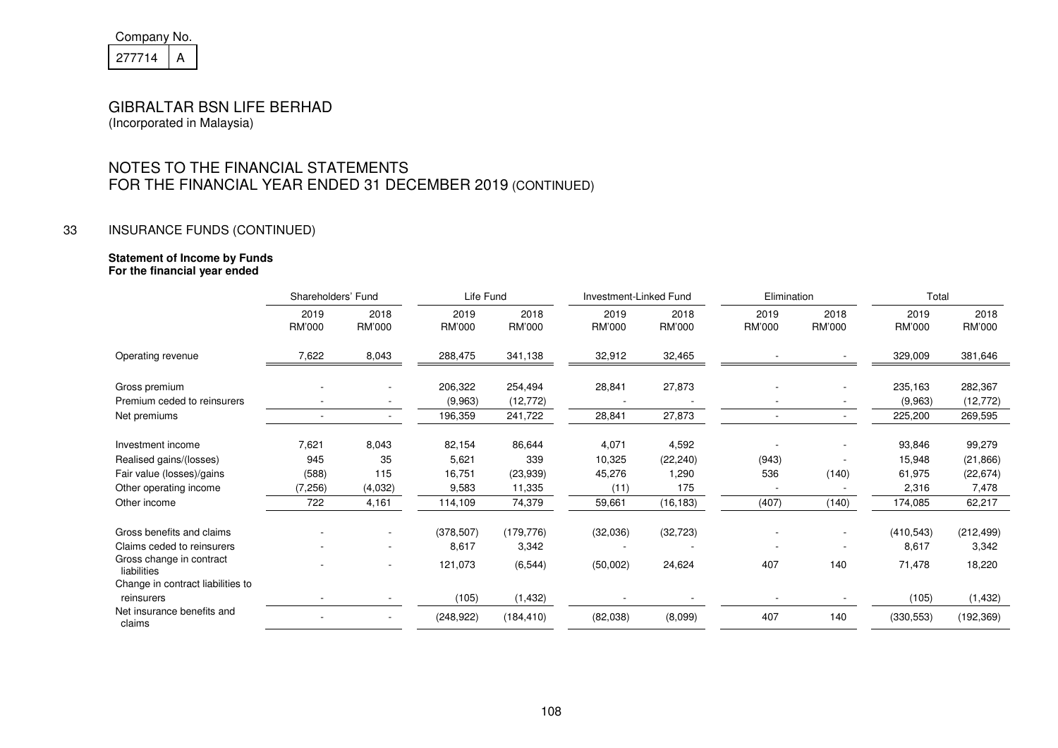| Company No. |  |  |  |  |  |  |
|-------------|--|--|--|--|--|--|
| 277714      |  |  |  |  |  |  |

#### GIBRALTAR BSN LIFE BERHAD (Incorporated in Malaysia)

## NOTES TO THE FINANCIAL STATEMENTS FOR THE FINANCIAL YEAR ENDED 31 DECEMBER 2019 (CONTINUED)

#### 33 INSURANCE FUNDS (CONTINUED)

# **Statement of Income by Funds**

|  | For the financial year ended |  |
|--|------------------------------|--|
|  |                              |  |

|                                         | Shareholders' Fund |                | Life Fund      |                | Investment-Linked Fund |                | Elimination    |                       | Total          |                |
|-----------------------------------------|--------------------|----------------|----------------|----------------|------------------------|----------------|----------------|-----------------------|----------------|----------------|
|                                         | 2019<br>RM'000     | 2018<br>RM'000 | 2019<br>RM'000 | 2018<br>RM'000 | 2019<br>RM'000         | 2018<br>RM'000 | 2019<br>RM'000 | 2018<br><b>RM'000</b> | 2019<br>RM'000 | 2018<br>RM'000 |
| Operating revenue                       | 7,622              | 8,043          | 288,475        | 341,138        | 32,912                 | 32,465         |                |                       | 329,009        | 381,646        |
| Gross premium                           |                    |                | 206,322        | 254,494        | 28,841                 | 27,873         |                |                       | 235,163        | 282,367        |
| Premium ceded to reinsurers             |                    |                | (9,963)        | (12, 772)      |                        |                |                |                       | (9,963)        | (12, 772)      |
| Net premiums                            |                    |                | 196,359        | 241,722        | 28,841                 | 27,873         |                |                       | 225,200        | 269,595        |
| Investment income                       | 7,621              | 8,043          | 82,154         | 86,644         | 4,071                  | 4,592          |                |                       | 93,846         | 99,279         |
| Realised gains/(losses)                 | 945                | 35             | 5,621          | 339            | 10,325                 | (22, 240)      | (943)          |                       | 15,948         | (21, 866)      |
| Fair value (losses)/gains               | (588)              | 115            | 16,751         | (23,939)       | 45,276                 | 1,290          | 536            | (140)                 | 61,975         | (22, 674)      |
| Other operating income                  | (7,256)            | (4,032)        | 9,583          | 11,335         | (11)                   | 175            |                |                       | 2,316          | 7,478          |
| Other income                            | 722                | 4,161          | 114,109        | 74,379         | 59,661                 | (16, 183)      | (407)          | (140)                 | 174,085        | 62,217         |
| Gross benefits and claims               |                    |                | (378, 507)     | (179, 776)     | (32,036)               | (32, 723)      |                |                       | (410, 543)     | (212, 499)     |
| Claims ceded to reinsurers              |                    |                | 8,617          | 3,342          |                        |                |                |                       | 8,617          | 3,342          |
| Gross change in contract<br>liabilities |                    |                | 121,073        | (6, 544)       | (50,002)               | 24,624         | 407            | 140                   | 71,478         | 18,220         |
| Change in contract liabilities to       |                    |                |                |                |                        |                |                |                       |                |                |
| reinsurers                              |                    |                | (105)          | (1, 432)       |                        |                |                |                       | (105)          | (1, 432)       |
| Net insurance benefits and<br>claims    |                    |                | (248, 922)     | (184, 410)     | (82,038)               | (8,099)        | 407            | 140                   | (330, 553)     | (192, 369)     |